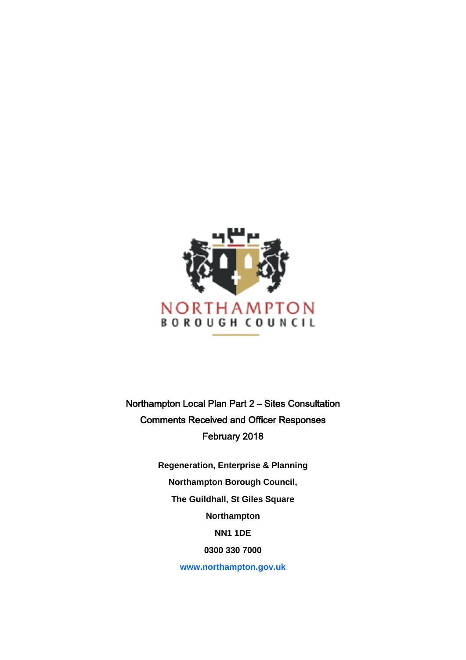

Northampton Local Plan Part 2 – Sites Consultation Comments Received and Officer Responses February 2018

> **Regeneration, Enterprise & Planning Northampton Borough Council, The Guildhall, St Giles Square Northampton NN1 1DE 0300 330 7000**

> > **[www.northampton.gov.uk](http://www.northampton.gov.uk/)**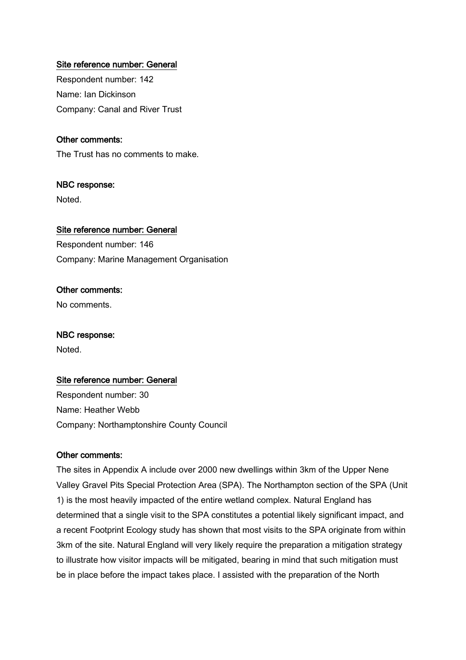# Site reference number: General

Respondent number: 142 Name: Ian Dickinson Company: Canal and River Trust

### Other comments:

The Trust has no comments to make.

# NBC response:

Noted.

### Site reference number: General

Respondent number: 146 Company: Marine Management Organisation

# Other comments:

No comments.

### NBC response:

Noted.

### Site reference number: General

Respondent number: 30 Name: Heather Webb Company: Northamptonshire County Council

### Other comments:

The sites in Appendix A include over 2000 new dwellings within 3km of the Upper Nene Valley Gravel Pits Special Protection Area (SPA). The Northampton section of the SPA (Unit 1) is the most heavily impacted of the entire wetland complex. Natural England has determined that a single visit to the SPA constitutes a potential likely significant impact, and a recent Footprint Ecology study has shown that most visits to the SPA originate from within 3km of the site. Natural England will very likely require the preparation a mitigation strategy to illustrate how visitor impacts will be mitigated, bearing in mind that such mitigation must be in place before the impact takes place. I assisted with the preparation of the North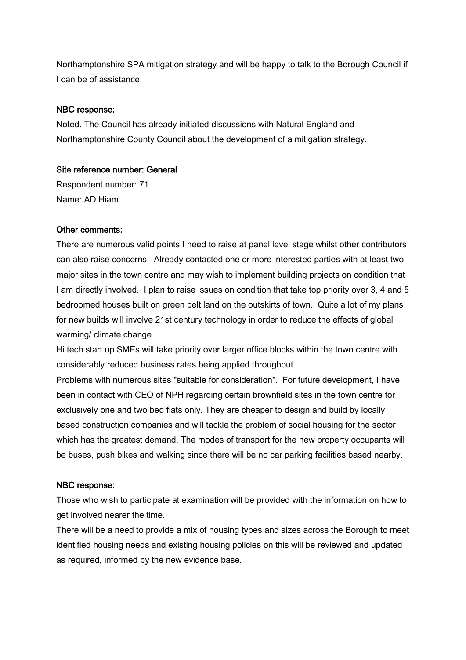Northamptonshire SPA mitigation strategy and will be happy to talk to the Borough Council if I can be of assistance

### NBC response:

Noted. The Council has already initiated discussions with Natural England and Northamptonshire County Council about the development of a mitigation strategy.

## Site reference number: General

Respondent number: 71 Name: AD Hiam

## Other comments:

There are numerous valid points I need to raise at panel level stage whilst other contributors can also raise concerns. Already contacted one or more interested parties with at least two major sites in the town centre and may wish to implement building projects on condition that I am directly involved. I plan to raise issues on condition that take top priority over 3, 4 and 5 bedroomed houses built on green belt land on the outskirts of town. Quite a lot of my plans for new builds will involve 21st century technology in order to reduce the effects of global warming/ climate change.

Hi tech start up SMEs will take priority over larger office blocks within the town centre with considerably reduced business rates being applied throughout.

Problems with numerous sites "suitable for consideration". For future development, I have been in contact with CEO of NPH regarding certain brownfield sites in the town centre for exclusively one and two bed flats only. They are cheaper to design and build by locally based construction companies and will tackle the problem of social housing for the sector which has the greatest demand. The modes of transport for the new property occupants will be buses, push bikes and walking since there will be no car parking facilities based nearby.

# NBC response:

Those who wish to participate at examination will be provided with the information on how to get involved nearer the time.

There will be a need to provide a mix of housing types and sizes across the Borough to meet identified housing needs and existing housing policies on this will be reviewed and updated as required, informed by the new evidence base.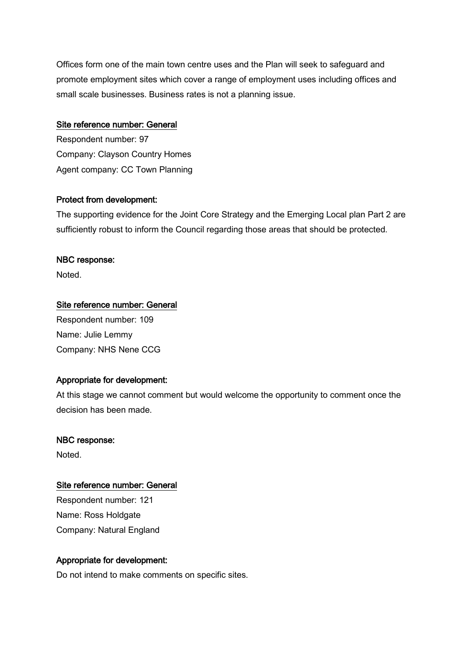Offices form one of the main town centre uses and the Plan will seek to safeguard and promote employment sites which cover a range of employment uses including offices and small scale businesses. Business rates is not a planning issue.

# Site reference number: General

Respondent number: 97 Company: Clayson Country Homes Agent company: CC Town Planning

# Protect from development:

The supporting evidence for the Joint Core Strategy and the Emerging Local plan Part 2 are sufficiently robust to inform the Council regarding those areas that should be protected.

## NBC response:

Noted.

# Site reference number: General

Respondent number: 109 Name: Julie Lemmy Company: NHS Nene CCG

# Appropriate for development:

At this stage we cannot comment but would welcome the opportunity to comment once the decision has been made.

# NBC response:

Noted.

# Site reference number: General

Respondent number: 121 Name: Ross Holdgate Company: Natural England

# Appropriate for development:

Do not intend to make comments on specific sites.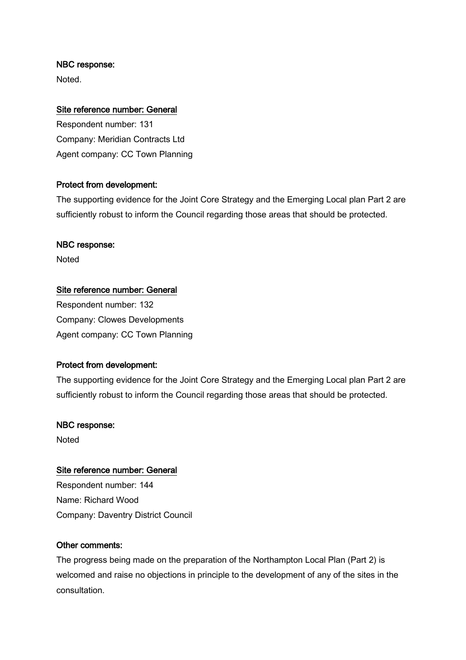Noted.

# Site reference number: General

Respondent number: 131 Company: Meridian Contracts Ltd Agent company: CC Town Planning

# Protect from development:

The supporting evidence for the Joint Core Strategy and the Emerging Local plan Part 2 are sufficiently robust to inform the Council regarding those areas that should be protected.

## NBC response:

**Noted** 

## Site reference number: General

Respondent number: 132 Company: Clowes Developments Agent company: CC Town Planning

### Protect from development:

The supporting evidence for the Joint Core Strategy and the Emerging Local plan Part 2 are sufficiently robust to inform the Council regarding those areas that should be protected.

### NBC response:

Noted

### Site reference number: General

Respondent number: 144 Name: Richard Wood Company: Daventry District Council

### Other comments:

The progress being made on the preparation of the Northampton Local Plan (Part 2) is welcomed and raise no objections in principle to the development of any of the sites in the consultation.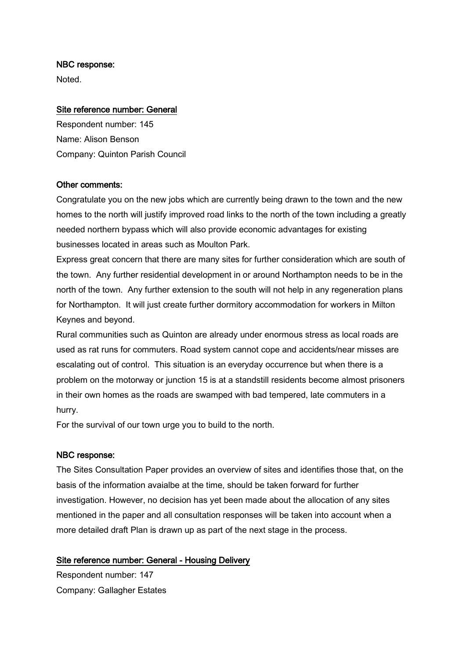Noted.

# Site reference number: General

Respondent number: 145 Name: Alison Benson Company: Quinton Parish Council

## Other comments:

Congratulate you on the new jobs which are currently being drawn to the town and the new homes to the north will justify improved road links to the north of the town including a greatly needed northern bypass which will also provide economic advantages for existing businesses located in areas such as Moulton Park.

Express great concern that there are many sites for further consideration which are south of the town. Any further residential development in or around Northampton needs to be in the north of the town. Any further extension to the south will not help in any regeneration plans for Northampton. It will just create further dormitory accommodation for workers in Milton Keynes and beyond.

Rural communities such as Quinton are already under enormous stress as local roads are used as rat runs for commuters. Road system cannot cope and accidents/near misses are escalating out of control. This situation is an everyday occurrence but when there is a problem on the motorway or junction 15 is at a standstill residents become almost prisoners in their own homes as the roads are swamped with bad tempered, late commuters in a hurry.

For the survival of our town urge you to build to the north.

# NBC response:

The Sites Consultation Paper provides an overview of sites and identifies those that, on the basis of the information avaialbe at the time, should be taken forward for further investigation. However, no decision has yet been made about the allocation of any sites mentioned in the paper and all consultation responses will be taken into account when a more detailed draft Plan is drawn up as part of the next stage in the process.

# Site reference number: General - Housing Delivery

Respondent number: 147 Company: Gallagher Estates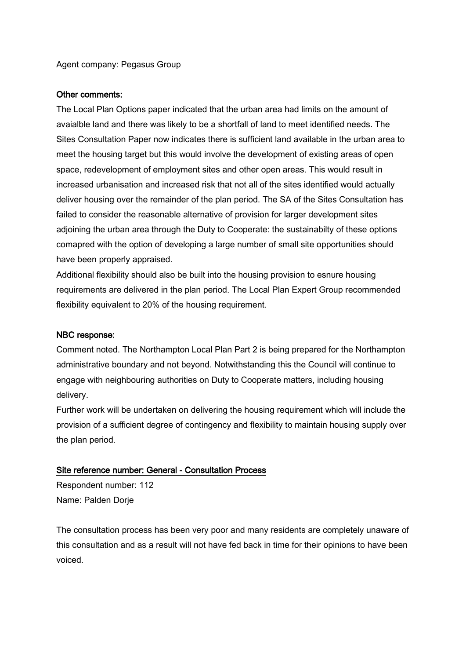Agent company: Pegasus Group

### Other comments:

The Local Plan Options paper indicated that the urban area had limits on the amount of avaialble land and there was likely to be a shortfall of land to meet identified needs. The Sites Consultation Paper now indicates there is sufficient land available in the urban area to meet the housing target but this would involve the development of existing areas of open space, redevelopment of employment sites and other open areas. This would result in increased urbanisation and increased risk that not all of the sites identified would actually deliver housing over the remainder of the plan period. The SA of the Sites Consultation has failed to consider the reasonable alternative of provision for larger development sites adjoining the urban area through the Duty to Cooperate: the sustainabilty of these options comapred with the option of developing a large number of small site opportunities should have been properly appraised.

Additional flexibility should also be built into the housing provision to esnure housing requirements are delivered in the plan period. The Local Plan Expert Group recommended flexibility equivalent to 20% of the housing requirement.

# NBC response:

Comment noted. The Northampton Local Plan Part 2 is being prepared for the Northampton administrative boundary and not beyond. Notwithstanding this the Council will continue to engage with neighbouring authorities on Duty to Cooperate matters, including housing delivery.

Further work will be undertaken on delivering the housing requirement which will include the provision of a sufficient degree of contingency and flexibility to maintain housing supply over the plan period.

### Site reference number: General - Consultation Process

Respondent number: 112 Name: Palden Dorje

The consultation process has been very poor and many residents are completely unaware of this consultation and as a result will not have fed back in time for their opinions to have been voiced.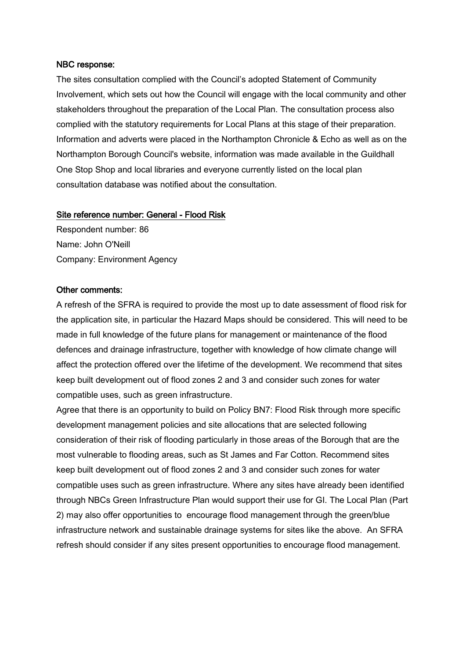The sites consultation complied with the Council's adopted Statement of Community Involvement, which sets out how the Council will engage with the local community and other stakeholders throughout the preparation of the Local Plan. The consultation process also complied with the statutory requirements for Local Plans at this stage of their preparation. Information and adverts were placed in the Northampton Chronicle & Echo as well as on the Northampton Borough Council's website, information was made available in the Guildhall One Stop Shop and local libraries and everyone currently listed on the local plan consultation database was notified about the consultation.

#### Site reference number: General - Flood Risk

Respondent number: 86 Name: John O'Neill Company: Environment Agency

### Other comments:

A refresh of the SFRA is required to provide the most up to date assessment of flood risk for the application site, in particular the Hazard Maps should be considered. This will need to be made in full knowledge of the future plans for management or maintenance of the flood defences and drainage infrastructure, together with knowledge of how climate change will affect the protection offered over the lifetime of the development. We recommend that sites keep built development out of flood zones 2 and 3 and consider such zones for water compatible uses, such as green infrastructure.

Agree that there is an opportunity to build on Policy BN7: Flood Risk through more specific development management policies and site allocations that are selected following consideration of their risk of flooding particularly in those areas of the Borough that are the most vulnerable to flooding areas, such as St James and Far Cotton. Recommend sites keep built development out of flood zones 2 and 3 and consider such zones for water compatible uses such as green infrastructure. Where any sites have already been identified through NBCs Green Infrastructure Plan would support their use for GI. The Local Plan (Part 2) may also offer opportunities to encourage flood management through the green/blue infrastructure network and sustainable drainage systems for sites like the above. An SFRA refresh should consider if any sites present opportunities to encourage flood management.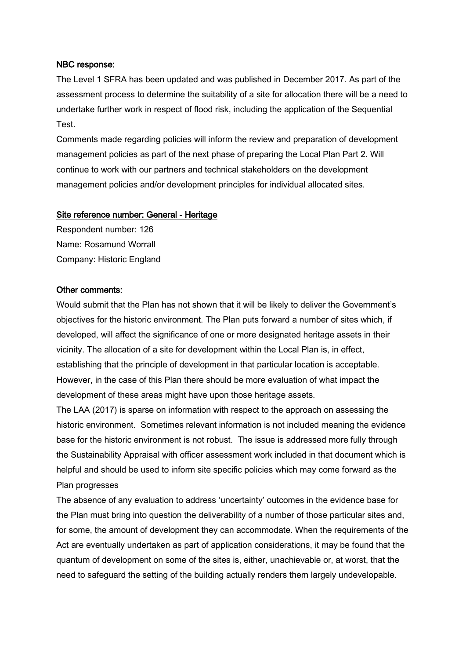The Level 1 SFRA has been updated and was published in December 2017. As part of the assessment process to determine the suitability of a site for allocation there will be a need to undertake further work in respect of flood risk, including the application of the Sequential Test.

Comments made regarding policies will inform the review and preparation of development management policies as part of the next phase of preparing the Local Plan Part 2. Will continue to work with our partners and technical stakeholders on the development management policies and/or development principles for individual allocated sites.

#### Site reference number: General - Heritage

Respondent number: 126 Name: Rosamund Worrall Company: Historic England

#### Other comments:

Would submit that the Plan has not shown that it will be likely to deliver the Government's objectives for the historic environment. The Plan puts forward a number of sites which, if developed, will affect the significance of one or more designated heritage assets in their vicinity. The allocation of a site for development within the Local Plan is, in effect, establishing that the principle of development in that particular location is acceptable. However, in the case of this Plan there should be more evaluation of what impact the development of these areas might have upon those heritage assets.

The LAA (2017) is sparse on information with respect to the approach on assessing the historic environment. Sometimes relevant information is not included meaning the evidence base for the historic environment is not robust. The issue is addressed more fully through the Sustainability Appraisal with officer assessment work included in that document which is helpful and should be used to inform site specific policies which may come forward as the Plan progresses

The absence of any evaluation to address 'uncertainty' outcomes in the evidence base for the Plan must bring into question the deliverability of a number of those particular sites and, for some, the amount of development they can accommodate. When the requirements of the Act are eventually undertaken as part of application considerations, it may be found that the quantum of development on some of the sites is, either, unachievable or, at worst, that the need to safeguard the setting of the building actually renders them largely undevelopable.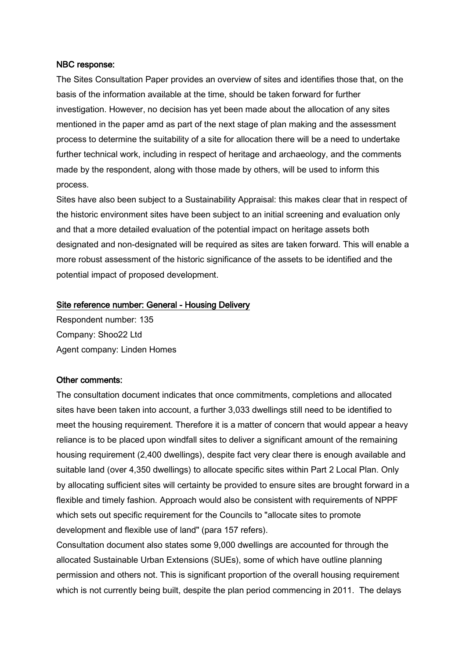The Sites Consultation Paper provides an overview of sites and identifies those that, on the basis of the information available at the time, should be taken forward for further investigation. However, no decision has yet been made about the allocation of any sites mentioned in the paper amd as part of the next stage of plan making and the assessment process to determine the suitability of a site for allocation there will be a need to undertake further technical work, including in respect of heritage and archaeology, and the comments made by the respondent, along with those made by others, will be used to inform this process.

Sites have also been subject to a Sustainability Appraisal: this makes clear that in respect of the historic environment sites have been subject to an initial screening and evaluation only and that a more detailed evaluation of the potential impact on heritage assets both designated and non-designated will be required as sites are taken forward. This will enable a more robust assessment of the historic significance of the assets to be identified and the potential impact of proposed development.

### Site reference number: General - Housing Delivery

Respondent number: 135 Company: Shoo22 Ltd Agent company: Linden Homes

### Other comments:

The consultation document indicates that once commitments, completions and allocated sites have been taken into account, a further 3,033 dwellings still need to be identified to meet the housing requirement. Therefore it is a matter of concern that would appear a heavy reliance is to be placed upon windfall sites to deliver a significant amount of the remaining housing requirement (2,400 dwellings), despite fact very clear there is enough available and suitable land (over 4,350 dwellings) to allocate specific sites within Part 2 Local Plan. Only by allocating sufficient sites will certainty be provided to ensure sites are brought forward in a flexible and timely fashion. Approach would also be consistent with requirements of NPPF which sets out specific requirement for the Councils to "allocate sites to promote development and flexible use of land" (para 157 refers).

Consultation document also states some 9,000 dwellings are accounted for through the allocated Sustainable Urban Extensions (SUEs), some of which have outline planning permission and others not. This is significant proportion of the overall housing requirement which is not currently being built, despite the plan period commencing in 2011. The delays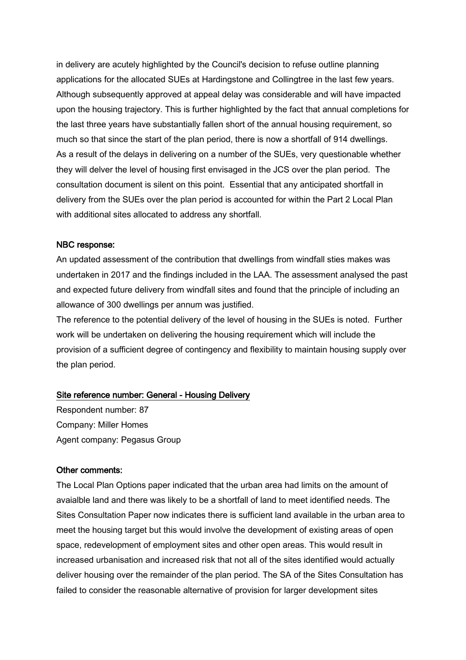in delivery are acutely highlighted by the Council's decision to refuse outline planning applications for the allocated SUEs at Hardingstone and Collingtree in the last few years. Although subsequently approved at appeal delay was considerable and will have impacted upon the housing trajectory. This is further highlighted by the fact that annual completions for the last three years have substantially fallen short of the annual housing requirement, so much so that since the start of the plan period, there is now a shortfall of 914 dwellings. As a result of the delays in delivering on a number of the SUEs, very questionable whether they will delver the level of housing first envisaged in the JCS over the plan period. The consultation document is silent on this point. Essential that any anticipated shortfall in delivery from the SUEs over the plan period is accounted for within the Part 2 Local Plan with additional sites allocated to address any shortfall.

### NBC response:

An updated assessment of the contribution that dwellings from windfall sties makes was undertaken in 2017 and the findings included in the LAA. The assessment analysed the past and expected future delivery from windfall sites and found that the principle of including an allowance of 300 dwellings per annum was justified.

The reference to the potential delivery of the level of housing in the SUEs is noted. Further work will be undertaken on delivering the housing requirement which will include the provision of a sufficient degree of contingency and flexibility to maintain housing supply over the plan period.

### Site reference number: General - Housing Delivery

Respondent number: 87 Company: Miller Homes Agent company: Pegasus Group

#### Other comments:

The Local Plan Options paper indicated that the urban area had limits on the amount of avaialble land and there was likely to be a shortfall of land to meet identified needs. The Sites Consultation Paper now indicates there is sufficient land available in the urban area to meet the housing target but this would involve the development of existing areas of open space, redevelopment of employment sites and other open areas. This would result in increased urbanisation and increased risk that not all of the sites identified would actually deliver housing over the remainder of the plan period. The SA of the Sites Consultation has failed to consider the reasonable alternative of provision for larger development sites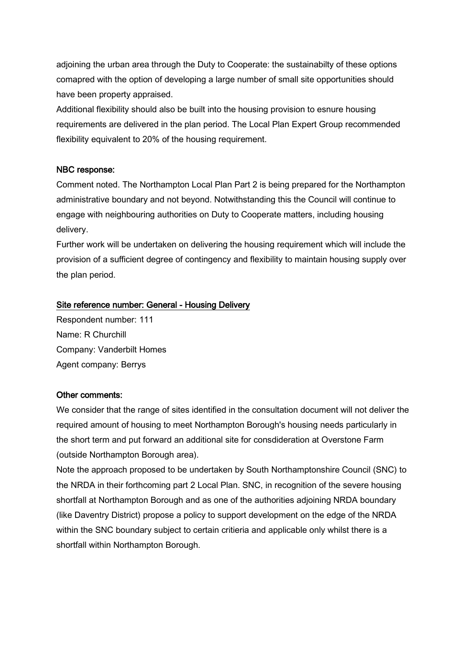adjoining the urban area through the Duty to Cooperate: the sustainabilty of these options comapred with the option of developing a large number of small site opportunities should have been property appraised.

Additional flexibility should also be built into the housing provision to esnure housing requirements are delivered in the plan period. The Local Plan Expert Group recommended flexibility equivalent to 20% of the housing requirement.

# NBC response:

Comment noted. The Northampton Local Plan Part 2 is being prepared for the Northampton administrative boundary and not beyond. Notwithstanding this the Council will continue to engage with neighbouring authorities on Duty to Cooperate matters, including housing delivery.

Further work will be undertaken on delivering the housing requirement which will include the provision of a sufficient degree of contingency and flexibility to maintain housing supply over the plan period.

## Site reference number: General - Housing Delivery

Respondent number: 111 Name: R Churchill Company: Vanderbilt Homes Agent company: Berrys

### Other comments:

We consider that the range of sites identified in the consultation document will not deliver the required amount of housing to meet Northampton Borough's housing needs particularly in the short term and put forward an additional site for consdideration at Overstone Farm (outside Northampton Borough area).

Note the approach proposed to be undertaken by South Northamptonshire Council (SNC) to the NRDA in their forthcoming part 2 Local Plan. SNC, in recognition of the severe housing shortfall at Northampton Borough and as one of the authorities adjoining NRDA boundary (like Daventry District) propose a policy to support development on the edge of the NRDA within the SNC boundary subject to certain critieria and applicable only whilst there is a shortfall within Northampton Borough.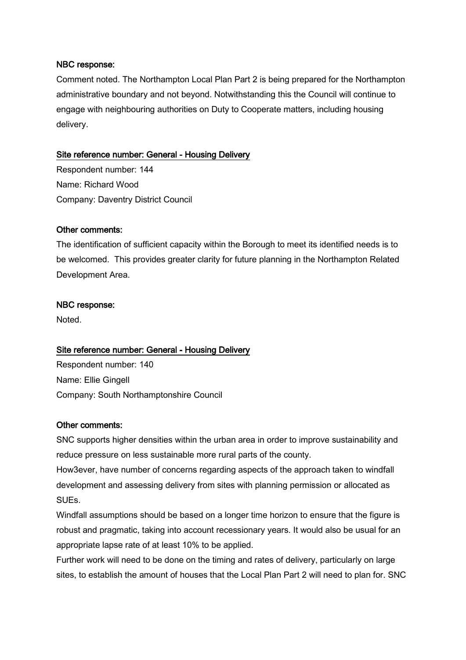Comment noted. The Northampton Local Plan Part 2 is being prepared for the Northampton administrative boundary and not beyond. Notwithstanding this the Council will continue to engage with neighbouring authorities on Duty to Cooperate matters, including housing delivery.

# Site reference number: General - Housing Delivery

Respondent number: 144 Name: Richard Wood Company: Daventry District Council

# Other comments:

The identification of sufficient capacity within the Borough to meet its identified needs is to be welcomed. This provides greater clarity for future planning in the Northampton Related Development Area.

## NBC response:

**Noted** 

# Site reference number: General - Housing Delivery

Respondent number: 140 Name: Ellie Gingell Company: South Northamptonshire Council

# Other comments:

SNC supports higher densities within the urban area in order to improve sustainability and reduce pressure on less sustainable more rural parts of the county.

How3ever, have number of concerns regarding aspects of the approach taken to windfall development and assessing delivery from sites with planning permission or allocated as SUEs.

Windfall assumptions should be based on a longer time horizon to ensure that the figure is robust and pragmatic, taking into account recessionary years. It would also be usual for an appropriate lapse rate of at least 10% to be applied.

Further work will need to be done on the timing and rates of delivery, particularly on large sites, to establish the amount of houses that the Local Plan Part 2 will need to plan for. SNC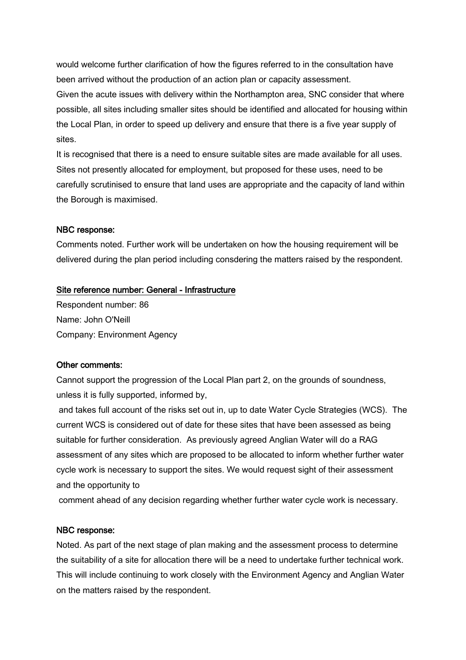would welcome further clarification of how the figures referred to in the consultation have been arrived without the production of an action plan or capacity assessment. Given the acute issues with delivery within the Northampton area, SNC consider that where possible, all sites including smaller sites should be identified and allocated for housing within the Local Plan, in order to speed up delivery and ensure that there is a five year supply of sites.

It is recognised that there is a need to ensure suitable sites are made available for all uses. Sites not presently allocated for employment, but proposed for these uses, need to be carefully scrutinised to ensure that land uses are appropriate and the capacity of land within the Borough is maximised.

### NBC response:

Comments noted. Further work will be undertaken on how the housing requirement will be delivered during the plan period including consdering the matters raised by the respondent.

#### Site reference number: General - Infrastructure

Respondent number: 86 Name: John O'Neill Company: Environment Agency

#### Other comments:

Cannot support the progression of the Local Plan part 2, on the grounds of soundness, unless it is fully supported, informed by,

and takes full account of the risks set out in, up to date Water Cycle Strategies (WCS). The current WCS is considered out of date for these sites that have been assessed as being suitable for further consideration. As previously agreed Anglian Water will do a RAG assessment of any sites which are proposed to be allocated to inform whether further water cycle work is necessary to support the sites. We would request sight of their assessment and the opportunity to

comment ahead of any decision regarding whether further water cycle work is necessary.

#### NBC response:

Noted. As part of the next stage of plan making and the assessment process to determine the suitability of a site for allocation there will be a need to undertake further technical work. This will include continuing to work closely with the Environment Agency and Anglian Water on the matters raised by the respondent.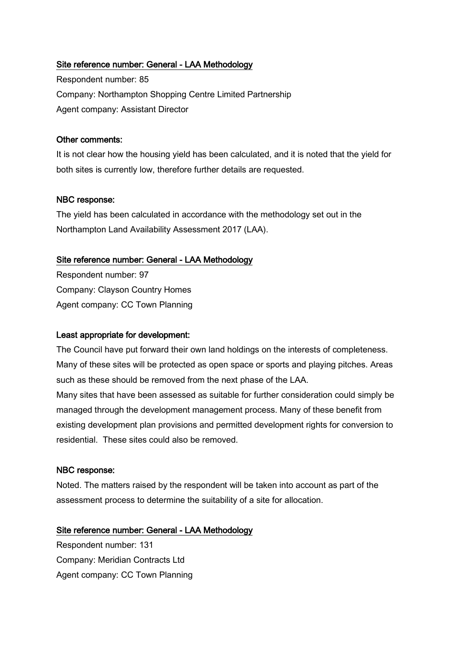# Site reference number: General - LAA Methodology

Respondent number: 85 Company: Northampton Shopping Centre Limited Partnership Agent company: Assistant Director

### Other comments:

It is not clear how the housing yield has been calculated, and it is noted that the yield for both sites is currently low, therefore further details are requested.

### NBC response:

The yield has been calculated in accordance with the methodology set out in the Northampton Land Availability Assessment 2017 (LAA).

### Site reference number: General - LAA Methodology

Respondent number: 97 Company: Clayson Country Homes Agent company: CC Town Planning

#### Least appropriate for development:

The Council have put forward their own land holdings on the interests of completeness. Many of these sites will be protected as open space or sports and playing pitches. Areas such as these should be removed from the next phase of the LAA.

Many sites that have been assessed as suitable for further consideration could simply be managed through the development management process. Many of these benefit from existing development plan provisions and permitted development rights for conversion to residential. These sites could also be removed.

### NBC response:

Noted. The matters raised by the respondent will be taken into account as part of the assessment process to determine the suitability of a site for allocation.

### Site reference number: General - LAA Methodology

Respondent number: 131 Company: Meridian Contracts Ltd Agent company: CC Town Planning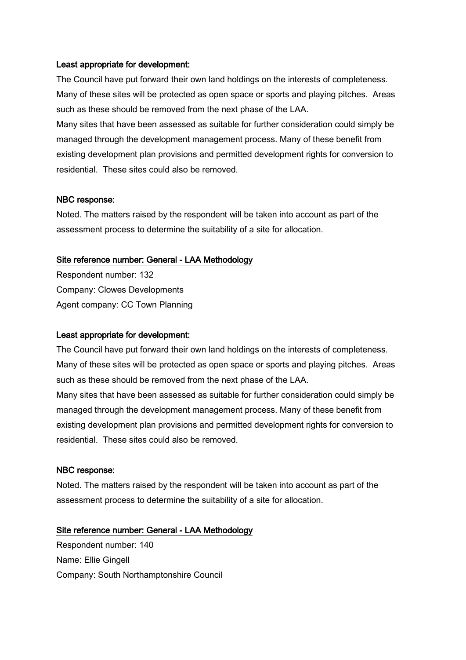#### Least appropriate for development:

The Council have put forward their own land holdings on the interests of completeness. Many of these sites will be protected as open space or sports and playing pitches. Areas such as these should be removed from the next phase of the LAA.

Many sites that have been assessed as suitable for further consideration could simply be managed through the development management process. Many of these benefit from existing development plan provisions and permitted development rights for conversion to residential. These sites could also be removed.

#### NBC response:

Noted. The matters raised by the respondent will be taken into account as part of the assessment process to determine the suitability of a site for allocation.

#### Site reference number: General - LAA Methodology

Respondent number: 132 Company: Clowes Developments Agent company: CC Town Planning

#### Least appropriate for development:

The Council have put forward their own land holdings on the interests of completeness. Many of these sites will be protected as open space or sports and playing pitches. Areas such as these should be removed from the next phase of the LAA.

Many sites that have been assessed as suitable for further consideration could simply be managed through the development management process. Many of these benefit from existing development plan provisions and permitted development rights for conversion to residential. These sites could also be removed.

#### NBC response:

Noted. The matters raised by the respondent will be taken into account as part of the assessment process to determine the suitability of a site for allocation.

### Site reference number: General - LAA Methodology

Respondent number: 140 Name: Ellie Gingell Company: South Northamptonshire Council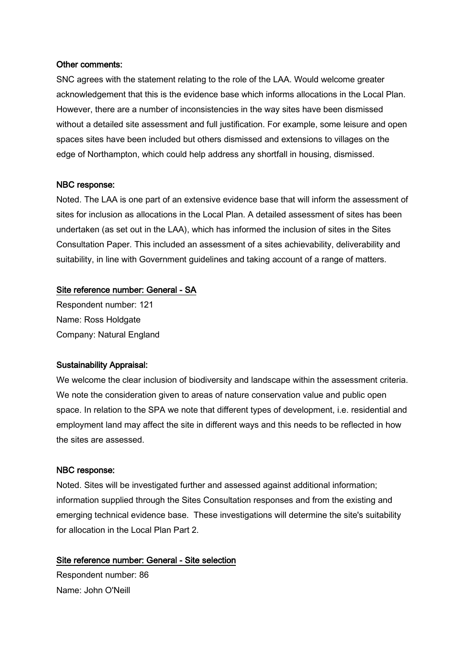#### Other comments:

SNC agrees with the statement relating to the role of the LAA. Would welcome greater acknowledgement that this is the evidence base which informs allocations in the Local Plan. However, there are a number of inconsistencies in the way sites have been dismissed without a detailed site assessment and full justification. For example, some leisure and open spaces sites have been included but others dismissed and extensions to villages on the edge of Northampton, which could help address any shortfall in housing, dismissed.

### NBC response:

Noted. The LAA is one part of an extensive evidence base that will inform the assessment of sites for inclusion as allocations in the Local Plan. A detailed assessment of sites has been undertaken (as set out in the LAA), which has informed the inclusion of sites in the Sites Consultation Paper. This included an assessment of a sites achievability, deliverability and suitability, in line with Government guidelines and taking account of a range of matters.

### Site reference number: General - SA

Respondent number: 121 Name: Ross Holdgate Company: Natural England

### Sustainability Appraisal:

We welcome the clear inclusion of biodiversity and landscape within the assessment criteria. We note the consideration given to areas of nature conservation value and public open space. In relation to the SPA we note that different types of development, i.e. residential and employment land may affect the site in different ways and this needs to be reflected in how the sites are assessed.

#### NBC response:

Noted. Sites will be investigated further and assessed against additional information; information supplied through the Sites Consultation responses and from the existing and emerging technical evidence base. These investigations will determine the site's suitability for allocation in the Local Plan Part 2.

# Site reference number: General - Site selection

Respondent number: 86 Name: John O'Neill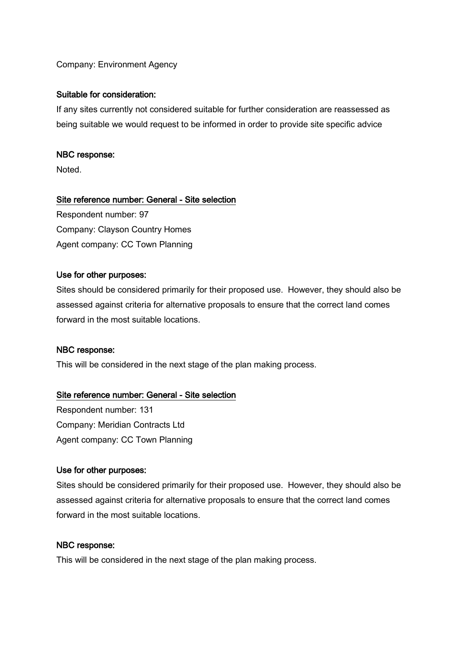# Company: Environment Agency

#### Suitable for consideration:

If any sites currently not considered suitable for further consideration are reassessed as being suitable we would request to be informed in order to provide site specific advice

#### NBC response:

Noted.

### Site reference number: General - Site selection

Respondent number: 97 Company: Clayson Country Homes Agent company: CC Town Planning

#### Use for other purposes:

Sites should be considered primarily for their proposed use. However, they should also be assessed against criteria for alternative proposals to ensure that the correct land comes forward in the most suitable locations.

#### NBC response:

This will be considered in the next stage of the plan making process.

### Site reference number: General - Site selection

Respondent number: 131 Company: Meridian Contracts Ltd Agent company: CC Town Planning

#### Use for other purposes:

Sites should be considered primarily for their proposed use. However, they should also be assessed against criteria for alternative proposals to ensure that the correct land comes forward in the most suitable locations.

### NBC response:

This will be considered in the next stage of the plan making process.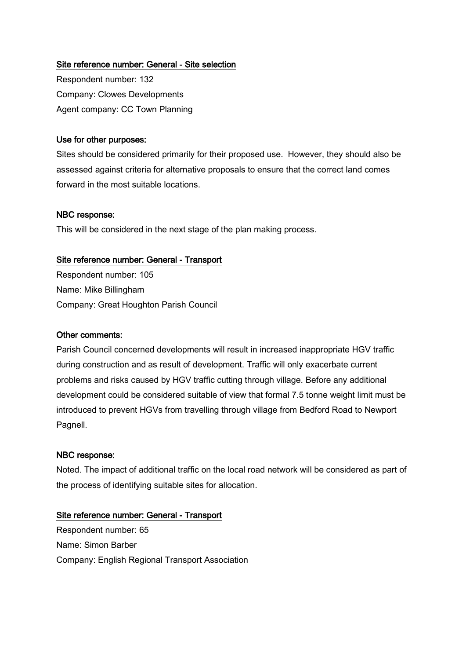# Site reference number: General - Site selection

Respondent number: 132 Company: Clowes Developments Agent company: CC Town Planning

### Use for other purposes:

Sites should be considered primarily for their proposed use. However, they should also be assessed against criteria for alternative proposals to ensure that the correct land comes forward in the most suitable locations.

## NBC response:

This will be considered in the next stage of the plan making process.

## Site reference number: General - Transport

Respondent number: 105 Name: Mike Billingham Company: Great Houghton Parish Council

# Other comments:

Parish Council concerned developments will result in increased inappropriate HGV traffic during construction and as result of development. Traffic will only exacerbate current problems and risks caused by HGV traffic cutting through village. Before any additional development could be considered suitable of view that formal 7.5 tonne weight limit must be introduced to prevent HGVs from travelling through village from Bedford Road to Newport Pagnell.

### NBC response:

Noted. The impact of additional traffic on the local road network will be considered as part of the process of identifying suitable sites for allocation.

# Site reference number: General - Transport

Respondent number: 65 Name: Simon Barber Company: English Regional Transport Association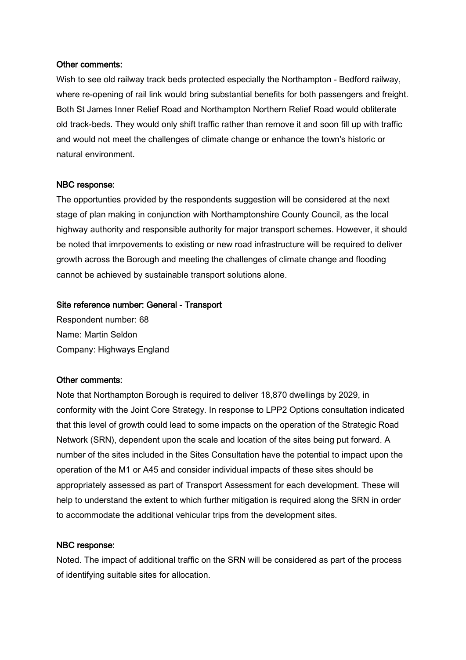### Other comments:

Wish to see old railway track beds protected especially the Northampton - Bedford railway, where re-opening of rail link would bring substantial benefits for both passengers and freight. Both St James Inner Relief Road and Northampton Northern Relief Road would obliterate old track-beds. They would only shift traffic rather than remove it and soon fill up with traffic and would not meet the challenges of climate change or enhance the town's historic or natural environment.

#### NBC response:

The opportunties provided by the respondents suggestion will be considered at the next stage of plan making in conjunction with Northamptonshire County Council, as the local highway authority and responsible authority for major transport schemes. However, it should be noted that imrpovements to existing or new road infrastructure will be required to deliver growth across the Borough and meeting the challenges of climate change and flooding cannot be achieved by sustainable transport solutions alone.

#### Site reference number: General - Transport

Respondent number: 68 Name: Martin Seldon Company: Highways England

### Other comments:

Note that Northampton Borough is required to deliver 18,870 dwellings by 2029, in conformity with the Joint Core Strategy. In response to LPP2 Options consultation indicated that this level of growth could lead to some impacts on the operation of the Strategic Road Network (SRN), dependent upon the scale and location of the sites being put forward. A number of the sites included in the Sites Consultation have the potential to impact upon the operation of the M1 or A45 and consider individual impacts of these sites should be appropriately assessed as part of Transport Assessment for each development. These will help to understand the extent to which further mitigation is required along the SRN in order to accommodate the additional vehicular trips from the development sites.

### NBC response:

Noted. The impact of additional traffic on the SRN will be considered as part of the process of identifying suitable sites for allocation.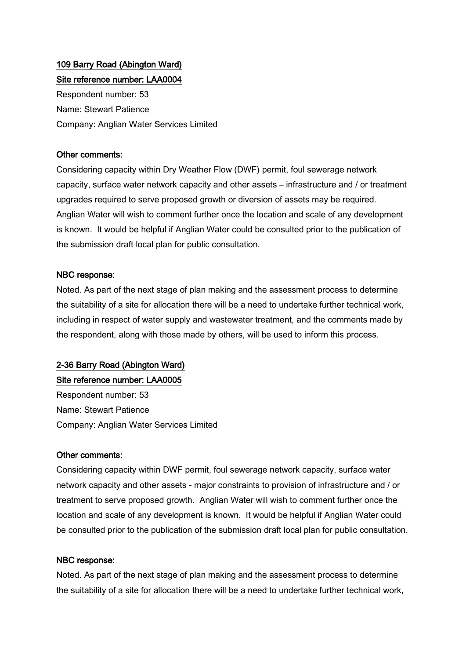# 109 Barry Road (Abington Ward) Site reference number: LAA0004

Respondent number: 53 Name: Stewart Patience Company: Anglian Water Services Limited

# Other comments:

Considering capacity within Dry Weather Flow (DWF) permit, foul sewerage network capacity, surface water network capacity and other assets – infrastructure and / or treatment upgrades required to serve proposed growth or diversion of assets may be required. Anglian Water will wish to comment further once the location and scale of any development is known. It would be helpful if Anglian Water could be consulted prior to the publication of the submission draft local plan for public consultation.

# NBC response:

Noted. As part of the next stage of plan making and the assessment process to determine the suitability of a site for allocation there will be a need to undertake further technical work, including in respect of water supply and wastewater treatment, and the comments made by the respondent, along with those made by others, will be used to inform this process.

# 2-36 Barry Road (Abington Ward)

# Site reference number: LAA0005

Respondent number: 53 Name: Stewart Patience Company: Anglian Water Services Limited

# Other comments:

Considering capacity within DWF permit, foul sewerage network capacity, surface water network capacity and other assets - major constraints to provision of infrastructure and / or treatment to serve proposed growth. Anglian Water will wish to comment further once the location and scale of any development is known. It would be helpful if Anglian Water could be consulted prior to the publication of the submission draft local plan for public consultation.

# NBC response:

Noted. As part of the next stage of plan making and the assessment process to determine the suitability of a site for allocation there will be a need to undertake further technical work,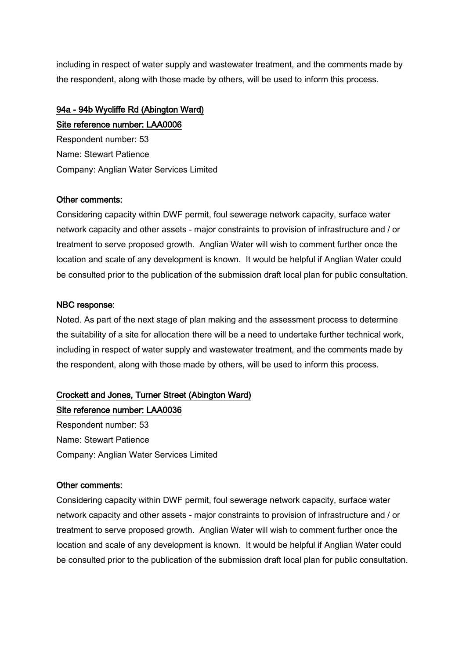including in respect of water supply and wastewater treatment, and the comments made by the respondent, along with those made by others, will be used to inform this process.

# 94a - 94b Wycliffe Rd (Abington Ward)

Site reference number: LAA0006 Respondent number: 53 Name: Stewart Patience Company: Anglian Water Services Limited

# Other comments:

Considering capacity within DWF permit, foul sewerage network capacity, surface water network capacity and other assets - major constraints to provision of infrastructure and / or treatment to serve proposed growth. Anglian Water will wish to comment further once the location and scale of any development is known. It would be helpful if Anglian Water could be consulted prior to the publication of the submission draft local plan for public consultation.

# NBC response:

Noted. As part of the next stage of plan making and the assessment process to determine the suitability of a site for allocation there will be a need to undertake further technical work, including in respect of water supply and wastewater treatment, and the comments made by the respondent, along with those made by others, will be used to inform this process.

# Crockett and Jones, Turner Street (Abington Ward)

Site reference number: LAA0036 Respondent number: 53 Name: Stewart Patience Company: Anglian Water Services Limited

# Other comments:

Considering capacity within DWF permit, foul sewerage network capacity, surface water network capacity and other assets - major constraints to provision of infrastructure and / or treatment to serve proposed growth. Anglian Water will wish to comment further once the location and scale of any development is known. It would be helpful if Anglian Water could be consulted prior to the publication of the submission draft local plan for public consultation.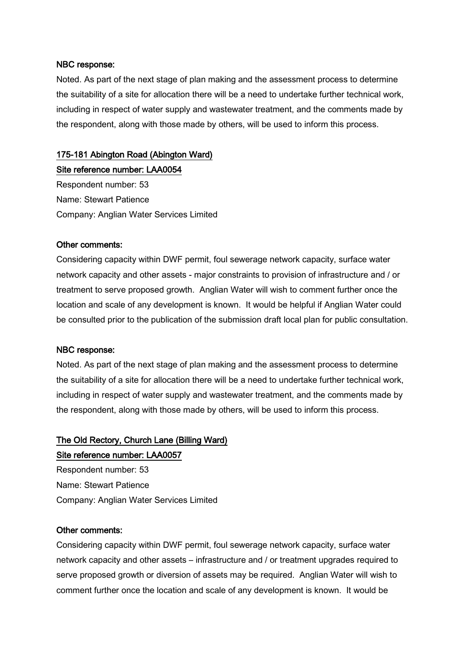Noted. As part of the next stage of plan making and the assessment process to determine the suitability of a site for allocation there will be a need to undertake further technical work, including in respect of water supply and wastewater treatment, and the comments made by the respondent, along with those made by others, will be used to inform this process.

### 175-181 Abington Road (Abington Ward)

Site reference number: LAA0054 Respondent number: 53 Name: Stewart Patience Company: Anglian Water Services Limited

#### Other comments:

Considering capacity within DWF permit, foul sewerage network capacity, surface water network capacity and other assets - major constraints to provision of infrastructure and / or treatment to serve proposed growth. Anglian Water will wish to comment further once the location and scale of any development is known. It would be helpful if Anglian Water could be consulted prior to the publication of the submission draft local plan for public consultation.

#### NBC response:

Noted. As part of the next stage of plan making and the assessment process to determine the suitability of a site for allocation there will be a need to undertake further technical work, including in respect of water supply and wastewater treatment, and the comments made by the respondent, along with those made by others, will be used to inform this process.

# The Old Rectory, Church Lane (Billing Ward) Site reference number: LAA0057

Respondent number: 53 Name: Stewart Patience Company: Anglian Water Services Limited

#### Other comments:

Considering capacity within DWF permit, foul sewerage network capacity, surface water network capacity and other assets – infrastructure and / or treatment upgrades required to serve proposed growth or diversion of assets may be required. Anglian Water will wish to comment further once the location and scale of any development is known. It would be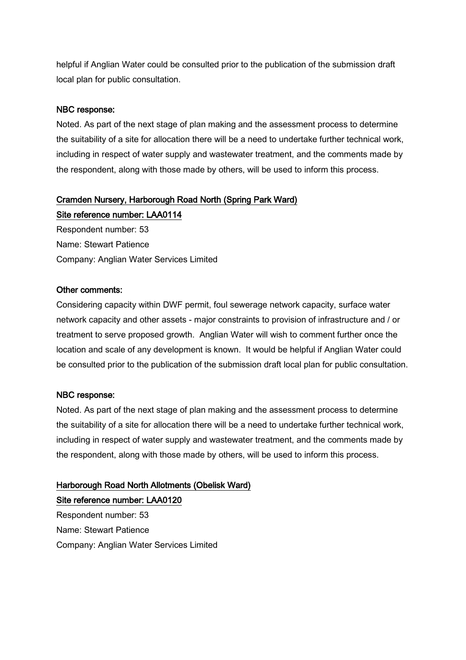helpful if Anglian Water could be consulted prior to the publication of the submission draft local plan for public consultation.

# NBC response:

Noted. As part of the next stage of plan making and the assessment process to determine the suitability of a site for allocation there will be a need to undertake further technical work, including in respect of water supply and wastewater treatment, and the comments made by the respondent, along with those made by others, will be used to inform this process.

# Cramden Nursery, Harborough Road North (Spring Park Ward)

Site reference number: LAA0114 Respondent number: 53 Name: Stewart Patience

Company: Anglian Water Services Limited

# Other comments:

Considering capacity within DWF permit, foul sewerage network capacity, surface water network capacity and other assets - major constraints to provision of infrastructure and / or treatment to serve proposed growth. Anglian Water will wish to comment further once the location and scale of any development is known. It would be helpful if Anglian Water could be consulted prior to the publication of the submission draft local plan for public consultation.

# NBC response:

Noted. As part of the next stage of plan making and the assessment process to determine the suitability of a site for allocation there will be a need to undertake further technical work, including in respect of water supply and wastewater treatment, and the comments made by the respondent, along with those made by others, will be used to inform this process.

# Harborough Road North Allotments (Obelisk Ward) Site reference number: LAA0120

Respondent number: 53 Name: Stewart Patience Company: Anglian Water Services Limited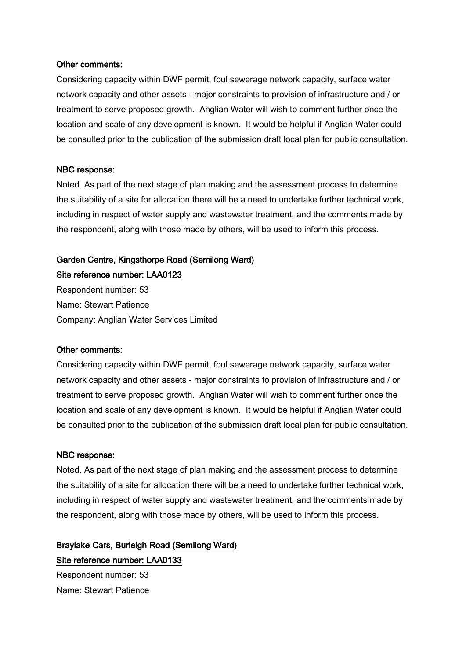#### Other comments:

Considering capacity within DWF permit, foul sewerage network capacity, surface water network capacity and other assets - major constraints to provision of infrastructure and / or treatment to serve proposed growth. Anglian Water will wish to comment further once the location and scale of any development is known. It would be helpful if Anglian Water could be consulted prior to the publication of the submission draft local plan for public consultation.

#### NBC response:

Noted. As part of the next stage of plan making and the assessment process to determine the suitability of a site for allocation there will be a need to undertake further technical work, including in respect of water supply and wastewater treatment, and the comments made by the respondent, along with those made by others, will be used to inform this process.

### Garden Centre, Kingsthorpe Road (Semilong Ward)

Site reference number: LAA0123 Respondent number: 53 Name: Stewart Patience Company: Anglian Water Services Limited

#### Other comments:

Considering capacity within DWF permit, foul sewerage network capacity, surface water network capacity and other assets - major constraints to provision of infrastructure and / or treatment to serve proposed growth. Anglian Water will wish to comment further once the location and scale of any development is known. It would be helpful if Anglian Water could be consulted prior to the publication of the submission draft local plan for public consultation.

#### NBC response:

Noted. As part of the next stage of plan making and the assessment process to determine the suitability of a site for allocation there will be a need to undertake further technical work, including in respect of water supply and wastewater treatment, and the comments made by the respondent, along with those made by others, will be used to inform this process.

Braylake Cars, Burleigh Road (Semilong Ward) Site reference number: LAA0133 Respondent number: 53

Name: Stewart Patience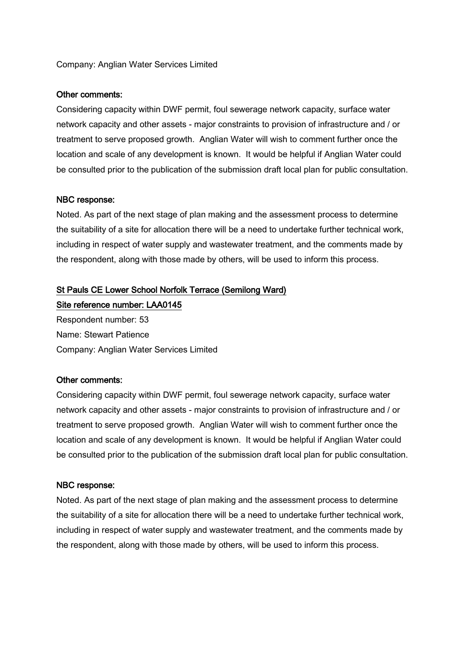### Company: Anglian Water Services Limited

#### Other comments:

Considering capacity within DWF permit, foul sewerage network capacity, surface water network capacity and other assets - major constraints to provision of infrastructure and / or treatment to serve proposed growth. Anglian Water will wish to comment further once the location and scale of any development is known. It would be helpful if Anglian Water could be consulted prior to the publication of the submission draft local plan for public consultation.

#### NBC response:

Noted. As part of the next stage of plan making and the assessment process to determine the suitability of a site for allocation there will be a need to undertake further technical work, including in respect of water supply and wastewater treatment, and the comments made by the respondent, along with those made by others, will be used to inform this process.

# St Pauls CE Lower School Norfolk Terrace (Semilong Ward) Site reference number: LAA0145

Respondent number: 53 Name: Stewart Patience Company: Anglian Water Services Limited

#### Other comments:

Considering capacity within DWF permit, foul sewerage network capacity, surface water network capacity and other assets - major constraints to provision of infrastructure and / or treatment to serve proposed growth. Anglian Water will wish to comment further once the location and scale of any development is known. It would be helpful if Anglian Water could be consulted prior to the publication of the submission draft local plan for public consultation.

#### NBC response:

Noted. As part of the next stage of plan making and the assessment process to determine the suitability of a site for allocation there will be a need to undertake further technical work, including in respect of water supply and wastewater treatment, and the comments made by the respondent, along with those made by others, will be used to inform this process.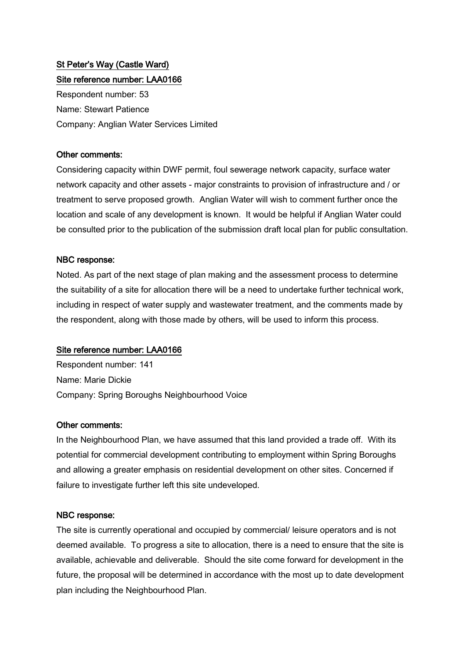# St Peter's Way (Castle Ward) Site reference number: LAA0166

Respondent number: 53 Name: Stewart Patience Company: Anglian Water Services Limited

# Other comments:

Considering capacity within DWF permit, foul sewerage network capacity, surface water network capacity and other assets - major constraints to provision of infrastructure and / or treatment to serve proposed growth. Anglian Water will wish to comment further once the location and scale of any development is known. It would be helpful if Anglian Water could be consulted prior to the publication of the submission draft local plan for public consultation.

## NBC response:

Noted. As part of the next stage of plan making and the assessment process to determine the suitability of a site for allocation there will be a need to undertake further technical work, including in respect of water supply and wastewater treatment, and the comments made by the respondent, along with those made by others, will be used to inform this process.

# Site reference number: LAA0166

Respondent number: 141 Name: Marie Dickie Company: Spring Boroughs Neighbourhood Voice

### Other comments:

In the Neighbourhood Plan, we have assumed that this land provided a trade off. With its potential for commercial development contributing to employment within Spring Boroughs and allowing a greater emphasis on residential development on other sites. Concerned if failure to investigate further left this site undeveloped.

# NBC response:

The site is currently operational and occupied by commercial/ leisure operators and is not deemed available. To progress a site to allocation, there is a need to ensure that the site is available, achievable and deliverable. Should the site come forward for development in the future, the proposal will be determined in accordance with the most up to date development plan including the Neighbourhood Plan.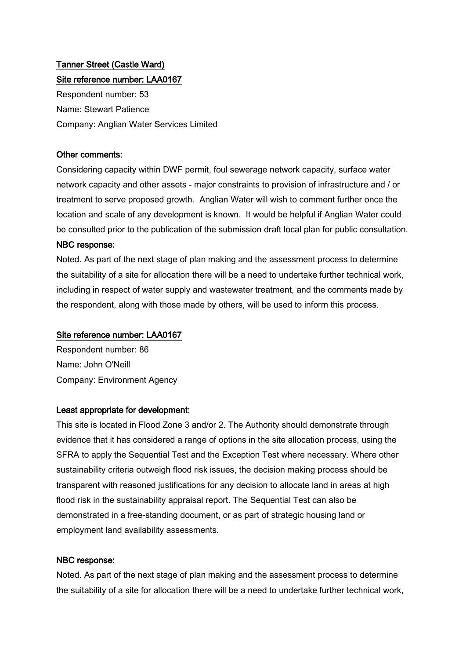# Tanner Street (Castle Ward) Site reference number: LAA0167

Respondent number: 53 Name: Stewart Patience Company: Anglian Water Services Limited

## Other comments:

Considering capacity within DWF permit, foul sewerage network capacity, surface water network capacity and other assets - major constraints to provision of infrastructure and / or treatment to serve proposed growth. Anglian Water will wish to comment further once the location and scale of any development is known. It would be helpful if Anglian Water could be consulted prior to the publication of the submission draft local plan for public consultation.

### NBC response:

Noted. As part of the next stage of plan making and the assessment process to determine the suitability of a site for allocation there will be a need to undertake further technical work, including in respect of water supply and wastewater treatment, and the comments made by the respondent, along with those made by others, will be used to inform this process.

# Site reference number: LAA0167

Respondent number: 86 Name: John O'Neill Company: Environment Agency

### Least appropriate for development:

This site is located in Flood Zone 3 and/or 2. The Authority should demonstrate through evidence that it has considered a range of options in the site allocation process, using the SFRA to apply the Sequential Test and the Exception Test where necessary. Where other sustainability criteria outweigh flood risk issues, the decision making process should be transparent with reasoned justifications for any decision to allocate land in areas at high flood risk in the sustainability appraisal report. The Sequential Test can also be demonstrated in a free-standing document, or as part of strategic housing land or employment land availability assessments.

# NBC response:

Noted. As part of the next stage of plan making and the assessment process to determine the suitability of a site for allocation there will be a need to undertake further technical work,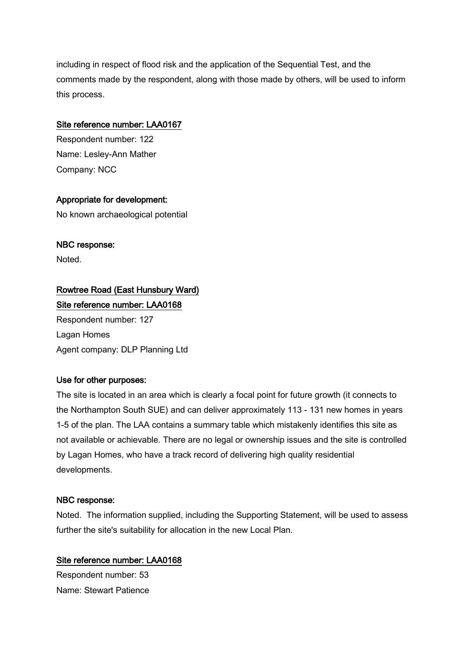including in respect of flood risk and the application of the Sequential Test, and the comments made by the respondent, along with those made by others, will be used to inform this process.

# Site reference number: LAA0167

Respondent number: 122 Name: Lesley-Ann Mather Company: NCC

## Appropriate for development:

No known archaeological potential

## NBC response:

Noted.

# Rowtree Road (East Hunsbury Ward) Site reference number: LAA0168

Respondent number: 127 Lagan Homes Agent company: DLP Planning Ltd

### Use for other purposes:

The site is located in an area which is clearly a focal point for future growth (it connects to the Northampton South SUE) and can deliver approximately 113 - 131 new homes in years 1-5 of the plan. The LAA contains a summary table which mistakenly identifies this site as not available or achievable. There are no legal or ownership issues and the site is controlled by Lagan Homes, who have a track record of delivering high quality residential developments.

### NBC response:

Noted. The information supplied, including the Supporting Statement, will be used to assess further the site's suitability for allocation in the new Local Plan.

# Site reference number: LAA0168

Respondent number: 53 Name: Stewart Patience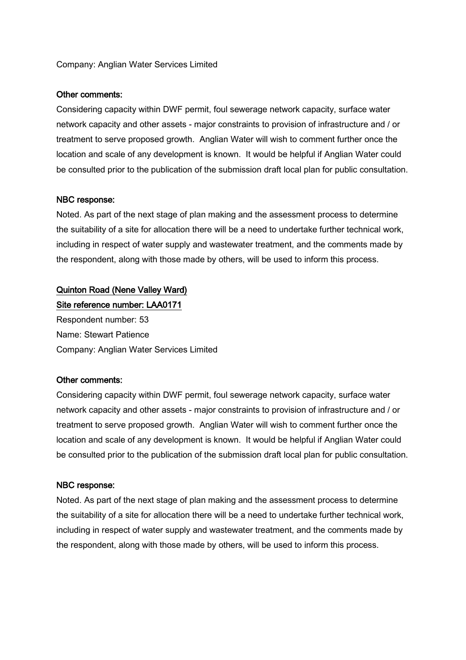### Company: Anglian Water Services Limited

#### Other comments:

Considering capacity within DWF permit, foul sewerage network capacity, surface water network capacity and other assets - major constraints to provision of infrastructure and / or treatment to serve proposed growth. Anglian Water will wish to comment further once the location and scale of any development is known. It would be helpful if Anglian Water could be consulted prior to the publication of the submission draft local plan for public consultation.

#### NBC response:

Noted. As part of the next stage of plan making and the assessment process to determine the suitability of a site for allocation there will be a need to undertake further technical work, including in respect of water supply and wastewater treatment, and the comments made by the respondent, along with those made by others, will be used to inform this process.

# Quinton Road (Nene Valley Ward)

Site reference number: LAA0171 Respondent number: 53 Name: Stewart Patience Company: Anglian Water Services Limited

#### Other comments:

Considering capacity within DWF permit, foul sewerage network capacity, surface water network capacity and other assets - major constraints to provision of infrastructure and / or treatment to serve proposed growth. Anglian Water will wish to comment further once the location and scale of any development is known. It would be helpful if Anglian Water could be consulted prior to the publication of the submission draft local plan for public consultation.

#### NBC response:

Noted. As part of the next stage of plan making and the assessment process to determine the suitability of a site for allocation there will be a need to undertake further technical work, including in respect of water supply and wastewater treatment, and the comments made by the respondent, along with those made by others, will be used to inform this process.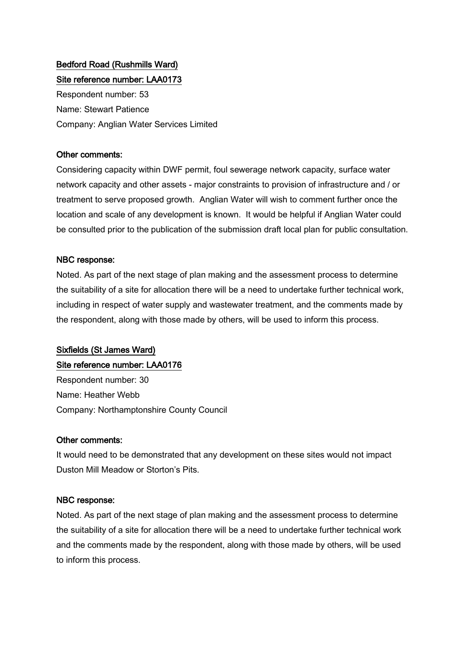# Bedford Road (Rushmills Ward) Site reference number: LAA0173

Respondent number: 53 Name: Stewart Patience Company: Anglian Water Services Limited

# Other comments:

Considering capacity within DWF permit, foul sewerage network capacity, surface water network capacity and other assets - major constraints to provision of infrastructure and / or treatment to serve proposed growth. Anglian Water will wish to comment further once the location and scale of any development is known. It would be helpful if Anglian Water could be consulted prior to the publication of the submission draft local plan for public consultation.

## NBC response:

Noted. As part of the next stage of plan making and the assessment process to determine the suitability of a site for allocation there will be a need to undertake further technical work, including in respect of water supply and wastewater treatment, and the comments made by the respondent, along with those made by others, will be used to inform this process.

# Sixfields (St James Ward) Site reference number: LAA0176

Respondent number: 30 Name: Heather Webb Company: Northamptonshire County Council

# Other comments:

It would need to be demonstrated that any development on these sites would not impact Duston Mill Meadow or Storton's Pits.

# NBC response:

Noted. As part of the next stage of plan making and the assessment process to determine the suitability of a site for allocation there will be a need to undertake further technical work and the comments made by the respondent, along with those made by others, will be used to inform this process.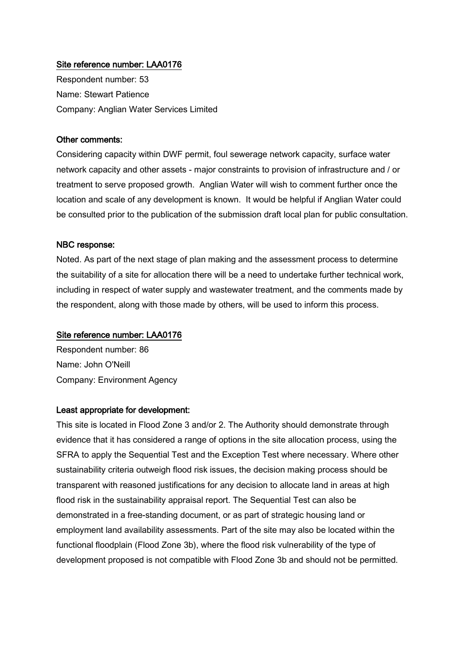## Site reference number: LAA0176

Respondent number: 53 Name: Stewart Patience Company: Anglian Water Services Limited

#### Other comments:

Considering capacity within DWF permit, foul sewerage network capacity, surface water network capacity and other assets - major constraints to provision of infrastructure and / or treatment to serve proposed growth. Anglian Water will wish to comment further once the location and scale of any development is known. It would be helpful if Anglian Water could be consulted prior to the publication of the submission draft local plan for public consultation.

#### NBC response:

Noted. As part of the next stage of plan making and the assessment process to determine the suitability of a site for allocation there will be a need to undertake further technical work, including in respect of water supply and wastewater treatment, and the comments made by the respondent, along with those made by others, will be used to inform this process.

#### Site reference number: LAA0176

Respondent number: 86 Name: John O'Neill Company: Environment Agency

#### Least appropriate for development:

This site is located in Flood Zone 3 and/or 2. The Authority should demonstrate through evidence that it has considered a range of options in the site allocation process, using the SFRA to apply the Sequential Test and the Exception Test where necessary. Where other sustainability criteria outweigh flood risk issues, the decision making process should be transparent with reasoned justifications for any decision to allocate land in areas at high flood risk in the sustainability appraisal report. The Sequential Test can also be demonstrated in a free-standing document, or as part of strategic housing land or employment land availability assessments. Part of the site may also be located within the functional floodplain (Flood Zone 3b), where the flood risk vulnerability of the type of development proposed is not compatible with Flood Zone 3b and should not be permitted.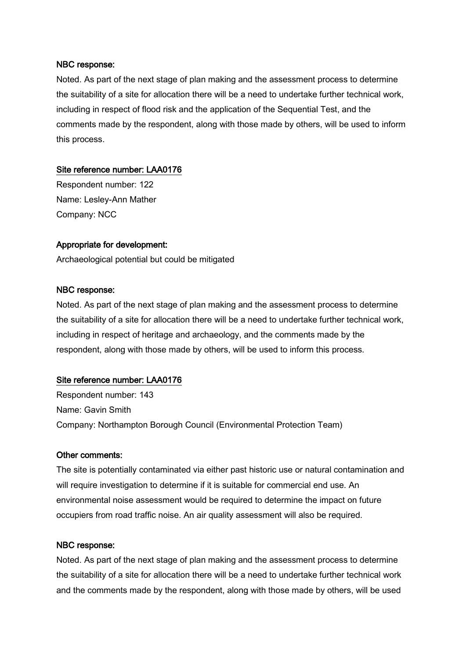Noted. As part of the next stage of plan making and the assessment process to determine the suitability of a site for allocation there will be a need to undertake further technical work, including in respect of flood risk and the application of the Sequential Test, and the comments made by the respondent, along with those made by others, will be used to inform this process.

## Site reference number: LAA0176

Respondent number: 122 Name: Lesley-Ann Mather Company: NCC

## Appropriate for development:

Archaeological potential but could be mitigated

### NBC response:

Noted. As part of the next stage of plan making and the assessment process to determine the suitability of a site for allocation there will be a need to undertake further technical work, including in respect of heritage and archaeology, and the comments made by the respondent, along with those made by others, will be used to inform this process.

### Site reference number: LAA0176

Respondent number: 143 Name: Gavin Smith Company: Northampton Borough Council (Environmental Protection Team)

### Other comments:

The site is potentially contaminated via either past historic use or natural contamination and will require investigation to determine if it is suitable for commercial end use. An environmental noise assessment would be required to determine the impact on future occupiers from road traffic noise. An air quality assessment will also be required.

#### NBC response:

Noted. As part of the next stage of plan making and the assessment process to determine the suitability of a site for allocation there will be a need to undertake further technical work and the comments made by the respondent, along with those made by others, will be used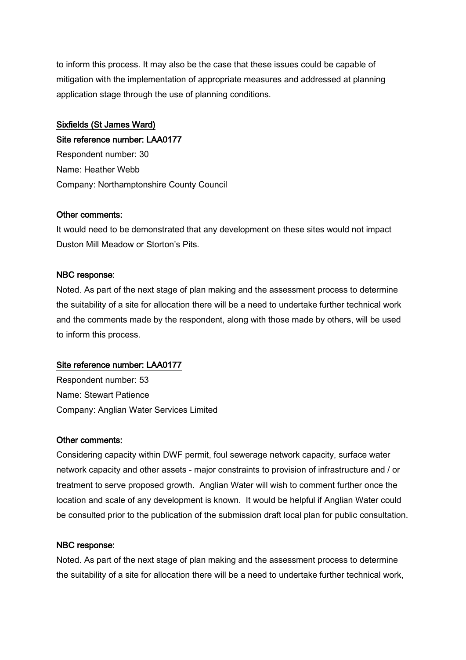to inform this process. It may also be the case that these issues could be capable of mitigation with the implementation of appropriate measures and addressed at planning application stage through the use of planning conditions.

# Sixfields (St James Ward) Site reference number: LAA0177

Respondent number: 30 Name: Heather Webb Company: Northamptonshire County Council

## Other comments:

It would need to be demonstrated that any development on these sites would not impact Duston Mill Meadow or Storton's Pits.

## NBC response:

Noted. As part of the next stage of plan making and the assessment process to determine the suitability of a site for allocation there will be a need to undertake further technical work and the comments made by the respondent, along with those made by others, will be used to inform this process.

# Site reference number: LAA0177

Respondent number: 53 Name: Stewart Patience Company: Anglian Water Services Limited

### Other comments:

Considering capacity within DWF permit, foul sewerage network capacity, surface water network capacity and other assets - major constraints to provision of infrastructure and / or treatment to serve proposed growth. Anglian Water will wish to comment further once the location and scale of any development is known. It would be helpful if Anglian Water could be consulted prior to the publication of the submission draft local plan for public consultation.

### NBC response:

Noted. As part of the next stage of plan making and the assessment process to determine the suitability of a site for allocation there will be a need to undertake further technical work,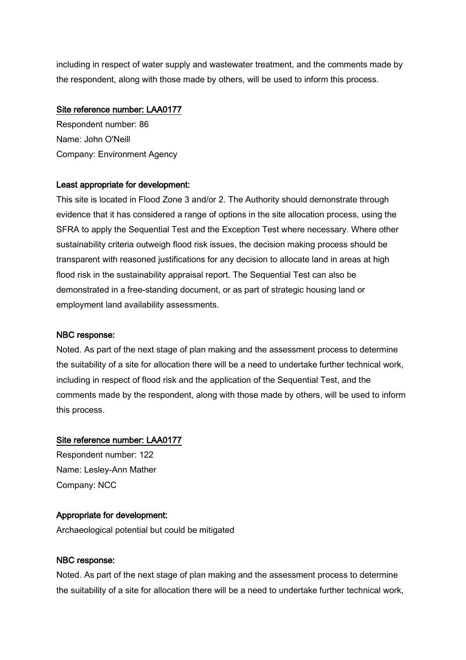including in respect of water supply and wastewater treatment, and the comments made by the respondent, along with those made by others, will be used to inform this process.

# Site reference number: LAA0177

Respondent number: 86 Name: John O'Neill Company: Environment Agency

# Least appropriate for development:

This site is located in Flood Zone 3 and/or 2. The Authority should demonstrate through evidence that it has considered a range of options in the site allocation process, using the SFRA to apply the Sequential Test and the Exception Test where necessary. Where other sustainability criteria outweigh flood risk issues, the decision making process should be transparent with reasoned justifications for any decision to allocate land in areas at high flood risk in the sustainability appraisal report. The Sequential Test can also be demonstrated in a free-standing document, or as part of strategic housing land or employment land availability assessments.

### NBC response:

Noted. As part of the next stage of plan making and the assessment process to determine the suitability of a site for allocation there will be a need to undertake further technical work, including in respect of flood risk and the application of the Sequential Test, and the comments made by the respondent, along with those made by others, will be used to inform this process.

### Site reference number: LAA0177

Respondent number: 122 Name: Lesley-Ann Mather Company: NCC

# Appropriate for development:

Archaeological potential but could be mitigated

# NBC response:

Noted. As part of the next stage of plan making and the assessment process to determine the suitability of a site for allocation there will be a need to undertake further technical work,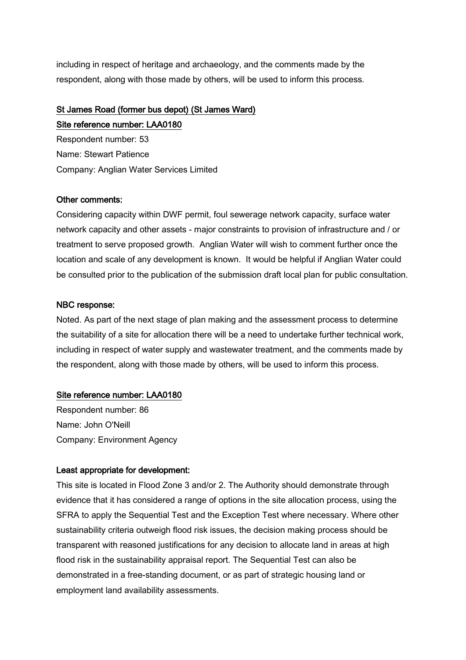including in respect of heritage and archaeology, and the comments made by the respondent, along with those made by others, will be used to inform this process.

## St James Road (former bus depot) (St James Ward) Site reference number: LAA0180

Respondent number: 53 Name: Stewart Patience Company: Anglian Water Services Limited

## Other comments:

Considering capacity within DWF permit, foul sewerage network capacity, surface water network capacity and other assets - major constraints to provision of infrastructure and / or treatment to serve proposed growth. Anglian Water will wish to comment further once the location and scale of any development is known. It would be helpful if Anglian Water could be consulted prior to the publication of the submission draft local plan for public consultation.

## NBC response:

Noted. As part of the next stage of plan making and the assessment process to determine the suitability of a site for allocation there will be a need to undertake further technical work, including in respect of water supply and wastewater treatment, and the comments made by the respondent, along with those made by others, will be used to inform this process.

## Site reference number: LAA0180

Respondent number: 86 Name: John O'Neill Company: Environment Agency

## Least appropriate for development:

This site is located in Flood Zone 3 and/or 2. The Authority should demonstrate through evidence that it has considered a range of options in the site allocation process, using the SFRA to apply the Sequential Test and the Exception Test where necessary. Where other sustainability criteria outweigh flood risk issues, the decision making process should be transparent with reasoned justifications for any decision to allocate land in areas at high flood risk in the sustainability appraisal report. The Sequential Test can also be demonstrated in a free-standing document, or as part of strategic housing land or employment land availability assessments.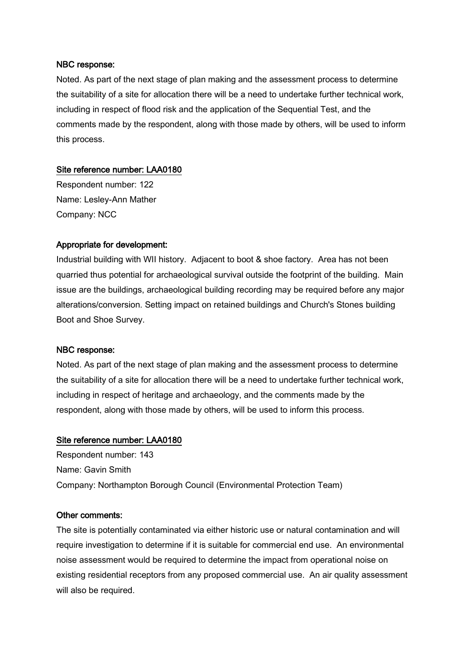Noted. As part of the next stage of plan making and the assessment process to determine the suitability of a site for allocation there will be a need to undertake further technical work, including in respect of flood risk and the application of the Sequential Test, and the comments made by the respondent, along with those made by others, will be used to inform this process.

## Site reference number: LAA0180

Respondent number: 122 Name: Lesley-Ann Mather Company: NCC

## Appropriate for development:

Industrial building with WII history. Adjacent to boot & shoe factory. Area has not been quarried thus potential for archaeological survival outside the footprint of the building. Main issue are the buildings, archaeological building recording may be required before any major alterations/conversion. Setting impact on retained buildings and Church's Stones building Boot and Shoe Survey.

## NBC response:

Noted. As part of the next stage of plan making and the assessment process to determine the suitability of a site for allocation there will be a need to undertake further technical work, including in respect of heritage and archaeology, and the comments made by the respondent, along with those made by others, will be used to inform this process.

## Site reference number: LAA0180

Respondent number: 143 Name: Gavin Smith Company: Northampton Borough Council (Environmental Protection Team)

#### Other comments:

The site is potentially contaminated via either historic use or natural contamination and will require investigation to determine if it is suitable for commercial end use. An environmental noise assessment would be required to determine the impact from operational noise on existing residential receptors from any proposed commercial use. An air quality assessment will also be required.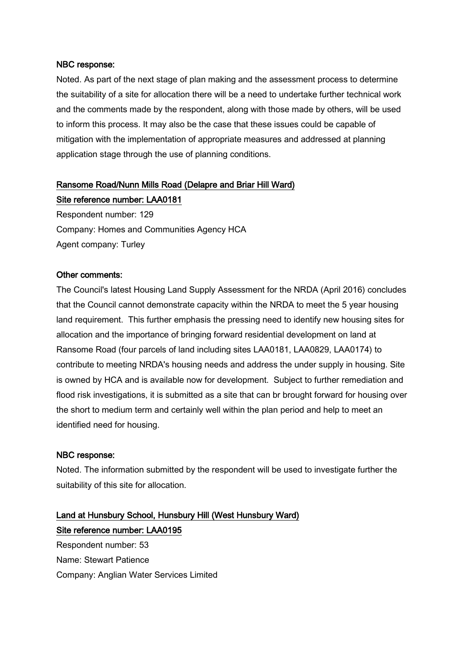Noted. As part of the next stage of plan making and the assessment process to determine the suitability of a site for allocation there will be a need to undertake further technical work and the comments made by the respondent, along with those made by others, will be used to inform this process. It may also be the case that these issues could be capable of mitigation with the implementation of appropriate measures and addressed at planning application stage through the use of planning conditions.

## Ransome Road/Nunn Mills Road (Delapre and Briar Hill Ward)

Site reference number: LAA0181 Respondent number: 129 Company: Homes and Communities Agency HCA Agent company: Turley

## Other comments:

The Council's latest Housing Land Supply Assessment for the NRDA (April 2016) concludes that the Council cannot demonstrate capacity within the NRDA to meet the 5 year housing land requirement. This further emphasis the pressing need to identify new housing sites for allocation and the importance of bringing forward residential development on land at Ransome Road (four parcels of land including sites LAA0181, LAA0829, LAA0174) to contribute to meeting NRDA's housing needs and address the under supply in housing. Site is owned by HCA and is available now for development. Subject to further remediation and flood risk investigations, it is submitted as a site that can br brought forward for housing over the short to medium term and certainly well within the plan period and help to meet an identified need for housing.

## NBC response:

Noted. The information submitted by the respondent will be used to investigate further the suitability of this site for allocation.

# Land at Hunsbury School, Hunsbury Hill (West Hunsbury Ward) Site reference number: LAA0195

Respondent number: 53 Name: Stewart Patience Company: Anglian Water Services Limited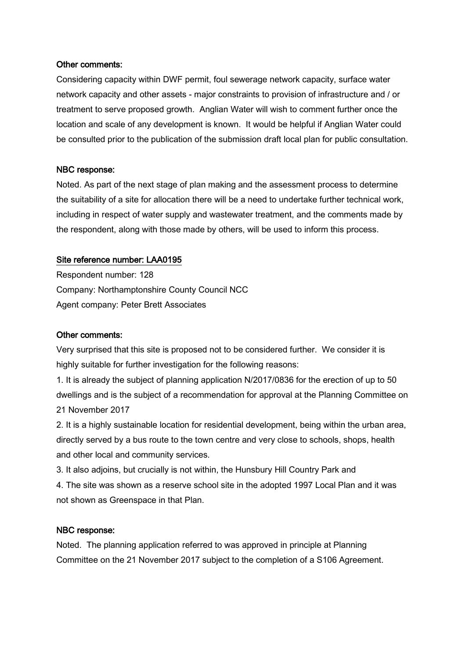## Other comments:

Considering capacity within DWF permit, foul sewerage network capacity, surface water network capacity and other assets - major constraints to provision of infrastructure and / or treatment to serve proposed growth. Anglian Water will wish to comment further once the location and scale of any development is known. It would be helpful if Anglian Water could be consulted prior to the publication of the submission draft local plan for public consultation.

## NBC response:

Noted. As part of the next stage of plan making and the assessment process to determine the suitability of a site for allocation there will be a need to undertake further technical work, including in respect of water supply and wastewater treatment, and the comments made by the respondent, along with those made by others, will be used to inform this process.

#### Site reference number: LAA0195

Respondent number: 128 Company: Northamptonshire County Council NCC Agent company: Peter Brett Associates

### Other comments:

Very surprised that this site is proposed not to be considered further. We consider it is highly suitable for further investigation for the following reasons:

1. It is already the subject of planning application N/2017/0836 for the erection of up to 50 dwellings and is the subject of a recommendation for approval at the Planning Committee on 21 November 2017

2. It is a highly sustainable location for residential development, being within the urban area, directly served by a bus route to the town centre and very close to schools, shops, health and other local and community services.

3. It also adjoins, but crucially is not within, the Hunsbury Hill Country Park and 4. The site was shown as a reserve school site in the adopted 1997 Local Plan and it was not shown as Greenspace in that Plan.

#### NBC response:

Noted. The planning application referred to was approved in principle at Planning Committee on the 21 November 2017 subject to the completion of a S106 Agreement.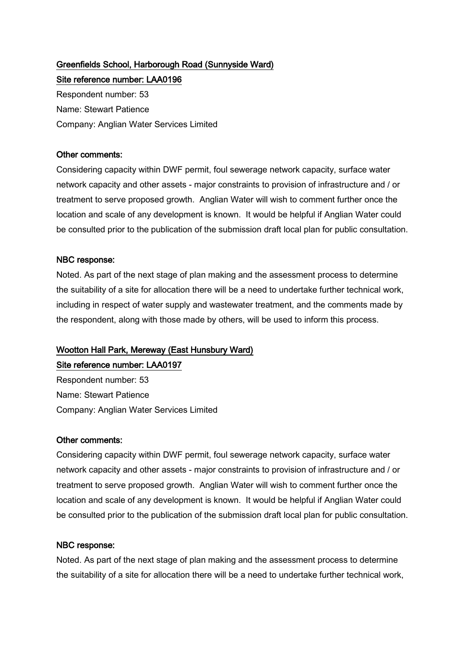# Greenfields School, Harborough Road (Sunnyside Ward)

Site reference number: LAA0196 Respondent number: 53 Name: Stewart Patience Company: Anglian Water Services Limited

## Other comments:

Considering capacity within DWF permit, foul sewerage network capacity, surface water network capacity and other assets - major constraints to provision of infrastructure and / or treatment to serve proposed growth. Anglian Water will wish to comment further once the location and scale of any development is known. It would be helpful if Anglian Water could be consulted prior to the publication of the submission draft local plan for public consultation.

## NBC response:

Noted. As part of the next stage of plan making and the assessment process to determine the suitability of a site for allocation there will be a need to undertake further technical work, including in respect of water supply and wastewater treatment, and the comments made by the respondent, along with those made by others, will be used to inform this process.

## Wootton Hall Park, Mereway (East Hunsbury Ward)

Site reference number: LAA0197

Respondent number: 53 Name: Stewart Patience Company: Anglian Water Services Limited

## Other comments:

Considering capacity within DWF permit, foul sewerage network capacity, surface water network capacity and other assets - major constraints to provision of infrastructure and / or treatment to serve proposed growth. Anglian Water will wish to comment further once the location and scale of any development is known. It would be helpful if Anglian Water could be consulted prior to the publication of the submission draft local plan for public consultation.

## NBC response:

Noted. As part of the next stage of plan making and the assessment process to determine the suitability of a site for allocation there will be a need to undertake further technical work,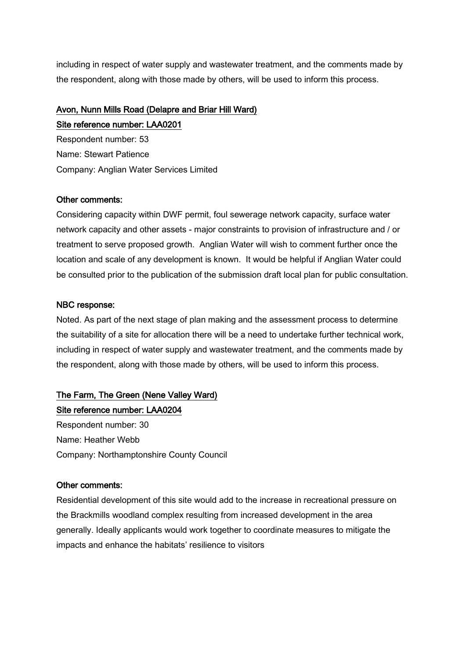including in respect of water supply and wastewater treatment, and the comments made by the respondent, along with those made by others, will be used to inform this process.

# Avon, Nunn Mills Road (Delapre and Briar Hill Ward)

Site reference number: LAA0201 Respondent number: 53 Name: Stewart Patience Company: Anglian Water Services Limited

## Other comments:

Considering capacity within DWF permit, foul sewerage network capacity, surface water network capacity and other assets - major constraints to provision of infrastructure and / or treatment to serve proposed growth. Anglian Water will wish to comment further once the location and scale of any development is known. It would be helpful if Anglian Water could be consulted prior to the publication of the submission draft local plan for public consultation.

## NBC response:

Noted. As part of the next stage of plan making and the assessment process to determine the suitability of a site for allocation there will be a need to undertake further technical work, including in respect of water supply and wastewater treatment, and the comments made by the respondent, along with those made by others, will be used to inform this process.

## The Farm, The Green (Nene Valley Ward)

Site reference number: LAA0204 Respondent number: 30 Name: Heather Webb Company: Northamptonshire County Council

## Other comments:

Residential development of this site would add to the increase in recreational pressure on the Brackmills woodland complex resulting from increased development in the area generally. Ideally applicants would work together to coordinate measures to mitigate the impacts and enhance the habitats' resilience to visitors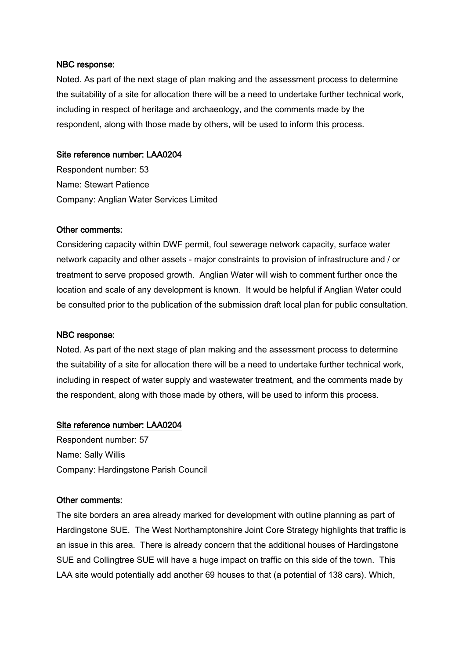Noted. As part of the next stage of plan making and the assessment process to determine the suitability of a site for allocation there will be a need to undertake further technical work, including in respect of heritage and archaeology, and the comments made by the respondent, along with those made by others, will be used to inform this process.

## Site reference number: LAA0204

Respondent number: 53 Name: Stewart Patience Company: Anglian Water Services Limited

#### Other comments:

Considering capacity within DWF permit, foul sewerage network capacity, surface water network capacity and other assets - major constraints to provision of infrastructure and / or treatment to serve proposed growth. Anglian Water will wish to comment further once the location and scale of any development is known. It would be helpful if Anglian Water could be consulted prior to the publication of the submission draft local plan for public consultation.

#### NBC response:

Noted. As part of the next stage of plan making and the assessment process to determine the suitability of a site for allocation there will be a need to undertake further technical work, including in respect of water supply and wastewater treatment, and the comments made by the respondent, along with those made by others, will be used to inform this process.

#### Site reference number: LAA0204

Respondent number: 57 Name: Sally Willis Company: Hardingstone Parish Council

#### Other comments:

The site borders an area already marked for development with outline planning as part of Hardingstone SUE. The West Northamptonshire Joint Core Strategy highlights that traffic is an issue in this area. There is already concern that the additional houses of Hardingstone SUE and Collingtree SUE will have a huge impact on traffic on this side of the town. This LAA site would potentially add another 69 houses to that (a potential of 138 cars). Which,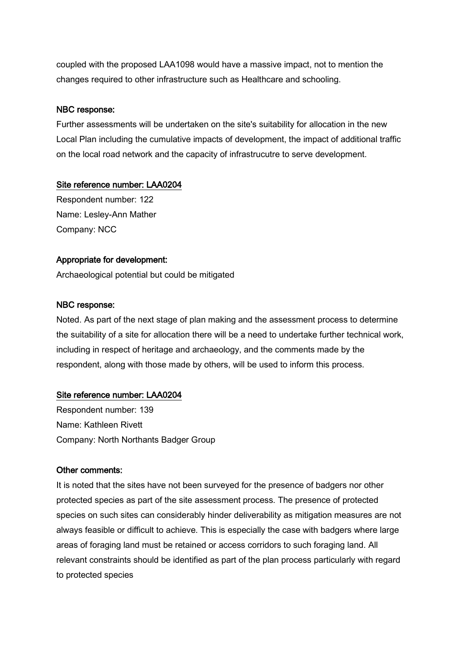coupled with the proposed LAA1098 would have a massive impact, not to mention the changes required to other infrastructure such as Healthcare and schooling.

## NBC response:

Further assessments will be undertaken on the site's suitability for allocation in the new Local Plan including the cumulative impacts of development, the impact of additional traffic on the local road network and the capacity of infrastrucutre to serve development.

## Site reference number: LAA0204

Respondent number: 122 Name: Lesley-Ann Mather Company: NCC

## Appropriate for development:

Archaeological potential but could be mitigated

## NBC response:

Noted. As part of the next stage of plan making and the assessment process to determine the suitability of a site for allocation there will be a need to undertake further technical work, including in respect of heritage and archaeology, and the comments made by the respondent, along with those made by others, will be used to inform this process.

## Site reference number: LAA0204

Respondent number: 139 Name: Kathleen Rivett Company: North Northants Badger Group

## Other comments:

It is noted that the sites have not been surveyed for the presence of badgers nor other protected species as part of the site assessment process. The presence of protected species on such sites can considerably hinder deliverability as mitigation measures are not always feasible or difficult to achieve. This is especially the case with badgers where large areas of foraging land must be retained or access corridors to such foraging land. All relevant constraints should be identified as part of the plan process particularly with regard to protected species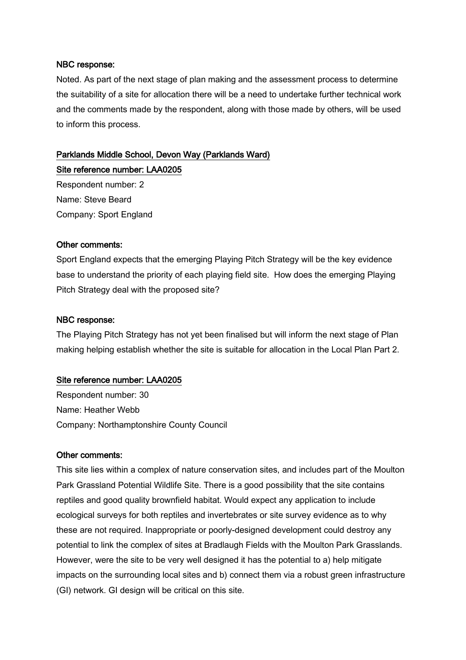Noted. As part of the next stage of plan making and the assessment process to determine the suitability of a site for allocation there will be a need to undertake further technical work and the comments made by the respondent, along with those made by others, will be used to inform this process.

## Parklands Middle School, Devon Way (Parklands Ward)

Site reference number: LAA0205 Respondent number: 2 Name: Steve Beard Company: Sport England

## Other comments:

Sport England expects that the emerging Playing Pitch Strategy will be the key evidence base to understand the priority of each playing field site. How does the emerging Playing Pitch Strategy deal with the proposed site?

## NBC response:

The Playing Pitch Strategy has not yet been finalised but will inform the next stage of Plan making helping establish whether the site is suitable for allocation in the Local Plan Part 2.

## Site reference number: LAA0205

Respondent number: 30 Name: Heather Webb Company: Northamptonshire County Council

## Other comments:

This site lies within a complex of nature conservation sites, and includes part of the Moulton Park Grassland Potential Wildlife Site. There is a good possibility that the site contains reptiles and good quality brownfield habitat. Would expect any application to include ecological surveys for both reptiles and invertebrates or site survey evidence as to why these are not required. Inappropriate or poorly-designed development could destroy any potential to link the complex of sites at Bradlaugh Fields with the Moulton Park Grasslands. However, were the site to be very well designed it has the potential to a) help mitigate impacts on the surrounding local sites and b) connect them via a robust green infrastructure (GI) network. GI design will be critical on this site.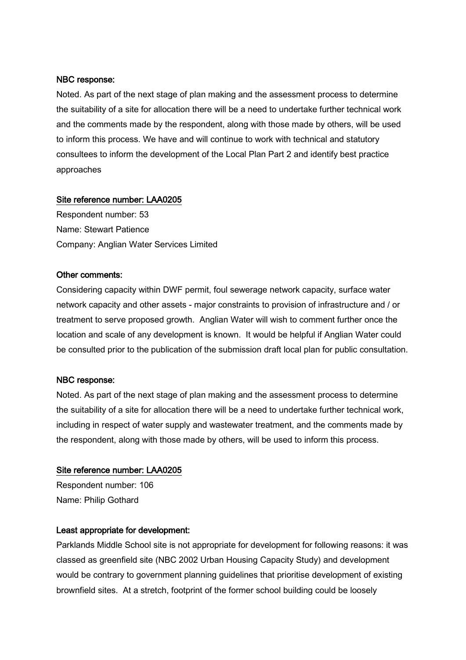Noted. As part of the next stage of plan making and the assessment process to determine the suitability of a site for allocation there will be a need to undertake further technical work and the comments made by the respondent, along with those made by others, will be used to inform this process. We have and will continue to work with technical and statutory consultees to inform the development of the Local Plan Part 2 and identify best practice approaches

#### Site reference number: LAA0205

Respondent number: 53 Name: Stewart Patience Company: Anglian Water Services Limited

#### Other comments:

Considering capacity within DWF permit, foul sewerage network capacity, surface water network capacity and other assets - major constraints to provision of infrastructure and / or treatment to serve proposed growth. Anglian Water will wish to comment further once the location and scale of any development is known. It would be helpful if Anglian Water could be consulted prior to the publication of the submission draft local plan for public consultation.

#### NBC response:

Noted. As part of the next stage of plan making and the assessment process to determine the suitability of a site for allocation there will be a need to undertake further technical work, including in respect of water supply and wastewater treatment, and the comments made by the respondent, along with those made by others, will be used to inform this process.

#### Site reference number: LAA0205

Respondent number: 106 Name: Philip Gothard

## Least appropriate for development:

Parklands Middle School site is not appropriate for development for following reasons: it was classed as greenfield site (NBC 2002 Urban Housing Capacity Study) and development would be contrary to government planning guidelines that prioritise development of existing brownfield sites. At a stretch, footprint of the former school building could be loosely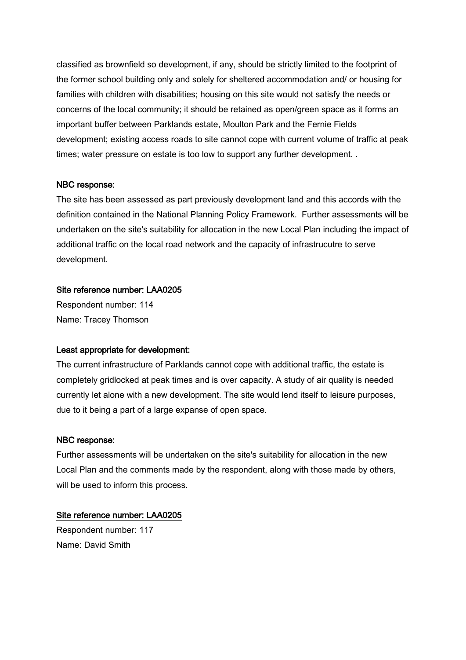classified as brownfield so development, if any, should be strictly limited to the footprint of the former school building only and solely for sheltered accommodation and/ or housing for families with children with disabilities; housing on this site would not satisfy the needs or concerns of the local community; it should be retained as open/green space as it forms an important buffer between Parklands estate, Moulton Park and the Fernie Fields development; existing access roads to site cannot cope with current volume of traffic at peak times; water pressure on estate is too low to support any further development. .

## NBC response:

The site has been assessed as part previously development land and this accords with the definition contained in the National Planning Policy Framework. Further assessments will be undertaken on the site's suitability for allocation in the new Local Plan including the impact of additional traffic on the local road network and the capacity of infrastrucutre to serve development.

## Site reference number: LAA0205

Respondent number: 114 Name: Tracey Thomson

## Least appropriate for development:

The current infrastructure of Parklands cannot cope with additional traffic, the estate is completely gridlocked at peak times and is over capacity. A study of air quality is needed currently let alone with a new development. The site would lend itself to leisure purposes, due to it being a part of a large expanse of open space.

## NBC response:

Further assessments will be undertaken on the site's suitability for allocation in the new Local Plan and the comments made by the respondent, along with those made by others, will be used to inform this process.

## Site reference number: LAA0205

Respondent number: 117 Name: David Smith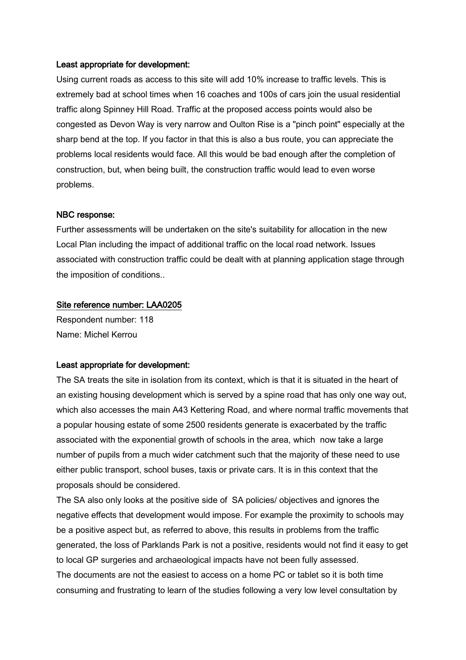#### Least appropriate for development:

Using current roads as access to this site will add 10% increase to traffic levels. This is extremely bad at school times when 16 coaches and 100s of cars join the usual residential traffic along Spinney Hill Road. Traffic at the proposed access points would also be congested as Devon Way is very narrow and Oulton Rise is a "pinch point" especially at the sharp bend at the top. If you factor in that this is also a bus route, you can appreciate the problems local residents would face. All this would be bad enough after the completion of construction, but, when being built, the construction traffic would lead to even worse problems.

#### NBC response:

Further assessments will be undertaken on the site's suitability for allocation in the new Local Plan including the impact of additional traffic on the local road network. Issues associated with construction traffic could be dealt with at planning application stage through the imposition of conditions..

## Site reference number: LAA0205

Respondent number: 118 Name: Michel Kerrou

#### Least appropriate for development:

The SA treats the site in isolation from its context, which is that it is situated in the heart of an existing housing development which is served by a spine road that has only one way out, which also accesses the main A43 Kettering Road, and where normal traffic movements that a popular housing estate of some 2500 residents generate is exacerbated by the traffic associated with the exponential growth of schools in the area, which now take a large number of pupils from a much wider catchment such that the majority of these need to use either public transport, school buses, taxis or private cars. It is in this context that the proposals should be considered.

The SA also only looks at the positive side of SA policies/ objectives and ignores the negative effects that development would impose. For example the proximity to schools may be a positive aspect but, as referred to above, this results in problems from the traffic generated, the loss of Parklands Park is not a positive, residents would not find it easy to get to local GP surgeries and archaeological impacts have not been fully assessed. The documents are not the easiest to access on a home PC or tablet so it is both time consuming and frustrating to learn of the studies following a very low level consultation by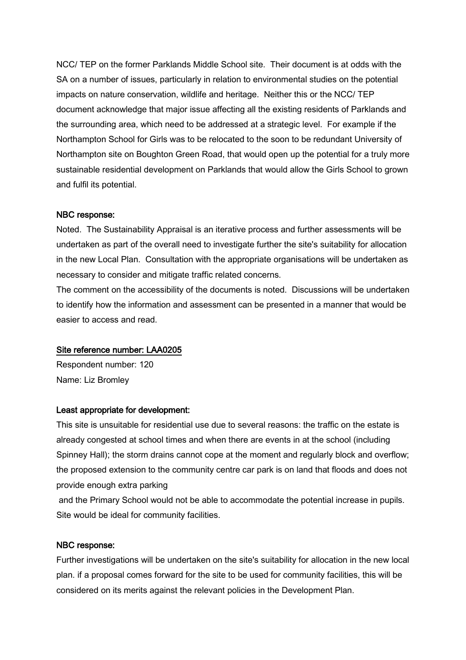NCC/ TEP on the former Parklands Middle School site. Their document is at odds with the SA on a number of issues, particularly in relation to environmental studies on the potential impacts on nature conservation, wildlife and heritage. Neither this or the NCC/ TEP document acknowledge that major issue affecting all the existing residents of Parklands and the surrounding area, which need to be addressed at a strategic level. For example if the Northampton School for Girls was to be relocated to the soon to be redundant University of Northampton site on Boughton Green Road, that would open up the potential for a truly more sustainable residential development on Parklands that would allow the Girls School to grown and fulfil its potential.

## NBC response:

Noted. The Sustainability Appraisal is an iterative process and further assessments will be undertaken as part of the overall need to investigate further the site's suitability for allocation in the new Local Plan. Consultation with the appropriate organisations will be undertaken as necessary to consider and mitigate traffic related concerns.

The comment on the accessibility of the documents is noted. Discussions will be undertaken to identify how the information and assessment can be presented in a manner that would be easier to access and read.

#### Site reference number: LAA0205

Respondent number: 120 Name: Liz Bromley

#### Least appropriate for development:

This site is unsuitable for residential use due to several reasons: the traffic on the estate is already congested at school times and when there are events in at the school (including Spinney Hall); the storm drains cannot cope at the moment and regularly block and overflow; the proposed extension to the community centre car park is on land that floods and does not provide enough extra parking

and the Primary School would not be able to accommodate the potential increase in pupils. Site would be ideal for community facilities.

#### NBC response:

Further investigations will be undertaken on the site's suitability for allocation in the new local plan. if a proposal comes forward for the site to be used for community facilities, this will be considered on its merits against the relevant policies in the Development Plan.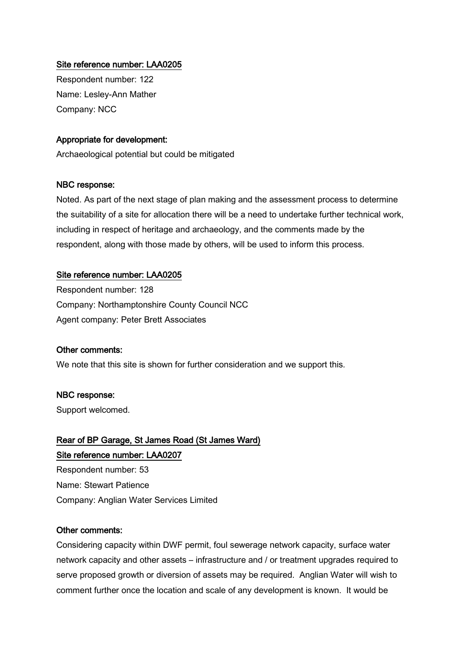## Site reference number: LAA0205

Respondent number: 122 Name: Lesley-Ann Mather Company: NCC

## Appropriate for development:

Archaeological potential but could be mitigated

#### NBC response:

Noted. As part of the next stage of plan making and the assessment process to determine the suitability of a site for allocation there will be a need to undertake further technical work, including in respect of heritage and archaeology, and the comments made by the respondent, along with those made by others, will be used to inform this process.

#### Site reference number: LAA0205

Respondent number: 128 Company: Northamptonshire County Council NCC Agent company: Peter Brett Associates

#### Other comments:

We note that this site is shown for further consideration and we support this.

#### NBC response:

Support welcomed.

## Rear of BP Garage, St James Road (St James Ward) Site reference number: LAA0207

Respondent number: 53 Name: Stewart Patience Company: Anglian Water Services Limited

#### Other comments:

Considering capacity within DWF permit, foul sewerage network capacity, surface water network capacity and other assets – infrastructure and / or treatment upgrades required to serve proposed growth or diversion of assets may be required. Anglian Water will wish to comment further once the location and scale of any development is known. It would be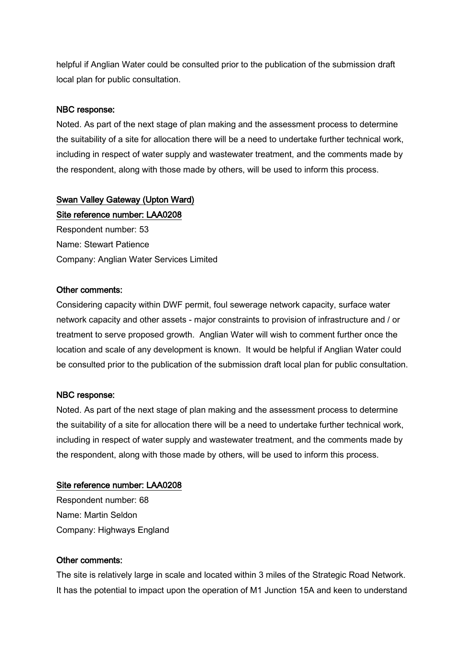helpful if Anglian Water could be consulted prior to the publication of the submission draft local plan for public consultation.

## NBC response:

Noted. As part of the next stage of plan making and the assessment process to determine the suitability of a site for allocation there will be a need to undertake further technical work, including in respect of water supply and wastewater treatment, and the comments made by the respondent, along with those made by others, will be used to inform this process.

## Swan Valley Gateway (Upton Ward)

Site reference number: LAA0208 Respondent number: 53 Name: Stewart Patience Company: Anglian Water Services Limited

## Other comments:

Considering capacity within DWF permit, foul sewerage network capacity, surface water network capacity and other assets - major constraints to provision of infrastructure and / or treatment to serve proposed growth. Anglian Water will wish to comment further once the location and scale of any development is known. It would be helpful if Anglian Water could be consulted prior to the publication of the submission draft local plan for public consultation.

## NBC response:

Noted. As part of the next stage of plan making and the assessment process to determine the suitability of a site for allocation there will be a need to undertake further technical work, including in respect of water supply and wastewater treatment, and the comments made by the respondent, along with those made by others, will be used to inform this process.

## Site reference number: LAA0208

Respondent number: 68 Name: Martin Seldon Company: Highways England

## Other comments:

The site is relatively large in scale and located within 3 miles of the Strategic Road Network. It has the potential to impact upon the operation of M1 Junction 15A and keen to understand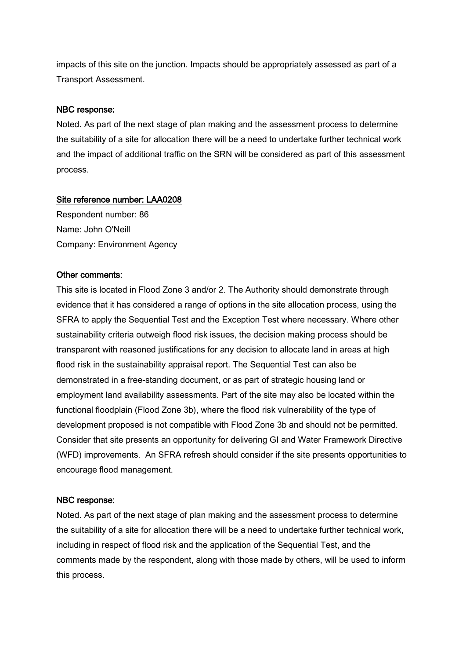impacts of this site on the junction. Impacts should be appropriately assessed as part of a Transport Assessment.

## NBC response:

Noted. As part of the next stage of plan making and the assessment process to determine the suitability of a site for allocation there will be a need to undertake further technical work and the impact of additional traffic on the SRN will be considered as part of this assessment process.

## Site reference number: LAA0208

Respondent number: 86 Name: John O'Neill Company: Environment Agency

## Other comments:

This site is located in Flood Zone 3 and/or 2. The Authority should demonstrate through evidence that it has considered a range of options in the site allocation process, using the SFRA to apply the Sequential Test and the Exception Test where necessary. Where other sustainability criteria outweigh flood risk issues, the decision making process should be transparent with reasoned justifications for any decision to allocate land in areas at high flood risk in the sustainability appraisal report. The Sequential Test can also be demonstrated in a free-standing document, or as part of strategic housing land or employment land availability assessments. Part of the site may also be located within the functional floodplain (Flood Zone 3b), where the flood risk vulnerability of the type of development proposed is not compatible with Flood Zone 3b and should not be permitted. Consider that site presents an opportunity for delivering GI and Water Framework Directive (WFD) improvements. An SFRA refresh should consider if the site presents opportunities to encourage flood management.

## NBC response:

Noted. As part of the next stage of plan making and the assessment process to determine the suitability of a site for allocation there will be a need to undertake further technical work, including in respect of flood risk and the application of the Sequential Test, and the comments made by the respondent, along with those made by others, will be used to inform this process.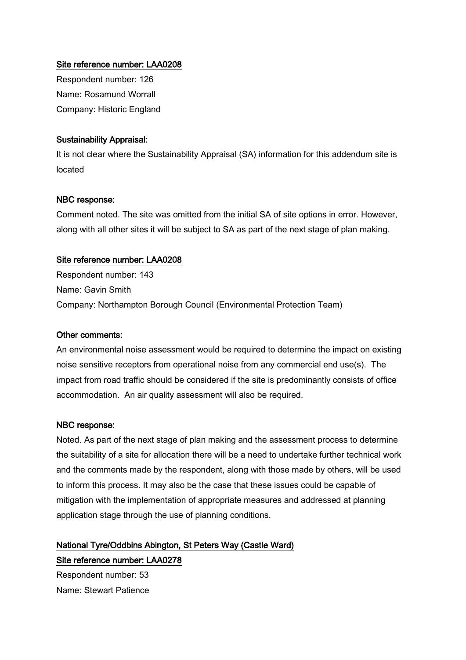## Site reference number: LAA0208

Respondent number: 126 Name: Rosamund Worrall Company: Historic England

## Sustainability Appraisal:

It is not clear where the Sustainability Appraisal (SA) information for this addendum site is located

## NBC response:

Comment noted. The site was omitted from the initial SA of site options in error. However, along with all other sites it will be subject to SA as part of the next stage of plan making.

#### Site reference number: LAA0208

Respondent number: 143 Name: Gavin Smith Company: Northampton Borough Council (Environmental Protection Team)

#### Other comments:

An environmental noise assessment would be required to determine the impact on existing noise sensitive receptors from operational noise from any commercial end use(s). The impact from road traffic should be considered if the site is predominantly consists of office accommodation. An air quality assessment will also be required.

#### NBC response:

Noted. As part of the next stage of plan making and the assessment process to determine the suitability of a site for allocation there will be a need to undertake further technical work and the comments made by the respondent, along with those made by others, will be used to inform this process. It may also be the case that these issues could be capable of mitigation with the implementation of appropriate measures and addressed at planning application stage through the use of planning conditions.

## National Tyre/Oddbins Abington, St Peters Way (Castle Ward) Site reference number: LAA0278

Respondent number: 53 Name: Stewart Patience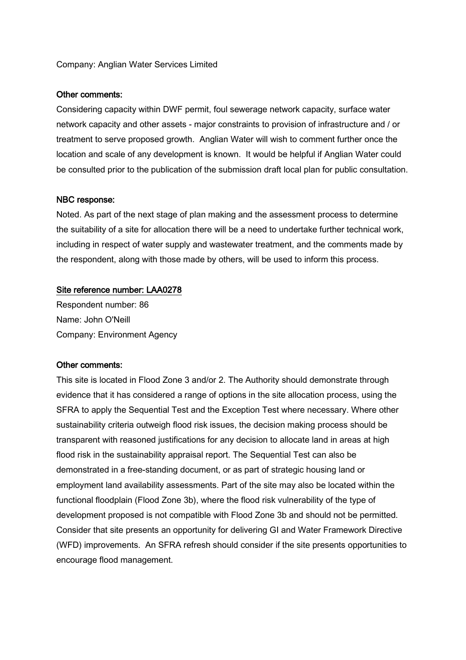## Company: Anglian Water Services Limited

#### Other comments:

Considering capacity within DWF permit, foul sewerage network capacity, surface water network capacity and other assets - major constraints to provision of infrastructure and / or treatment to serve proposed growth. Anglian Water will wish to comment further once the location and scale of any development is known. It would be helpful if Anglian Water could be consulted prior to the publication of the submission draft local plan for public consultation.

#### NBC response:

Noted. As part of the next stage of plan making and the assessment process to determine the suitability of a site for allocation there will be a need to undertake further technical work, including in respect of water supply and wastewater treatment, and the comments made by the respondent, along with those made by others, will be used to inform this process.

#### Site reference number: LAA0278

Respondent number: 86 Name: John O'Neill Company: Environment Agency

#### Other comments:

This site is located in Flood Zone 3 and/or 2. The Authority should demonstrate through evidence that it has considered a range of options in the site allocation process, using the SFRA to apply the Sequential Test and the Exception Test where necessary. Where other sustainability criteria outweigh flood risk issues, the decision making process should be transparent with reasoned justifications for any decision to allocate land in areas at high flood risk in the sustainability appraisal report. The Sequential Test can also be demonstrated in a free-standing document, or as part of strategic housing land or employment land availability assessments. Part of the site may also be located within the functional floodplain (Flood Zone 3b), where the flood risk vulnerability of the type of development proposed is not compatible with Flood Zone 3b and should not be permitted. Consider that site presents an opportunity for delivering GI and Water Framework Directive (WFD) improvements. An SFRA refresh should consider if the site presents opportunities to encourage flood management.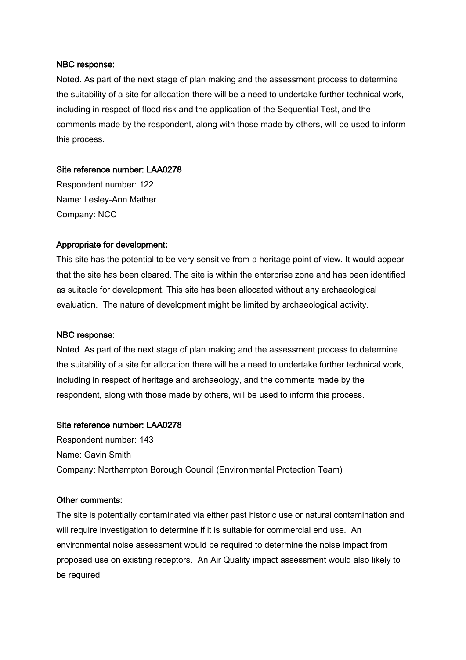Noted. As part of the next stage of plan making and the assessment process to determine the suitability of a site for allocation there will be a need to undertake further technical work, including in respect of flood risk and the application of the Sequential Test, and the comments made by the respondent, along with those made by others, will be used to inform this process.

## Site reference number: LAA0278

Respondent number: 122 Name: Lesley-Ann Mather Company: NCC

## Appropriate for development:

This site has the potential to be very sensitive from a heritage point of view. It would appear that the site has been cleared. The site is within the enterprise zone and has been identified as suitable for development. This site has been allocated without any archaeological evaluation. The nature of development might be limited by archaeological activity.

## NBC response:

Noted. As part of the next stage of plan making and the assessment process to determine the suitability of a site for allocation there will be a need to undertake further technical work, including in respect of heritage and archaeology, and the comments made by the respondent, along with those made by others, will be used to inform this process.

## Site reference number: LAA0278

Respondent number: 143 Name: Gavin Smith Company: Northampton Borough Council (Environmental Protection Team)

#### Other comments:

The site is potentially contaminated via either past historic use or natural contamination and will require investigation to determine if it is suitable for commercial end use. An environmental noise assessment would be required to determine the noise impact from proposed use on existing receptors. An Air Quality impact assessment would also likely to be required.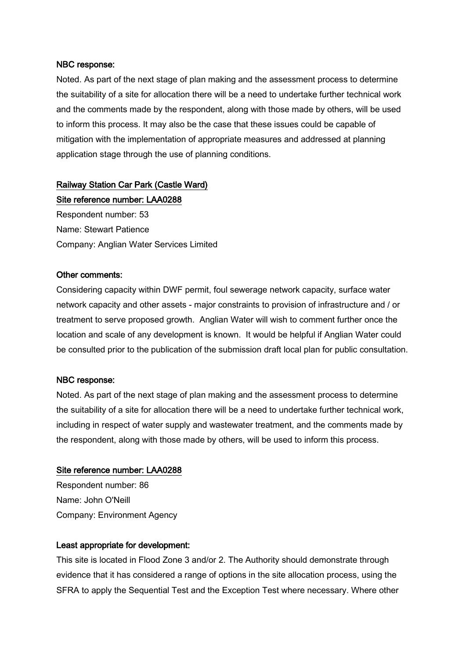Noted. As part of the next stage of plan making and the assessment process to determine the suitability of a site for allocation there will be a need to undertake further technical work and the comments made by the respondent, along with those made by others, will be used to inform this process. It may also be the case that these issues could be capable of mitigation with the implementation of appropriate measures and addressed at planning application stage through the use of planning conditions.

## Railway Station Car Park (Castle Ward)

Site reference number: LAA0288 Respondent number: 53 Name: Stewart Patience Company: Anglian Water Services Limited

## Other comments:

Considering capacity within DWF permit, foul sewerage network capacity, surface water network capacity and other assets - major constraints to provision of infrastructure and / or treatment to serve proposed growth. Anglian Water will wish to comment further once the location and scale of any development is known. It would be helpful if Anglian Water could be consulted prior to the publication of the submission draft local plan for public consultation.

## NBC response:

Noted. As part of the next stage of plan making and the assessment process to determine the suitability of a site for allocation there will be a need to undertake further technical work, including in respect of water supply and wastewater treatment, and the comments made by the respondent, along with those made by others, will be used to inform this process.

#### Site reference number: LAA0288

Respondent number: 86 Name: John O'Neill Company: Environment Agency

## Least appropriate for development:

This site is located in Flood Zone 3 and/or 2. The Authority should demonstrate through evidence that it has considered a range of options in the site allocation process, using the SFRA to apply the Sequential Test and the Exception Test where necessary. Where other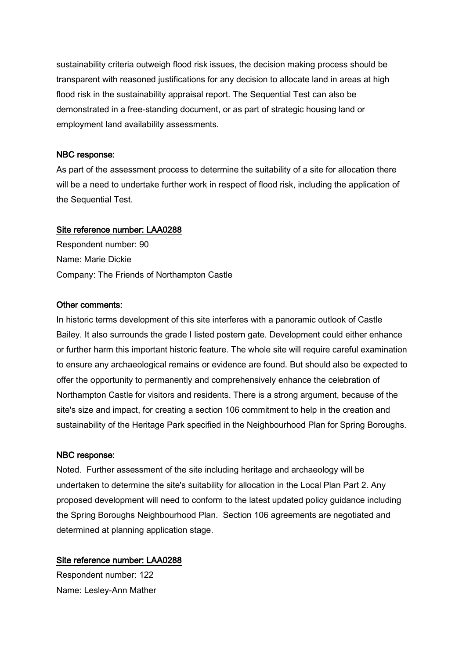sustainability criteria outweigh flood risk issues, the decision making process should be transparent with reasoned justifications for any decision to allocate land in areas at high flood risk in the sustainability appraisal report. The Sequential Test can also be demonstrated in a free-standing document, or as part of strategic housing land or employment land availability assessments.

## NBC response:

As part of the assessment process to determine the suitability of a site for allocation there will be a need to undertake further work in respect of flood risk, including the application of the Sequential Test.

## Site reference number: LAA0288

Respondent number: 90 Name: Marie Dickie Company: The Friends of Northampton Castle

## Other comments:

In historic terms development of this site interferes with a panoramic outlook of Castle Bailey. It also surrounds the grade I listed postern gate. Development could either enhance or further harm this important historic feature. The whole site will require careful examination to ensure any archaeological remains or evidence are found. But should also be expected to offer the opportunity to permanently and comprehensively enhance the celebration of Northampton Castle for visitors and residents. There is a strong argument, because of the site's size and impact, for creating a section 106 commitment to help in the creation and sustainability of the Heritage Park specified in the Neighbourhood Plan for Spring Boroughs.

## NBC response:

Noted. Further assessment of the site including heritage and archaeology will be undertaken to determine the site's suitability for allocation in the Local Plan Part 2. Any proposed development will need to conform to the latest updated policy guidance including the Spring Boroughs Neighbourhood Plan. Section 106 agreements are negotiated and determined at planning application stage.

## Site reference number: LAA0288

Respondent number: 122 Name: Lesley-Ann Mather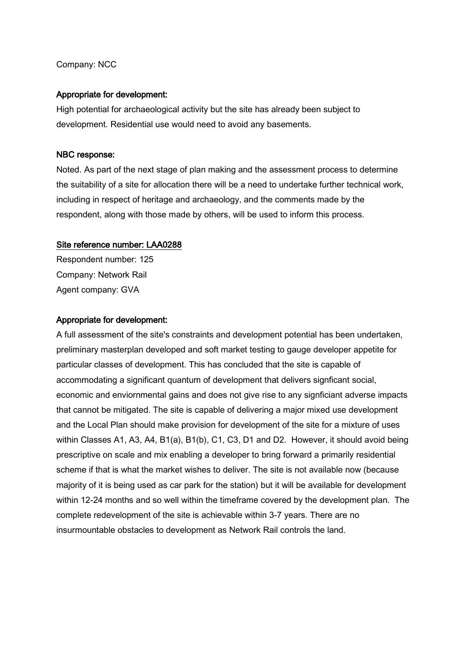## Company: NCC

## Appropriate for development:

High potential for archaeological activity but the site has already been subject to development. Residential use would need to avoid any basements.

## NBC response:

Noted. As part of the next stage of plan making and the assessment process to determine the suitability of a site for allocation there will be a need to undertake further technical work, including in respect of heritage and archaeology, and the comments made by the respondent, along with those made by others, will be used to inform this process.

## Site reference number: LAA0288

Respondent number: 125 Company: Network Rail Agent company: GVA

## Appropriate for development:

A full assessment of the site's constraints and development potential has been undertaken, preliminary masterplan developed and soft market testing to gauge developer appetite for particular classes of development. This has concluded that the site is capable of accommodating a significant quantum of development that delivers signficant social, economic and enviornmental gains and does not give rise to any signficiant adverse impacts that cannot be mitigated. The site is capable of delivering a major mixed use development and the Local Plan should make provision for development of the site for a mixture of uses within Classes A1, A3, A4, B1(a), B1(b), C1, C3, D1 and D2. However, it should avoid being prescriptive on scale and mix enabling a developer to bring forward a primarily residential scheme if that is what the market wishes to deliver. The site is not available now (because majority of it is being used as car park for the station) but it will be available for development within 12-24 months and so well within the timeframe covered by the development plan. The complete redevelopment of the site is achievable within 3-7 years. There are no insurmountable obstacles to development as Network Rail controls the land.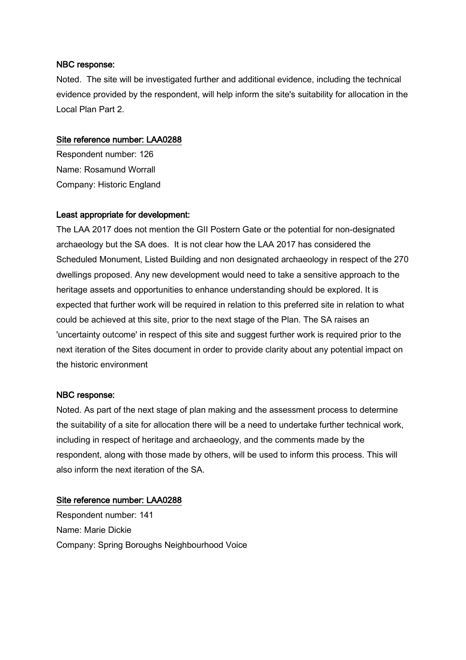Noted. The site will be investigated further and additional evidence, including the technical evidence provided by the respondent, will help inform the site's suitability for allocation in the Local Plan Part 2.

## Site reference number: LAA0288

Respondent number: 126 Name: Rosamund Worrall Company: Historic England

## Least appropriate for development:

The LAA 2017 does not mention the GII Postern Gate or the potential for non-designated archaeology but the SA does. It is not clear how the LAA 2017 has considered the Scheduled Monument, Listed Building and non designated archaeology in respect of the 270 dwellings proposed. Any new development would need to take a sensitive approach to the heritage assets and opportunities to enhance understanding should be explored. It is expected that further work will be required in relation to this preferred site in relation to what could be achieved at this site, prior to the next stage of the Plan. The SA raises an 'uncertainty outcome' in respect of this site and suggest further work is required prior to the next iteration of the Sites document in order to provide clarity about any potential impact on the historic environment

## NBC response:

Noted. As part of the next stage of plan making and the assessment process to determine the suitability of a site for allocation there will be a need to undertake further technical work, including in respect of heritage and archaeology, and the comments made by the respondent, along with those made by others, will be used to inform this process. This will also inform the next iteration of the SA.

## Site reference number: LAA0288

Respondent number: 141 Name: Marie Dickie Company: Spring Boroughs Neighbourhood Voice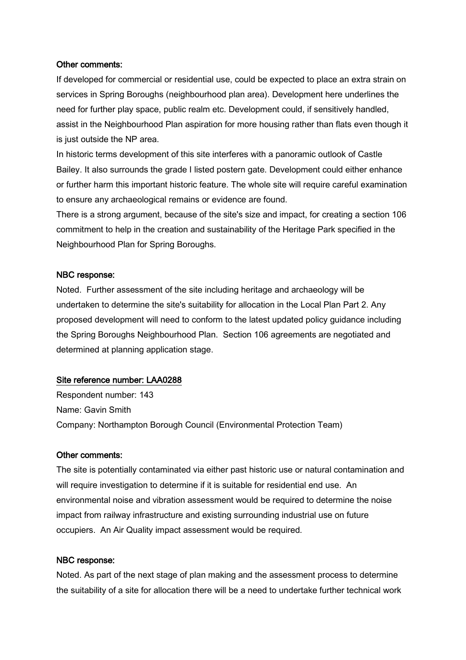#### Other comments:

If developed for commercial or residential use, could be expected to place an extra strain on services in Spring Boroughs (neighbourhood plan area). Development here underlines the need for further play space, public realm etc. Development could, if sensitively handled, assist in the Neighbourhood Plan aspiration for more housing rather than flats even though it is just outside the NP area.

In historic terms development of this site interferes with a panoramic outlook of Castle Bailey. It also surrounds the grade I listed postern gate. Development could either enhance or further harm this important historic feature. The whole site will require careful examination to ensure any archaeological remains or evidence are found.

There is a strong argument, because of the site's size and impact, for creating a section 106 commitment to help in the creation and sustainability of the Heritage Park specified in the Neighbourhood Plan for Spring Boroughs.

#### NBC response:

Noted. Further assessment of the site including heritage and archaeology will be undertaken to determine the site's suitability for allocation in the Local Plan Part 2. Any proposed development will need to conform to the latest updated policy guidance including the Spring Boroughs Neighbourhood Plan. Section 106 agreements are negotiated and determined at planning application stage.

## Site reference number: LAA0288

Respondent number: 143 Name: Gavin Smith Company: Northampton Borough Council (Environmental Protection Team)

#### Other comments:

The site is potentially contaminated via either past historic use or natural contamination and will require investigation to determine if it is suitable for residential end use. An environmental noise and vibration assessment would be required to determine the noise impact from railway infrastructure and existing surrounding industrial use on future occupiers. An Air Quality impact assessment would be required.

#### NBC response:

Noted. As part of the next stage of plan making and the assessment process to determine the suitability of a site for allocation there will be a need to undertake further technical work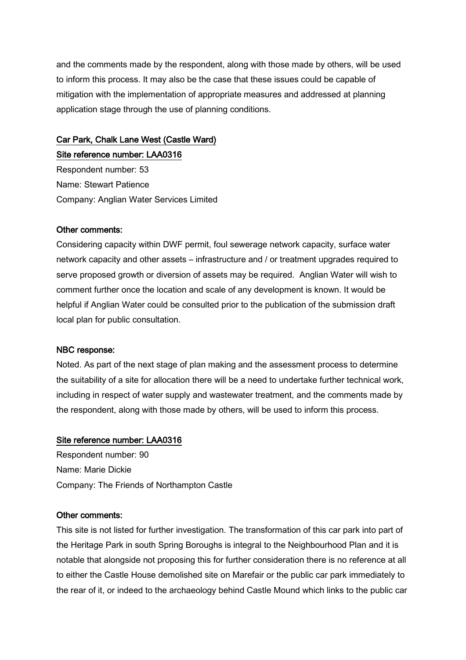and the comments made by the respondent, along with those made by others, will be used to inform this process. It may also be the case that these issues could be capable of mitigation with the implementation of appropriate measures and addressed at planning application stage through the use of planning conditions.

## Car Park, Chalk Lane West (Castle Ward) Site reference number: LAA0316

Respondent number: 53 Name: Stewart Patience Company: Anglian Water Services Limited

#### Other comments:

Considering capacity within DWF permit, foul sewerage network capacity, surface water network capacity and other assets – infrastructure and / or treatment upgrades required to serve proposed growth or diversion of assets may be required. Anglian Water will wish to comment further once the location and scale of any development is known. It would be helpful if Anglian Water could be consulted prior to the publication of the submission draft local plan for public consultation.

#### NBC response:

Noted. As part of the next stage of plan making and the assessment process to determine the suitability of a site for allocation there will be a need to undertake further technical work, including in respect of water supply and wastewater treatment, and the comments made by the respondent, along with those made by others, will be used to inform this process.

#### Site reference number: LAA0316

Respondent number: 90 Name: Marie Dickie Company: The Friends of Northampton Castle

#### Other comments:

This site is not listed for further investigation. The transformation of this car park into part of the Heritage Park in south Spring Boroughs is integral to the Neighbourhood Plan and it is notable that alongside not proposing this for further consideration there is no reference at all to either the Castle House demolished site on Marefair or the public car park immediately to the rear of it, or indeed to the archaeology behind Castle Mound which links to the public car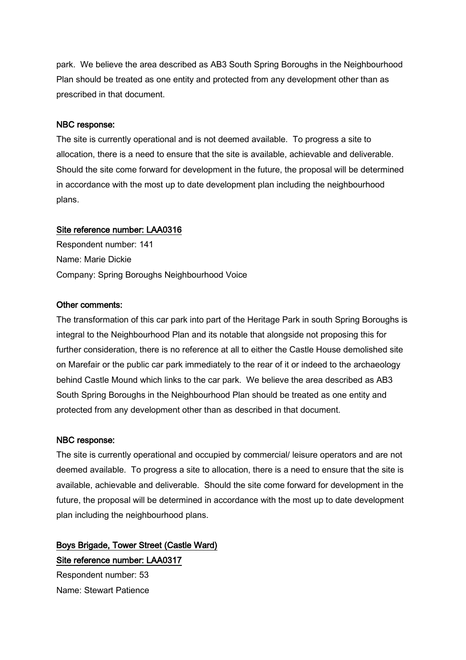park. We believe the area described as AB3 South Spring Boroughs in the Neighbourhood Plan should be treated as one entity and protected from any development other than as prescribed in that document.

## NBC response:

The site is currently operational and is not deemed available. To progress a site to allocation, there is a need to ensure that the site is available, achievable and deliverable. Should the site come forward for development in the future, the proposal will be determined in accordance with the most up to date development plan including the neighbourhood plans.

## Site reference number: LAA0316

Respondent number: 141 Name: Marie Dickie Company: Spring Boroughs Neighbourhood Voice

## Other comments:

The transformation of this car park into part of the Heritage Park in south Spring Boroughs is integral to the Neighbourhood Plan and its notable that alongside not proposing this for further consideration, there is no reference at all to either the Castle House demolished site on Marefair or the public car park immediately to the rear of it or indeed to the archaeology behind Castle Mound which links to the car park. We believe the area described as AB3 South Spring Boroughs in the Neighbourhood Plan should be treated as one entity and protected from any development other than as described in that document.

## NBC response:

The site is currently operational and occupied by commercial/ leisure operators and are not deemed available. To progress a site to allocation, there is a need to ensure that the site is available, achievable and deliverable. Should the site come forward for development in the future, the proposal will be determined in accordance with the most up to date development plan including the neighbourhood plans.

# Boys Brigade, Tower Street (Castle Ward) Site reference number: LAA0317

Respondent number: 53 Name: Stewart Patience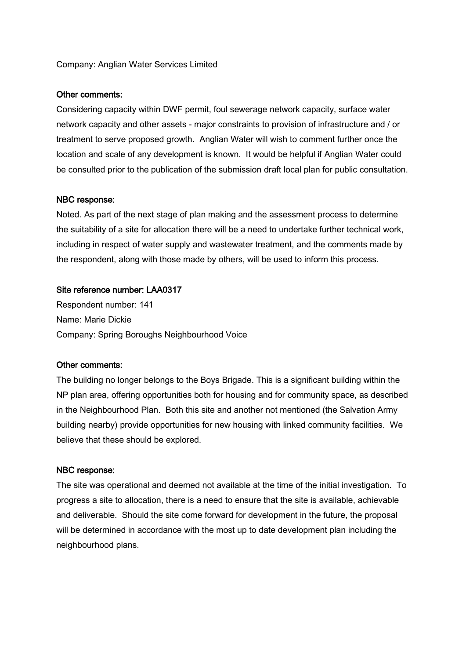## Company: Anglian Water Services Limited

#### Other comments:

Considering capacity within DWF permit, foul sewerage network capacity, surface water network capacity and other assets - major constraints to provision of infrastructure and / or treatment to serve proposed growth. Anglian Water will wish to comment further once the location and scale of any development is known. It would be helpful if Anglian Water could be consulted prior to the publication of the submission draft local plan for public consultation.

#### NBC response:

Noted. As part of the next stage of plan making and the assessment process to determine the suitability of a site for allocation there will be a need to undertake further technical work, including in respect of water supply and wastewater treatment, and the comments made by the respondent, along with those made by others, will be used to inform this process.

## Site reference number: LAA0317

Respondent number: 141 Name: Marie Dickie Company: Spring Boroughs Neighbourhood Voice

#### Other comments:

The building no longer belongs to the Boys Brigade. This is a significant building within the NP plan area, offering opportunities both for housing and for community space, as described in the Neighbourhood Plan. Both this site and another not mentioned (the Salvation Army building nearby) provide opportunities for new housing with linked community facilities. We believe that these should be explored.

#### NBC response:

The site was operational and deemed not available at the time of the initial investigation. To progress a site to allocation, there is a need to ensure that the site is available, achievable and deliverable. Should the site come forward for development in the future, the proposal will be determined in accordance with the most up to date development plan including the neighbourhood plans.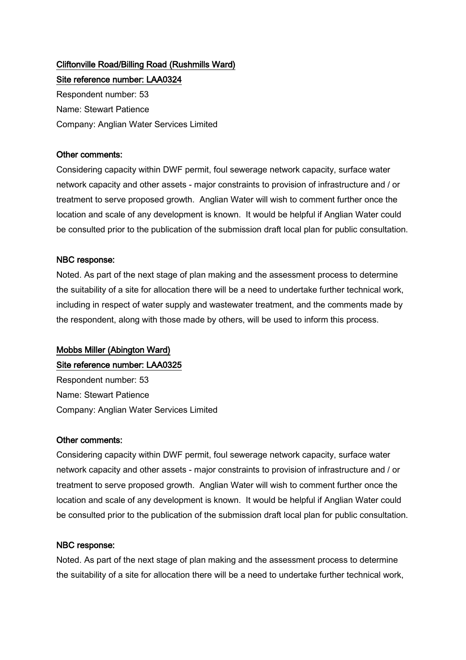## Cliftonville Road/Billing Road (Rushmills Ward) Site reference number: LAA0324

Respondent number: 53 Name: Stewart Patience Company: Anglian Water Services Limited

## Other comments:

Considering capacity within DWF permit, foul sewerage network capacity, surface water network capacity and other assets - major constraints to provision of infrastructure and / or treatment to serve proposed growth. Anglian Water will wish to comment further once the location and scale of any development is known. It would be helpful if Anglian Water could be consulted prior to the publication of the submission draft local plan for public consultation.

## NBC response:

Noted. As part of the next stage of plan making and the assessment process to determine the suitability of a site for allocation there will be a need to undertake further technical work, including in respect of water supply and wastewater treatment, and the comments made by the respondent, along with those made by others, will be used to inform this process.

## Mobbs Miller (Abington Ward)

## Site reference number: LAA0325

Respondent number: 53 Name: Stewart Patience Company: Anglian Water Services Limited

## Other comments:

Considering capacity within DWF permit, foul sewerage network capacity, surface water network capacity and other assets - major constraints to provision of infrastructure and / or treatment to serve proposed growth. Anglian Water will wish to comment further once the location and scale of any development is known. It would be helpful if Anglian Water could be consulted prior to the publication of the submission draft local plan for public consultation.

## NBC response:

Noted. As part of the next stage of plan making and the assessment process to determine the suitability of a site for allocation there will be a need to undertake further technical work,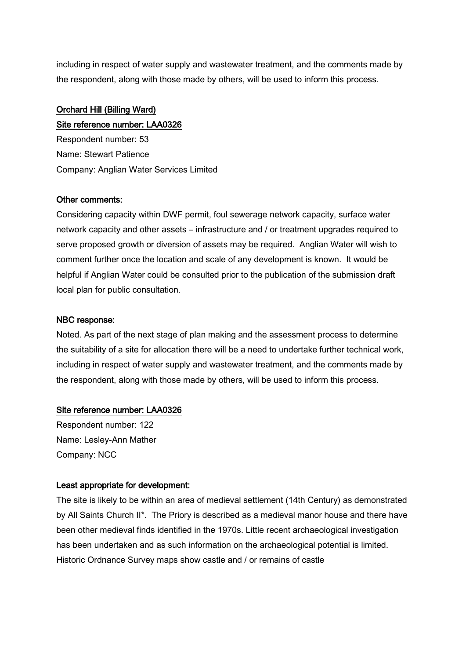including in respect of water supply and wastewater treatment, and the comments made by the respondent, along with those made by others, will be used to inform this process.

## Orchard Hill (Billing Ward)

Site reference number: LAA0326 Respondent number: 53 Name: Stewart Patience Company: Anglian Water Services Limited

## Other comments:

Considering capacity within DWF permit, foul sewerage network capacity, surface water network capacity and other assets – infrastructure and / or treatment upgrades required to serve proposed growth or diversion of assets may be required. Anglian Water will wish to comment further once the location and scale of any development is known. It would be helpful if Anglian Water could be consulted prior to the publication of the submission draft local plan for public consultation.

## NBC response:

Noted. As part of the next stage of plan making and the assessment process to determine the suitability of a site for allocation there will be a need to undertake further technical work, including in respect of water supply and wastewater treatment, and the comments made by the respondent, along with those made by others, will be used to inform this process.

## Site reference number: LAA0326

Respondent number: 122 Name: Lesley-Ann Mather Company: NCC

## Least appropriate for development:

The site is likely to be within an area of medieval settlement (14th Century) as demonstrated by All Saints Church II\*. The Priory is described as a medieval manor house and there have been other medieval finds identified in the 1970s. Little recent archaeological investigation has been undertaken and as such information on the archaeological potential is limited. Historic Ordnance Survey maps show castle and / or remains of castle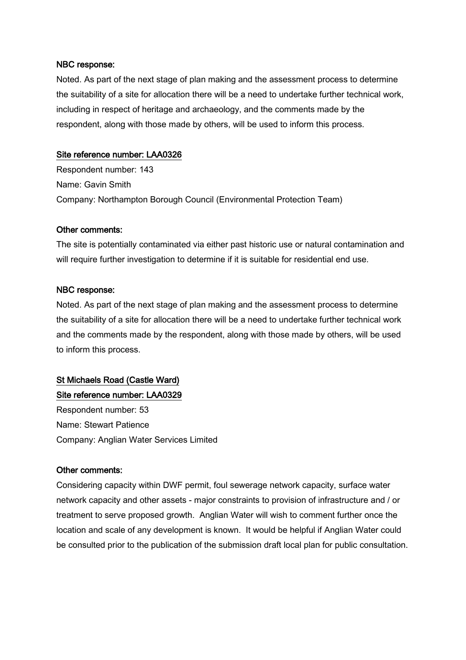Noted. As part of the next stage of plan making and the assessment process to determine the suitability of a site for allocation there will be a need to undertake further technical work, including in respect of heritage and archaeology, and the comments made by the respondent, along with those made by others, will be used to inform this process.

## Site reference number: LAA0326

Respondent number: 143 Name: Gavin Smith Company: Northampton Borough Council (Environmental Protection Team)

## Other comments:

The site is potentially contaminated via either past historic use or natural contamination and will require further investigation to determine if it is suitable for residential end use.

## NBC response:

Noted. As part of the next stage of plan making and the assessment process to determine the suitability of a site for allocation there will be a need to undertake further technical work and the comments made by the respondent, along with those made by others, will be used to inform this process.

## St Michaels Road (Castle Ward) Site reference number: LAA0329

Respondent number: 53 Name: Stewart Patience Company: Anglian Water Services Limited

## Other comments:

Considering capacity within DWF permit, foul sewerage network capacity, surface water network capacity and other assets - major constraints to provision of infrastructure and / or treatment to serve proposed growth. Anglian Water will wish to comment further once the location and scale of any development is known. It would be helpful if Anglian Water could be consulted prior to the publication of the submission draft local plan for public consultation.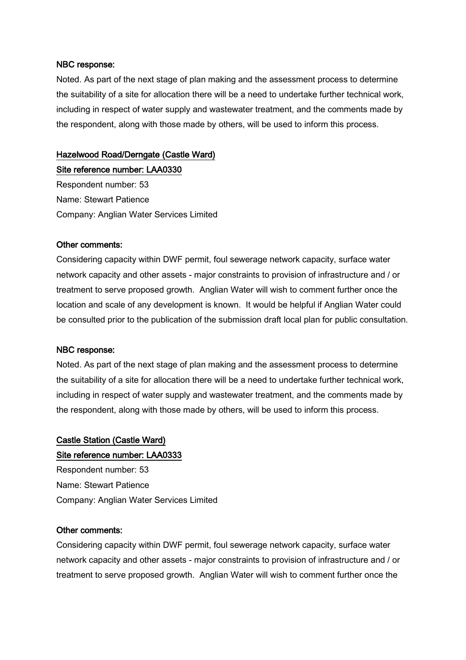Noted. As part of the next stage of plan making and the assessment process to determine the suitability of a site for allocation there will be a need to undertake further technical work, including in respect of water supply and wastewater treatment, and the comments made by the respondent, along with those made by others, will be used to inform this process.

## Hazelwood Road/Derngate (Castle Ward)

Site reference number: LAA0330 Respondent number: 53 Name: Stewart Patience Company: Anglian Water Services Limited

#### Other comments:

Considering capacity within DWF permit, foul sewerage network capacity, surface water network capacity and other assets - major constraints to provision of infrastructure and / or treatment to serve proposed growth. Anglian Water will wish to comment further once the location and scale of any development is known. It would be helpful if Anglian Water could be consulted prior to the publication of the submission draft local plan for public consultation.

#### NBC response:

Noted. As part of the next stage of plan making and the assessment process to determine the suitability of a site for allocation there will be a need to undertake further technical work, including in respect of water supply and wastewater treatment, and the comments made by the respondent, along with those made by others, will be used to inform this process.

## Castle Station (Castle Ward) Site reference number: LAA0333

Respondent number: 53 Name: Stewart Patience Company: Anglian Water Services Limited

#### Other comments:

Considering capacity within DWF permit, foul sewerage network capacity, surface water network capacity and other assets - major constraints to provision of infrastructure and / or treatment to serve proposed growth. Anglian Water will wish to comment further once the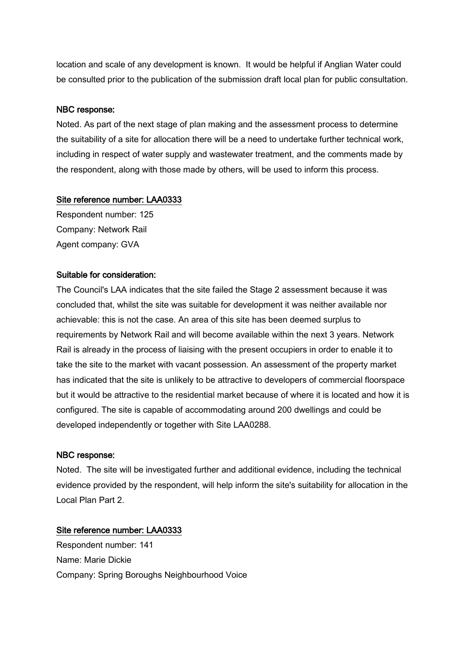location and scale of any development is known. It would be helpful if Anglian Water could be consulted prior to the publication of the submission draft local plan for public consultation.

## NBC response:

Noted. As part of the next stage of plan making and the assessment process to determine the suitability of a site for allocation there will be a need to undertake further technical work, including in respect of water supply and wastewater treatment, and the comments made by the respondent, along with those made by others, will be used to inform this process.

## Site reference number: LAA0333

Respondent number: 125 Company: Network Rail Agent company: GVA

## Suitable for consideration:

The Council's LAA indicates that the site failed the Stage 2 assessment because it was concluded that, whilst the site was suitable for development it was neither available nor achievable: this is not the case. An area of this site has been deemed surplus to requirements by Network Rail and will become available within the next 3 years. Network Rail is already in the process of liaising with the present occupiers in order to enable it to take the site to the market with vacant possession. An assessment of the property market has indicated that the site is unlikely to be attractive to developers of commercial floorspace but it would be attractive to the residential market because of where it is located and how it is configured. The site is capable of accommodating around 200 dwellings and could be developed independently or together with Site LAA0288.

## NBC response:

Noted. The site will be investigated further and additional evidence, including the technical evidence provided by the respondent, will help inform the site's suitability for allocation in the Local Plan Part 2.

## Site reference number: LAA0333

Respondent number: 141 Name: Marie Dickie Company: Spring Boroughs Neighbourhood Voice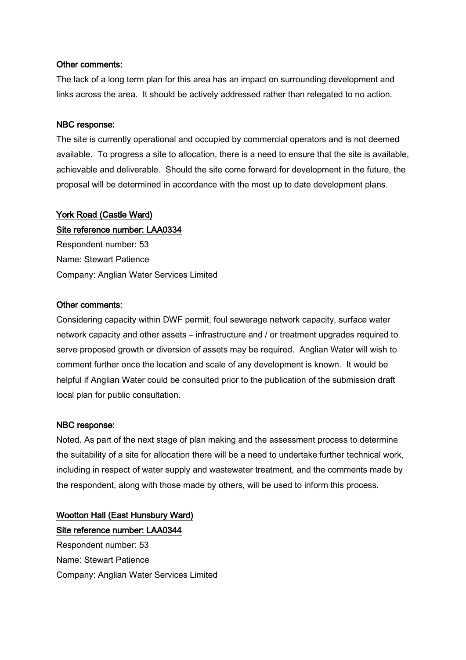#### Other comments:

The lack of a long term plan for this area has an impact on surrounding development and links across the area. It should be actively addressed rather than relegated to no action.

#### NBC response:

The site is currently operational and occupied by commercial operators and is not deemed available. To progress a site to allocation, there is a need to ensure that the site is available, achievable and deliverable. Should the site come forward for development in the future, the proposal will be determined in accordance with the most up to date development plans.

## York Road (Castle Ward) Site reference number: LAA0334

Respondent number: 53 Name: Stewart Patience Company: Anglian Water Services Limited

## Other comments:

Considering capacity within DWF permit, foul sewerage network capacity, surface water network capacity and other assets – infrastructure and / or treatment upgrades required to serve proposed growth or diversion of assets may be required. Anglian Water will wish to comment further once the location and scale of any development is known. It would be helpful if Anglian Water could be consulted prior to the publication of the submission draft local plan for public consultation.

#### NBC response:

Noted. As part of the next stage of plan making and the assessment process to determine the suitability of a site for allocation there will be a need to undertake further technical work, including in respect of water supply and wastewater treatment, and the comments made by the respondent, along with those made by others, will be used to inform this process.

## Wootton Hall (East Hunsbury Ward) Site reference number: LAA0344 Respondent number: 53

Name: Stewart Patience Company: Anglian Water Services Limited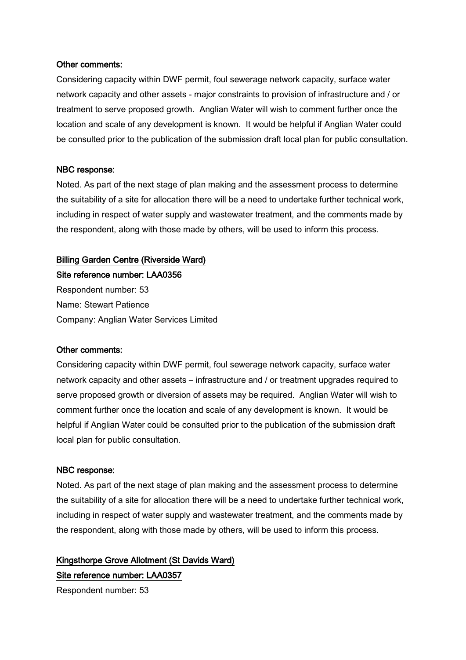### Other comments:

Considering capacity within DWF permit, foul sewerage network capacity, surface water network capacity and other assets - major constraints to provision of infrastructure and / or treatment to serve proposed growth. Anglian Water will wish to comment further once the location and scale of any development is known. It would be helpful if Anglian Water could be consulted prior to the publication of the submission draft local plan for public consultation.

#### NBC response:

Noted. As part of the next stage of plan making and the assessment process to determine the suitability of a site for allocation there will be a need to undertake further technical work, including in respect of water supply and wastewater treatment, and the comments made by the respondent, along with those made by others, will be used to inform this process.

## Billing Garden Centre (Riverside Ward)

Site reference number: LAA0356 Respondent number: 53

Name: Stewart Patience Company: Anglian Water Services Limited

## Other comments:

Considering capacity within DWF permit, foul sewerage network capacity, surface water network capacity and other assets – infrastructure and / or treatment upgrades required to serve proposed growth or diversion of assets may be required. Anglian Water will wish to comment further once the location and scale of any development is known. It would be helpful if Anglian Water could be consulted prior to the publication of the submission draft local plan for public consultation.

## NBC response:

Noted. As part of the next stage of plan making and the assessment process to determine the suitability of a site for allocation there will be a need to undertake further technical work, including in respect of water supply and wastewater treatment, and the comments made by the respondent, along with those made by others, will be used to inform this process.

## Kingsthorpe Grove Allotment (St Davids Ward) Site reference number: LAA0357

Respondent number: 53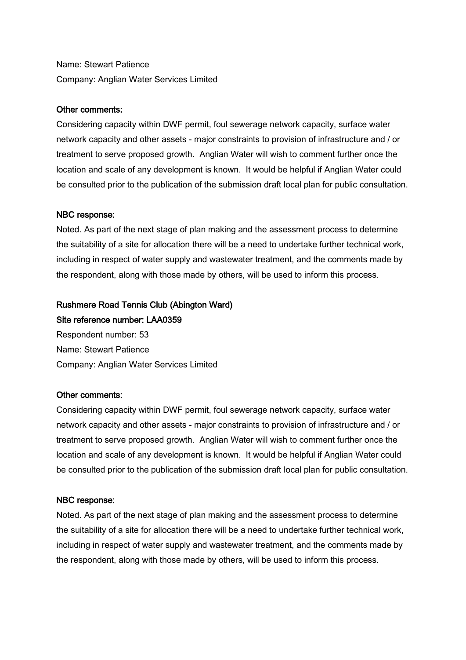Name: Stewart Patience Company: Anglian Water Services Limited

## Other comments:

Considering capacity within DWF permit, foul sewerage network capacity, surface water network capacity and other assets - major constraints to provision of infrastructure and / or treatment to serve proposed growth. Anglian Water will wish to comment further once the location and scale of any development is known. It would be helpful if Anglian Water could be consulted prior to the publication of the submission draft local plan for public consultation.

## NBC response:

Noted. As part of the next stage of plan making and the assessment process to determine the suitability of a site for allocation there will be a need to undertake further technical work, including in respect of water supply and wastewater treatment, and the comments made by the respondent, along with those made by others, will be used to inform this process.

## Rushmere Road Tennis Club (Abington Ward)

Site reference number: LAA0359 Respondent number: 53 Name: Stewart Patience Company: Anglian Water Services Limited

## Other comments:

Considering capacity within DWF permit, foul sewerage network capacity, surface water network capacity and other assets - major constraints to provision of infrastructure and / or treatment to serve proposed growth. Anglian Water will wish to comment further once the location and scale of any development is known. It would be helpful if Anglian Water could be consulted prior to the publication of the submission draft local plan for public consultation.

## NBC response:

Noted. As part of the next stage of plan making and the assessment process to determine the suitability of a site for allocation there will be a need to undertake further technical work, including in respect of water supply and wastewater treatment, and the comments made by the respondent, along with those made by others, will be used to inform this process.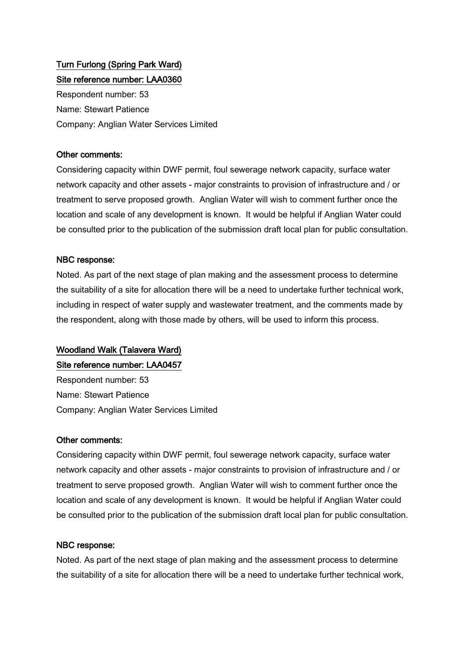## Turn Furlong (Spring Park Ward) Site reference number: LAA0360

Respondent number: 53 Name: Stewart Patience Company: Anglian Water Services Limited

## Other comments:

Considering capacity within DWF permit, foul sewerage network capacity, surface water network capacity and other assets - major constraints to provision of infrastructure and / or treatment to serve proposed growth. Anglian Water will wish to comment further once the location and scale of any development is known. It would be helpful if Anglian Water could be consulted prior to the publication of the submission draft local plan for public consultation.

## NBC response:

Noted. As part of the next stage of plan making and the assessment process to determine the suitability of a site for allocation there will be a need to undertake further technical work, including in respect of water supply and wastewater treatment, and the comments made by the respondent, along with those made by others, will be used to inform this process.

## Woodland Walk (Talavera Ward)

## Site reference number: LAA0457

Respondent number: 53 Name: Stewart Patience Company: Anglian Water Services Limited

## Other comments:

Considering capacity within DWF permit, foul sewerage network capacity, surface water network capacity and other assets - major constraints to provision of infrastructure and / or treatment to serve proposed growth. Anglian Water will wish to comment further once the location and scale of any development is known. It would be helpful if Anglian Water could be consulted prior to the publication of the submission draft local plan for public consultation.

## NBC response:

Noted. As part of the next stage of plan making and the assessment process to determine the suitability of a site for allocation there will be a need to undertake further technical work,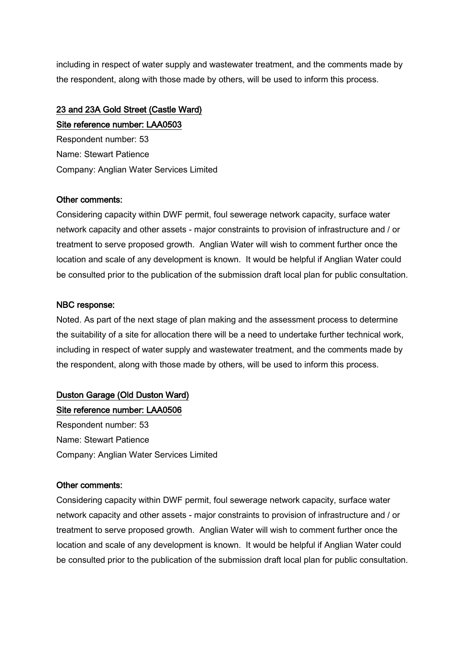including in respect of water supply and wastewater treatment, and the comments made by the respondent, along with those made by others, will be used to inform this process.

## 23 and 23A Gold Street (Castle Ward)

Site reference number: LAA0503 Respondent number: 53 Name: Stewart Patience Company: Anglian Water Services Limited

### Other comments:

Considering capacity within DWF permit, foul sewerage network capacity, surface water network capacity and other assets - major constraints to provision of infrastructure and / or treatment to serve proposed growth. Anglian Water will wish to comment further once the location and scale of any development is known. It would be helpful if Anglian Water could be consulted prior to the publication of the submission draft local plan for public consultation.

### NBC response:

Noted. As part of the next stage of plan making and the assessment process to determine the suitability of a site for allocation there will be a need to undertake further technical work, including in respect of water supply and wastewater treatment, and the comments made by the respondent, along with those made by others, will be used to inform this process.

## Duston Garage (Old Duston Ward)

Site reference number: LAA0506 Respondent number: 53 Name: Stewart Patience Company: Anglian Water Services Limited

#### Other comments:

Considering capacity within DWF permit, foul sewerage network capacity, surface water network capacity and other assets - major constraints to provision of infrastructure and / or treatment to serve proposed growth. Anglian Water will wish to comment further once the location and scale of any development is known. It would be helpful if Anglian Water could be consulted prior to the publication of the submission draft local plan for public consultation.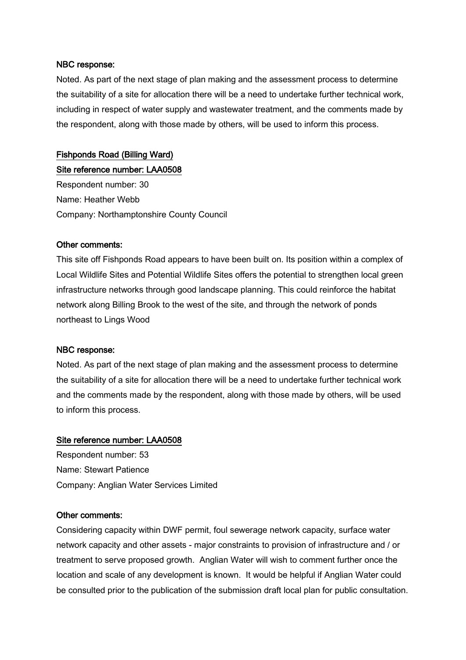Noted. As part of the next stage of plan making and the assessment process to determine the suitability of a site for allocation there will be a need to undertake further technical work, including in respect of water supply and wastewater treatment, and the comments made by the respondent, along with those made by others, will be used to inform this process.

## Fishponds Road (Billing Ward)

Site reference number: LAA0508 Respondent number: 30 Name: Heather Webb Company: Northamptonshire County Council

#### Other comments:

This site off Fishponds Road appears to have been built on. Its position within a complex of Local Wildlife Sites and Potential Wildlife Sites offers the potential to strengthen local green infrastructure networks through good landscape planning. This could reinforce the habitat network along Billing Brook to the west of the site, and through the network of ponds northeast to Lings Wood

#### NBC response:

Noted. As part of the next stage of plan making and the assessment process to determine the suitability of a site for allocation there will be a need to undertake further technical work and the comments made by the respondent, along with those made by others, will be used to inform this process.

#### Site reference number: LAA0508

Respondent number: 53 Name: Stewart Patience Company: Anglian Water Services Limited

#### Other comments:

Considering capacity within DWF permit, foul sewerage network capacity, surface water network capacity and other assets - major constraints to provision of infrastructure and / or treatment to serve proposed growth. Anglian Water will wish to comment further once the location and scale of any development is known. It would be helpful if Anglian Water could be consulted prior to the publication of the submission draft local plan for public consultation.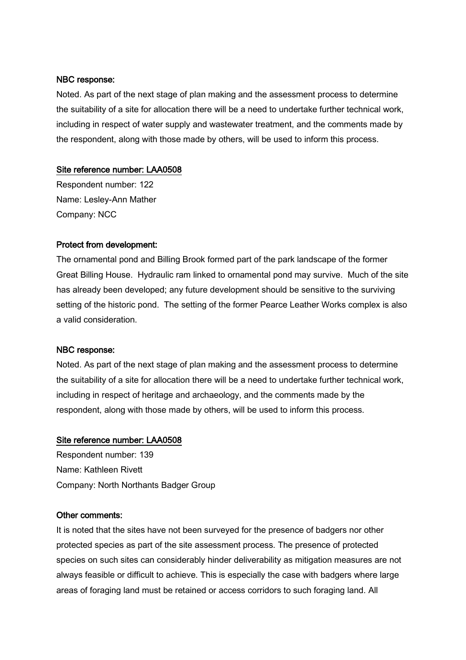Noted. As part of the next stage of plan making and the assessment process to determine the suitability of a site for allocation there will be a need to undertake further technical work, including in respect of water supply and wastewater treatment, and the comments made by the respondent, along with those made by others, will be used to inform this process.

#### Site reference number: LAA0508

Respondent number: 122 Name: Lesley-Ann Mather Company: NCC

#### Protect from development:

The ornamental pond and Billing Brook formed part of the park landscape of the former Great Billing House. Hydraulic ram linked to ornamental pond may survive. Much of the site has already been developed; any future development should be sensitive to the surviving setting of the historic pond. The setting of the former Pearce Leather Works complex is also a valid consideration.

#### NBC response:

Noted. As part of the next stage of plan making and the assessment process to determine the suitability of a site for allocation there will be a need to undertake further technical work, including in respect of heritage and archaeology, and the comments made by the respondent, along with those made by others, will be used to inform this process.

#### Site reference number: LAA0508

Respondent number: 139 Name: Kathleen Rivett Company: North Northants Badger Group

#### Other comments:

It is noted that the sites have not been surveyed for the presence of badgers nor other protected species as part of the site assessment process. The presence of protected species on such sites can considerably hinder deliverability as mitigation measures are not always feasible or difficult to achieve. This is especially the case with badgers where large areas of foraging land must be retained or access corridors to such foraging land. All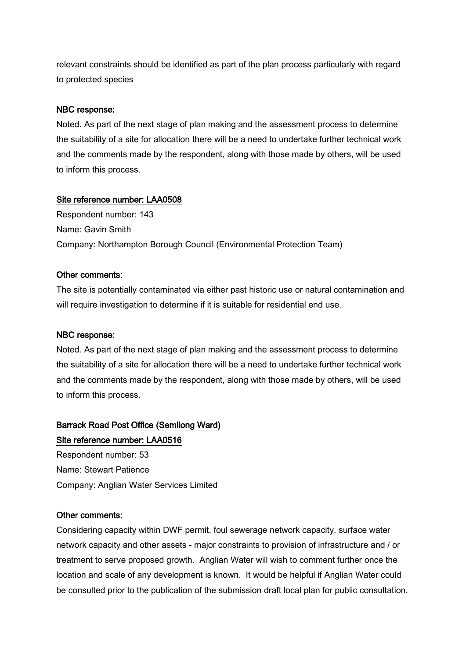relevant constraints should be identified as part of the plan process particularly with regard to protected species

#### NBC response:

Noted. As part of the next stage of plan making and the assessment process to determine the suitability of a site for allocation there will be a need to undertake further technical work and the comments made by the respondent, along with those made by others, will be used to inform this process.

#### Site reference number: LAA0508

Respondent number: 143 Name: Gavin Smith Company: Northampton Borough Council (Environmental Protection Team)

#### Other comments:

The site is potentially contaminated via either past historic use or natural contamination and will require investigation to determine if it is suitable for residential end use.

#### NBC response:

Noted. As part of the next stage of plan making and the assessment process to determine the suitability of a site for allocation there will be a need to undertake further technical work and the comments made by the respondent, along with those made by others, will be used to inform this process.

#### Barrack Road Post Office (Semilong Ward)

## Site reference number: LAA0516

Respondent number: 53 Name: Stewart Patience Company: Anglian Water Services Limited

#### Other comments:

Considering capacity within DWF permit, foul sewerage network capacity, surface water network capacity and other assets - major constraints to provision of infrastructure and / or treatment to serve proposed growth. Anglian Water will wish to comment further once the location and scale of any development is known. It would be helpful if Anglian Water could be consulted prior to the publication of the submission draft local plan for public consultation.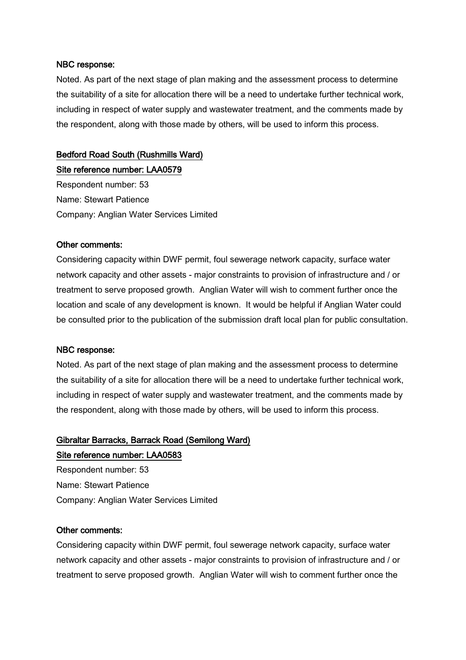Noted. As part of the next stage of plan making and the assessment process to determine the suitability of a site for allocation there will be a need to undertake further technical work, including in respect of water supply and wastewater treatment, and the comments made by the respondent, along with those made by others, will be used to inform this process.

#### Bedford Road South (Rushmills Ward)

Site reference number: LAA0579 Respondent number: 53 Name: Stewart Patience Company: Anglian Water Services Limited

#### Other comments:

Considering capacity within DWF permit, foul sewerage network capacity, surface water network capacity and other assets - major constraints to provision of infrastructure and / or treatment to serve proposed growth. Anglian Water will wish to comment further once the location and scale of any development is known. It would be helpful if Anglian Water could be consulted prior to the publication of the submission draft local plan for public consultation.

#### NBC response:

Noted. As part of the next stage of plan making and the assessment process to determine the suitability of a site for allocation there will be a need to undertake further technical work, including in respect of water supply and wastewater treatment, and the comments made by the respondent, along with those made by others, will be used to inform this process.

## Gibraltar Barracks, Barrack Road (Semilong Ward)

#### Site reference number: LAA0583

Respondent number: 53 Name: Stewart Patience Company: Anglian Water Services Limited

#### Other comments:

Considering capacity within DWF permit, foul sewerage network capacity, surface water network capacity and other assets - major constraints to provision of infrastructure and / or treatment to serve proposed growth. Anglian Water will wish to comment further once the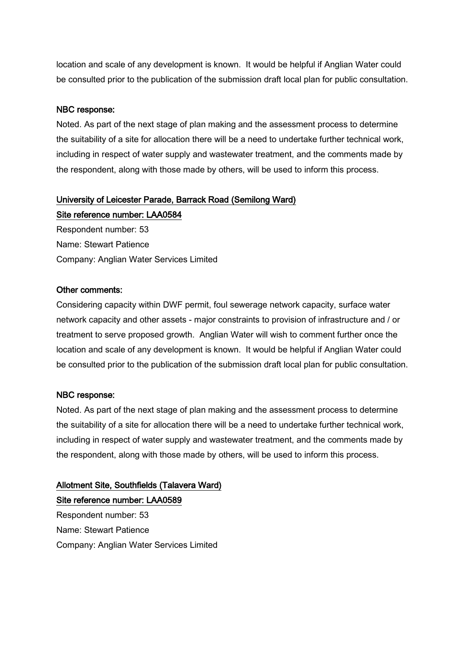location and scale of any development is known. It would be helpful if Anglian Water could be consulted prior to the publication of the submission draft local plan for public consultation.

#### NBC response:

Noted. As part of the next stage of plan making and the assessment process to determine the suitability of a site for allocation there will be a need to undertake further technical work, including in respect of water supply and wastewater treatment, and the comments made by the respondent, along with those made by others, will be used to inform this process.

### University of Leicester Parade, Barrack Road (Semilong Ward)

Site reference number: LAA0584 Respondent number: 53 Name: Stewart Patience Company: Anglian Water Services Limited

#### Other comments:

Considering capacity within DWF permit, foul sewerage network capacity, surface water network capacity and other assets - major constraints to provision of infrastructure and / or treatment to serve proposed growth. Anglian Water will wish to comment further once the location and scale of any development is known. It would be helpful if Anglian Water could be consulted prior to the publication of the submission draft local plan for public consultation.

#### NBC response:

Noted. As part of the next stage of plan making and the assessment process to determine the suitability of a site for allocation there will be a need to undertake further technical work, including in respect of water supply and wastewater treatment, and the comments made by the respondent, along with those made by others, will be used to inform this process.

## Allotment Site, Southfields (Talavera Ward) Site reference number: LAA0589 Respondent number: 53 Name: Stewart Patience Company: Anglian Water Services Limited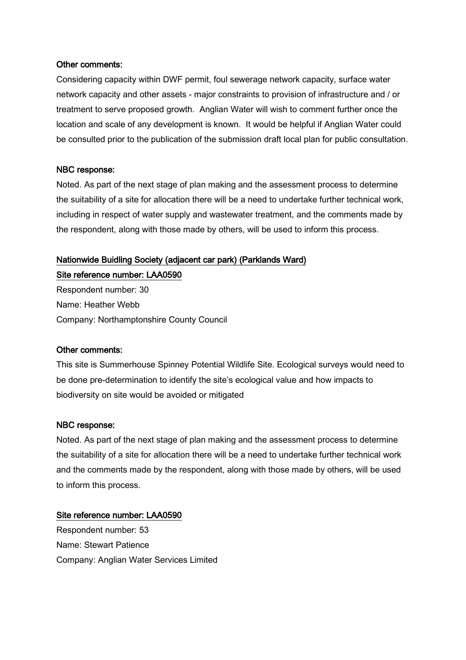#### Other comments:

Considering capacity within DWF permit, foul sewerage network capacity, surface water network capacity and other assets - major constraints to provision of infrastructure and / or treatment to serve proposed growth. Anglian Water will wish to comment further once the location and scale of any development is known. It would be helpful if Anglian Water could be consulted prior to the publication of the submission draft local plan for public consultation.

#### NBC response:

Noted. As part of the next stage of plan making and the assessment process to determine the suitability of a site for allocation there will be a need to undertake further technical work, including in respect of water supply and wastewater treatment, and the comments made by the respondent, along with those made by others, will be used to inform this process.

#### Nationwide Buidling Society (adjacent car park) (Parklands Ward)

Site reference number: LAA0590 Respondent number: 30 Name: Heather Webb Company: Northamptonshire County Council

#### Other comments:

This site is Summerhouse Spinney Potential Wildlife Site. Ecological surveys would need to be done pre-determination to identify the site's ecological value and how impacts to biodiversity on site would be avoided or mitigated

#### NBC response:

Noted. As part of the next stage of plan making and the assessment process to determine the suitability of a site for allocation there will be a need to undertake further technical work and the comments made by the respondent, along with those made by others, will be used to inform this process.

#### Site reference number: LAA0590

Respondent number: 53 Name: Stewart Patience Company: Anglian Water Services Limited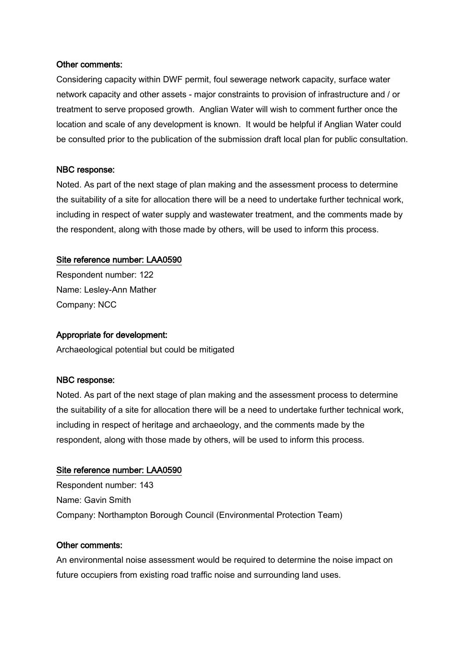#### Other comments:

Considering capacity within DWF permit, foul sewerage network capacity, surface water network capacity and other assets - major constraints to provision of infrastructure and / or treatment to serve proposed growth. Anglian Water will wish to comment further once the location and scale of any development is known. It would be helpful if Anglian Water could be consulted prior to the publication of the submission draft local plan for public consultation.

#### NBC response:

Noted. As part of the next stage of plan making and the assessment process to determine the suitability of a site for allocation there will be a need to undertake further technical work, including in respect of water supply and wastewater treatment, and the comments made by the respondent, along with those made by others, will be used to inform this process.

#### Site reference number: LAA0590

Respondent number: 122 Name: Lesley-Ann Mather Company: NCC

#### Appropriate for development:

Archaeological potential but could be mitigated

#### NBC response:

Noted. As part of the next stage of plan making and the assessment process to determine the suitability of a site for allocation there will be a need to undertake further technical work, including in respect of heritage and archaeology, and the comments made by the respondent, along with those made by others, will be used to inform this process.

#### Site reference number: LAA0590

Respondent number: 143 Name: Gavin Smith Company: Northampton Borough Council (Environmental Protection Team)

#### Other comments:

An environmental noise assessment would be required to determine the noise impact on future occupiers from existing road traffic noise and surrounding land uses.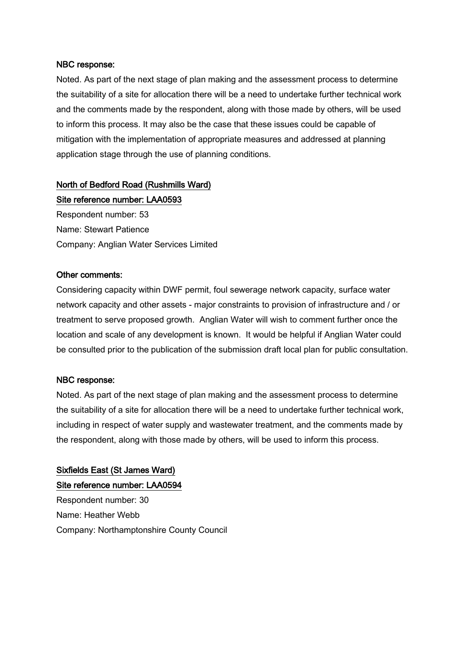Noted. As part of the next stage of plan making and the assessment process to determine the suitability of a site for allocation there will be a need to undertake further technical work and the comments made by the respondent, along with those made by others, will be used to inform this process. It may also be the case that these issues could be capable of mitigation with the implementation of appropriate measures and addressed at planning application stage through the use of planning conditions.

### North of Bedford Road (Rushmills Ward)

Site reference number: LAA0593 Respondent number: 53 Name: Stewart Patience Company: Anglian Water Services Limited

#### Other comments:

Considering capacity within DWF permit, foul sewerage network capacity, surface water network capacity and other assets - major constraints to provision of infrastructure and / or treatment to serve proposed growth. Anglian Water will wish to comment further once the location and scale of any development is known. It would be helpful if Anglian Water could be consulted prior to the publication of the submission draft local plan for public consultation.

#### NBC response:

Noted. As part of the next stage of plan making and the assessment process to determine the suitability of a site for allocation there will be a need to undertake further technical work, including in respect of water supply and wastewater treatment, and the comments made by the respondent, along with those made by others, will be used to inform this process.

Sixfields East (St James Ward) Site reference number: LAA0594 Respondent number: 30 Name: Heather Webb Company: Northamptonshire County Council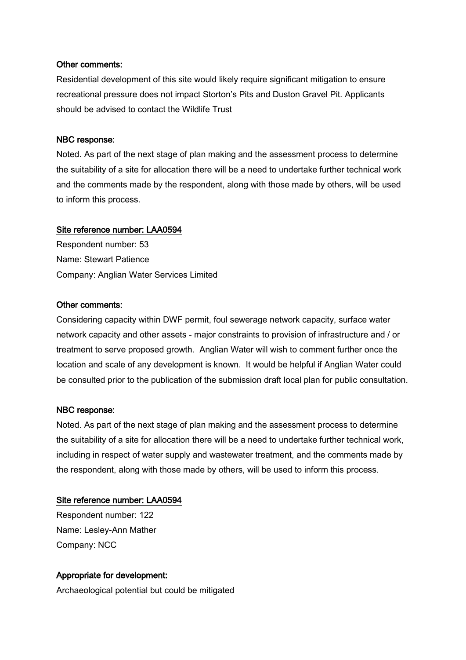#### Other comments:

Residential development of this site would likely require significant mitigation to ensure recreational pressure does not impact Storton's Pits and Duston Gravel Pit. Applicants should be advised to contact the Wildlife Trust

#### NBC response:

Noted. As part of the next stage of plan making and the assessment process to determine the suitability of a site for allocation there will be a need to undertake further technical work and the comments made by the respondent, along with those made by others, will be used to inform this process.

#### Site reference number: LAA0594

Respondent number: 53 Name: Stewart Patience Company: Anglian Water Services Limited

#### Other comments:

Considering capacity within DWF permit, foul sewerage network capacity, surface water network capacity and other assets - major constraints to provision of infrastructure and / or treatment to serve proposed growth. Anglian Water will wish to comment further once the location and scale of any development is known. It would be helpful if Anglian Water could be consulted prior to the publication of the submission draft local plan for public consultation.

#### NBC response:

Noted. As part of the next stage of plan making and the assessment process to determine the suitability of a site for allocation there will be a need to undertake further technical work, including in respect of water supply and wastewater treatment, and the comments made by the respondent, along with those made by others, will be used to inform this process.

#### Site reference number: LAA0594

Respondent number: 122 Name: Lesley-Ann Mather Company: NCC

#### Appropriate for development:

Archaeological potential but could be mitigated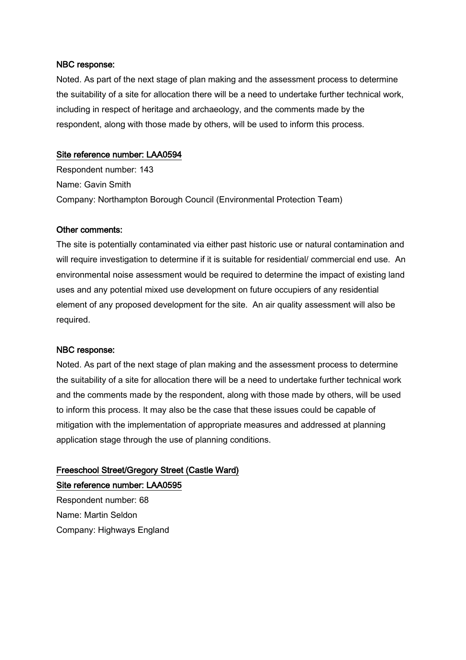Noted. As part of the next stage of plan making and the assessment process to determine the suitability of a site for allocation there will be a need to undertake further technical work, including in respect of heritage and archaeology, and the comments made by the respondent, along with those made by others, will be used to inform this process.

#### Site reference number: LAA0594

Respondent number: 143 Name: Gavin Smith Company: Northampton Borough Council (Environmental Protection Team)

#### Other comments:

The site is potentially contaminated via either past historic use or natural contamination and will require investigation to determine if it is suitable for residential/ commercial end use. An environmental noise assessment would be required to determine the impact of existing land uses and any potential mixed use development on future occupiers of any residential element of any proposed development for the site. An air quality assessment will also be required.

#### NBC response:

Noted. As part of the next stage of plan making and the assessment process to determine the suitability of a site for allocation there will be a need to undertake further technical work and the comments made by the respondent, along with those made by others, will be used to inform this process. It may also be the case that these issues could be capable of mitigation with the implementation of appropriate measures and addressed at planning application stage through the use of planning conditions.

## Freeschool Street/Gregory Street (Castle Ward) Site reference number: LAA0595

Respondent number: 68 Name: Martin Seldon Company: Highways England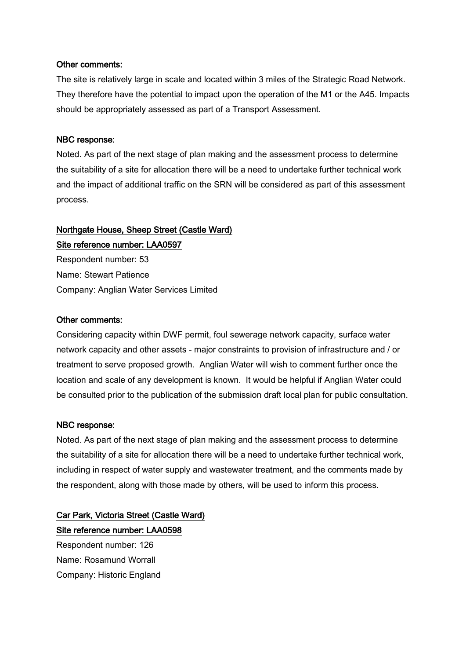#### Other comments:

The site is relatively large in scale and located within 3 miles of the Strategic Road Network. They therefore have the potential to impact upon the operation of the M1 or the A45. Impacts should be appropriately assessed as part of a Transport Assessment.

#### NBC response:

Noted. As part of the next stage of plan making and the assessment process to determine the suitability of a site for allocation there will be a need to undertake further technical work and the impact of additional traffic on the SRN will be considered as part of this assessment process.

## Northgate House, Sheep Street (Castle Ward) Site reference number: LAA0597

Respondent number: 53 Name: Stewart Patience Company: Anglian Water Services Limited

#### Other comments:

Considering capacity within DWF permit, foul sewerage network capacity, surface water network capacity and other assets - major constraints to provision of infrastructure and / or treatment to serve proposed growth. Anglian Water will wish to comment further once the location and scale of any development is known. It would be helpful if Anglian Water could be consulted prior to the publication of the submission draft local plan for public consultation.

#### NBC response:

Noted. As part of the next stage of plan making and the assessment process to determine the suitability of a site for allocation there will be a need to undertake further technical work, including in respect of water supply and wastewater treatment, and the comments made by the respondent, along with those made by others, will be used to inform this process.

# Car Park, Victoria Street (Castle Ward) Site reference number: LAA0598

Respondent number: 126 Name: Rosamund Worrall Company: Historic England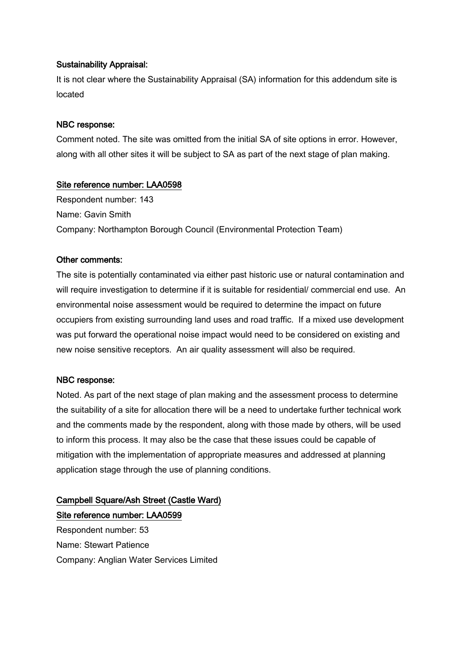#### Sustainability Appraisal:

It is not clear where the Sustainability Appraisal (SA) information for this addendum site is located

#### NBC response:

Comment noted. The site was omitted from the initial SA of site options in error. However, along with all other sites it will be subject to SA as part of the next stage of plan making.

#### Site reference number: LAA0598

Respondent number: 143 Name: Gavin Smith Company: Northampton Borough Council (Environmental Protection Team)

#### Other comments:

The site is potentially contaminated via either past historic use or natural contamination and will require investigation to determine if it is suitable for residential/ commercial end use. An environmental noise assessment would be required to determine the impact on future occupiers from existing surrounding land uses and road traffic. If a mixed use development was put forward the operational noise impact would need to be considered on existing and new noise sensitive receptors. An air quality assessment will also be required.

#### NBC response:

Noted. As part of the next stage of plan making and the assessment process to determine the suitability of a site for allocation there will be a need to undertake further technical work and the comments made by the respondent, along with those made by others, will be used to inform this process. It may also be the case that these issues could be capable of mitigation with the implementation of appropriate measures and addressed at planning application stage through the use of planning conditions.

## Campbell Square/Ash Street (Castle Ward) Site reference number: LAA0599

Respondent number: 53 Name: Stewart Patience Company: Anglian Water Services Limited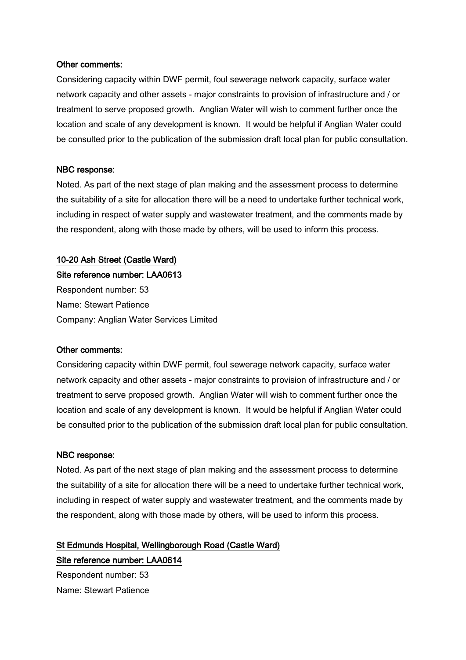#### Other comments:

Considering capacity within DWF permit, foul sewerage network capacity, surface water network capacity and other assets - major constraints to provision of infrastructure and / or treatment to serve proposed growth. Anglian Water will wish to comment further once the location and scale of any development is known. It would be helpful if Anglian Water could be consulted prior to the publication of the submission draft local plan for public consultation.

#### NBC response:

Noted. As part of the next stage of plan making and the assessment process to determine the suitability of a site for allocation there will be a need to undertake further technical work, including in respect of water supply and wastewater treatment, and the comments made by the respondent, along with those made by others, will be used to inform this process.

#### 10-20 Ash Street (Castle Ward)

#### Site reference number: LAA0613

Respondent number: 53 Name: Stewart Patience Company: Anglian Water Services Limited

#### Other comments:

Considering capacity within DWF permit, foul sewerage network capacity, surface water network capacity and other assets - major constraints to provision of infrastructure and / or treatment to serve proposed growth. Anglian Water will wish to comment further once the location and scale of any development is known. It would be helpful if Anglian Water could be consulted prior to the publication of the submission draft local plan for public consultation.

#### NBC response:

Noted. As part of the next stage of plan making and the assessment process to determine the suitability of a site for allocation there will be a need to undertake further technical work, including in respect of water supply and wastewater treatment, and the comments made by the respondent, along with those made by others, will be used to inform this process.

## St Edmunds Hospital, Wellingborough Road (Castle Ward)

Respondent number: 53 Name: Stewart Patience

Site reference number: LAA0614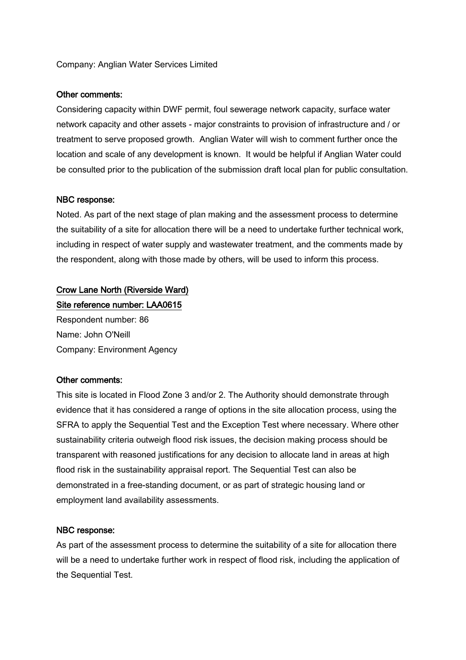#### Company: Anglian Water Services Limited

#### Other comments:

Considering capacity within DWF permit, foul sewerage network capacity, surface water network capacity and other assets - major constraints to provision of infrastructure and / or treatment to serve proposed growth. Anglian Water will wish to comment further once the location and scale of any development is known. It would be helpful if Anglian Water could be consulted prior to the publication of the submission draft local plan for public consultation.

#### NBC response:

Noted. As part of the next stage of plan making and the assessment process to determine the suitability of a site for allocation there will be a need to undertake further technical work, including in respect of water supply and wastewater treatment, and the comments made by the respondent, along with those made by others, will be used to inform this process.

## Crow Lane North (Riverside Ward)

Site reference number: LAA0615

Respondent number: 86 Name: John O'Neill Company: Environment Agency

#### Other comments:

This site is located in Flood Zone 3 and/or 2. The Authority should demonstrate through evidence that it has considered a range of options in the site allocation process, using the SFRA to apply the Sequential Test and the Exception Test where necessary. Where other sustainability criteria outweigh flood risk issues, the decision making process should be transparent with reasoned justifications for any decision to allocate land in areas at high flood risk in the sustainability appraisal report. The Sequential Test can also be demonstrated in a free-standing document, or as part of strategic housing land or employment land availability assessments.

#### NBC response:

As part of the assessment process to determine the suitability of a site for allocation there will be a need to undertake further work in respect of flood risk, including the application of the Sequential Test.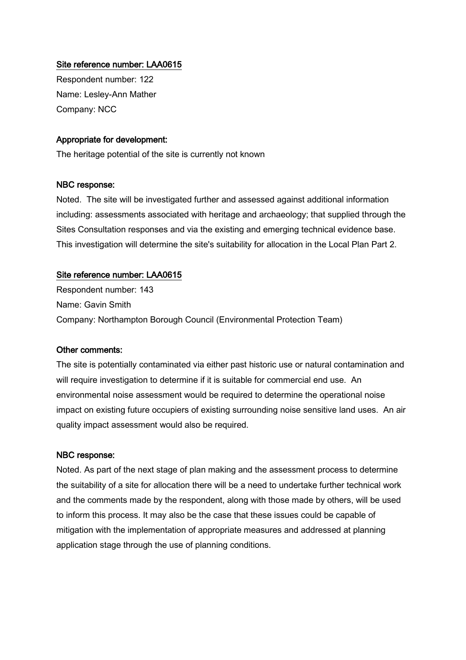#### Site reference number: LAA0615

Respondent number: 122 Name: Lesley-Ann Mather Company: NCC

#### Appropriate for development:

The heritage potential of the site is currently not known

#### NBC response:

Noted. The site will be investigated further and assessed against additional information including: assessments associated with heritage and archaeology; that supplied through the Sites Consultation responses and via the existing and emerging technical evidence base. This investigation will determine the site's suitability for allocation in the Local Plan Part 2.

#### Site reference number: LAA0615

Respondent number: 143 Name: Gavin Smith Company: Northampton Borough Council (Environmental Protection Team)

#### Other comments:

The site is potentially contaminated via either past historic use or natural contamination and will require investigation to determine if it is suitable for commercial end use. An environmental noise assessment would be required to determine the operational noise impact on existing future occupiers of existing surrounding noise sensitive land uses. An air quality impact assessment would also be required.

#### NBC response:

Noted. As part of the next stage of plan making and the assessment process to determine the suitability of a site for allocation there will be a need to undertake further technical work and the comments made by the respondent, along with those made by others, will be used to inform this process. It may also be the case that these issues could be capable of mitigation with the implementation of appropriate measures and addressed at planning application stage through the use of planning conditions.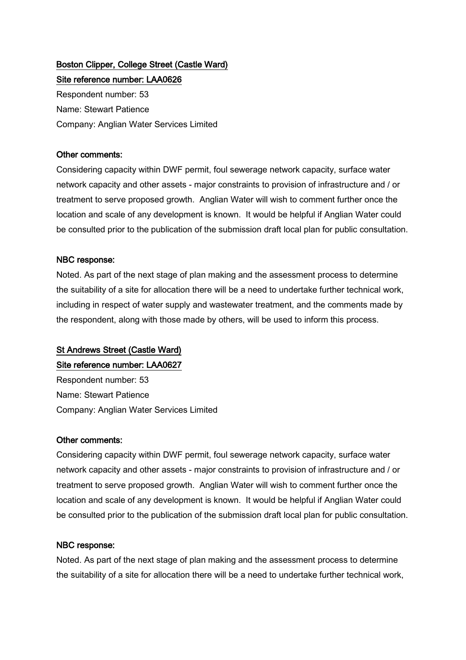# Boston Clipper, College Street (Castle Ward)

Site reference number: LAA0626 Respondent number: 53 Name: Stewart Patience Company: Anglian Water Services Limited

#### Other comments:

Considering capacity within DWF permit, foul sewerage network capacity, surface water network capacity and other assets - major constraints to provision of infrastructure and / or treatment to serve proposed growth. Anglian Water will wish to comment further once the location and scale of any development is known. It would be helpful if Anglian Water could be consulted prior to the publication of the submission draft local plan for public consultation.

#### NBC response:

Noted. As part of the next stage of plan making and the assessment process to determine the suitability of a site for allocation there will be a need to undertake further technical work, including in respect of water supply and wastewater treatment, and the comments made by the respondent, along with those made by others, will be used to inform this process.

### St Andrews Street (Castle Ward)

#### Site reference number: LAA0627

Respondent number: 53 Name: Stewart Patience Company: Anglian Water Services Limited

#### Other comments:

Considering capacity within DWF permit, foul sewerage network capacity, surface water network capacity and other assets - major constraints to provision of infrastructure and / or treatment to serve proposed growth. Anglian Water will wish to comment further once the location and scale of any development is known. It would be helpful if Anglian Water could be consulted prior to the publication of the submission draft local plan for public consultation.

#### NBC response:

Noted. As part of the next stage of plan making and the assessment process to determine the suitability of a site for allocation there will be a need to undertake further technical work,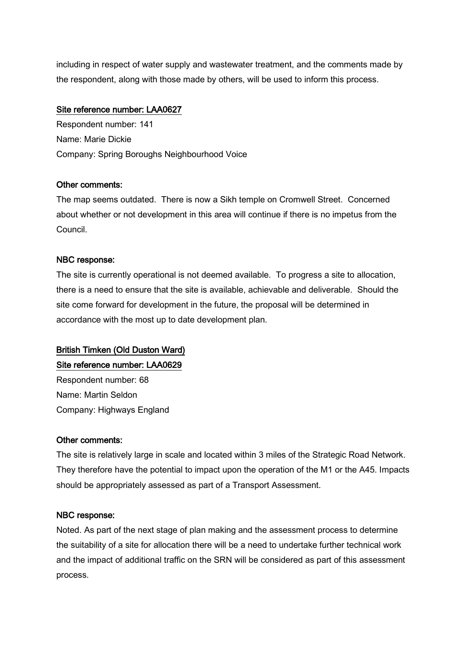including in respect of water supply and wastewater treatment, and the comments made by the respondent, along with those made by others, will be used to inform this process.

#### Site reference number: LAA0627

Respondent number: 141 Name: Marie Dickie Company: Spring Boroughs Neighbourhood Voice

#### Other comments:

The map seems outdated. There is now a Sikh temple on Cromwell Street. Concerned about whether or not development in this area will continue if there is no impetus from the Council.

### NBC response:

The site is currently operational is not deemed available. To progress a site to allocation, there is a need to ensure that the site is available, achievable and deliverable. Should the site come forward for development in the future, the proposal will be determined in accordance with the most up to date development plan.

## British Timken (Old Duston Ward)

Site reference number: LAA0629

Respondent number: 68 Name: Martin Seldon Company: Highways England

#### Other comments:

The site is relatively large in scale and located within 3 miles of the Strategic Road Network. They therefore have the potential to impact upon the operation of the M1 or the A45. Impacts should be appropriately assessed as part of a Transport Assessment.

### NBC response:

Noted. As part of the next stage of plan making and the assessment process to determine the suitability of a site for allocation there will be a need to undertake further technical work and the impact of additional traffic on the SRN will be considered as part of this assessment process.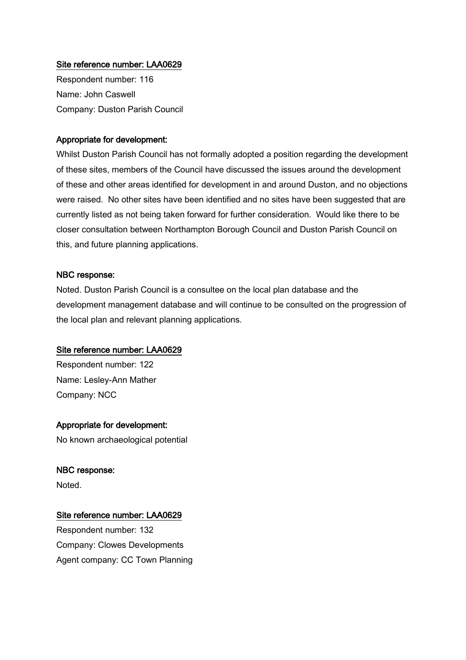#### Site reference number: LAA0629

Respondent number: 116 Name: John Caswell Company: Duston Parish Council

#### Appropriate for development:

Whilst Duston Parish Council has not formally adopted a position regarding the development of these sites, members of the Council have discussed the issues around the development of these and other areas identified for development in and around Duston, and no objections were raised. No other sites have been identified and no sites have been suggested that are currently listed as not being taken forward for further consideration. Would like there to be closer consultation between Northampton Borough Council and Duston Parish Council on this, and future planning applications.

#### NBC response:

Noted. Duston Parish Council is a consultee on the local plan database and the development management database and will continue to be consulted on the progression of the local plan and relevant planning applications.

#### Site reference number: LAA0629

Respondent number: 122 Name: Lesley-Ann Mather Company: NCC

Appropriate for development:

No known archaeological potential

#### NBC response:

Noted.

#### Site reference number: LAA0629

Respondent number: 132 Company: Clowes Developments Agent company: CC Town Planning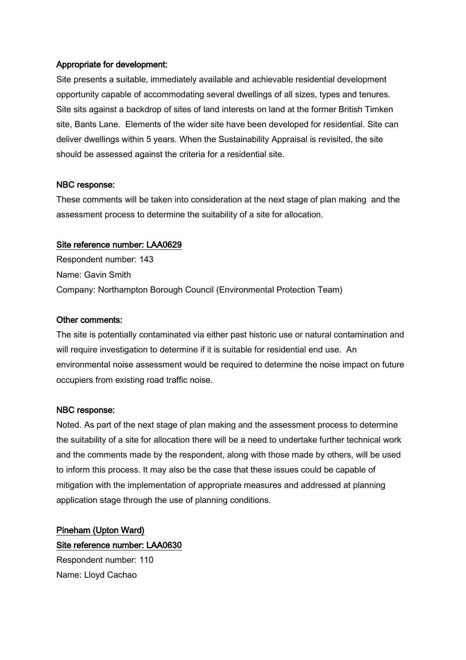#### Appropriate for development:

Site presents a suitable, immediately available and achievable residential development opportunity capable of accommodating several dwellings of all sizes, types and tenures. Site sits against a backdrop of sites of land interests on land at the former British Timken site, Bants Lane. Elements of the wider site have been developed for residential. Site can deliver dwellings within 5 years. When the Sustainability Appraisal is revisited, the site should be assessed against the criteria for a residential site.

#### NBC response:

These comments will be taken into consideration at the next stage of plan making and the assessment process to determine the suitability of a site for allocation.

#### Site reference number: LAA0629

Respondent number: 143 Name: Gavin Smith Company: Northampton Borough Council (Environmental Protection Team)

#### Other comments:

The site is potentially contaminated via either past historic use or natural contamination and will require investigation to determine if it is suitable for residential end use. An environmental noise assessment would be required to determine the noise impact on future occupiers from existing road traffic noise.

#### NBC response:

Noted. As part of the next stage of plan making and the assessment process to determine the suitability of a site for allocation there will be a need to undertake further technical work and the comments made by the respondent, along with those made by others, will be used to inform this process. It may also be the case that these issues could be capable of mitigation with the implementation of appropriate measures and addressed at planning application stage through the use of planning conditions.

## Pineham (Upton Ward) Site reference number: LAA0630

Respondent number: 110 Name: Lloyd Cachao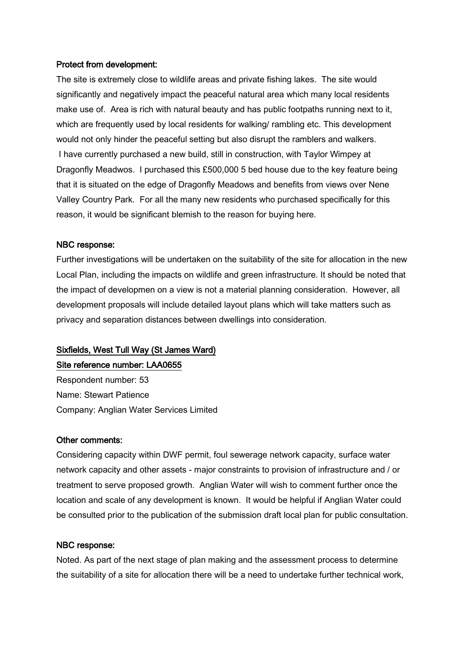#### Protect from development:

The site is extremely close to wildlife areas and private fishing lakes. The site would significantly and negatively impact the peaceful natural area which many local residents make use of. Area is rich with natural beauty and has public footpaths running next to it, which are frequently used by local residents for walking/ rambling etc. This development would not only hinder the peaceful setting but also disrupt the ramblers and walkers. I have currently purchased a new build, still in construction, with Taylor Wimpey at Dragonfly Meadwos. I purchased this £500,000 5 bed house due to the key feature being that it is situated on the edge of Dragonfly Meadows and benefits from views over Nene Valley Country Park. For all the many new residents who purchased specifically for this reason, it would be significant blemish to the reason for buying here.

#### NBC response:

Further investigations will be undertaken on the suitability of the site for allocation in the new Local Plan, including the impacts on wildlife and green infrastructure. It should be noted that the impact of developmen on a view is not a material planning consideration. However, all development proposals will include detailed layout plans which will take matters such as privacy and separation distances between dwellings into consideration.

## Sixfields, West Tull Way (St James Ward)

Site reference number: LAA0655

Respondent number: 53 Name: Stewart Patience Company: Anglian Water Services Limited

#### Other comments:

Considering capacity within DWF permit, foul sewerage network capacity, surface water network capacity and other assets - major constraints to provision of infrastructure and / or treatment to serve proposed growth. Anglian Water will wish to comment further once the location and scale of any development is known. It would be helpful if Anglian Water could be consulted prior to the publication of the submission draft local plan for public consultation.

#### NBC response:

Noted. As part of the next stage of plan making and the assessment process to determine the suitability of a site for allocation there will be a need to undertake further technical work,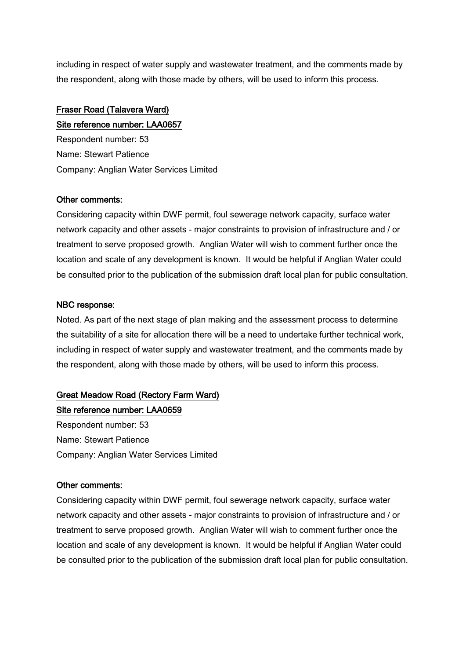including in respect of water supply and wastewater treatment, and the comments made by the respondent, along with those made by others, will be used to inform this process.

## Fraser Road (Talavera Ward)

Site reference number: LAA0657 Respondent number: 53 Name: Stewart Patience Company: Anglian Water Services Limited

#### Other comments:

Considering capacity within DWF permit, foul sewerage network capacity, surface water network capacity and other assets - major constraints to provision of infrastructure and / or treatment to serve proposed growth. Anglian Water will wish to comment further once the location and scale of any development is known. It would be helpful if Anglian Water could be consulted prior to the publication of the submission draft local plan for public consultation.

### NBC response:

Noted. As part of the next stage of plan making and the assessment process to determine the suitability of a site for allocation there will be a need to undertake further technical work, including in respect of water supply and wastewater treatment, and the comments made by the respondent, along with those made by others, will be used to inform this process.

## Great Meadow Road (Rectory Farm Ward)

Site reference number: LAA0659 Respondent number: 53 Name: Stewart Patience Company: Anglian Water Services Limited

#### Other comments:

Considering capacity within DWF permit, foul sewerage network capacity, surface water network capacity and other assets - major constraints to provision of infrastructure and / or treatment to serve proposed growth. Anglian Water will wish to comment further once the location and scale of any development is known. It would be helpful if Anglian Water could be consulted prior to the publication of the submission draft local plan for public consultation.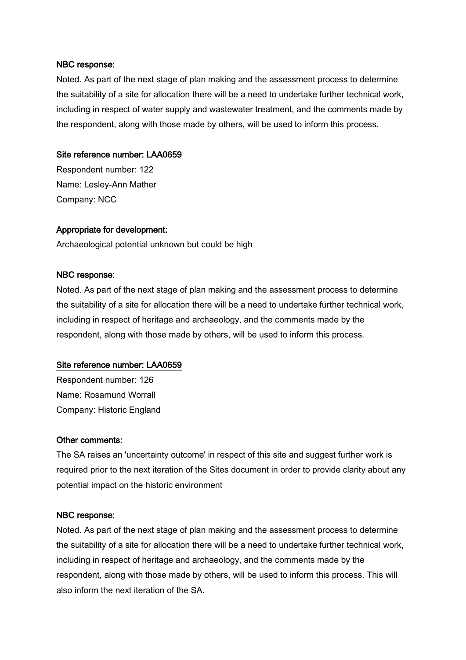Noted. As part of the next stage of plan making and the assessment process to determine the suitability of a site for allocation there will be a need to undertake further technical work, including in respect of water supply and wastewater treatment, and the comments made by the respondent, along with those made by others, will be used to inform this process.

#### Site reference number: LAA0659

Respondent number: 122 Name: Lesley-Ann Mather Company: NCC

#### Appropriate for development:

Archaeological potential unknown but could be high

#### NBC response:

Noted. As part of the next stage of plan making and the assessment process to determine the suitability of a site for allocation there will be a need to undertake further technical work, including in respect of heritage and archaeology, and the comments made by the respondent, along with those made by others, will be used to inform this process.

#### Site reference number: LAA0659

Respondent number: 126 Name: Rosamund Worrall Company: Historic England

#### Other comments:

The SA raises an 'uncertainty outcome' in respect of this site and suggest further work is required prior to the next iteration of the Sites document in order to provide clarity about any potential impact on the historic environment

#### NBC response:

Noted. As part of the next stage of plan making and the assessment process to determine the suitability of a site for allocation there will be a need to undertake further technical work, including in respect of heritage and archaeology, and the comments made by the respondent, along with those made by others, will be used to inform this process. This will also inform the next iteration of the SA.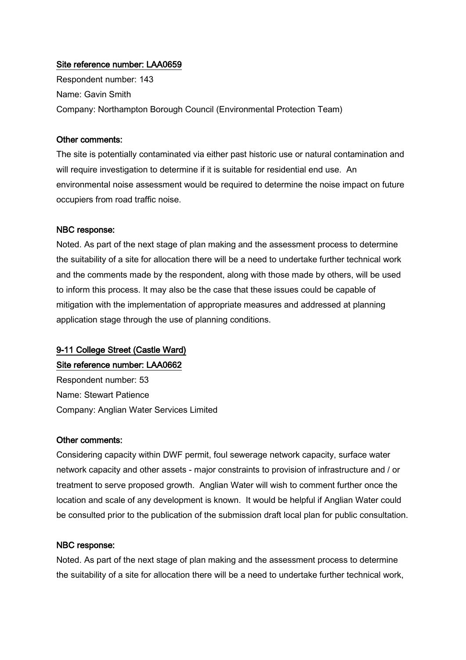#### Site reference number: LAA0659

Respondent number: 143 Name: Gavin Smith Company: Northampton Borough Council (Environmental Protection Team)

#### Other comments:

The site is potentially contaminated via either past historic use or natural contamination and will require investigation to determine if it is suitable for residential end use. An environmental noise assessment would be required to determine the noise impact on future occupiers from road traffic noise.

#### NBC response:

Noted. As part of the next stage of plan making and the assessment process to determine the suitability of a site for allocation there will be a need to undertake further technical work and the comments made by the respondent, along with those made by others, will be used to inform this process. It may also be the case that these issues could be capable of mitigation with the implementation of appropriate measures and addressed at planning application stage through the use of planning conditions.

## 9-11 College Street (Castle Ward)

Site reference number: LAA0662

Respondent number: 53 Name: Stewart Patience Company: Anglian Water Services Limited

#### Other comments:

Considering capacity within DWF permit, foul sewerage network capacity, surface water network capacity and other assets - major constraints to provision of infrastructure and / or treatment to serve proposed growth. Anglian Water will wish to comment further once the location and scale of any development is known. It would be helpful if Anglian Water could be consulted prior to the publication of the submission draft local plan for public consultation.

#### NBC response:

Noted. As part of the next stage of plan making and the assessment process to determine the suitability of a site for allocation there will be a need to undertake further technical work,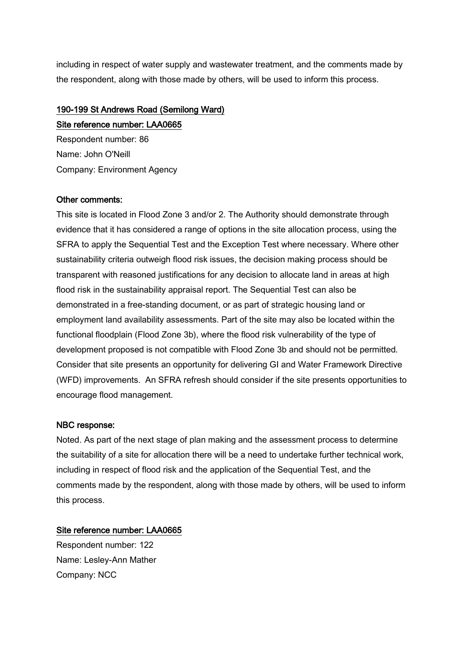including in respect of water supply and wastewater treatment, and the comments made by the respondent, along with those made by others, will be used to inform this process.

## 190-199 St Andrews Road (Semilong Ward)

### Site reference number: LAA0665

Respondent number: 86 Name: John O'Neill Company: Environment Agency

#### Other comments:

This site is located in Flood Zone 3 and/or 2. The Authority should demonstrate through evidence that it has considered a range of options in the site allocation process, using the SFRA to apply the Sequential Test and the Exception Test where necessary. Where other sustainability criteria outweigh flood risk issues, the decision making process should be transparent with reasoned justifications for any decision to allocate land in areas at high flood risk in the sustainability appraisal report. The Sequential Test can also be demonstrated in a free-standing document, or as part of strategic housing land or employment land availability assessments. Part of the site may also be located within the functional floodplain (Flood Zone 3b), where the flood risk vulnerability of the type of development proposed is not compatible with Flood Zone 3b and should not be permitted. Consider that site presents an opportunity for delivering GI and Water Framework Directive (WFD) improvements. An SFRA refresh should consider if the site presents opportunities to encourage flood management.

#### NBC response:

Noted. As part of the next stage of plan making and the assessment process to determine the suitability of a site for allocation there will be a need to undertake further technical work, including in respect of flood risk and the application of the Sequential Test, and the comments made by the respondent, along with those made by others, will be used to inform this process.

#### Site reference number: LAA0665

Respondent number: 122 Name: Lesley-Ann Mather Company: NCC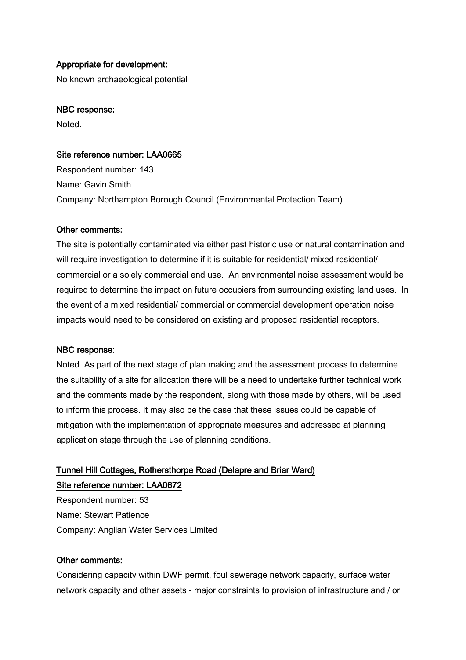#### Appropriate for development:

No known archaeological potential

#### NBC response:

Noted.

#### Site reference number: LAA0665

Respondent number: 143 Name: Gavin Smith Company: Northampton Borough Council (Environmental Protection Team)

#### Other comments:

The site is potentially contaminated via either past historic use or natural contamination and will require investigation to determine if it is suitable for residential/ mixed residential/ commercial or a solely commercial end use. An environmental noise assessment would be required to determine the impact on future occupiers from surrounding existing land uses. In the event of a mixed residential/ commercial or commercial development operation noise impacts would need to be considered on existing and proposed residential receptors.

#### NBC response:

Noted. As part of the next stage of plan making and the assessment process to determine the suitability of a site for allocation there will be a need to undertake further technical work and the comments made by the respondent, along with those made by others, will be used to inform this process. It may also be the case that these issues could be capable of mitigation with the implementation of appropriate measures and addressed at planning application stage through the use of planning conditions.

## Tunnel Hill Cottages, Rothersthorpe Road (Delapre and Briar Ward) Site reference number: LAA0672

Respondent number: 53 Name: Stewart Patience Company: Anglian Water Services Limited

#### Other comments:

Considering capacity within DWF permit, foul sewerage network capacity, surface water network capacity and other assets - major constraints to provision of infrastructure and / or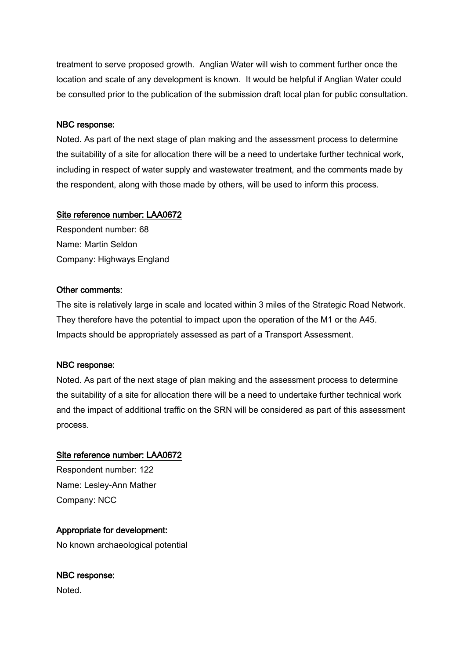treatment to serve proposed growth. Anglian Water will wish to comment further once the location and scale of any development is known. It would be helpful if Anglian Water could be consulted prior to the publication of the submission draft local plan for public consultation.

#### NBC response:

Noted. As part of the next stage of plan making and the assessment process to determine the suitability of a site for allocation there will be a need to undertake further technical work, including in respect of water supply and wastewater treatment, and the comments made by the respondent, along with those made by others, will be used to inform this process.

#### Site reference number: LAA0672

Respondent number: 68 Name: Martin Seldon Company: Highways England

#### Other comments:

The site is relatively large in scale and located within 3 miles of the Strategic Road Network. They therefore have the potential to impact upon the operation of the M1 or the A45. Impacts should be appropriately assessed as part of a Transport Assessment.

#### NBC response:

Noted. As part of the next stage of plan making and the assessment process to determine the suitability of a site for allocation there will be a need to undertake further technical work and the impact of additional traffic on the SRN will be considered as part of this assessment process.

#### Site reference number: LAA0672

Respondent number: 122 Name: Lesley-Ann Mather Company: NCC

#### Appropriate for development:

No known archaeological potential

## NBC response:

Noted.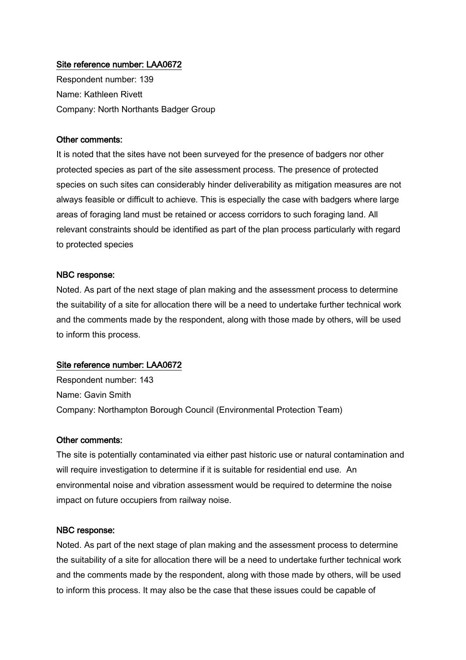#### Site reference number: LAA0672

Respondent number: 139 Name: Kathleen Rivett Company: North Northants Badger Group

#### Other comments:

It is noted that the sites have not been surveyed for the presence of badgers nor other protected species as part of the site assessment process. The presence of protected species on such sites can considerably hinder deliverability as mitigation measures are not always feasible or difficult to achieve. This is especially the case with badgers where large areas of foraging land must be retained or access corridors to such foraging land. All relevant constraints should be identified as part of the plan process particularly with regard to protected species

#### NBC response:

Noted. As part of the next stage of plan making and the assessment process to determine the suitability of a site for allocation there will be a need to undertake further technical work and the comments made by the respondent, along with those made by others, will be used to inform this process.

#### Site reference number: LAA0672

Respondent number: 143 Name: Gavin Smith Company: Northampton Borough Council (Environmental Protection Team)

#### Other comments:

The site is potentially contaminated via either past historic use or natural contamination and will require investigation to determine if it is suitable for residential end use. An environmental noise and vibration assessment would be required to determine the noise impact on future occupiers from railway noise.

#### NBC response:

Noted. As part of the next stage of plan making and the assessment process to determine the suitability of a site for allocation there will be a need to undertake further technical work and the comments made by the respondent, along with those made by others, will be used to inform this process. It may also be the case that these issues could be capable of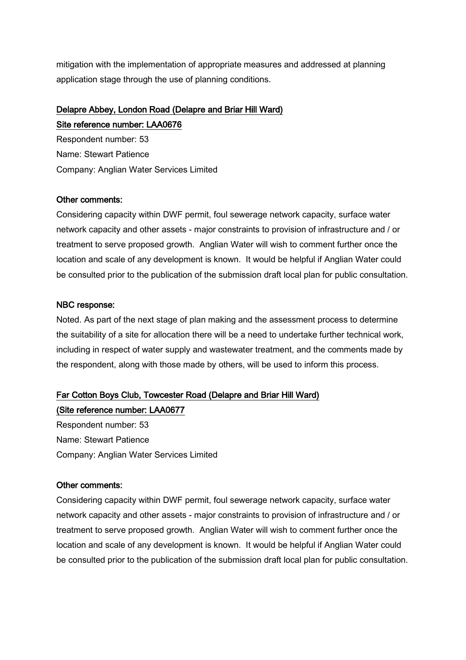mitigation with the implementation of appropriate measures and addressed at planning application stage through the use of planning conditions.

## Delapre Abbey, London Road (Delapre and Briar Hill Ward) Site reference number: LAA0676

Respondent number: 53 Name: Stewart Patience Company: Anglian Water Services Limited

#### Other comments:

Considering capacity within DWF permit, foul sewerage network capacity, surface water network capacity and other assets - major constraints to provision of infrastructure and / or treatment to serve proposed growth. Anglian Water will wish to comment further once the location and scale of any development is known. It would be helpful if Anglian Water could be consulted prior to the publication of the submission draft local plan for public consultation.

#### NBC response:

Noted. As part of the next stage of plan making and the assessment process to determine the suitability of a site for allocation there will be a need to undertake further technical work, including in respect of water supply and wastewater treatment, and the comments made by the respondent, along with those made by others, will be used to inform this process.

## Far Cotton Boys Club, Towcester Road (Delapre and Briar Hill Ward)

(Site reference number: LAA0677 Respondent number: 53 Name: Stewart Patience Company: Anglian Water Services Limited

#### Other comments:

Considering capacity within DWF permit, foul sewerage network capacity, surface water network capacity and other assets - major constraints to provision of infrastructure and / or treatment to serve proposed growth. Anglian Water will wish to comment further once the location and scale of any development is known. It would be helpful if Anglian Water could be consulted prior to the publication of the submission draft local plan for public consultation.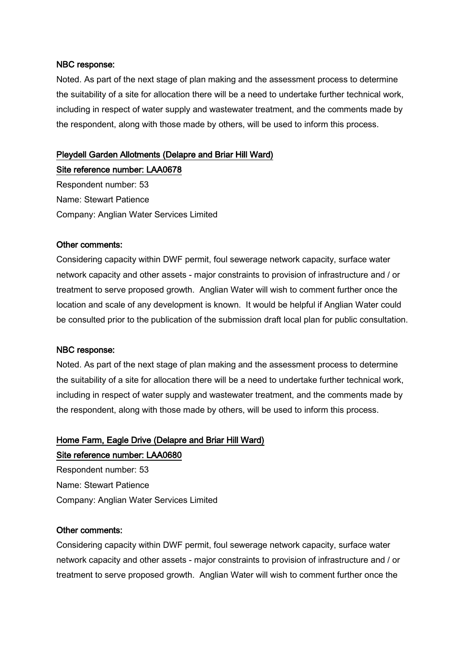Noted. As part of the next stage of plan making and the assessment process to determine the suitability of a site for allocation there will be a need to undertake further technical work, including in respect of water supply and wastewater treatment, and the comments made by the respondent, along with those made by others, will be used to inform this process.

#### Pleydell Garden Allotments (Delapre and Briar Hill Ward)

Site reference number: LAA0678 Respondent number: 53 Name: Stewart Patience Company: Anglian Water Services Limited

#### Other comments:

Considering capacity within DWF permit, foul sewerage network capacity, surface water network capacity and other assets - major constraints to provision of infrastructure and / or treatment to serve proposed growth. Anglian Water will wish to comment further once the location and scale of any development is known. It would be helpful if Anglian Water could be consulted prior to the publication of the submission draft local plan for public consultation.

#### NBC response:

Noted. As part of the next stage of plan making and the assessment process to determine the suitability of a site for allocation there will be a need to undertake further technical work, including in respect of water supply and wastewater treatment, and the comments made by the respondent, along with those made by others, will be used to inform this process.

## Home Farm, Eagle Drive (Delapre and Briar Hill Ward)

#### Site reference number: LAA0680

Respondent number: 53 Name: Stewart Patience Company: Anglian Water Services Limited

#### Other comments:

Considering capacity within DWF permit, foul sewerage network capacity, surface water network capacity and other assets - major constraints to provision of infrastructure and / or treatment to serve proposed growth. Anglian Water will wish to comment further once the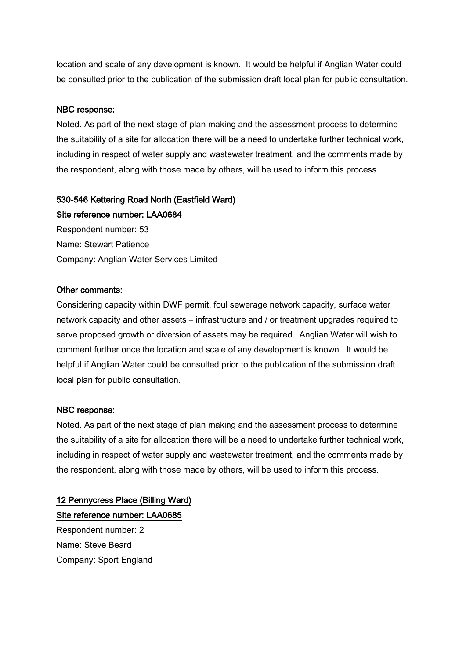location and scale of any development is known. It would be helpful if Anglian Water could be consulted prior to the publication of the submission draft local plan for public consultation.

#### NBC response:

Noted. As part of the next stage of plan making and the assessment process to determine the suitability of a site for allocation there will be a need to undertake further technical work, including in respect of water supply and wastewater treatment, and the comments made by the respondent, along with those made by others, will be used to inform this process.

#### 530-546 Kettering Road North (Eastfield Ward)

Site reference number: LAA0684 Respondent number: 53 Name: Stewart Patience Company: Anglian Water Services Limited

#### Other comments:

Considering capacity within DWF permit, foul sewerage network capacity, surface water network capacity and other assets – infrastructure and / or treatment upgrades required to serve proposed growth or diversion of assets may be required. Anglian Water will wish to comment further once the location and scale of any development is known. It would be helpful if Anglian Water could be consulted prior to the publication of the submission draft local plan for public consultation.

#### NBC response:

Noted. As part of the next stage of plan making and the assessment process to determine the suitability of a site for allocation there will be a need to undertake further technical work, including in respect of water supply and wastewater treatment, and the comments made by the respondent, along with those made by others, will be used to inform this process.

## 12 Pennycress Place (Billing Ward) Site reference number: LAA0685

Respondent number: 2 Name: Steve Beard Company: Sport England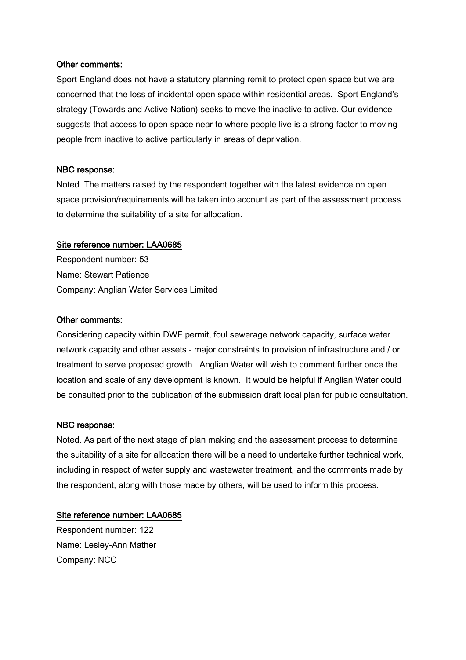#### Other comments:

Sport England does not have a statutory planning remit to protect open space but we are concerned that the loss of incidental open space within residential areas. Sport England's strategy (Towards and Active Nation) seeks to move the inactive to active. Our evidence suggests that access to open space near to where people live is a strong factor to moving people from inactive to active particularly in areas of deprivation.

#### NBC response:

Noted. The matters raised by the respondent together with the latest evidence on open space provision/requirements will be taken into account as part of the assessment process to determine the suitability of a site for allocation.

#### Site reference number: LAA0685

Respondent number: 53 Name: Stewart Patience Company: Anglian Water Services Limited

#### Other comments:

Considering capacity within DWF permit, foul sewerage network capacity, surface water network capacity and other assets - major constraints to provision of infrastructure and / or treatment to serve proposed growth. Anglian Water will wish to comment further once the location and scale of any development is known. It would be helpful if Anglian Water could be consulted prior to the publication of the submission draft local plan for public consultation.

#### NBC response:

Noted. As part of the next stage of plan making and the assessment process to determine the suitability of a site for allocation there will be a need to undertake further technical work, including in respect of water supply and wastewater treatment, and the comments made by the respondent, along with those made by others, will be used to inform this process.

#### Site reference number: LAA0685

Respondent number: 122 Name: Lesley-Ann Mather Company: NCC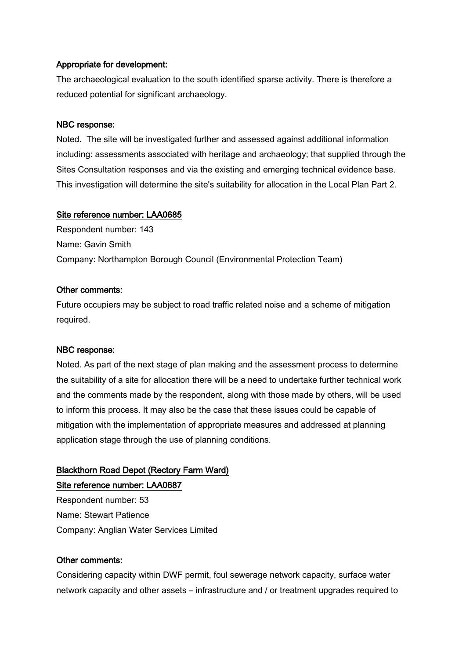#### Appropriate for development:

The archaeological evaluation to the south identified sparse activity. There is therefore a reduced potential for significant archaeology.

#### NBC response:

Noted. The site will be investigated further and assessed against additional information including: assessments associated with heritage and archaeology; that supplied through the Sites Consultation responses and via the existing and emerging technical evidence base. This investigation will determine the site's suitability for allocation in the Local Plan Part 2.

#### Site reference number: LAA0685

Respondent number: 143 Name: Gavin Smith Company: Northampton Borough Council (Environmental Protection Team)

#### Other comments:

Future occupiers may be subject to road traffic related noise and a scheme of mitigation required.

#### NBC response:

Noted. As part of the next stage of plan making and the assessment process to determine the suitability of a site for allocation there will be a need to undertake further technical work and the comments made by the respondent, along with those made by others, will be used to inform this process. It may also be the case that these issues could be capable of mitigation with the implementation of appropriate measures and addressed at planning application stage through the use of planning conditions.

# Blackthorn Road Depot (Rectory Farm Ward)

Site reference number: LAA0687

Respondent number: 53 Name: Stewart Patience Company: Anglian Water Services Limited

#### Other comments:

Considering capacity within DWF permit, foul sewerage network capacity, surface water network capacity and other assets – infrastructure and / or treatment upgrades required to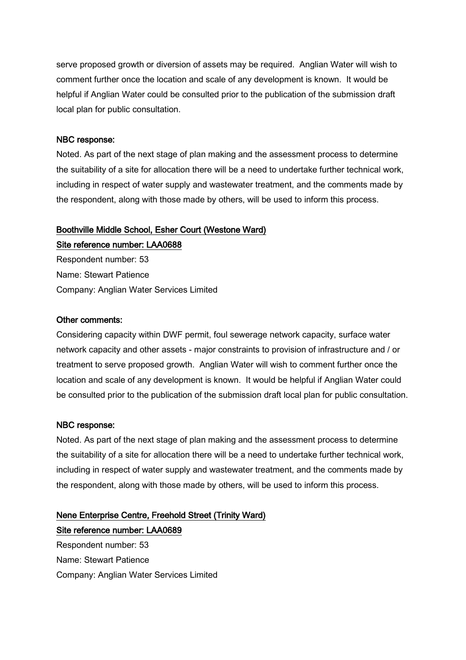serve proposed growth or diversion of assets may be required. Anglian Water will wish to comment further once the location and scale of any development is known. It would be helpful if Anglian Water could be consulted prior to the publication of the submission draft local plan for public consultation.

#### NBC response:

Noted. As part of the next stage of plan making and the assessment process to determine the suitability of a site for allocation there will be a need to undertake further technical work, including in respect of water supply and wastewater treatment, and the comments made by the respondent, along with those made by others, will be used to inform this process.

### Boothville Middle School, Esher Court (Westone Ward)

Site reference number: LAA0688 Respondent number: 53 Name: Stewart Patience Company: Anglian Water Services Limited

#### Other comments:

Considering capacity within DWF permit, foul sewerage network capacity, surface water network capacity and other assets - major constraints to provision of infrastructure and / or treatment to serve proposed growth. Anglian Water will wish to comment further once the location and scale of any development is known. It would be helpful if Anglian Water could be consulted prior to the publication of the submission draft local plan for public consultation.

#### NBC response:

Noted. As part of the next stage of plan making and the assessment process to determine the suitability of a site for allocation there will be a need to undertake further technical work, including in respect of water supply and wastewater treatment, and the comments made by the respondent, along with those made by others, will be used to inform this process.

## Nene Enterprise Centre, Freehold Street (Trinity Ward) Site reference number: LAA0689

Respondent number: 53 Name: Stewart Patience Company: Anglian Water Services Limited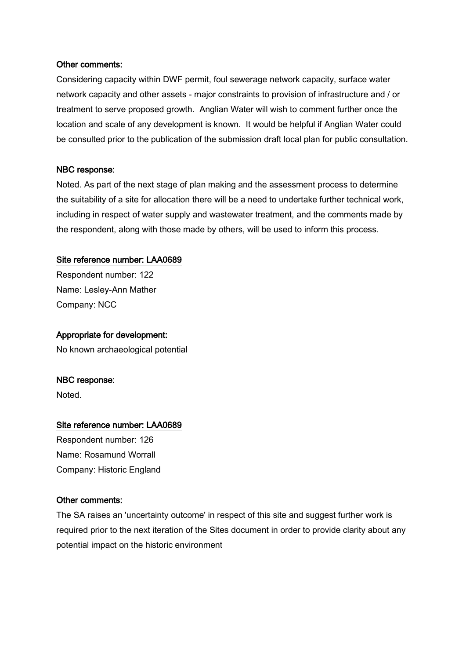#### Other comments:

Considering capacity within DWF permit, foul sewerage network capacity, surface water network capacity and other assets - major constraints to provision of infrastructure and / or treatment to serve proposed growth. Anglian Water will wish to comment further once the location and scale of any development is known. It would be helpful if Anglian Water could be consulted prior to the publication of the submission draft local plan for public consultation.

#### NBC response:

Noted. As part of the next stage of plan making and the assessment process to determine the suitability of a site for allocation there will be a need to undertake further technical work, including in respect of water supply and wastewater treatment, and the comments made by the respondent, along with those made by others, will be used to inform this process.

#### Site reference number: LAA0689

Respondent number: 122 Name: Lesley-Ann Mather Company: NCC

#### Appropriate for development:

No known archaeological potential

#### NBC response:

Noted.

#### Site reference number: LAA0689

Respondent number: 126 Name: Rosamund Worrall Company: Historic England

#### Other comments:

The SA raises an 'uncertainty outcome' in respect of this site and suggest further work is required prior to the next iteration of the Sites document in order to provide clarity about any potential impact on the historic environment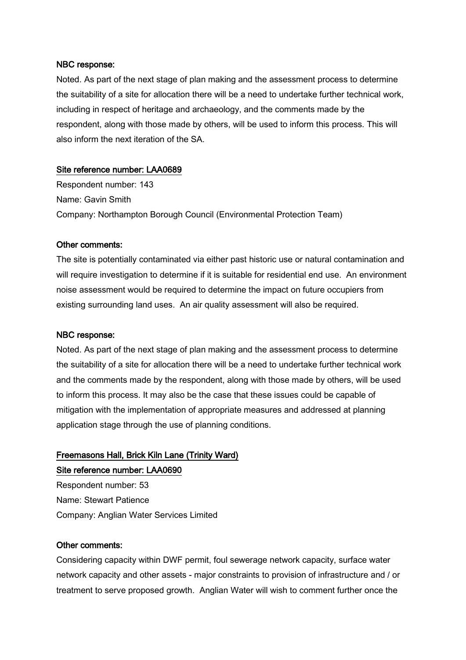Noted. As part of the next stage of plan making and the assessment process to determine the suitability of a site for allocation there will be a need to undertake further technical work, including in respect of heritage and archaeology, and the comments made by the respondent, along with those made by others, will be used to inform this process. This will also inform the next iteration of the SA.

#### Site reference number: LAA0689

Respondent number: 143 Name: Gavin Smith Company: Northampton Borough Council (Environmental Protection Team)

#### Other comments:

The site is potentially contaminated via either past historic use or natural contamination and will require investigation to determine if it is suitable for residential end use. An environment noise assessment would be required to determine the impact on future occupiers from existing surrounding land uses. An air quality assessment will also be required.

#### NBC response:

Noted. As part of the next stage of plan making and the assessment process to determine the suitability of a site for allocation there will be a need to undertake further technical work and the comments made by the respondent, along with those made by others, will be used to inform this process. It may also be the case that these issues could be capable of mitigation with the implementation of appropriate measures and addressed at planning application stage through the use of planning conditions.

## Freemasons Hall, Brick Kiln Lane (Trinity Ward) Site reference number: LAA0690

Respondent number: 53 Name: Stewart Patience Company: Anglian Water Services Limited

#### Other comments:

Considering capacity within DWF permit, foul sewerage network capacity, surface water network capacity and other assets - major constraints to provision of infrastructure and / or treatment to serve proposed growth. Anglian Water will wish to comment further once the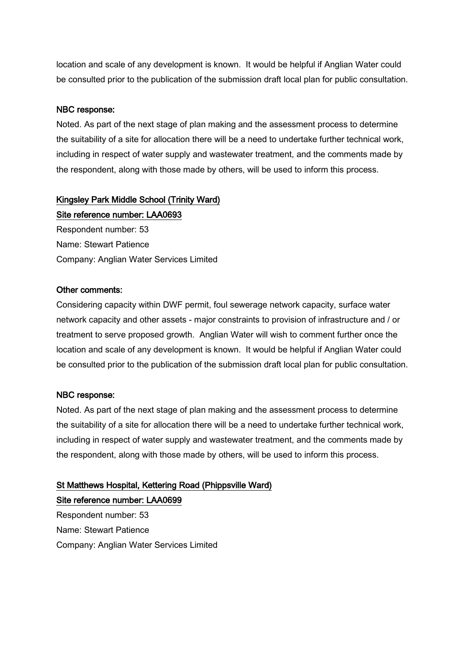location and scale of any development is known. It would be helpful if Anglian Water could be consulted prior to the publication of the submission draft local plan for public consultation.

#### NBC response:

Noted. As part of the next stage of plan making and the assessment process to determine the suitability of a site for allocation there will be a need to undertake further technical work, including in respect of water supply and wastewater treatment, and the comments made by the respondent, along with those made by others, will be used to inform this process.

# Kingsley Park Middle School (Trinity Ward)

Site reference number: LAA0693 Respondent number: 53 Name: Stewart Patience Company: Anglian Water Services Limited

#### Other comments:

Considering capacity within DWF permit, foul sewerage network capacity, surface water network capacity and other assets - major constraints to provision of infrastructure and / or treatment to serve proposed growth. Anglian Water will wish to comment further once the location and scale of any development is known. It would be helpful if Anglian Water could be consulted prior to the publication of the submission draft local plan for public consultation.

#### NBC response:

Noted. As part of the next stage of plan making and the assessment process to determine the suitability of a site for allocation there will be a need to undertake further technical work, including in respect of water supply and wastewater treatment, and the comments made by the respondent, along with those made by others, will be used to inform this process.

## St Matthews Hospital, Kettering Road (Phippsville Ward)

Site reference number: LAA0699 Respondent number: 53 Name: Stewart Patience Company: Anglian Water Services Limited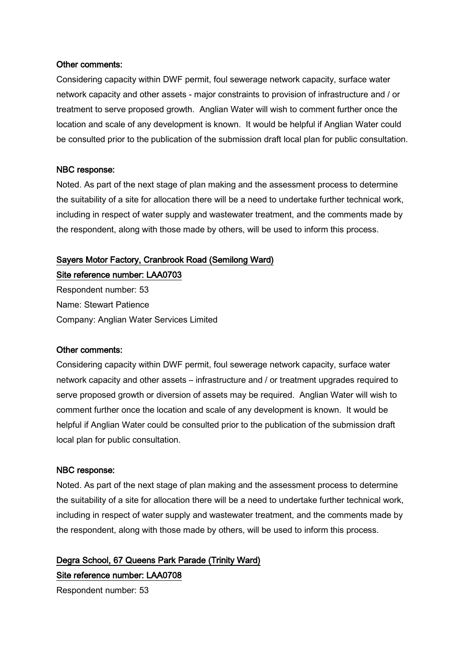#### Other comments:

Considering capacity within DWF permit, foul sewerage network capacity, surface water network capacity and other assets - major constraints to provision of infrastructure and / or treatment to serve proposed growth. Anglian Water will wish to comment further once the location and scale of any development is known. It would be helpful if Anglian Water could be consulted prior to the publication of the submission draft local plan for public consultation.

#### NBC response:

Noted. As part of the next stage of plan making and the assessment process to determine the suitability of a site for allocation there will be a need to undertake further technical work, including in respect of water supply and wastewater treatment, and the comments made by the respondent, along with those made by others, will be used to inform this process.

#### Sayers Motor Factory, Cranbrook Road (Semilong Ward)

Site reference number: LAA0703 Respondent number: 53 Name: Stewart Patience

Company: Anglian Water Services Limited

#### Other comments:

Considering capacity within DWF permit, foul sewerage network capacity, surface water network capacity and other assets – infrastructure and / or treatment upgrades required to serve proposed growth or diversion of assets may be required. Anglian Water will wish to comment further once the location and scale of any development is known. It would be helpful if Anglian Water could be consulted prior to the publication of the submission draft local plan for public consultation.

#### NBC response:

Noted. As part of the next stage of plan making and the assessment process to determine the suitability of a site for allocation there will be a need to undertake further technical work, including in respect of water supply and wastewater treatment, and the comments made by the respondent, along with those made by others, will be used to inform this process.

Degra School, 67 Queens Park Parade (Trinity Ward) Site reference number: LAA0708

Respondent number: 53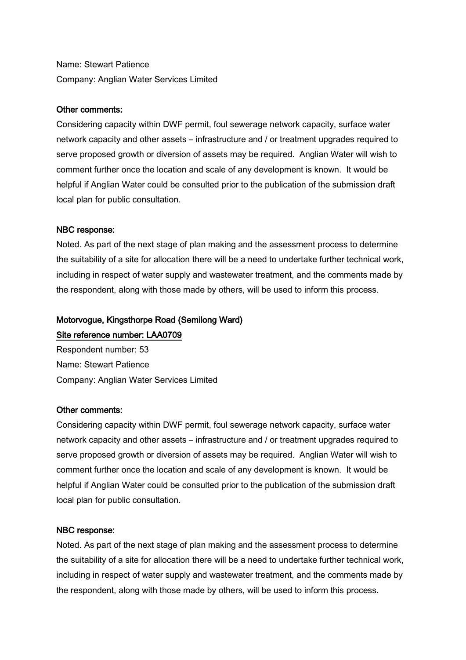Name: Stewart Patience Company: Anglian Water Services Limited

#### Other comments:

Considering capacity within DWF permit, foul sewerage network capacity, surface water network capacity and other assets – infrastructure and / or treatment upgrades required to serve proposed growth or diversion of assets may be required. Anglian Water will wish to comment further once the location and scale of any development is known. It would be helpful if Anglian Water could be consulted prior to the publication of the submission draft local plan for public consultation.

#### NBC response:

Noted. As part of the next stage of plan making and the assessment process to determine the suitability of a site for allocation there will be a need to undertake further technical work, including in respect of water supply and wastewater treatment, and the comments made by the respondent, along with those made by others, will be used to inform this process.

#### Motorvogue, Kingsthorpe Road (Semilong Ward)

#### Site reference number: LAA0709

Respondent number: 53 Name: Stewart Patience Company: Anglian Water Services Limited

#### Other comments:

Considering capacity within DWF permit, foul sewerage network capacity, surface water network capacity and other assets – infrastructure and / or treatment upgrades required to serve proposed growth or diversion of assets may be required. Anglian Water will wish to comment further once the location and scale of any development is known. It would be helpful if Anglian Water could be consulted prior to the publication of the submission draft local plan for public consultation.

#### NBC response:

Noted. As part of the next stage of plan making and the assessment process to determine the suitability of a site for allocation there will be a need to undertake further technical work, including in respect of water supply and wastewater treatment, and the comments made by the respondent, along with those made by others, will be used to inform this process.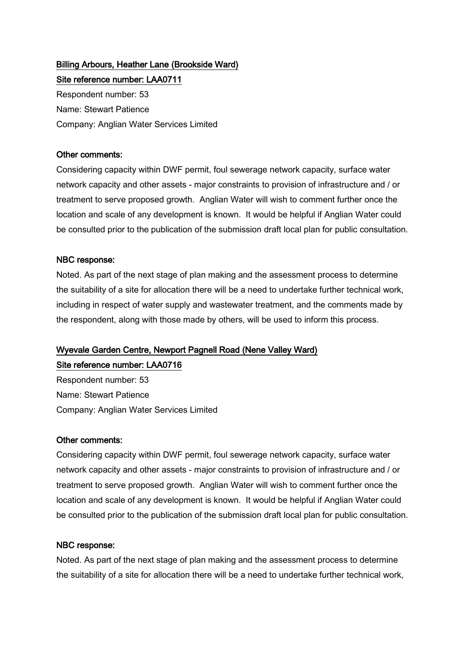# Billing Arbours, Heather Lane (Brookside Ward) Site reference number: LAA0711

Respondent number: 53 Name: Stewart Patience Company: Anglian Water Services Limited

## Other comments:

Considering capacity within DWF permit, foul sewerage network capacity, surface water network capacity and other assets - major constraints to provision of infrastructure and / or treatment to serve proposed growth. Anglian Water will wish to comment further once the location and scale of any development is known. It would be helpful if Anglian Water could be consulted prior to the publication of the submission draft local plan for public consultation.

# NBC response:

Noted. As part of the next stage of plan making and the assessment process to determine the suitability of a site for allocation there will be a need to undertake further technical work, including in respect of water supply and wastewater treatment, and the comments made by the respondent, along with those made by others, will be used to inform this process.

# Wyevale Garden Centre, Newport Pagnell Road (Nene Valley Ward)

Site reference number: LAA0716 Respondent number: 53

Name: Stewart Patience Company: Anglian Water Services Limited

# Other comments:

Considering capacity within DWF permit, foul sewerage network capacity, surface water network capacity and other assets - major constraints to provision of infrastructure and / or treatment to serve proposed growth. Anglian Water will wish to comment further once the location and scale of any development is known. It would be helpful if Anglian Water could be consulted prior to the publication of the submission draft local plan for public consultation.

## NBC response:

Noted. As part of the next stage of plan making and the assessment process to determine the suitability of a site for allocation there will be a need to undertake further technical work,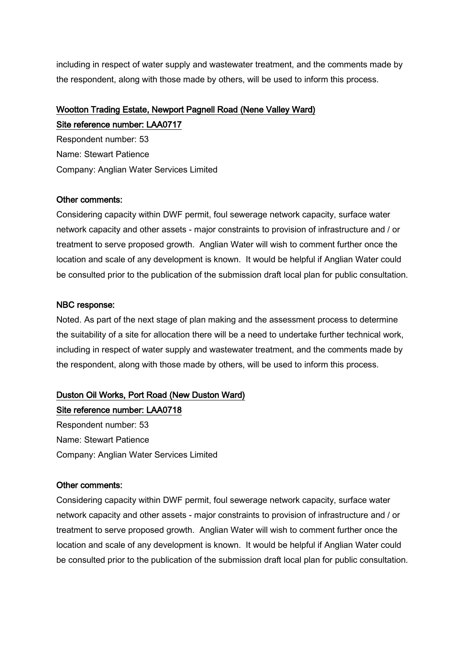including in respect of water supply and wastewater treatment, and the comments made by the respondent, along with those made by others, will be used to inform this process.

# Wootton Trading Estate, Newport Pagnell Road (Nene Valley Ward) Site reference number: LAA0717

Respondent number: 53 Name: Stewart Patience Company: Anglian Water Services Limited

## Other comments:

Considering capacity within DWF permit, foul sewerage network capacity, surface water network capacity and other assets - major constraints to provision of infrastructure and / or treatment to serve proposed growth. Anglian Water will wish to comment further once the location and scale of any development is known. It would be helpful if Anglian Water could be consulted prior to the publication of the submission draft local plan for public consultation.

# NBC response:

Noted. As part of the next stage of plan making and the assessment process to determine the suitability of a site for allocation there will be a need to undertake further technical work, including in respect of water supply and wastewater treatment, and the comments made by the respondent, along with those made by others, will be used to inform this process.

# Duston Oil Works, Port Road (New Duston Ward)

Site reference number: LAA0718 Respondent number: 53 Name: Stewart Patience Company: Anglian Water Services Limited

## Other comments:

Considering capacity within DWF permit, foul sewerage network capacity, surface water network capacity and other assets - major constraints to provision of infrastructure and / or treatment to serve proposed growth. Anglian Water will wish to comment further once the location and scale of any development is known. It would be helpful if Anglian Water could be consulted prior to the publication of the submission draft local plan for public consultation.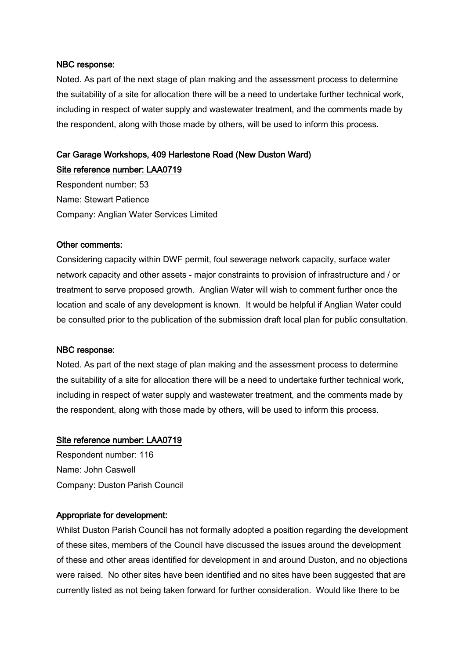Noted. As part of the next stage of plan making and the assessment process to determine the suitability of a site for allocation there will be a need to undertake further technical work, including in respect of water supply and wastewater treatment, and the comments made by the respondent, along with those made by others, will be used to inform this process.

# Car Garage Workshops, 409 Harlestone Road (New Duston Ward)

#### Site reference number: LAA0719

Respondent number: 53 Name: Stewart Patience Company: Anglian Water Services Limited

#### Other comments:

Considering capacity within DWF permit, foul sewerage network capacity, surface water network capacity and other assets - major constraints to provision of infrastructure and / or treatment to serve proposed growth. Anglian Water will wish to comment further once the location and scale of any development is known. It would be helpful if Anglian Water could be consulted prior to the publication of the submission draft local plan for public consultation.

#### NBC response:

Noted. As part of the next stage of plan making and the assessment process to determine the suitability of a site for allocation there will be a need to undertake further technical work, including in respect of water supply and wastewater treatment, and the comments made by the respondent, along with those made by others, will be used to inform this process.

#### Site reference number: LAA0719

Respondent number: 116 Name: John Caswell Company: Duston Parish Council

#### Appropriate for development:

Whilst Duston Parish Council has not formally adopted a position regarding the development of these sites, members of the Council have discussed the issues around the development of these and other areas identified for development in and around Duston, and no objections were raised. No other sites have been identified and no sites have been suggested that are currently listed as not being taken forward for further consideration. Would like there to be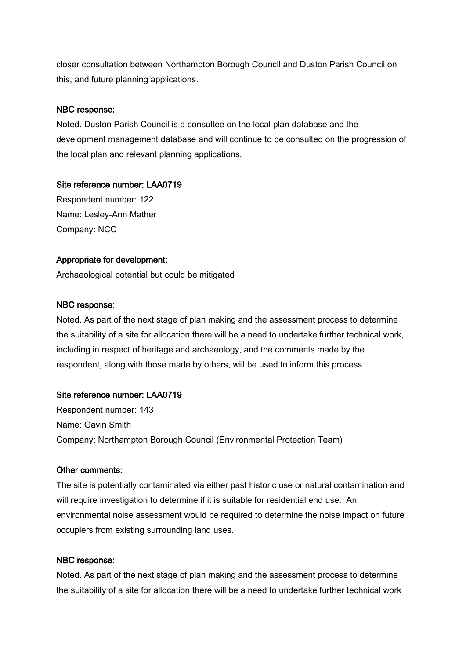closer consultation between Northampton Borough Council and Duston Parish Council on this, and future planning applications.

### NBC response:

Noted. Duston Parish Council is a consultee on the local plan database and the development management database and will continue to be consulted on the progression of the local plan and relevant planning applications.

#### Site reference number: LAA0719

Respondent number: 122 Name: Lesley-Ann Mather Company: NCC

#### Appropriate for development:

Archaeological potential but could be mitigated

#### NBC response:

Noted. As part of the next stage of plan making and the assessment process to determine the suitability of a site for allocation there will be a need to undertake further technical work, including in respect of heritage and archaeology, and the comments made by the respondent, along with those made by others, will be used to inform this process.

## Site reference number: LAA0719

Respondent number: 143 Name: Gavin Smith Company: Northampton Borough Council (Environmental Protection Team)

#### Other comments:

The site is potentially contaminated via either past historic use or natural contamination and will require investigation to determine if it is suitable for residential end use. An environmental noise assessment would be required to determine the noise impact on future occupiers from existing surrounding land uses.

#### NBC response:

Noted. As part of the next stage of plan making and the assessment process to determine the suitability of a site for allocation there will be a need to undertake further technical work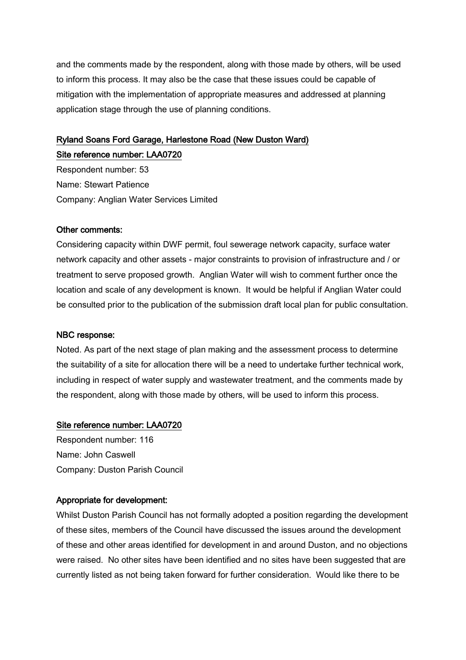and the comments made by the respondent, along with those made by others, will be used to inform this process. It may also be the case that these issues could be capable of mitigation with the implementation of appropriate measures and addressed at planning application stage through the use of planning conditions.

# Ryland Soans Ford Garage, Harlestone Road (New Duston Ward) Site reference number: LAA0720

Respondent number: 53 Name: Stewart Patience Company: Anglian Water Services Limited

#### Other comments:

Considering capacity within DWF permit, foul sewerage network capacity, surface water network capacity and other assets - major constraints to provision of infrastructure and / or treatment to serve proposed growth. Anglian Water will wish to comment further once the location and scale of any development is known. It would be helpful if Anglian Water could be consulted prior to the publication of the submission draft local plan for public consultation.

#### NBC response:

Noted. As part of the next stage of plan making and the assessment process to determine the suitability of a site for allocation there will be a need to undertake further technical work, including in respect of water supply and wastewater treatment, and the comments made by the respondent, along with those made by others, will be used to inform this process.

#### Site reference number: LAA0720

Respondent number: 116 Name: John Caswell Company: Duston Parish Council

## Appropriate for development:

Whilst Duston Parish Council has not formally adopted a position regarding the development of these sites, members of the Council have discussed the issues around the development of these and other areas identified for development in and around Duston, and no objections were raised. No other sites have been identified and no sites have been suggested that are currently listed as not being taken forward for further consideration. Would like there to be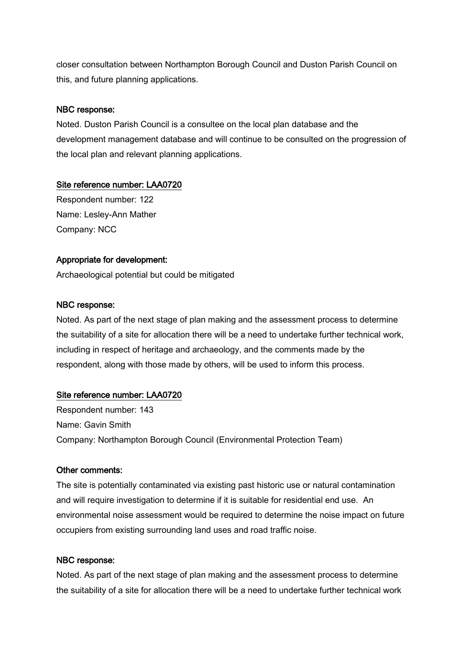closer consultation between Northampton Borough Council and Duston Parish Council on this, and future planning applications.

## NBC response:

Noted. Duston Parish Council is a consultee on the local plan database and the development management database and will continue to be consulted on the progression of the local plan and relevant planning applications.

## Site reference number: LAA0720

Respondent number: 122 Name: Lesley-Ann Mather Company: NCC

# Appropriate for development:

Archaeological potential but could be mitigated

# NBC response:

Noted. As part of the next stage of plan making and the assessment process to determine the suitability of a site for allocation there will be a need to undertake further technical work, including in respect of heritage and archaeology, and the comments made by the respondent, along with those made by others, will be used to inform this process.

# Site reference number: LAA0720

Respondent number: 143 Name: Gavin Smith Company: Northampton Borough Council (Environmental Protection Team)

## Other comments:

The site is potentially contaminated via existing past historic use or natural contamination and will require investigation to determine if it is suitable for residential end use. An environmental noise assessment would be required to determine the noise impact on future occupiers from existing surrounding land uses and road traffic noise.

## NBC response:

Noted. As part of the next stage of plan making and the assessment process to determine the suitability of a site for allocation there will be a need to undertake further technical work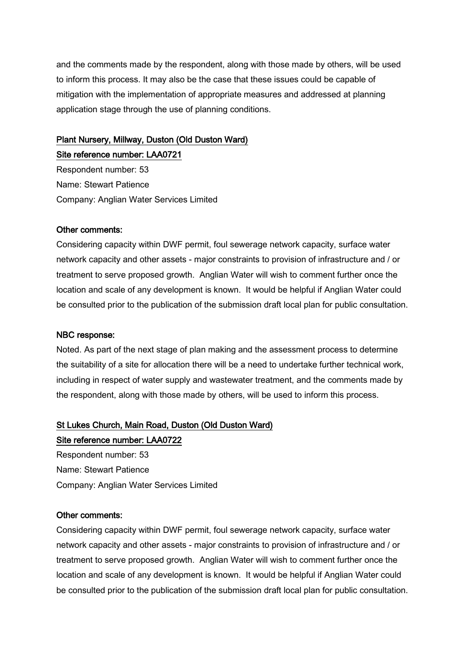and the comments made by the respondent, along with those made by others, will be used to inform this process. It may also be the case that these issues could be capable of mitigation with the implementation of appropriate measures and addressed at planning application stage through the use of planning conditions.

# Plant Nursery, Millway, Duston (Old Duston Ward) Site reference number: LAA0721

Respondent number: 53 Name: Stewart Patience Company: Anglian Water Services Limited

#### Other comments:

Considering capacity within DWF permit, foul sewerage network capacity, surface water network capacity and other assets - major constraints to provision of infrastructure and / or treatment to serve proposed growth. Anglian Water will wish to comment further once the location and scale of any development is known. It would be helpful if Anglian Water could be consulted prior to the publication of the submission draft local plan for public consultation.

#### NBC response:

Noted. As part of the next stage of plan making and the assessment process to determine the suitability of a site for allocation there will be a need to undertake further technical work, including in respect of water supply and wastewater treatment, and the comments made by the respondent, along with those made by others, will be used to inform this process.

#### St Lukes Church, Main Road, Duston (Old Duston Ward)

Site reference number: LAA0722 Respondent number: 53 Name: Stewart Patience Company: Anglian Water Services Limited

#### Other comments:

Considering capacity within DWF permit, foul sewerage network capacity, surface water network capacity and other assets - major constraints to provision of infrastructure and / or treatment to serve proposed growth. Anglian Water will wish to comment further once the location and scale of any development is known. It would be helpful if Anglian Water could be consulted prior to the publication of the submission draft local plan for public consultation.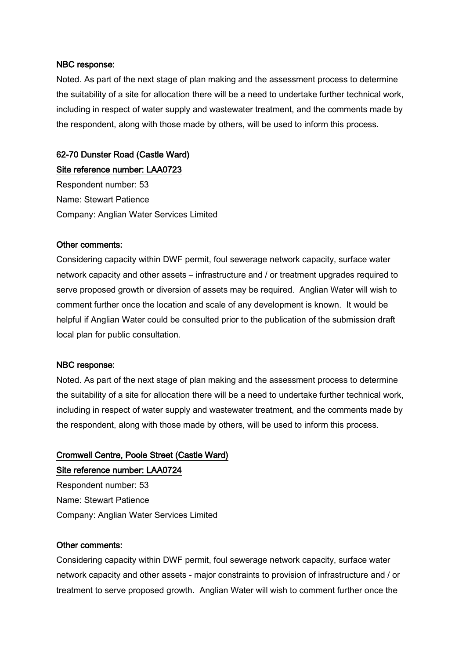Noted. As part of the next stage of plan making and the assessment process to determine the suitability of a site for allocation there will be a need to undertake further technical work, including in respect of water supply and wastewater treatment, and the comments made by the respondent, along with those made by others, will be used to inform this process.

### 62-70 Dunster Road (Castle Ward)

Site reference number: LAA0723

Respondent number: 53 Name: Stewart Patience Company: Anglian Water Services Limited

#### Other comments:

Considering capacity within DWF permit, foul sewerage network capacity, surface water network capacity and other assets – infrastructure and / or treatment upgrades required to serve proposed growth or diversion of assets may be required. Anglian Water will wish to comment further once the location and scale of any development is known. It would be helpful if Anglian Water could be consulted prior to the publication of the submission draft local plan for public consultation.

#### NBC response:

Noted. As part of the next stage of plan making and the assessment process to determine the suitability of a site for allocation there will be a need to undertake further technical work, including in respect of water supply and wastewater treatment, and the comments made by the respondent, along with those made by others, will be used to inform this process.

# Cromwell Centre, Poole Street (Castle Ward) Site reference number: LAA0724

Respondent number: 53 Name: Stewart Patience Company: Anglian Water Services Limited

#### Other comments:

Considering capacity within DWF permit, foul sewerage network capacity, surface water network capacity and other assets - major constraints to provision of infrastructure and / or treatment to serve proposed growth. Anglian Water will wish to comment further once the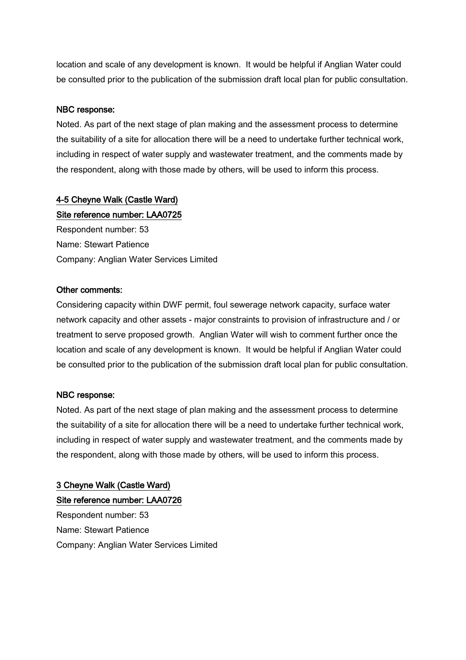location and scale of any development is known. It would be helpful if Anglian Water could be consulted prior to the publication of the submission draft local plan for public consultation.

#### NBC response:

Noted. As part of the next stage of plan making and the assessment process to determine the suitability of a site for allocation there will be a need to undertake further technical work, including in respect of water supply and wastewater treatment, and the comments made by the respondent, along with those made by others, will be used to inform this process.

# 4-5 Cheyne Walk (Castle Ward)

Site reference number: LAA0725

Respondent number: 53 Name: Stewart Patience Company: Anglian Water Services Limited

#### Other comments:

Considering capacity within DWF permit, foul sewerage network capacity, surface water network capacity and other assets - major constraints to provision of infrastructure and / or treatment to serve proposed growth. Anglian Water will wish to comment further once the location and scale of any development is known. It would be helpful if Anglian Water could be consulted prior to the publication of the submission draft local plan for public consultation.

## NBC response:

Noted. As part of the next stage of plan making and the assessment process to determine the suitability of a site for allocation there will be a need to undertake further technical work, including in respect of water supply and wastewater treatment, and the comments made by the respondent, along with those made by others, will be used to inform this process.

3 Cheyne Walk (Castle Ward) Site reference number: LAA0726 Respondent number: 53 Name: Stewart Patience Company: Anglian Water Services Limited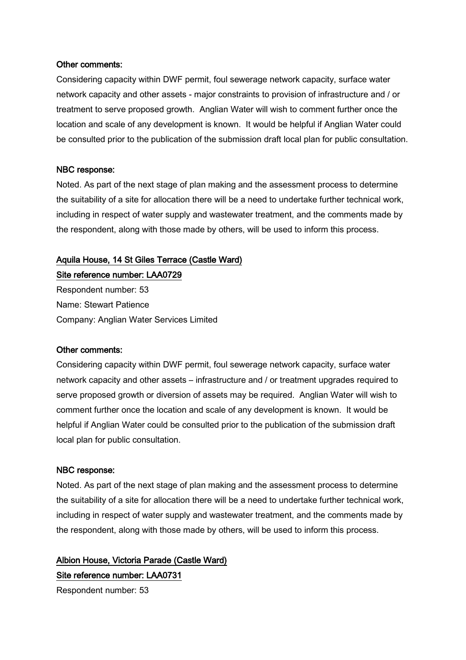#### Other comments:

Considering capacity within DWF permit, foul sewerage network capacity, surface water network capacity and other assets - major constraints to provision of infrastructure and / or treatment to serve proposed growth. Anglian Water will wish to comment further once the location and scale of any development is known. It would be helpful if Anglian Water could be consulted prior to the publication of the submission draft local plan for public consultation.

#### NBC response:

Noted. As part of the next stage of plan making and the assessment process to determine the suitability of a site for allocation there will be a need to undertake further technical work, including in respect of water supply and wastewater treatment, and the comments made by the respondent, along with those made by others, will be used to inform this process.

#### Aquila House, 14 St Giles Terrace (Castle Ward)

Site reference number: LAA0729 Respondent number: 53 Name: Stewart Patience Company: Anglian Water Services Limited

#### Other comments:

Considering capacity within DWF permit, foul sewerage network capacity, surface water network capacity and other assets – infrastructure and / or treatment upgrades required to serve proposed growth or diversion of assets may be required. Anglian Water will wish to comment further once the location and scale of any development is known. It would be helpful if Anglian Water could be consulted prior to the publication of the submission draft local plan for public consultation.

#### NBC response:

Noted. As part of the next stage of plan making and the assessment process to determine the suitability of a site for allocation there will be a need to undertake further technical work, including in respect of water supply and wastewater treatment, and the comments made by the respondent, along with those made by others, will be used to inform this process.

Albion House, Victoria Parade (Castle Ward) Site reference number: LAA0731

Respondent number: 53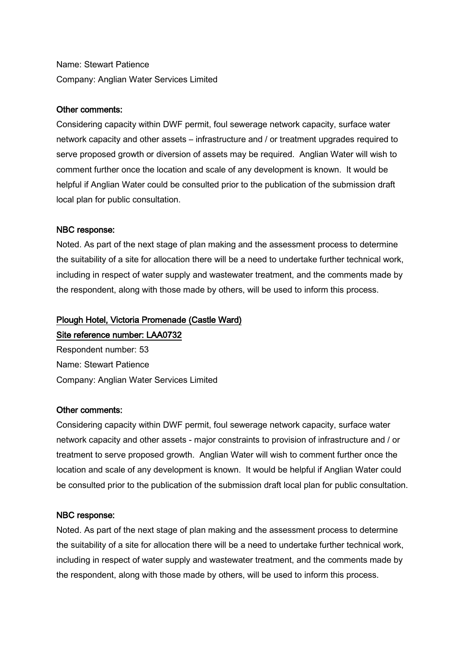Name: Stewart Patience Company: Anglian Water Services Limited

#### Other comments:

Considering capacity within DWF permit, foul sewerage network capacity, surface water network capacity and other assets – infrastructure and / or treatment upgrades required to serve proposed growth or diversion of assets may be required. Anglian Water will wish to comment further once the location and scale of any development is known. It would be helpful if Anglian Water could be consulted prior to the publication of the submission draft local plan for public consultation.

#### NBC response:

Noted. As part of the next stage of plan making and the assessment process to determine the suitability of a site for allocation there will be a need to undertake further technical work, including in respect of water supply and wastewater treatment, and the comments made by the respondent, along with those made by others, will be used to inform this process.

#### Plough Hotel, Victoria Promenade (Castle Ward)

#### Site reference number: LAA0732

Respondent number: 53 Name: Stewart Patience Company: Anglian Water Services Limited

#### Other comments:

Considering capacity within DWF permit, foul sewerage network capacity, surface water network capacity and other assets - major constraints to provision of infrastructure and / or treatment to serve proposed growth. Anglian Water will wish to comment further once the location and scale of any development is known. It would be helpful if Anglian Water could be consulted prior to the publication of the submission draft local plan for public consultation.

#### NBC response:

Noted. As part of the next stage of plan making and the assessment process to determine the suitability of a site for allocation there will be a need to undertake further technical work, including in respect of water supply and wastewater treatment, and the comments made by the respondent, along with those made by others, will be used to inform this process.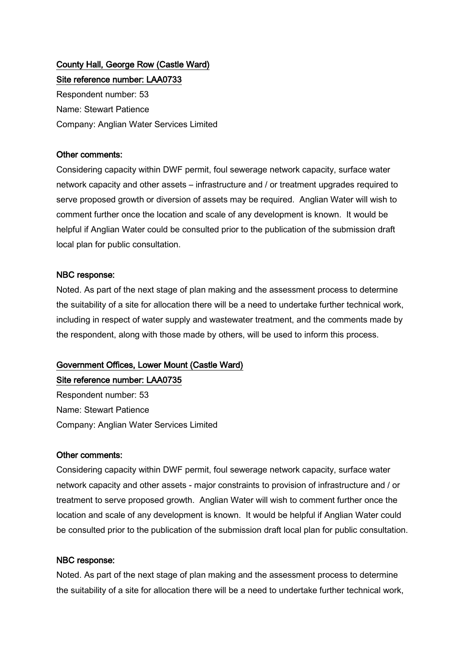# County Hall, George Row (Castle Ward) Site reference number: LAA0733

Respondent number: 53 Name: Stewart Patience Company: Anglian Water Services Limited

### Other comments:

Considering capacity within DWF permit, foul sewerage network capacity, surface water network capacity and other assets – infrastructure and / or treatment upgrades required to serve proposed growth or diversion of assets may be required. Anglian Water will wish to comment further once the location and scale of any development is known. It would be helpful if Anglian Water could be consulted prior to the publication of the submission draft local plan for public consultation.

#### NBC response:

Noted. As part of the next stage of plan making and the assessment process to determine the suitability of a site for allocation there will be a need to undertake further technical work, including in respect of water supply and wastewater treatment, and the comments made by the respondent, along with those made by others, will be used to inform this process.

# Government Offices, Lower Mount (Castle Ward)

## Site reference number: LAA0735

Respondent number: 53 Name: Stewart Patience Company: Anglian Water Services Limited

#### Other comments:

Considering capacity within DWF permit, foul sewerage network capacity, surface water network capacity and other assets - major constraints to provision of infrastructure and / or treatment to serve proposed growth. Anglian Water will wish to comment further once the location and scale of any development is known. It would be helpful if Anglian Water could be consulted prior to the publication of the submission draft local plan for public consultation.

## NBC response:

Noted. As part of the next stage of plan making and the assessment process to determine the suitability of a site for allocation there will be a need to undertake further technical work,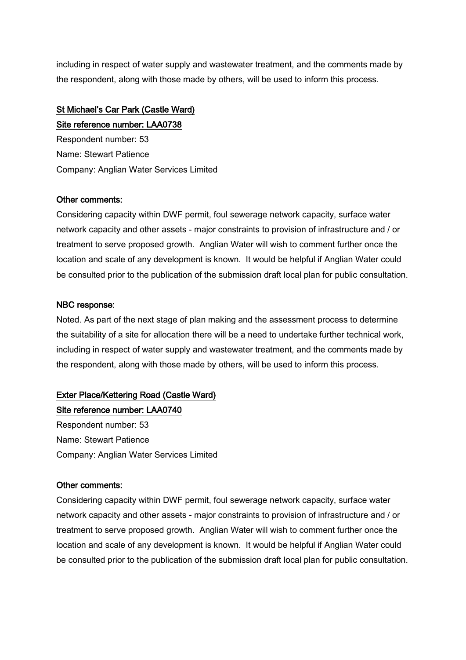including in respect of water supply and wastewater treatment, and the comments made by the respondent, along with those made by others, will be used to inform this process.

# St Michael's Car Park (Castle Ward)

Site reference number: LAA0738 Respondent number: 53 Name: Stewart Patience Company: Anglian Water Services Limited

# Other comments:

Considering capacity within DWF permit, foul sewerage network capacity, surface water network capacity and other assets - major constraints to provision of infrastructure and / or treatment to serve proposed growth. Anglian Water will wish to comment further once the location and scale of any development is known. It would be helpful if Anglian Water could be consulted prior to the publication of the submission draft local plan for public consultation.

# NBC response:

Noted. As part of the next stage of plan making and the assessment process to determine the suitability of a site for allocation there will be a need to undertake further technical work, including in respect of water supply and wastewater treatment, and the comments made by the respondent, along with those made by others, will be used to inform this process.

# Exter Place/Kettering Road (Castle Ward)

Site reference number: LAA0740 Respondent number: 53 Name: Stewart Patience Company: Anglian Water Services Limited

## Other comments:

Considering capacity within DWF permit, foul sewerage network capacity, surface water network capacity and other assets - major constraints to provision of infrastructure and / or treatment to serve proposed growth. Anglian Water will wish to comment further once the location and scale of any development is known. It would be helpful if Anglian Water could be consulted prior to the publication of the submission draft local plan for public consultation.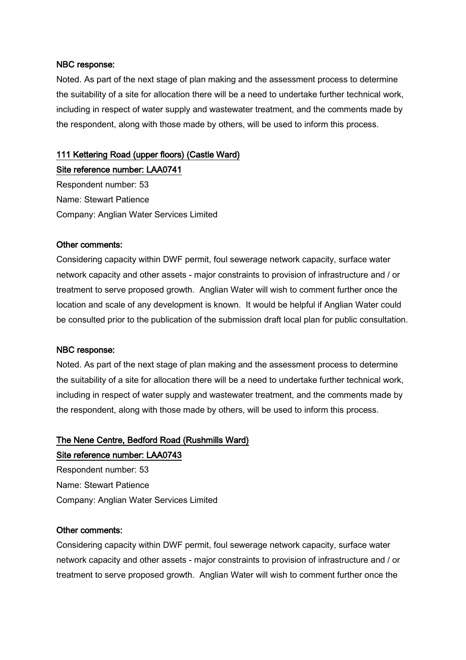Noted. As part of the next stage of plan making and the assessment process to determine the suitability of a site for allocation there will be a need to undertake further technical work, including in respect of water supply and wastewater treatment, and the comments made by the respondent, along with those made by others, will be used to inform this process.

## 111 Kettering Road (upper floors) (Castle Ward)

Site reference number: LAA0741 Respondent number: 53 Name: Stewart Patience Company: Anglian Water Services Limited

#### Other comments:

Considering capacity within DWF permit, foul sewerage network capacity, surface water network capacity and other assets - major constraints to provision of infrastructure and / or treatment to serve proposed growth. Anglian Water will wish to comment further once the location and scale of any development is known. It would be helpful if Anglian Water could be consulted prior to the publication of the submission draft local plan for public consultation.

#### NBC response:

Noted. As part of the next stage of plan making and the assessment process to determine the suitability of a site for allocation there will be a need to undertake further technical work, including in respect of water supply and wastewater treatment, and the comments made by the respondent, along with those made by others, will be used to inform this process.

# The Nene Centre, Bedford Road (Rushmills Ward) Site reference number: LAA0743

Respondent number: 53 Name: Stewart Patience Company: Anglian Water Services Limited

#### Other comments:

Considering capacity within DWF permit, foul sewerage network capacity, surface water network capacity and other assets - major constraints to provision of infrastructure and / or treatment to serve proposed growth. Anglian Water will wish to comment further once the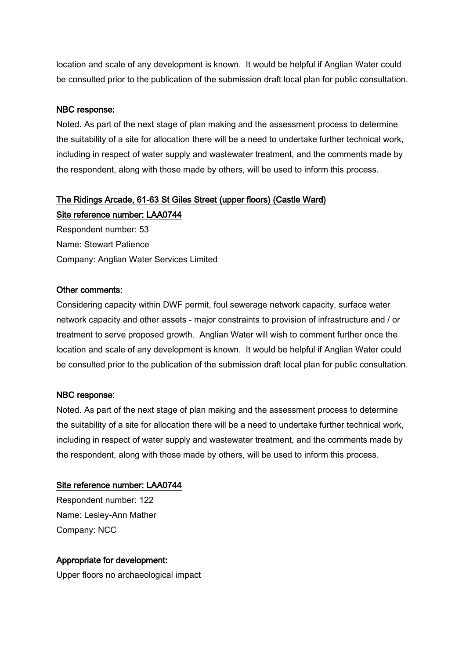location and scale of any development is known. It would be helpful if Anglian Water could be consulted prior to the publication of the submission draft local plan for public consultation.

#### NBC response:

Noted. As part of the next stage of plan making and the assessment process to determine the suitability of a site for allocation there will be a need to undertake further technical work, including in respect of water supply and wastewater treatment, and the comments made by the respondent, along with those made by others, will be used to inform this process.

# The Ridings Arcade, 61-63 St Giles Street (upper floors) (Castle Ward) Site reference number: LAA0744

Respondent number: 53 Name: Stewart Patience Company: Anglian Water Services Limited

#### Other comments:

Considering capacity within DWF permit, foul sewerage network capacity, surface water network capacity and other assets - major constraints to provision of infrastructure and / or treatment to serve proposed growth. Anglian Water will wish to comment further once the location and scale of any development is known. It would be helpful if Anglian Water could be consulted prior to the publication of the submission draft local plan for public consultation.

#### NBC response:

Noted. As part of the next stage of plan making and the assessment process to determine the suitability of a site for allocation there will be a need to undertake further technical work, including in respect of water supply and wastewater treatment, and the comments made by the respondent, along with those made by others, will be used to inform this process.

#### Site reference number: LAA0744

Respondent number: 122 Name: Lesley-Ann Mather Company: NCC

#### Appropriate for development:

Upper floors no archaeological impact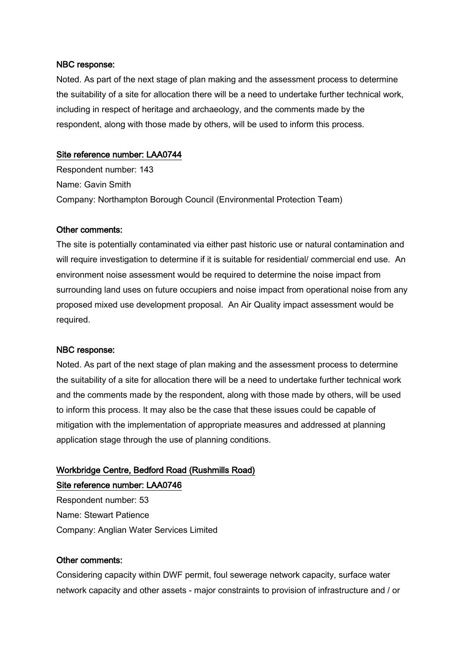Noted. As part of the next stage of plan making and the assessment process to determine the suitability of a site for allocation there will be a need to undertake further technical work, including in respect of heritage and archaeology, and the comments made by the respondent, along with those made by others, will be used to inform this process.

#### Site reference number: LAA0744

Respondent number: 143 Name: Gavin Smith Company: Northampton Borough Council (Environmental Protection Team)

#### Other comments:

The site is potentially contaminated via either past historic use or natural contamination and will require investigation to determine if it is suitable for residential/ commercial end use. An environment noise assessment would be required to determine the noise impact from surrounding land uses on future occupiers and noise impact from operational noise from any proposed mixed use development proposal. An Air Quality impact assessment would be required.

#### NBC response:

Noted. As part of the next stage of plan making and the assessment process to determine the suitability of a site for allocation there will be a need to undertake further technical work and the comments made by the respondent, along with those made by others, will be used to inform this process. It may also be the case that these issues could be capable of mitigation with the implementation of appropriate measures and addressed at planning application stage through the use of planning conditions.

# Workbridge Centre, Bedford Road (Rushmills Road)

Site reference number: LAA0746

Respondent number: 53 Name: Stewart Patience Company: Anglian Water Services Limited

#### Other comments:

Considering capacity within DWF permit, foul sewerage network capacity, surface water network capacity and other assets - major constraints to provision of infrastructure and / or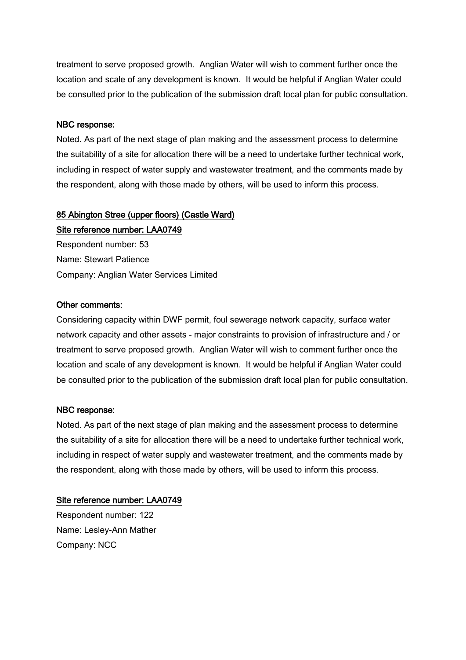treatment to serve proposed growth. Anglian Water will wish to comment further once the location and scale of any development is known. It would be helpful if Anglian Water could be consulted prior to the publication of the submission draft local plan for public consultation.

#### NBC response:

Noted. As part of the next stage of plan making and the assessment process to determine the suitability of a site for allocation there will be a need to undertake further technical work, including in respect of water supply and wastewater treatment, and the comments made by the respondent, along with those made by others, will be used to inform this process.

# 85 Abington Stree (upper floors) (Castle Ward)

Site reference number: LAA0749 Respondent number: 53 Name: Stewart Patience Company: Anglian Water Services Limited

#### Other comments:

Considering capacity within DWF permit, foul sewerage network capacity, surface water network capacity and other assets - major constraints to provision of infrastructure and / or treatment to serve proposed growth. Anglian Water will wish to comment further once the location and scale of any development is known. It would be helpful if Anglian Water could be consulted prior to the publication of the submission draft local plan for public consultation.

#### NBC response:

Noted. As part of the next stage of plan making and the assessment process to determine the suitability of a site for allocation there will be a need to undertake further technical work, including in respect of water supply and wastewater treatment, and the comments made by the respondent, along with those made by others, will be used to inform this process.

#### Site reference number: LAA0749

Respondent number: 122 Name: Lesley-Ann Mather Company: NCC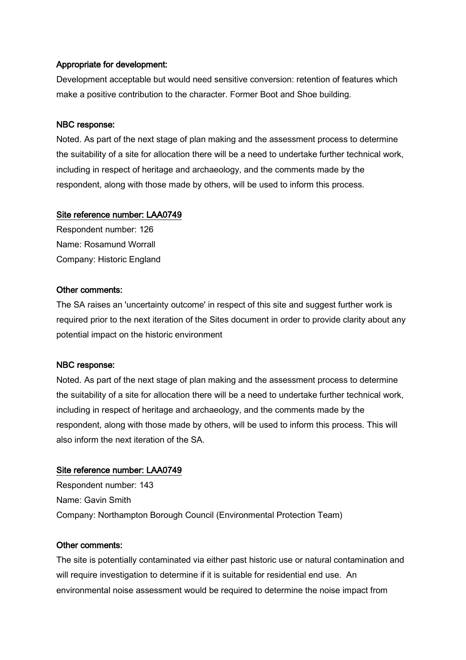#### Appropriate for development:

Development acceptable but would need sensitive conversion: retention of features which make a positive contribution to the character. Former Boot and Shoe building.

#### NBC response:

Noted. As part of the next stage of plan making and the assessment process to determine the suitability of a site for allocation there will be a need to undertake further technical work, including in respect of heritage and archaeology, and the comments made by the respondent, along with those made by others, will be used to inform this process.

#### Site reference number: LAA0749

Respondent number: 126 Name: Rosamund Worrall Company: Historic England

#### Other comments:

The SA raises an 'uncertainty outcome' in respect of this site and suggest further work is required prior to the next iteration of the Sites document in order to provide clarity about any potential impact on the historic environment

#### NBC response:

Noted. As part of the next stage of plan making and the assessment process to determine the suitability of a site for allocation there will be a need to undertake further technical work, including in respect of heritage and archaeology, and the comments made by the respondent, along with those made by others, will be used to inform this process. This will also inform the next iteration of the SA.

## Site reference number: LAA0749

Respondent number: 143 Name: Gavin Smith Company: Northampton Borough Council (Environmental Protection Team)

#### Other comments:

The site is potentially contaminated via either past historic use or natural contamination and will require investigation to determine if it is suitable for residential end use. An environmental noise assessment would be required to determine the noise impact from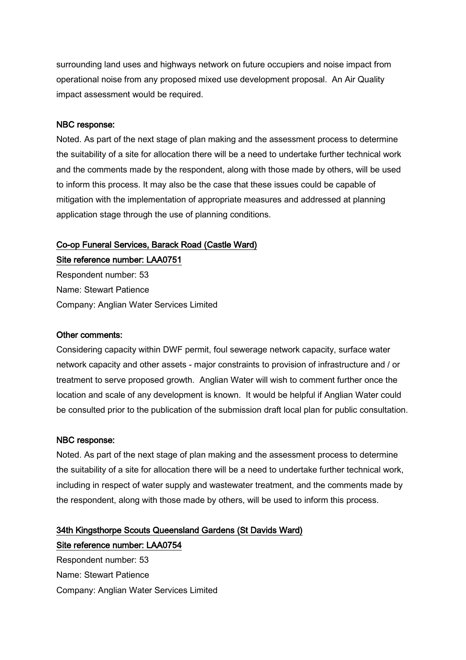surrounding land uses and highways network on future occupiers and noise impact from operational noise from any proposed mixed use development proposal. An Air Quality impact assessment would be required.

#### NBC response:

Noted. As part of the next stage of plan making and the assessment process to determine the suitability of a site for allocation there will be a need to undertake further technical work and the comments made by the respondent, along with those made by others, will be used to inform this process. It may also be the case that these issues could be capable of mitigation with the implementation of appropriate measures and addressed at planning application stage through the use of planning conditions.

#### Co-op Funeral Services, Barack Road (Castle Ward)

Site reference number: LAA0751 Respondent number: 53 Name: Stewart Patience Company: Anglian Water Services Limited

#### Other comments:

Considering capacity within DWF permit, foul sewerage network capacity, surface water network capacity and other assets - major constraints to provision of infrastructure and / or treatment to serve proposed growth. Anglian Water will wish to comment further once the location and scale of any development is known. It would be helpful if Anglian Water could be consulted prior to the publication of the submission draft local plan for public consultation.

#### NBC response:

Noted. As part of the next stage of plan making and the assessment process to determine the suitability of a site for allocation there will be a need to undertake further technical work, including in respect of water supply and wastewater treatment, and the comments made by the respondent, along with those made by others, will be used to inform this process.

# 34th Kingsthorpe Scouts Queensland Gardens (St Davids Ward) Site reference number: LAA0754

Respondent number: 53 Name: Stewart Patience Company: Anglian Water Services Limited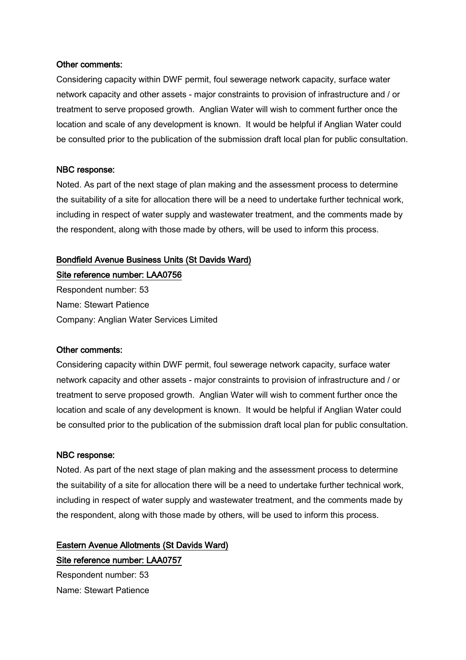#### Other comments:

Considering capacity within DWF permit, foul sewerage network capacity, surface water network capacity and other assets - major constraints to provision of infrastructure and / or treatment to serve proposed growth. Anglian Water will wish to comment further once the location and scale of any development is known. It would be helpful if Anglian Water could be consulted prior to the publication of the submission draft local plan for public consultation.

#### NBC response:

Noted. As part of the next stage of plan making and the assessment process to determine the suitability of a site for allocation there will be a need to undertake further technical work, including in respect of water supply and wastewater treatment, and the comments made by the respondent, along with those made by others, will be used to inform this process.

#### Bondfield Avenue Business Units (St Davids Ward)

Site reference number: LAA0756 Respondent number: 53 Name: Stewart Patience Company: Anglian Water Services Limited

#### Other comments:

Considering capacity within DWF permit, foul sewerage network capacity, surface water network capacity and other assets - major constraints to provision of infrastructure and / or treatment to serve proposed growth. Anglian Water will wish to comment further once the location and scale of any development is known. It would be helpful if Anglian Water could be consulted prior to the publication of the submission draft local plan for public consultation.

#### NBC response:

Noted. As part of the next stage of plan making and the assessment process to determine the suitability of a site for allocation there will be a need to undertake further technical work, including in respect of water supply and wastewater treatment, and the comments made by the respondent, along with those made by others, will be used to inform this process.

# Eastern Avenue Allotments (St Davids Ward) Site reference number: LAA0757

Respondent number: 53 Name: Stewart Patience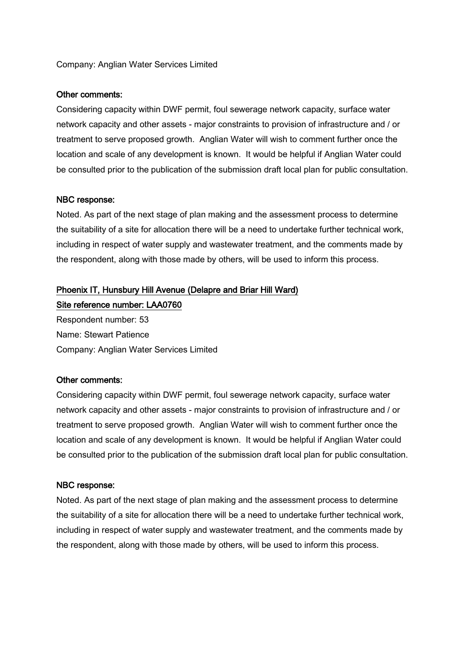#### Company: Anglian Water Services Limited

#### Other comments:

Considering capacity within DWF permit, foul sewerage network capacity, surface water network capacity and other assets - major constraints to provision of infrastructure and / or treatment to serve proposed growth. Anglian Water will wish to comment further once the location and scale of any development is known. It would be helpful if Anglian Water could be consulted prior to the publication of the submission draft local plan for public consultation.

#### NBC response:

Noted. As part of the next stage of plan making and the assessment process to determine the suitability of a site for allocation there will be a need to undertake further technical work, including in respect of water supply and wastewater treatment, and the comments made by the respondent, along with those made by others, will be used to inform this process.

# Phoenix IT, Hunsbury Hill Avenue (Delapre and Briar Hill Ward) Site reference number: LAA0760

Respondent number: 53 Name: Stewart Patience Company: Anglian Water Services Limited

#### Other comments:

Considering capacity within DWF permit, foul sewerage network capacity, surface water network capacity and other assets - major constraints to provision of infrastructure and / or treatment to serve proposed growth. Anglian Water will wish to comment further once the location and scale of any development is known. It would be helpful if Anglian Water could be consulted prior to the publication of the submission draft local plan for public consultation.

#### NBC response:

Noted. As part of the next stage of plan making and the assessment process to determine the suitability of a site for allocation there will be a need to undertake further technical work, including in respect of water supply and wastewater treatment, and the comments made by the respondent, along with those made by others, will be used to inform this process.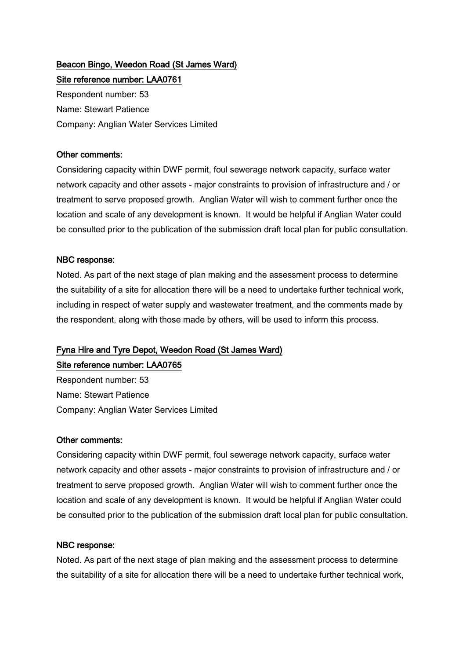# Beacon Bingo, Weedon Road (St James Ward) Site reference number: LAA0761

Respondent number: 53 Name: Stewart Patience Company: Anglian Water Services Limited

## Other comments:

Considering capacity within DWF permit, foul sewerage network capacity, surface water network capacity and other assets - major constraints to provision of infrastructure and / or treatment to serve proposed growth. Anglian Water will wish to comment further once the location and scale of any development is known. It would be helpful if Anglian Water could be consulted prior to the publication of the submission draft local plan for public consultation.

# NBC response:

Noted. As part of the next stage of plan making and the assessment process to determine the suitability of a site for allocation there will be a need to undertake further technical work, including in respect of water supply and wastewater treatment, and the comments made by the respondent, along with those made by others, will be used to inform this process.

# Fyna Hire and Tyre Depot, Weedon Road (St James Ward)

Site reference number: LAA0765 Respondent number: 53 Name: Stewart Patience

Company: Anglian Water Services Limited

## Other comments:

Considering capacity within DWF permit, foul sewerage network capacity, surface water network capacity and other assets - major constraints to provision of infrastructure and / or treatment to serve proposed growth. Anglian Water will wish to comment further once the location and scale of any development is known. It would be helpful if Anglian Water could be consulted prior to the publication of the submission draft local plan for public consultation.

## NBC response:

Noted. As part of the next stage of plan making and the assessment process to determine the suitability of a site for allocation there will be a need to undertake further technical work,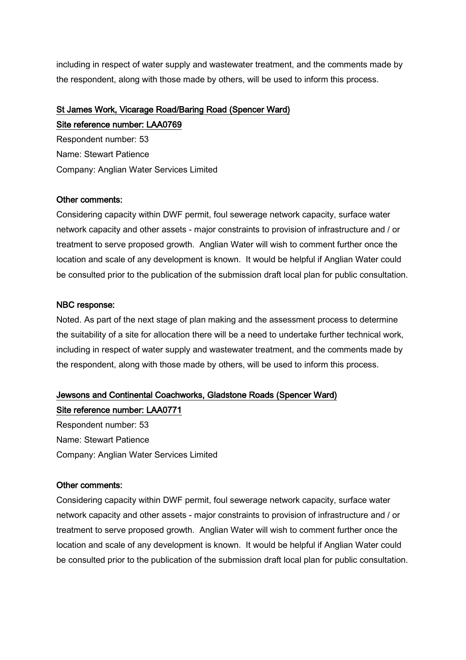including in respect of water supply and wastewater treatment, and the comments made by the respondent, along with those made by others, will be used to inform this process.

# St James Work, Vicarage Road/Baring Road (Spencer Ward)

Site reference number: LAA0769

Respondent number: 53 Name: Stewart Patience Company: Anglian Water Services Limited

## Other comments:

Considering capacity within DWF permit, foul sewerage network capacity, surface water network capacity and other assets - major constraints to provision of infrastructure and / or treatment to serve proposed growth. Anglian Water will wish to comment further once the location and scale of any development is known. It would be helpful if Anglian Water could be consulted prior to the publication of the submission draft local plan for public consultation.

# NBC response:

Noted. As part of the next stage of plan making and the assessment process to determine the suitability of a site for allocation there will be a need to undertake further technical work, including in respect of water supply and wastewater treatment, and the comments made by the respondent, along with those made by others, will be used to inform this process.

# Jewsons and Continental Coachworks, Gladstone Roads (Spencer Ward) Site reference number: LAA0771

Respondent number: 53 Name: Stewart Patience Company: Anglian Water Services Limited

## Other comments:

Considering capacity within DWF permit, foul sewerage network capacity, surface water network capacity and other assets - major constraints to provision of infrastructure and / or treatment to serve proposed growth. Anglian Water will wish to comment further once the location and scale of any development is known. It would be helpful if Anglian Water could be consulted prior to the publication of the submission draft local plan for public consultation.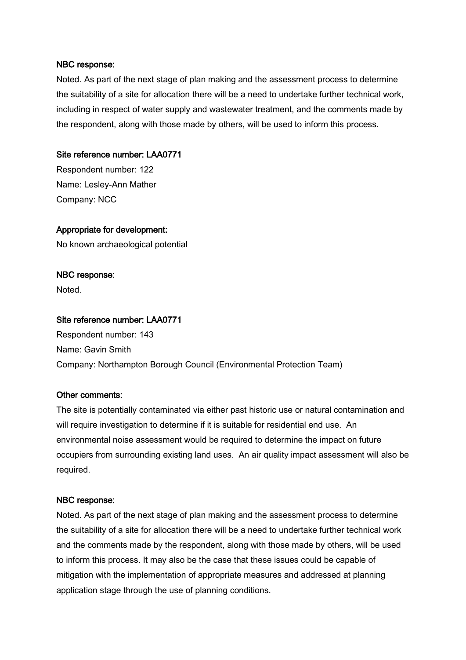Noted. As part of the next stage of plan making and the assessment process to determine the suitability of a site for allocation there will be a need to undertake further technical work, including in respect of water supply and wastewater treatment, and the comments made by the respondent, along with those made by others, will be used to inform this process.

#### Site reference number: LAA0771

Respondent number: 122 Name: Lesley-Ann Mather Company: NCC

#### Appropriate for development:

No known archaeological potential

#### NBC response:

Noted.

#### Site reference number: LAA0771

Respondent number: 143 Name: Gavin Smith Company: Northampton Borough Council (Environmental Protection Team)

#### Other comments:

The site is potentially contaminated via either past historic use or natural contamination and will require investigation to determine if it is suitable for residential end use. An environmental noise assessment would be required to determine the impact on future occupiers from surrounding existing land uses. An air quality impact assessment will also be required.

#### NBC response:

Noted. As part of the next stage of plan making and the assessment process to determine the suitability of a site for allocation there will be a need to undertake further technical work and the comments made by the respondent, along with those made by others, will be used to inform this process. It may also be the case that these issues could be capable of mitigation with the implementation of appropriate measures and addressed at planning application stage through the use of planning conditions.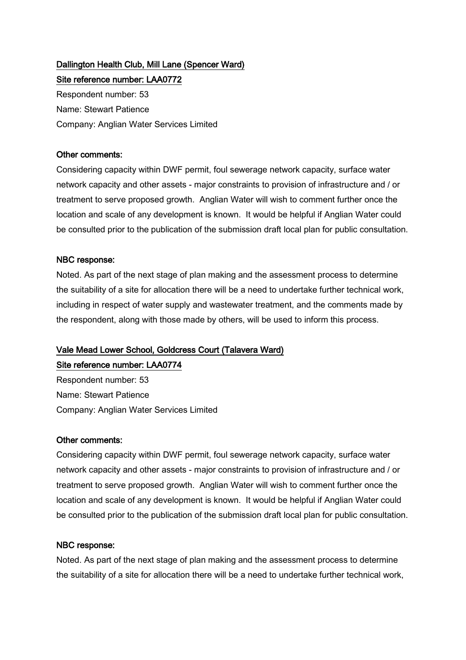# Dallington Health Club, Mill Lane (Spencer Ward) Site reference number: LAA0772

Respondent number: 53 Name: Stewart Patience Company: Anglian Water Services Limited

## Other comments:

Considering capacity within DWF permit, foul sewerage network capacity, surface water network capacity and other assets - major constraints to provision of infrastructure and / or treatment to serve proposed growth. Anglian Water will wish to comment further once the location and scale of any development is known. It would be helpful if Anglian Water could be consulted prior to the publication of the submission draft local plan for public consultation.

## NBC response:

Noted. As part of the next stage of plan making and the assessment process to determine the suitability of a site for allocation there will be a need to undertake further technical work, including in respect of water supply and wastewater treatment, and the comments made by the respondent, along with those made by others, will be used to inform this process.

# Vale Mead Lower School, Goldcress Court (Talavera Ward)

Site reference number: LAA0774

Respondent number: 53 Name: Stewart Patience Company: Anglian Water Services Limited

## Other comments:

Considering capacity within DWF permit, foul sewerage network capacity, surface water network capacity and other assets - major constraints to provision of infrastructure and / or treatment to serve proposed growth. Anglian Water will wish to comment further once the location and scale of any development is known. It would be helpful if Anglian Water could be consulted prior to the publication of the submission draft local plan for public consultation.

#### NBC response:

Noted. As part of the next stage of plan making and the assessment process to determine the suitability of a site for allocation there will be a need to undertake further technical work,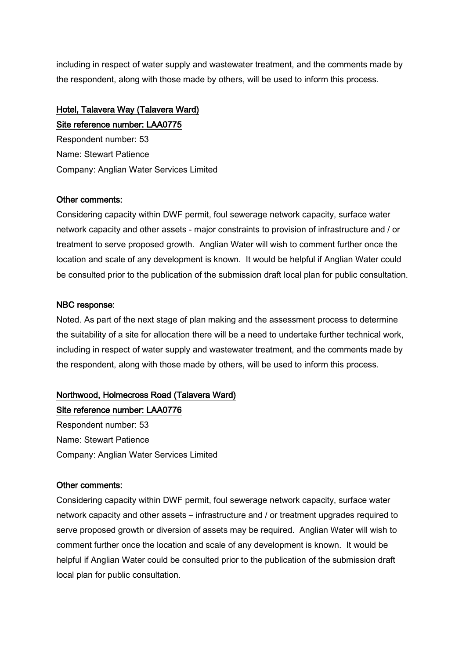including in respect of water supply and wastewater treatment, and the comments made by the respondent, along with those made by others, will be used to inform this process.

# Hotel, Talavera Way (Talavera Ward)

Site reference number: LAA0775 Respondent number: 53 Name: Stewart Patience Company: Anglian Water Services Limited

# Other comments:

Considering capacity within DWF permit, foul sewerage network capacity, surface water network capacity and other assets - major constraints to provision of infrastructure and / or treatment to serve proposed growth. Anglian Water will wish to comment further once the location and scale of any development is known. It would be helpful if Anglian Water could be consulted prior to the publication of the submission draft local plan for public consultation.

# NBC response:

Noted. As part of the next stage of plan making and the assessment process to determine the suitability of a site for allocation there will be a need to undertake further technical work, including in respect of water supply and wastewater treatment, and the comments made by the respondent, along with those made by others, will be used to inform this process.

# Northwood, Holmecross Road (Talavera Ward)

Site reference number: LAA0776 Respondent number: 53 Name: Stewart Patience Company: Anglian Water Services Limited

# Other comments:

Considering capacity within DWF permit, foul sewerage network capacity, surface water network capacity and other assets – infrastructure and / or treatment upgrades required to serve proposed growth or diversion of assets may be required. Anglian Water will wish to comment further once the location and scale of any development is known. It would be helpful if Anglian Water could be consulted prior to the publication of the submission draft local plan for public consultation.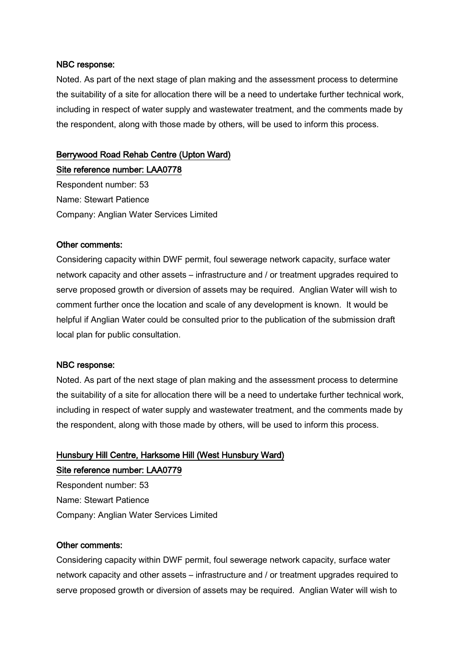Noted. As part of the next stage of plan making and the assessment process to determine the suitability of a site for allocation there will be a need to undertake further technical work, including in respect of water supply and wastewater treatment, and the comments made by the respondent, along with those made by others, will be used to inform this process.

## Berrywood Road Rehab Centre (Upton Ward)

Site reference number: LAA0778 Respondent number: 53 Name: Stewart Patience Company: Anglian Water Services Limited

#### Other comments:

Considering capacity within DWF permit, foul sewerage network capacity, surface water network capacity and other assets – infrastructure and / or treatment upgrades required to serve proposed growth or diversion of assets may be required. Anglian Water will wish to comment further once the location and scale of any development is known. It would be helpful if Anglian Water could be consulted prior to the publication of the submission draft local plan for public consultation.

#### NBC response:

Noted. As part of the next stage of plan making and the assessment process to determine the suitability of a site for allocation there will be a need to undertake further technical work, including in respect of water supply and wastewater treatment, and the comments made by the respondent, along with those made by others, will be used to inform this process.

# Hunsbury Hill Centre, Harksome Hill (West Hunsbury Ward) Site reference number: LAA0779

Respondent number: 53 Name: Stewart Patience Company: Anglian Water Services Limited

#### Other comments:

Considering capacity within DWF permit, foul sewerage network capacity, surface water network capacity and other assets – infrastructure and / or treatment upgrades required to serve proposed growth or diversion of assets may be required. Anglian Water will wish to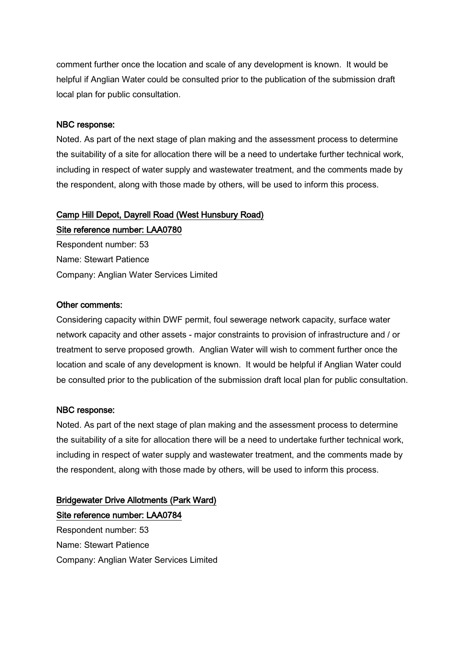comment further once the location and scale of any development is known. It would be helpful if Anglian Water could be consulted prior to the publication of the submission draft local plan for public consultation.

#### NBC response:

Noted. As part of the next stage of plan making and the assessment process to determine the suitability of a site for allocation there will be a need to undertake further technical work, including in respect of water supply and wastewater treatment, and the comments made by the respondent, along with those made by others, will be used to inform this process.

# Camp Hill Depot, Dayrell Road (West Hunsbury Road)

Site reference number: LAA0780 Respondent number: 53 Name: Stewart Patience Company: Anglian Water Services Limited

#### Other comments:

Considering capacity within DWF permit, foul sewerage network capacity, surface water network capacity and other assets - major constraints to provision of infrastructure and / or treatment to serve proposed growth. Anglian Water will wish to comment further once the location and scale of any development is known. It would be helpful if Anglian Water could be consulted prior to the publication of the submission draft local plan for public consultation.

#### NBC response:

Noted. As part of the next stage of plan making and the assessment process to determine the suitability of a site for allocation there will be a need to undertake further technical work, including in respect of water supply and wastewater treatment, and the comments made by the respondent, along with those made by others, will be used to inform this process.

# Bridgewater Drive Allotments (Park Ward) Site reference number: LAA0784

Respondent number: 53 Name: Stewart Patience Company: Anglian Water Services Limited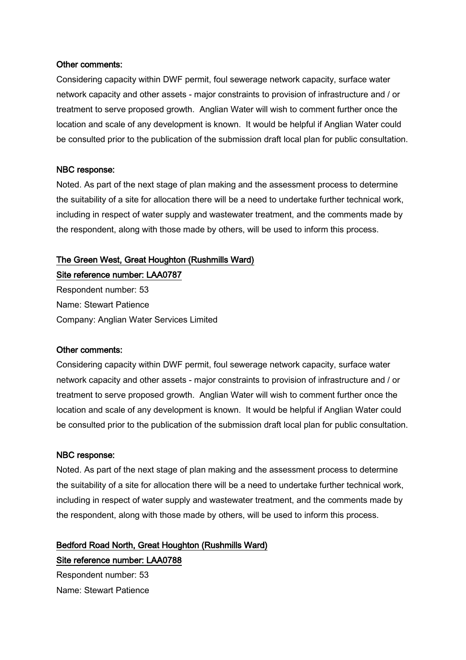#### Other comments:

Considering capacity within DWF permit, foul sewerage network capacity, surface water network capacity and other assets - major constraints to provision of infrastructure and / or treatment to serve proposed growth. Anglian Water will wish to comment further once the location and scale of any development is known. It would be helpful if Anglian Water could be consulted prior to the publication of the submission draft local plan for public consultation.

#### NBC response:

Noted. As part of the next stage of plan making and the assessment process to determine the suitability of a site for allocation there will be a need to undertake further technical work, including in respect of water supply and wastewater treatment, and the comments made by the respondent, along with those made by others, will be used to inform this process.

#### The Green West, Great Houghton (Rushmills Ward)

Site reference number: LAA0787 Respondent number: 53 Name: Stewart Patience Company: Anglian Water Services Limited

#### Other comments:

Considering capacity within DWF permit, foul sewerage network capacity, surface water network capacity and other assets - major constraints to provision of infrastructure and / or treatment to serve proposed growth. Anglian Water will wish to comment further once the location and scale of any development is known. It would be helpful if Anglian Water could be consulted prior to the publication of the submission draft local plan for public consultation.

#### NBC response:

Noted. As part of the next stage of plan making and the assessment process to determine the suitability of a site for allocation there will be a need to undertake further technical work, including in respect of water supply and wastewater treatment, and the comments made by the respondent, along with those made by others, will be used to inform this process.

# Bedford Road North, Great Houghton (Rushmills Ward) Site reference number: LAA0788

Respondent number: 53 Name: Stewart Patience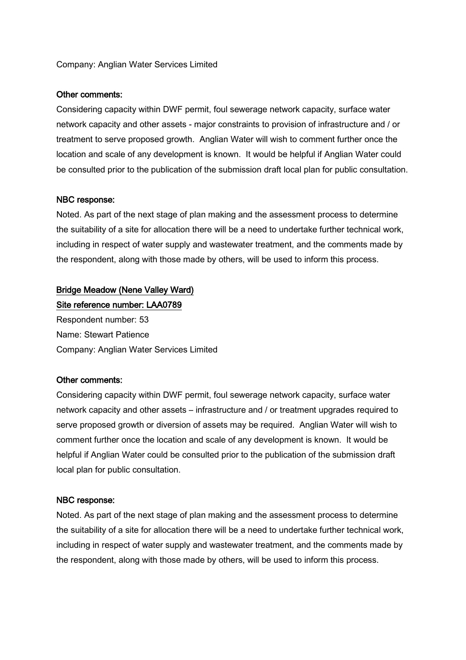#### Company: Anglian Water Services Limited

#### Other comments:

Considering capacity within DWF permit, foul sewerage network capacity, surface water network capacity and other assets - major constraints to provision of infrastructure and / or treatment to serve proposed growth. Anglian Water will wish to comment further once the location and scale of any development is known. It would be helpful if Anglian Water could be consulted prior to the publication of the submission draft local plan for public consultation.

#### NBC response:

Noted. As part of the next stage of plan making and the assessment process to determine the suitability of a site for allocation there will be a need to undertake further technical work, including in respect of water supply and wastewater treatment, and the comments made by the respondent, along with those made by others, will be used to inform this process.

# Bridge Meadow (Nene Valley Ward)

Site reference number: LAA0789 Respondent number: 53 Name: Stewart Patience Company: Anglian Water Services Limited

#### Other comments:

Considering capacity within DWF permit, foul sewerage network capacity, surface water network capacity and other assets – infrastructure and / or treatment upgrades required to serve proposed growth or diversion of assets may be required. Anglian Water will wish to comment further once the location and scale of any development is known. It would be helpful if Anglian Water could be consulted prior to the publication of the submission draft local plan for public consultation.

#### NBC response:

Noted. As part of the next stage of plan making and the assessment process to determine the suitability of a site for allocation there will be a need to undertake further technical work, including in respect of water supply and wastewater treatment, and the comments made by the respondent, along with those made by others, will be used to inform this process.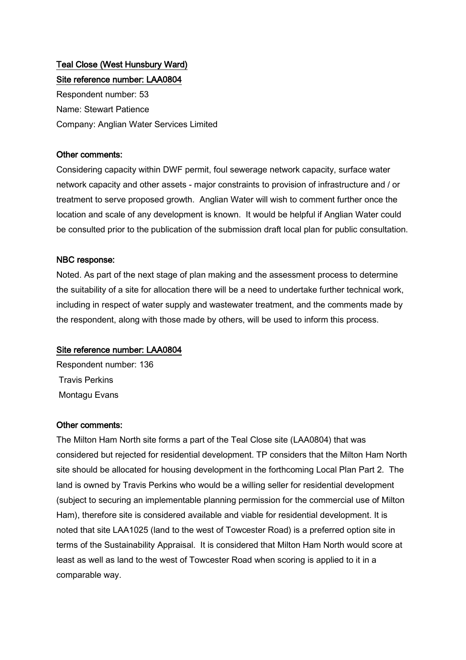# Teal Close (West Hunsbury Ward) Site reference number: LAA0804

Respondent number: 53 Name: Stewart Patience Company: Anglian Water Services Limited

### Other comments:

Considering capacity within DWF permit, foul sewerage network capacity, surface water network capacity and other assets - major constraints to provision of infrastructure and / or treatment to serve proposed growth. Anglian Water will wish to comment further once the location and scale of any development is known. It would be helpful if Anglian Water could be consulted prior to the publication of the submission draft local plan for public consultation.

#### NBC response:

Noted. As part of the next stage of plan making and the assessment process to determine the suitability of a site for allocation there will be a need to undertake further technical work, including in respect of water supply and wastewater treatment, and the comments made by the respondent, along with those made by others, will be used to inform this process.

## Site reference number: LAA0804

Respondent number: 136 Travis Perkins Montagu Evans

## Other comments:

The Milton Ham North site forms a part of the Teal Close site (LAA0804) that was considered but rejected for residential development. TP considers that the Milton Ham North site should be allocated for housing development in the forthcoming Local Plan Part 2. The land is owned by Travis Perkins who would be a willing seller for residential development (subject to securing an implementable planning permission for the commercial use of Milton Ham), therefore site is considered available and viable for residential development. It is noted that site LAA1025 (land to the west of Towcester Road) is a preferred option site in terms of the Sustainability Appraisal. It is considered that Milton Ham North would score at least as well as land to the west of Towcester Road when scoring is applied to it in a comparable way.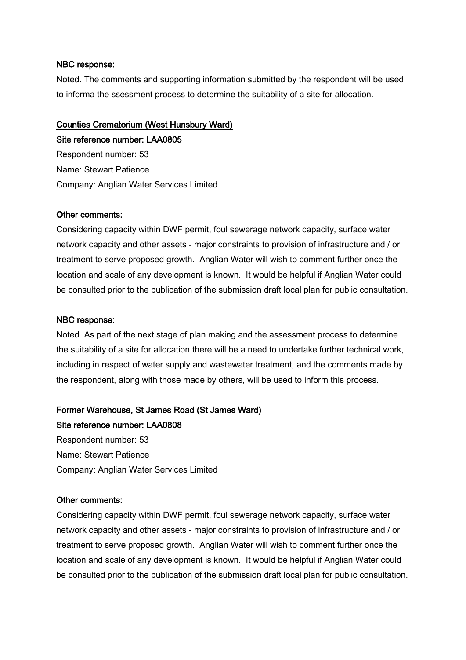Noted. The comments and supporting information submitted by the respondent will be used to informa the ssessment process to determine the suitability of a site for allocation.

# Counties Crematorium (West Hunsbury Ward) Site reference number: LAA0805

Respondent number: 53 Name: Stewart Patience Company: Anglian Water Services Limited

#### Other comments:

Considering capacity within DWF permit, foul sewerage network capacity, surface water network capacity and other assets - major constraints to provision of infrastructure and / or treatment to serve proposed growth. Anglian Water will wish to comment further once the location and scale of any development is known. It would be helpful if Anglian Water could be consulted prior to the publication of the submission draft local plan for public consultation.

#### NBC response:

Noted. As part of the next stage of plan making and the assessment process to determine the suitability of a site for allocation there will be a need to undertake further technical work, including in respect of water supply and wastewater treatment, and the comments made by the respondent, along with those made by others, will be used to inform this process.

# Former Warehouse, St James Road (St James Ward)

## Site reference number: LAA0808

Respondent number: 53 Name: Stewart Patience Company: Anglian Water Services Limited

#### Other comments:

Considering capacity within DWF permit, foul sewerage network capacity, surface water network capacity and other assets - major constraints to provision of infrastructure and / or treatment to serve proposed growth. Anglian Water will wish to comment further once the location and scale of any development is known. It would be helpful if Anglian Water could be consulted prior to the publication of the submission draft local plan for public consultation.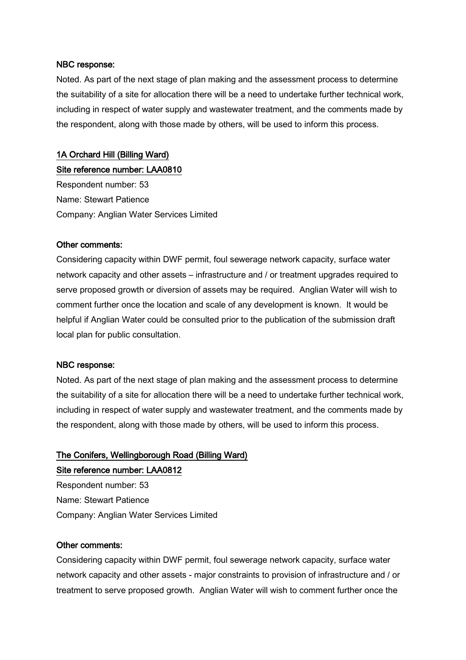Noted. As part of the next stage of plan making and the assessment process to determine the suitability of a site for allocation there will be a need to undertake further technical work, including in respect of water supply and wastewater treatment, and the comments made by the respondent, along with those made by others, will be used to inform this process.

# 1A Orchard Hill (Billing Ward)

Site reference number: LAA0810

Respondent number: 53 Name: Stewart Patience Company: Anglian Water Services Limited

#### Other comments:

Considering capacity within DWF permit, foul sewerage network capacity, surface water network capacity and other assets – infrastructure and / or treatment upgrades required to serve proposed growth or diversion of assets may be required. Anglian Water will wish to comment further once the location and scale of any development is known. It would be helpful if Anglian Water could be consulted prior to the publication of the submission draft local plan for public consultation.

#### NBC response:

Noted. As part of the next stage of plan making and the assessment process to determine the suitability of a site for allocation there will be a need to undertake further technical work, including in respect of water supply and wastewater treatment, and the comments made by the respondent, along with those made by others, will be used to inform this process.

# The Conifers, Wellingborough Road (Billing Ward) Site reference number: LAA0812

Respondent number: 53 Name: Stewart Patience Company: Anglian Water Services Limited

#### Other comments:

Considering capacity within DWF permit, foul sewerage network capacity, surface water network capacity and other assets - major constraints to provision of infrastructure and / or treatment to serve proposed growth. Anglian Water will wish to comment further once the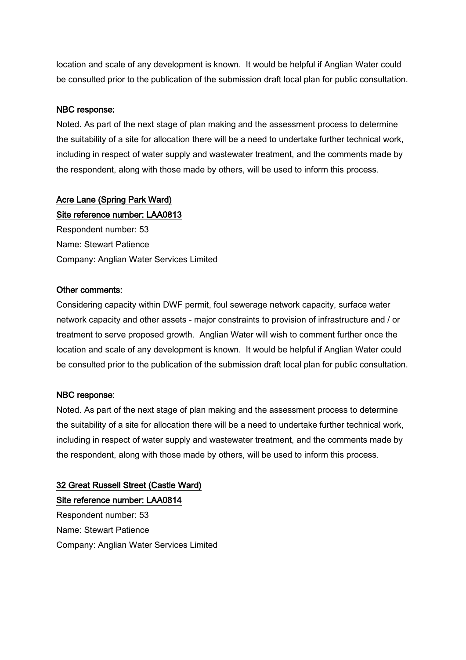location and scale of any development is known. It would be helpful if Anglian Water could be consulted prior to the publication of the submission draft local plan for public consultation.

## NBC response:

Noted. As part of the next stage of plan making and the assessment process to determine the suitability of a site for allocation there will be a need to undertake further technical work, including in respect of water supply and wastewater treatment, and the comments made by the respondent, along with those made by others, will be used to inform this process.

## Acre Lane (Spring Park Ward)

Site reference number: LAA0813 Respondent number: 53 Name: Stewart Patience Company: Anglian Water Services Limited

#### Other comments:

Considering capacity within DWF permit, foul sewerage network capacity, surface water network capacity and other assets - major constraints to provision of infrastructure and / or treatment to serve proposed growth. Anglian Water will wish to comment further once the location and scale of any development is known. It would be helpful if Anglian Water could be consulted prior to the publication of the submission draft local plan for public consultation.

#### NBC response:

Noted. As part of the next stage of plan making and the assessment process to determine the suitability of a site for allocation there will be a need to undertake further technical work, including in respect of water supply and wastewater treatment, and the comments made by the respondent, along with those made by others, will be used to inform this process.

# 32 Great Russell Street (Castle Ward) Site reference number: LAA0814 Respondent number: 53 Name: Stewart Patience Company: Anglian Water Services Limited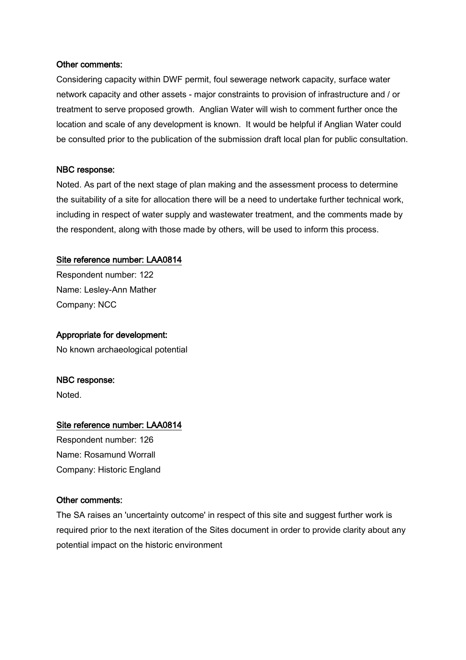#### Other comments:

Considering capacity within DWF permit, foul sewerage network capacity, surface water network capacity and other assets - major constraints to provision of infrastructure and / or treatment to serve proposed growth. Anglian Water will wish to comment further once the location and scale of any development is known. It would be helpful if Anglian Water could be consulted prior to the publication of the submission draft local plan for public consultation.

#### NBC response:

Noted. As part of the next stage of plan making and the assessment process to determine the suitability of a site for allocation there will be a need to undertake further technical work, including in respect of water supply and wastewater treatment, and the comments made by the respondent, along with those made by others, will be used to inform this process.

#### Site reference number: LAA0814

Respondent number: 122 Name: Lesley-Ann Mather Company: NCC

#### Appropriate for development:

No known archaeological potential

#### NBC response:

Noted.

#### Site reference number: LAA0814

Respondent number: 126 Name: Rosamund Worrall Company: Historic England

#### Other comments:

The SA raises an 'uncertainty outcome' in respect of this site and suggest further work is required prior to the next iteration of the Sites document in order to provide clarity about any potential impact on the historic environment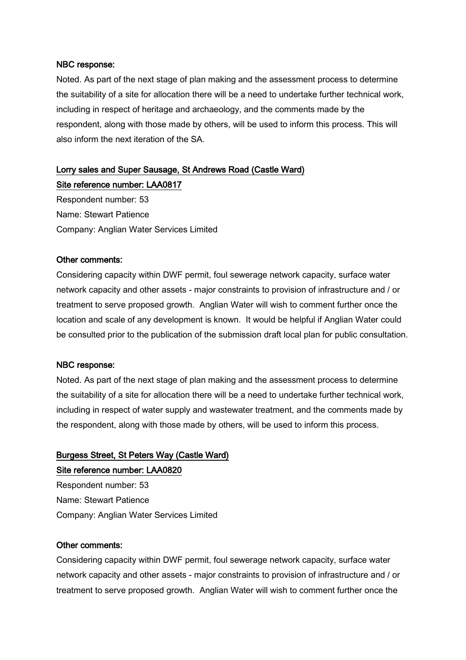Noted. As part of the next stage of plan making and the assessment process to determine the suitability of a site for allocation there will be a need to undertake further technical work, including in respect of heritage and archaeology, and the comments made by the respondent, along with those made by others, will be used to inform this process. This will also inform the next iteration of the SA.

# Lorry sales and Super Sausage, St Andrews Road (Castle Ward) Site reference number: LAA0817

Respondent number: 53 Name: Stewart Patience Company: Anglian Water Services Limited

#### Other comments:

Considering capacity within DWF permit, foul sewerage network capacity, surface water network capacity and other assets - major constraints to provision of infrastructure and / or treatment to serve proposed growth. Anglian Water will wish to comment further once the location and scale of any development is known. It would be helpful if Anglian Water could be consulted prior to the publication of the submission draft local plan for public consultation.

#### NBC response:

Noted. As part of the next stage of plan making and the assessment process to determine the suitability of a site for allocation there will be a need to undertake further technical work, including in respect of water supply and wastewater treatment, and the comments made by the respondent, along with those made by others, will be used to inform this process.

# Burgess Street, St Peters Way (Castle Ward) Site reference number: LAA0820

Respondent number: 53 Name: Stewart Patience Company: Anglian Water Services Limited

#### Other comments:

Considering capacity within DWF permit, foul sewerage network capacity, surface water network capacity and other assets - major constraints to provision of infrastructure and / or treatment to serve proposed growth. Anglian Water will wish to comment further once the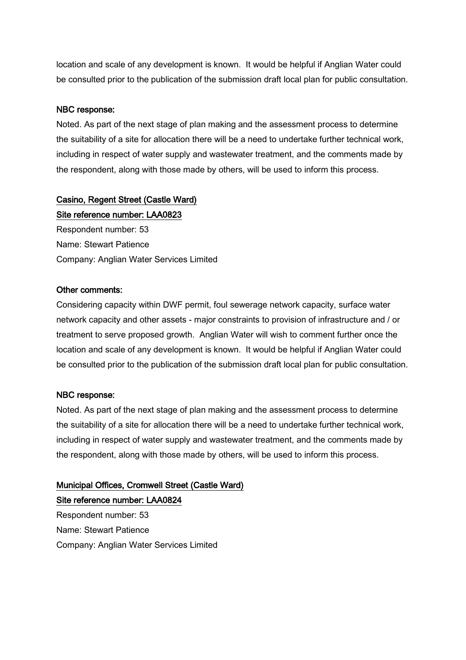location and scale of any development is known. It would be helpful if Anglian Water could be consulted prior to the publication of the submission draft local plan for public consultation.

## NBC response:

Noted. As part of the next stage of plan making and the assessment process to determine the suitability of a site for allocation there will be a need to undertake further technical work, including in respect of water supply and wastewater treatment, and the comments made by the respondent, along with those made by others, will be used to inform this process.

# Casino, Regent Street (Castle Ward)

Site reference number: LAA0823 Respondent number: 53 Name: Stewart Patience Company: Anglian Water Services Limited

#### Other comments:

Considering capacity within DWF permit, foul sewerage network capacity, surface water network capacity and other assets - major constraints to provision of infrastructure and / or treatment to serve proposed growth. Anglian Water will wish to comment further once the location and scale of any development is known. It would be helpful if Anglian Water could be consulted prior to the publication of the submission draft local plan for public consultation.

#### NBC response:

Noted. As part of the next stage of plan making and the assessment process to determine the suitability of a site for allocation there will be a need to undertake further technical work, including in respect of water supply and wastewater treatment, and the comments made by the respondent, along with those made by others, will be used to inform this process.

# Municipal Offices, Cromwell Street (Castle Ward) Site reference number: LAA0824

Respondent number: 53 Name: Stewart Patience Company: Anglian Water Services Limited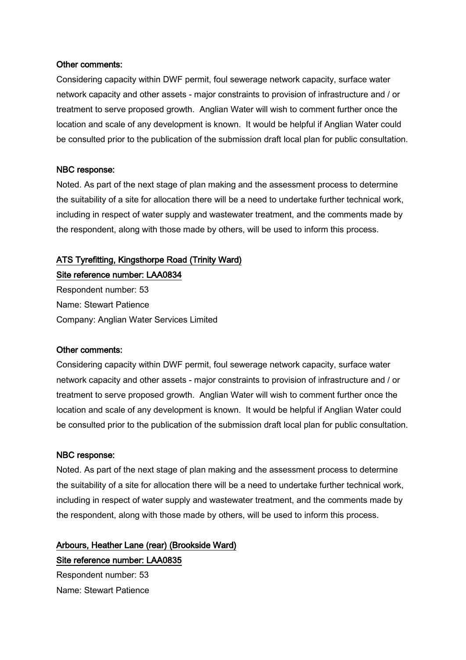#### Other comments:

Considering capacity within DWF permit, foul sewerage network capacity, surface water network capacity and other assets - major constraints to provision of infrastructure and / or treatment to serve proposed growth. Anglian Water will wish to comment further once the location and scale of any development is known. It would be helpful if Anglian Water could be consulted prior to the publication of the submission draft local plan for public consultation.

#### NBC response:

Noted. As part of the next stage of plan making and the assessment process to determine the suitability of a site for allocation there will be a need to undertake further technical work, including in respect of water supply and wastewater treatment, and the comments made by the respondent, along with those made by others, will be used to inform this process.

#### ATS Tyrefitting, Kingsthorpe Road (Trinity Ward)

Site reference number: LAA0834

Respondent number: 53 Name: Stewart Patience Company: Anglian Water Services Limited

#### Other comments:

Considering capacity within DWF permit, foul sewerage network capacity, surface water network capacity and other assets - major constraints to provision of infrastructure and / or treatment to serve proposed growth. Anglian Water will wish to comment further once the location and scale of any development is known. It would be helpful if Anglian Water could be consulted prior to the publication of the submission draft local plan for public consultation.

#### NBC response:

Noted. As part of the next stage of plan making and the assessment process to determine the suitability of a site for allocation there will be a need to undertake further technical work, including in respect of water supply and wastewater treatment, and the comments made by the respondent, along with those made by others, will be used to inform this process.

Arbours, Heather Lane (rear) (Brookside Ward) Site reference number: LAA0835 Respondent number: 53

Name: Stewart Patience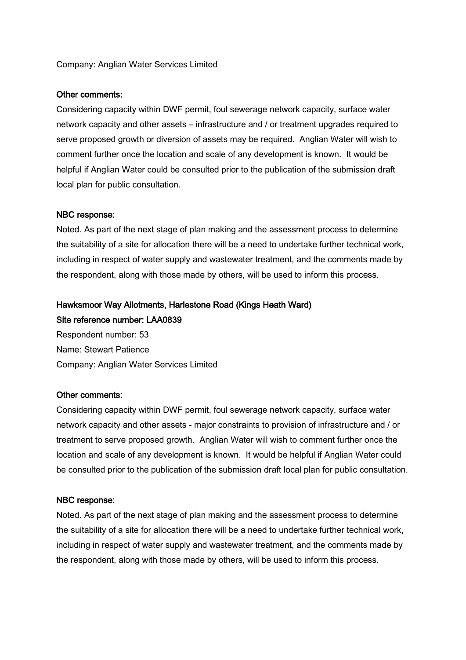#### Company: Anglian Water Services Limited

#### Other comments:

Considering capacity within DWF permit, foul sewerage network capacity, surface water network capacity and other assets – infrastructure and / or treatment upgrades required to serve proposed growth or diversion of assets may be required. Anglian Water will wish to comment further once the location and scale of any development is known. It would be helpful if Anglian Water could be consulted prior to the publication of the submission draft local plan for public consultation.

#### NBC response:

Noted. As part of the next stage of plan making and the assessment process to determine the suitability of a site for allocation there will be a need to undertake further technical work, including in respect of water supply and wastewater treatment, and the comments made by the respondent, along with those made by others, will be used to inform this process.

#### Hawksmoor Way Allotments, Harlestone Road (Kings Heath Ward)

Site reference number: LAA0839 Respondent number: 53 Name: Stewart Patience Company: Anglian Water Services Limited

#### Other comments:

Considering capacity within DWF permit, foul sewerage network capacity, surface water network capacity and other assets - major constraints to provision of infrastructure and / or treatment to serve proposed growth. Anglian Water will wish to comment further once the location and scale of any development is known. It would be helpful if Anglian Water could be consulted prior to the publication of the submission draft local plan for public consultation.

#### NBC response:

Noted. As part of the next stage of plan making and the assessment process to determine the suitability of a site for allocation there will be a need to undertake further technical work, including in respect of water supply and wastewater treatment, and the comments made by the respondent, along with those made by others, will be used to inform this process.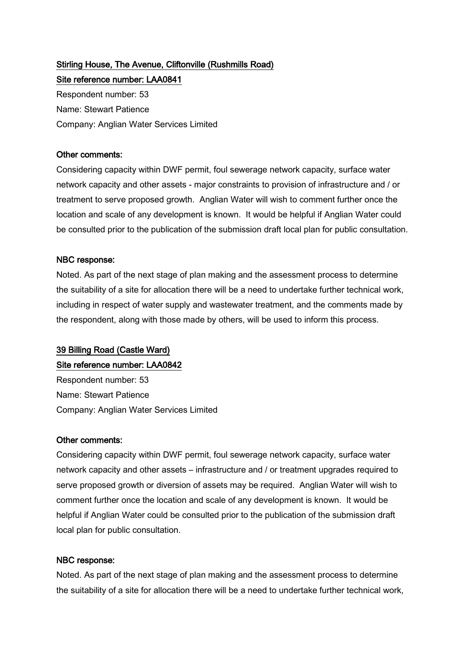# Stirling House, The Avenue, Cliftonville (Rushmills Road)

Site reference number: LAA0841 Respondent number: 53 Name: Stewart Patience Company: Anglian Water Services Limited

#### Other comments:

Considering capacity within DWF permit, foul sewerage network capacity, surface water network capacity and other assets - major constraints to provision of infrastructure and / or treatment to serve proposed growth. Anglian Water will wish to comment further once the location and scale of any development is known. It would be helpful if Anglian Water could be consulted prior to the publication of the submission draft local plan for public consultation.

## NBC response:

Noted. As part of the next stage of plan making and the assessment process to determine the suitability of a site for allocation there will be a need to undertake further technical work, including in respect of water supply and wastewater treatment, and the comments made by the respondent, along with those made by others, will be used to inform this process.

## 39 Billing Road (Castle Ward)

## Site reference number: LAA0842

Respondent number: 53 Name: Stewart Patience Company: Anglian Water Services Limited

#### Other comments:

Considering capacity within DWF permit, foul sewerage network capacity, surface water network capacity and other assets – infrastructure and / or treatment upgrades required to serve proposed growth or diversion of assets may be required. Anglian Water will wish to comment further once the location and scale of any development is known. It would be helpful if Anglian Water could be consulted prior to the publication of the submission draft local plan for public consultation.

## NBC response:

Noted. As part of the next stage of plan making and the assessment process to determine the suitability of a site for allocation there will be a need to undertake further technical work,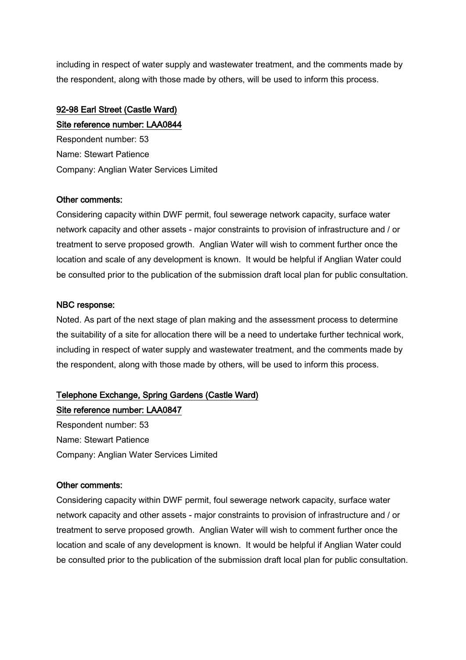including in respect of water supply and wastewater treatment, and the comments made by the respondent, along with those made by others, will be used to inform this process.

# 92-98 Earl Street (Castle Ward)

Site reference number: LAA0844

Respondent number: 53 Name: Stewart Patience Company: Anglian Water Services Limited

## Other comments:

Considering capacity within DWF permit, foul sewerage network capacity, surface water network capacity and other assets - major constraints to provision of infrastructure and / or treatment to serve proposed growth. Anglian Water will wish to comment further once the location and scale of any development is known. It would be helpful if Anglian Water could be consulted prior to the publication of the submission draft local plan for public consultation.

## NBC response:

Noted. As part of the next stage of plan making and the assessment process to determine the suitability of a site for allocation there will be a need to undertake further technical work, including in respect of water supply and wastewater treatment, and the comments made by the respondent, along with those made by others, will be used to inform this process.

# Telephone Exchange, Spring Gardens (Castle Ward)

Site reference number: LAA0847 Respondent number: 53 Name: Stewart Patience Company: Anglian Water Services Limited

## Other comments:

Considering capacity within DWF permit, foul sewerage network capacity, surface water network capacity and other assets - major constraints to provision of infrastructure and / or treatment to serve proposed growth. Anglian Water will wish to comment further once the location and scale of any development is known. It would be helpful if Anglian Water could be consulted prior to the publication of the submission draft local plan for public consultation.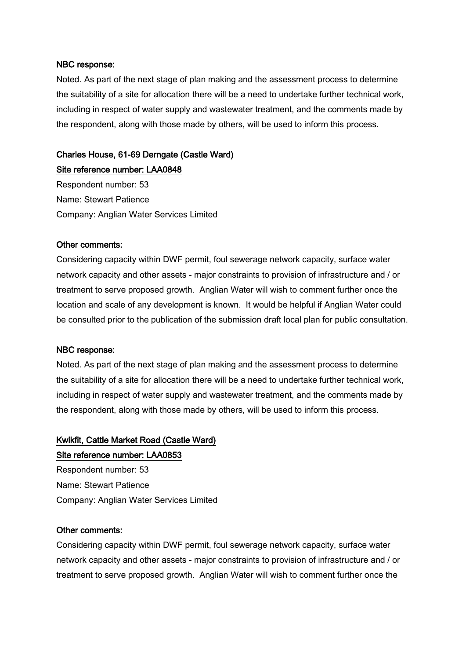Noted. As part of the next stage of plan making and the assessment process to determine the suitability of a site for allocation there will be a need to undertake further technical work, including in respect of water supply and wastewater treatment, and the comments made by the respondent, along with those made by others, will be used to inform this process.

## Charles House, 61-69 Derngate (Castle Ward)

Site reference number: LAA0848 Respondent number: 53 Name: Stewart Patience Company: Anglian Water Services Limited

#### Other comments:

Considering capacity within DWF permit, foul sewerage network capacity, surface water network capacity and other assets - major constraints to provision of infrastructure and / or treatment to serve proposed growth. Anglian Water will wish to comment further once the location and scale of any development is known. It would be helpful if Anglian Water could be consulted prior to the publication of the submission draft local plan for public consultation.

#### NBC response:

Noted. As part of the next stage of plan making and the assessment process to determine the suitability of a site for allocation there will be a need to undertake further technical work, including in respect of water supply and wastewater treatment, and the comments made by the respondent, along with those made by others, will be used to inform this process.

## Kwikfit, Cattle Market Road (Castle Ward) Site reference number: LAA0853

Respondent number: 53 Name: Stewart Patience Company: Anglian Water Services Limited

#### Other comments:

Considering capacity within DWF permit, foul sewerage network capacity, surface water network capacity and other assets - major constraints to provision of infrastructure and / or treatment to serve proposed growth. Anglian Water will wish to comment further once the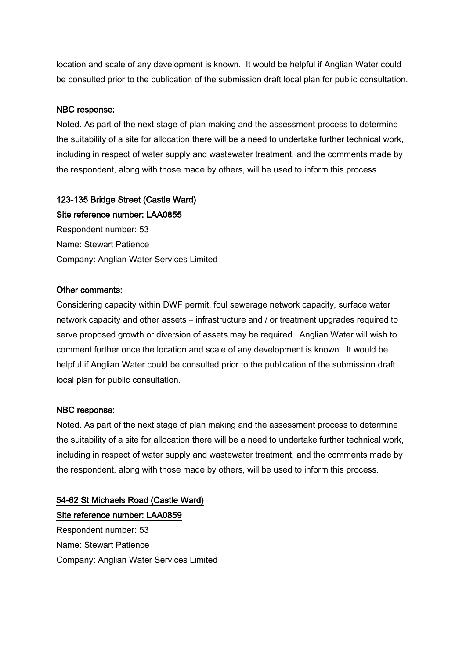location and scale of any development is known. It would be helpful if Anglian Water could be consulted prior to the publication of the submission draft local plan for public consultation.

## NBC response:

Noted. As part of the next stage of plan making and the assessment process to determine the suitability of a site for allocation there will be a need to undertake further technical work, including in respect of water supply and wastewater treatment, and the comments made by the respondent, along with those made by others, will be used to inform this process.

## 123-135 Bridge Street (Castle Ward)

Site reference number: LAA0855 Respondent number: 53 Name: Stewart Patience Company: Anglian Water Services Limited

## Other comments:

Considering capacity within DWF permit, foul sewerage network capacity, surface water network capacity and other assets – infrastructure and / or treatment upgrades required to serve proposed growth or diversion of assets may be required. Anglian Water will wish to comment further once the location and scale of any development is known. It would be helpful if Anglian Water could be consulted prior to the publication of the submission draft local plan for public consultation.

#### NBC response:

Noted. As part of the next stage of plan making and the assessment process to determine the suitability of a site for allocation there will be a need to undertake further technical work, including in respect of water supply and wastewater treatment, and the comments made by the respondent, along with those made by others, will be used to inform this process.

# 54-62 St Michaels Road (Castle Ward) Site reference number: LAA0859

Respondent number: 53 Name: Stewart Patience Company: Anglian Water Services Limited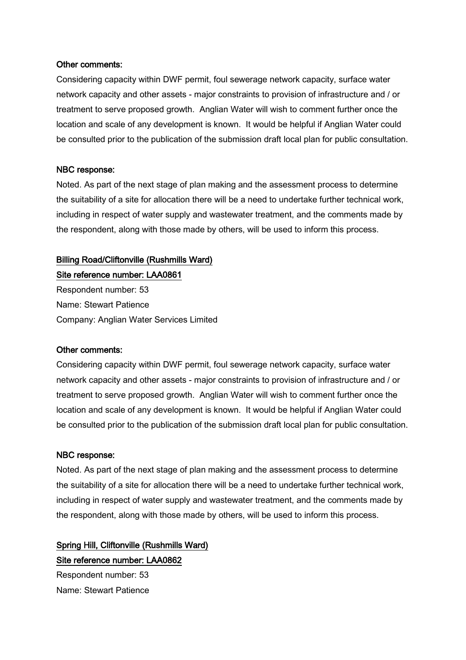#### Other comments:

Considering capacity within DWF permit, foul sewerage network capacity, surface water network capacity and other assets - major constraints to provision of infrastructure and / or treatment to serve proposed growth. Anglian Water will wish to comment further once the location and scale of any development is known. It would be helpful if Anglian Water could be consulted prior to the publication of the submission draft local plan for public consultation.

#### NBC response:

Noted. As part of the next stage of plan making and the assessment process to determine the suitability of a site for allocation there will be a need to undertake further technical work, including in respect of water supply and wastewater treatment, and the comments made by the respondent, along with those made by others, will be used to inform this process.

## Billing Road/Cliftonville (Rushmills Ward)

Site reference number: LAA0861 Respondent number: 53 Name: Stewart Patience Company: Anglian Water Services Limited

#### Other comments:

Considering capacity within DWF permit, foul sewerage network capacity, surface water network capacity and other assets - major constraints to provision of infrastructure and / or treatment to serve proposed growth. Anglian Water will wish to comment further once the location and scale of any development is known. It would be helpful if Anglian Water could be consulted prior to the publication of the submission draft local plan for public consultation.

#### NBC response:

Noted. As part of the next stage of plan making and the assessment process to determine the suitability of a site for allocation there will be a need to undertake further technical work, including in respect of water supply and wastewater treatment, and the comments made by the respondent, along with those made by others, will be used to inform this process.

Spring Hill, Cliftonville (Rushmills Ward) Site reference number: LAA0862 Respondent number: 53

Name: Stewart Patience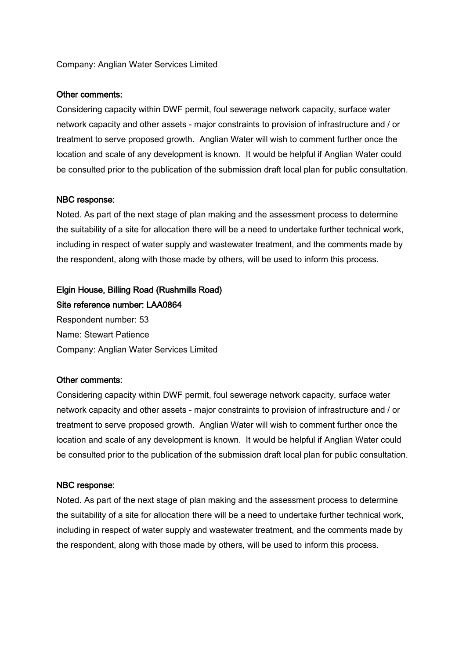#### Company: Anglian Water Services Limited

#### Other comments:

Considering capacity within DWF permit, foul sewerage network capacity, surface water network capacity and other assets - major constraints to provision of infrastructure and / or treatment to serve proposed growth. Anglian Water will wish to comment further once the location and scale of any development is known. It would be helpful if Anglian Water could be consulted prior to the publication of the submission draft local plan for public consultation.

#### NBC response:

Noted. As part of the next stage of plan making and the assessment process to determine the suitability of a site for allocation there will be a need to undertake further technical work, including in respect of water supply and wastewater treatment, and the comments made by the respondent, along with those made by others, will be used to inform this process.

# Elgin House, Billing Road (Rushmills Road) Site reference number: LAA0864

Respondent number: 53 Name: Stewart Patience Company: Anglian Water Services Limited

#### Other comments:

Considering capacity within DWF permit, foul sewerage network capacity, surface water network capacity and other assets - major constraints to provision of infrastructure and / or treatment to serve proposed growth. Anglian Water will wish to comment further once the location and scale of any development is known. It would be helpful if Anglian Water could be consulted prior to the publication of the submission draft local plan for public consultation.

#### NBC response:

Noted. As part of the next stage of plan making and the assessment process to determine the suitability of a site for allocation there will be a need to undertake further technical work, including in respect of water supply and wastewater treatment, and the comments made by the respondent, along with those made by others, will be used to inform this process.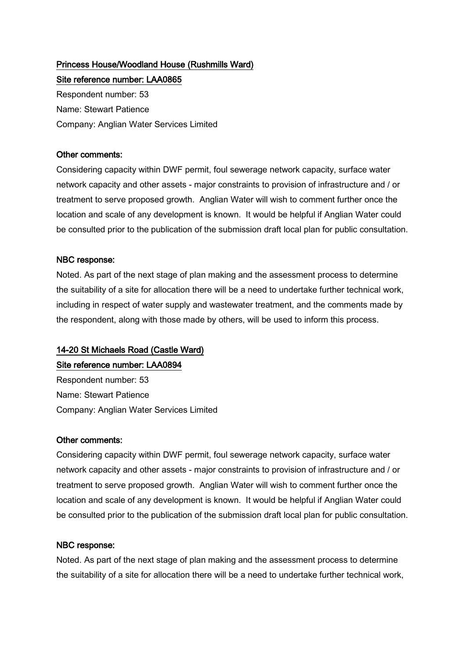# Princess House/Woodland House (Rushmills Ward)

Site reference number: LAA0865 Respondent number: 53 Name: Stewart Patience Company: Anglian Water Services Limited

## Other comments:

Considering capacity within DWF permit, foul sewerage network capacity, surface water network capacity and other assets - major constraints to provision of infrastructure and / or treatment to serve proposed growth. Anglian Water will wish to comment further once the location and scale of any development is known. It would be helpful if Anglian Water could be consulted prior to the publication of the submission draft local plan for public consultation.

## NBC response:

Noted. As part of the next stage of plan making and the assessment process to determine the suitability of a site for allocation there will be a need to undertake further technical work, including in respect of water supply and wastewater treatment, and the comments made by the respondent, along with those made by others, will be used to inform this process.

## 14-20 St Michaels Road (Castle Ward)

## Site reference number: LAA0894

Respondent number: 53 Name: Stewart Patience Company: Anglian Water Services Limited

#### Other comments:

Considering capacity within DWF permit, foul sewerage network capacity, surface water network capacity and other assets - major constraints to provision of infrastructure and / or treatment to serve proposed growth. Anglian Water will wish to comment further once the location and scale of any development is known. It would be helpful if Anglian Water could be consulted prior to the publication of the submission draft local plan for public consultation.

#### NBC response:

Noted. As part of the next stage of plan making and the assessment process to determine the suitability of a site for allocation there will be a need to undertake further technical work,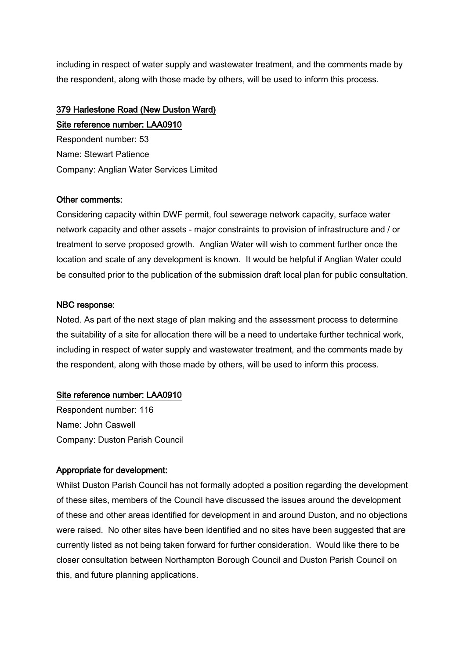including in respect of water supply and wastewater treatment, and the comments made by the respondent, along with those made by others, will be used to inform this process.

## 379 Harlestone Road (New Duston Ward)

Site reference number: LAA0910 Respondent number: 53 Name: Stewart Patience Company: Anglian Water Services Limited

## Other comments:

Considering capacity within DWF permit, foul sewerage network capacity, surface water network capacity and other assets - major constraints to provision of infrastructure and / or treatment to serve proposed growth. Anglian Water will wish to comment further once the location and scale of any development is known. It would be helpful if Anglian Water could be consulted prior to the publication of the submission draft local plan for public consultation.

## NBC response:

Noted. As part of the next stage of plan making and the assessment process to determine the suitability of a site for allocation there will be a need to undertake further technical work, including in respect of water supply and wastewater treatment, and the comments made by the respondent, along with those made by others, will be used to inform this process.

## Site reference number: LAA0910

Respondent number: 116 Name: John Caswell Company: Duston Parish Council

## Appropriate for development:

Whilst Duston Parish Council has not formally adopted a position regarding the development of these sites, members of the Council have discussed the issues around the development of these and other areas identified for development in and around Duston, and no objections were raised. No other sites have been identified and no sites have been suggested that are currently listed as not being taken forward for further consideration. Would like there to be closer consultation between Northampton Borough Council and Duston Parish Council on this, and future planning applications.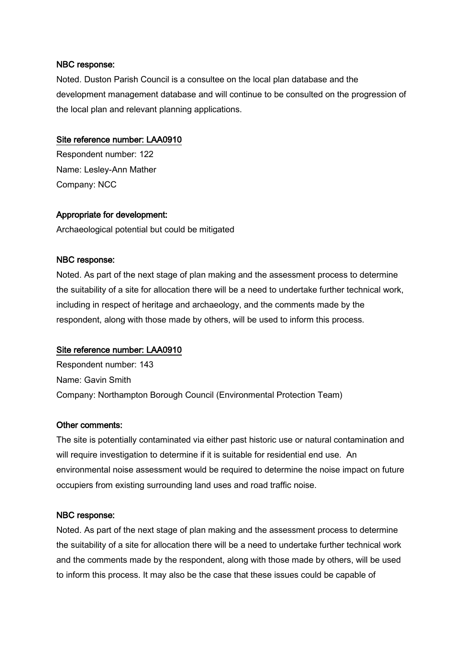Noted. Duston Parish Council is a consultee on the local plan database and the development management database and will continue to be consulted on the progression of the local plan and relevant planning applications.

## Site reference number: LAA0910

Respondent number: 122 Name: Lesley-Ann Mather Company: NCC

## Appropriate for development:

Archaeological potential but could be mitigated

#### NBC response:

Noted. As part of the next stage of plan making and the assessment process to determine the suitability of a site for allocation there will be a need to undertake further technical work, including in respect of heritage and archaeology, and the comments made by the respondent, along with those made by others, will be used to inform this process.

#### Site reference number: LAA0910

Respondent number: 143 Name: Gavin Smith Company: Northampton Borough Council (Environmental Protection Team)

#### Other comments:

The site is potentially contaminated via either past historic use or natural contamination and will require investigation to determine if it is suitable for residential end use. An environmental noise assessment would be required to determine the noise impact on future occupiers from existing surrounding land uses and road traffic noise.

#### NBC response:

Noted. As part of the next stage of plan making and the assessment process to determine the suitability of a site for allocation there will be a need to undertake further technical work and the comments made by the respondent, along with those made by others, will be used to inform this process. It may also be the case that these issues could be capable of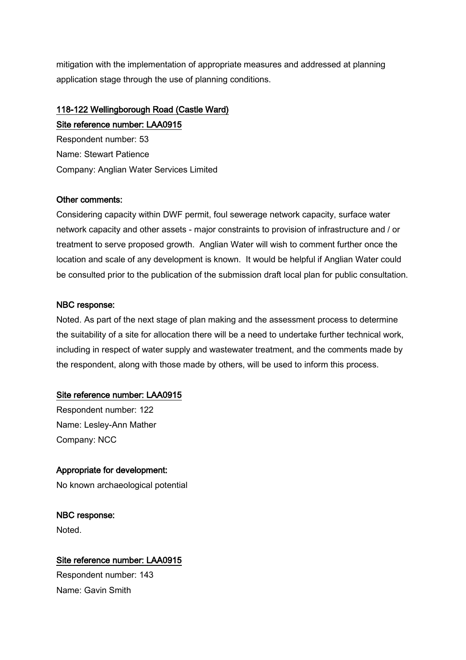mitigation with the implementation of appropriate measures and addressed at planning application stage through the use of planning conditions.

# 118-122 Wellingborough Road (Castle Ward) Site reference number: LAA0915

Respondent number: 53 Name: Stewart Patience Company: Anglian Water Services Limited

## Other comments:

Considering capacity within DWF permit, foul sewerage network capacity, surface water network capacity and other assets - major constraints to provision of infrastructure and / or treatment to serve proposed growth. Anglian Water will wish to comment further once the location and scale of any development is known. It would be helpful if Anglian Water could be consulted prior to the publication of the submission draft local plan for public consultation.

## NBC response:

Noted. As part of the next stage of plan making and the assessment process to determine the suitability of a site for allocation there will be a need to undertake further technical work, including in respect of water supply and wastewater treatment, and the comments made by the respondent, along with those made by others, will be used to inform this process.

## Site reference number: LAA0915

Respondent number: 122 Name: Lesley-Ann Mather Company: NCC

## Appropriate for development:

No known archaeological potential

NBC response: **Noted** 

## Site reference number: LAA0915

Respondent number: 143 Name: Gavin Smith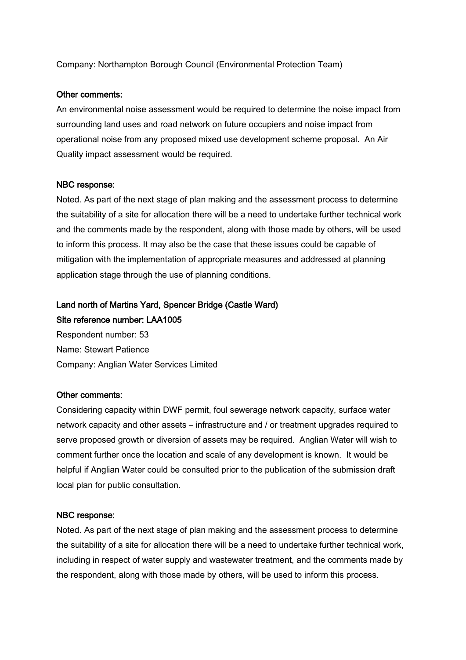Company: Northampton Borough Council (Environmental Protection Team)

#### Other comments:

An environmental noise assessment would be required to determine the noise impact from surrounding land uses and road network on future occupiers and noise impact from operational noise from any proposed mixed use development scheme proposal. An Air Quality impact assessment would be required.

#### NBC response:

Noted. As part of the next stage of plan making and the assessment process to determine the suitability of a site for allocation there will be a need to undertake further technical work and the comments made by the respondent, along with those made by others, will be used to inform this process. It may also be the case that these issues could be capable of mitigation with the implementation of appropriate measures and addressed at planning application stage through the use of planning conditions.

# Land north of Martins Yard, Spencer Bridge (Castle Ward)

Site reference number: LAA1005

Respondent number: 53 Name: Stewart Patience Company: Anglian Water Services Limited

#### Other comments:

Considering capacity within DWF permit, foul sewerage network capacity, surface water network capacity and other assets – infrastructure and / or treatment upgrades required to serve proposed growth or diversion of assets may be required. Anglian Water will wish to comment further once the location and scale of any development is known. It would be helpful if Anglian Water could be consulted prior to the publication of the submission draft local plan for public consultation.

#### NBC response:

Noted. As part of the next stage of plan making and the assessment process to determine the suitability of a site for allocation there will be a need to undertake further technical work, including in respect of water supply and wastewater treatment, and the comments made by the respondent, along with those made by others, will be used to inform this process.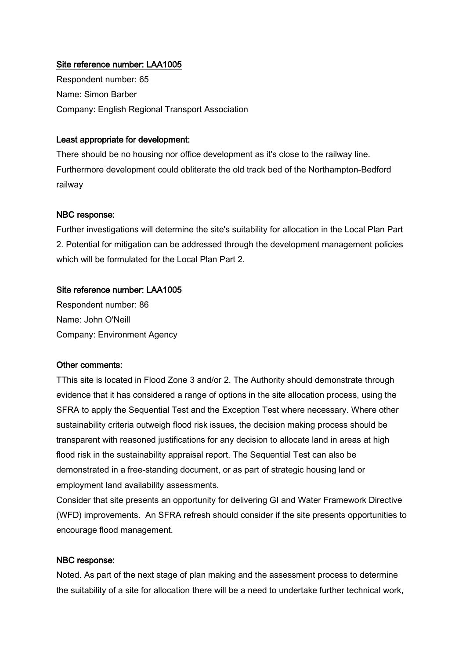## Site reference number: LAA1005

Respondent number: 65 Name: Simon Barber Company: English Regional Transport Association

## Least appropriate for development:

There should be no housing nor office development as it's close to the railway line. Furthermore development could obliterate the old track bed of the Northampton-Bedford railway

## NBC response:

Further investigations will determine the site's suitability for allocation in the Local Plan Part 2. Potential for mitigation can be addressed through the development management policies which will be formulated for the Local Plan Part 2.

## Site reference number: LAA1005

Respondent number: 86 Name: John O'Neill Company: Environment Agency

#### Other comments:

TThis site is located in Flood Zone 3 and/or 2. The Authority should demonstrate through evidence that it has considered a range of options in the site allocation process, using the SFRA to apply the Sequential Test and the Exception Test where necessary. Where other sustainability criteria outweigh flood risk issues, the decision making process should be transparent with reasoned justifications for any decision to allocate land in areas at high flood risk in the sustainability appraisal report. The Sequential Test can also be demonstrated in a free-standing document, or as part of strategic housing land or employment land availability assessments.

Consider that site presents an opportunity for delivering GI and Water Framework Directive (WFD) improvements. An SFRA refresh should consider if the site presents opportunities to encourage flood management.

## NBC response:

Noted. As part of the next stage of plan making and the assessment process to determine the suitability of a site for allocation there will be a need to undertake further technical work,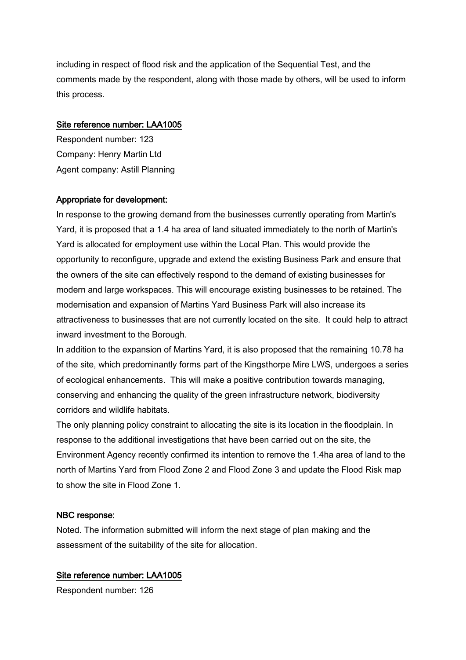including in respect of flood risk and the application of the Sequential Test, and the comments made by the respondent, along with those made by others, will be used to inform this process.

#### Site reference number: LAA1005

Respondent number: 123 Company: Henry Martin Ltd Agent company: Astill Planning

## Appropriate for development:

In response to the growing demand from the businesses currently operating from Martin's Yard, it is proposed that a 1.4 ha area of land situated immediately to the north of Martin's Yard is allocated for employment use within the Local Plan. This would provide the opportunity to reconfigure, upgrade and extend the existing Business Park and ensure that the owners of the site can effectively respond to the demand of existing businesses for modern and large workspaces. This will encourage existing businesses to be retained. The modernisation and expansion of Martins Yard Business Park will also increase its attractiveness to businesses that are not currently located on the site. It could help to attract inward investment to the Borough.

In addition to the expansion of Martins Yard, it is also proposed that the remaining 10.78 ha of the site, which predominantly forms part of the Kingsthorpe Mire LWS, undergoes a series of ecological enhancements. This will make a positive contribution towards managing, conserving and enhancing the quality of the green infrastructure network, biodiversity corridors and wildlife habitats.

The only planning policy constraint to allocating the site is its location in the floodplain. In response to the additional investigations that have been carried out on the site, the Environment Agency recently confirmed its intention to remove the 1.4ha area of land to the north of Martins Yard from Flood Zone 2 and Flood Zone 3 and update the Flood Risk map to show the site in Flood Zone 1.

#### NBC response:

Noted. The information submitted will inform the next stage of plan making and the assessment of the suitability of the site for allocation.

## Site reference number: LAA1005

Respondent number: 126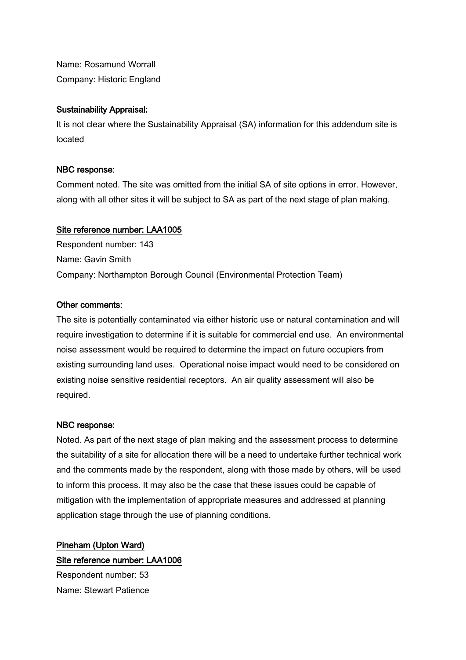Name: Rosamund Worrall Company: Historic England

#### Sustainability Appraisal:

It is not clear where the Sustainability Appraisal (SA) information for this addendum site is located

## NBC response:

Comment noted. The site was omitted from the initial SA of site options in error. However, along with all other sites it will be subject to SA as part of the next stage of plan making.

## Site reference number: LAA1005

Respondent number: 143 Name: Gavin Smith Company: Northampton Borough Council (Environmental Protection Team)

## Other comments:

The site is potentially contaminated via either historic use or natural contamination and will require investigation to determine if it is suitable for commercial end use. An environmental noise assessment would be required to determine the impact on future occupiers from existing surrounding land uses. Operational noise impact would need to be considered on existing noise sensitive residential receptors. An air quality assessment will also be required.

#### NBC response:

Noted. As part of the next stage of plan making and the assessment process to determine the suitability of a site for allocation there will be a need to undertake further technical work and the comments made by the respondent, along with those made by others, will be used to inform this process. It may also be the case that these issues could be capable of mitigation with the implementation of appropriate measures and addressed at planning application stage through the use of planning conditions.

Pineham (Upton Ward) Site reference number: LAA1006 Respondent number: 53 Name: Stewart Patience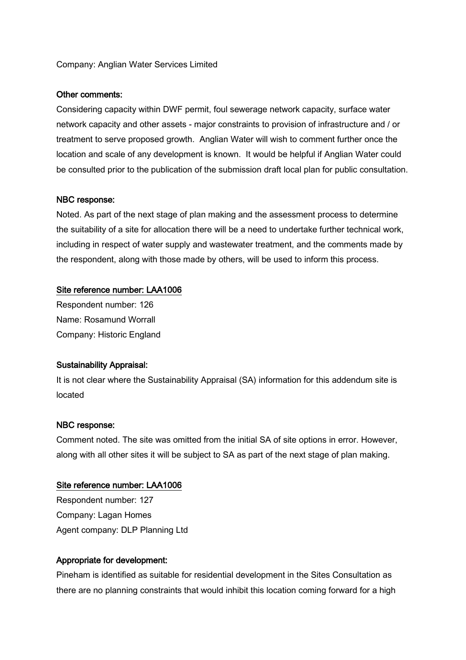#### Company: Anglian Water Services Limited

#### Other comments:

Considering capacity within DWF permit, foul sewerage network capacity, surface water network capacity and other assets - major constraints to provision of infrastructure and / or treatment to serve proposed growth. Anglian Water will wish to comment further once the location and scale of any development is known. It would be helpful if Anglian Water could be consulted prior to the publication of the submission draft local plan for public consultation.

#### NBC response:

Noted. As part of the next stage of plan making and the assessment process to determine the suitability of a site for allocation there will be a need to undertake further technical work, including in respect of water supply and wastewater treatment, and the comments made by the respondent, along with those made by others, will be used to inform this process.

#### Site reference number: LAA1006

Respondent number: 126 Name: Rosamund Worrall Company: Historic England

#### Sustainability Appraisal:

It is not clear where the Sustainability Appraisal (SA) information for this addendum site is located

#### NBC response:

Comment noted. The site was omitted from the initial SA of site options in error. However, along with all other sites it will be subject to SA as part of the next stage of plan making.

#### Site reference number: LAA1006

Respondent number: 127 Company: Lagan Homes Agent company: DLP Planning Ltd

#### Appropriate for development:

Pineham is identified as suitable for residential development in the Sites Consultation as there are no planning constraints that would inhibit this location coming forward for a high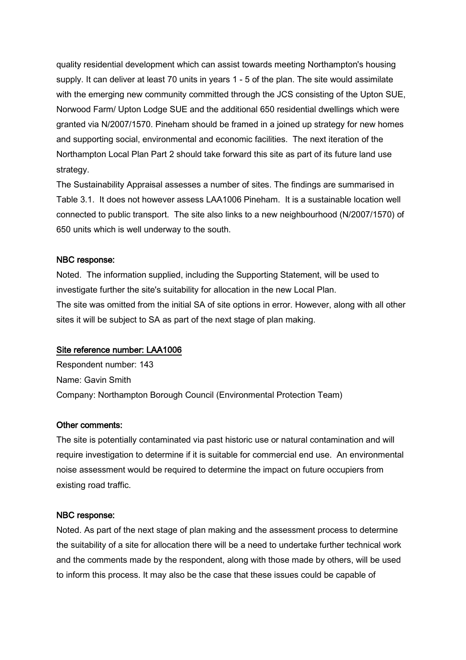quality residential development which can assist towards meeting Northampton's housing supply. It can deliver at least 70 units in years 1 - 5 of the plan. The site would assimilate with the emerging new community committed through the JCS consisting of the Upton SUE, Norwood Farm/ Upton Lodge SUE and the additional 650 residential dwellings which were granted via N/2007/1570. Pineham should be framed in a joined up strategy for new homes and supporting social, environmental and economic facilities. The next iteration of the Northampton Local Plan Part 2 should take forward this site as part of its future land use strategy.

The Sustainability Appraisal assesses a number of sites. The findings are summarised in Table 3.1. It does not however assess LAA1006 Pineham. It is a sustainable location well connected to public transport. The site also links to a new neighbourhood (N/2007/1570) of 650 units which is well underway to the south.

#### NBC response:

Noted. The information supplied, including the Supporting Statement, will be used to investigate further the site's suitability for allocation in the new Local Plan. The site was omitted from the initial SA of site options in error. However, along with all other sites it will be subject to SA as part of the next stage of plan making.

#### Site reference number: LAA1006

Respondent number: 143 Name: Gavin Smith Company: Northampton Borough Council (Environmental Protection Team)

#### Other comments:

The site is potentially contaminated via past historic use or natural contamination and will require investigation to determine if it is suitable for commercial end use. An environmental noise assessment would be required to determine the impact on future occupiers from existing road traffic.

#### NBC response:

Noted. As part of the next stage of plan making and the assessment process to determine the suitability of a site for allocation there will be a need to undertake further technical work and the comments made by the respondent, along with those made by others, will be used to inform this process. It may also be the case that these issues could be capable of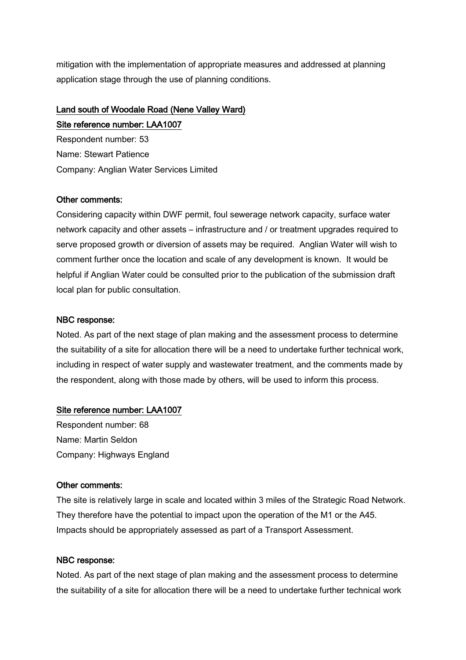mitigation with the implementation of appropriate measures and addressed at planning application stage through the use of planning conditions.

# Land south of Woodale Road (Nene Valley Ward) Site reference number: LAA1007

Respondent number: 53 Name: Stewart Patience Company: Anglian Water Services Limited

## Other comments:

Considering capacity within DWF permit, foul sewerage network capacity, surface water network capacity and other assets – infrastructure and / or treatment upgrades required to serve proposed growth or diversion of assets may be required. Anglian Water will wish to comment further once the location and scale of any development is known. It would be helpful if Anglian Water could be consulted prior to the publication of the submission draft local plan for public consultation.

## NBC response:

Noted. As part of the next stage of plan making and the assessment process to determine the suitability of a site for allocation there will be a need to undertake further technical work, including in respect of water supply and wastewater treatment, and the comments made by the respondent, along with those made by others, will be used to inform this process.

## Site reference number: LAA1007

Respondent number: 68 Name: Martin Seldon Company: Highways England

#### Other comments:

The site is relatively large in scale and located within 3 miles of the Strategic Road Network. They therefore have the potential to impact upon the operation of the M1 or the A45. Impacts should be appropriately assessed as part of a Transport Assessment.

## NBC response:

Noted. As part of the next stage of plan making and the assessment process to determine the suitability of a site for allocation there will be a need to undertake further technical work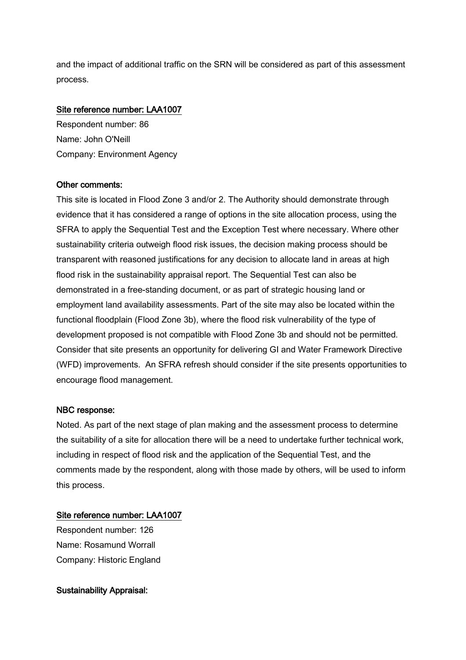and the impact of additional traffic on the SRN will be considered as part of this assessment process.

## Site reference number: LAA1007

Respondent number: 86 Name: John O'Neill Company: Environment Agency

## Other comments:

This site is located in Flood Zone 3 and/or 2. The Authority should demonstrate through evidence that it has considered a range of options in the site allocation process, using the SFRA to apply the Sequential Test and the Exception Test where necessary. Where other sustainability criteria outweigh flood risk issues, the decision making process should be transparent with reasoned justifications for any decision to allocate land in areas at high flood risk in the sustainability appraisal report. The Sequential Test can also be demonstrated in a free-standing document, or as part of strategic housing land or employment land availability assessments. Part of the site may also be located within the functional floodplain (Flood Zone 3b), where the flood risk vulnerability of the type of development proposed is not compatible with Flood Zone 3b and should not be permitted. Consider that site presents an opportunity for delivering GI and Water Framework Directive (WFD) improvements. An SFRA refresh should consider if the site presents opportunities to encourage flood management.

#### NBC response:

Noted. As part of the next stage of plan making and the assessment process to determine the suitability of a site for allocation there will be a need to undertake further technical work, including in respect of flood risk and the application of the Sequential Test, and the comments made by the respondent, along with those made by others, will be used to inform this process.

## Site reference number: LAA1007

Respondent number: 126 Name: Rosamund Worrall Company: Historic England

## Sustainability Appraisal: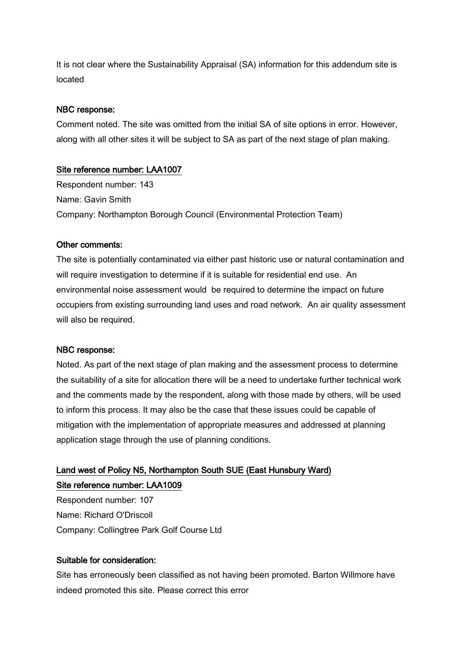It is not clear where the Sustainability Appraisal (SA) information for this addendum site is located

#### NBC response:

Comment noted. The site was omitted from the initial SA of site options in error. However, along with all other sites it will be subject to SA as part of the next stage of plan making.

## Site reference number: LAA1007

Respondent number: 143 Name: Gavin Smith Company: Northampton Borough Council (Environmental Protection Team)

#### Other comments:

The site is potentially contaminated via either past historic use or natural contamination and will require investigation to determine if it is suitable for residential end use. An environmental noise assessment would be required to determine the impact on future occupiers from existing surrounding land uses and road network. An air quality assessment will also be required.

#### NBC response:

Noted. As part of the next stage of plan making and the assessment process to determine the suitability of a site for allocation there will be a need to undertake further technical work and the comments made by the respondent, along with those made by others, will be used to inform this process. It may also be the case that these issues could be capable of mitigation with the implementation of appropriate measures and addressed at planning application stage through the use of planning conditions.

# Land west of Policy N5, Northampton South SUE (East Hunsbury Ward) Site reference number: LAA1009

Respondent number: 107 Name: Richard O'Driscoll Company: Collingtree Park Golf Course Ltd

## Suitable for consideration:

Site has erroneously been classified as not having been promoted. Barton Willmore have indeed promoted this site. Please correct this error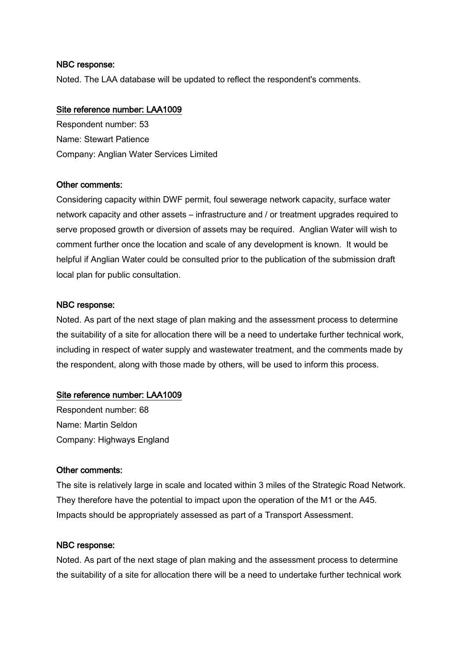Noted. The LAA database will be updated to reflect the respondent's comments.

#### Site reference number: LAA1009

Respondent number: 53 Name: Stewart Patience Company: Anglian Water Services Limited

#### Other comments:

Considering capacity within DWF permit, foul sewerage network capacity, surface water network capacity and other assets – infrastructure and / or treatment upgrades required to serve proposed growth or diversion of assets may be required. Anglian Water will wish to comment further once the location and scale of any development is known. It would be helpful if Anglian Water could be consulted prior to the publication of the submission draft local plan for public consultation.

## NBC response:

Noted. As part of the next stage of plan making and the assessment process to determine the suitability of a site for allocation there will be a need to undertake further technical work, including in respect of water supply and wastewater treatment, and the comments made by the respondent, along with those made by others, will be used to inform this process.

## Site reference number: LAA1009

Respondent number: 68 Name: Martin Seldon Company: Highways England

#### Other comments:

The site is relatively large in scale and located within 3 miles of the Strategic Road Network. They therefore have the potential to impact upon the operation of the M1 or the A45. Impacts should be appropriately assessed as part of a Transport Assessment.

#### NBC response:

Noted. As part of the next stage of plan making and the assessment process to determine the suitability of a site for allocation there will be a need to undertake further technical work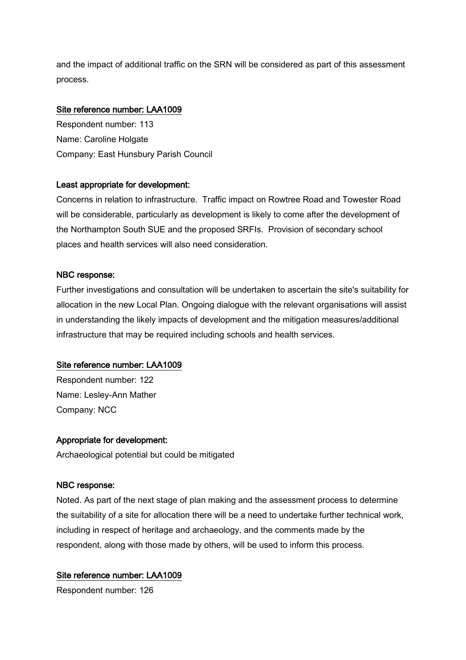and the impact of additional traffic on the SRN will be considered as part of this assessment process.

## Site reference number: LAA1009

Respondent number: 113 Name: Caroline Holgate Company: East Hunsbury Parish Council

## Least appropriate for development:

Concerns in relation to infrastructure. Traffic impact on Rowtree Road and Towester Road will be considerable, particularly as development is likely to come after the development of the Northampton South SUE and the proposed SRFIs. Provision of secondary school places and health services will also need consideration.

## NBC response:

Further investigations and consultation will be undertaken to ascertain the site's suitability for allocation in the new Local Plan. Ongoing dialogue with the relevant organisations will assist in understanding the likely impacts of development and the mitigation measures/additional infrastructure that may be required including schools and health services.

## Site reference number: LAA1009

Respondent number: 122 Name: Lesley-Ann Mather Company: NCC

#### Appropriate for development:

Archaeological potential but could be mitigated

#### NBC response:

Noted. As part of the next stage of plan making and the assessment process to determine the suitability of a site for allocation there will be a need to undertake further technical work, including in respect of heritage and archaeology, and the comments made by the respondent, along with those made by others, will be used to inform this process.

## Site reference number: LAA1009

Respondent number: 126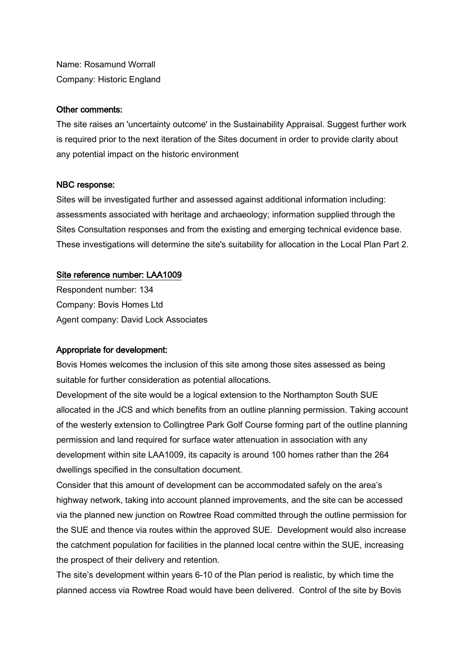Name: Rosamund Worrall Company: Historic England

#### Other comments:

The site raises an 'uncertainty outcome' in the Sustainability Appraisal. Suggest further work is required prior to the next iteration of the Sites document in order to provide clarity about any potential impact on the historic environment

## NBC response:

Sites will be investigated further and assessed against additional information including: assessments associated with heritage and archaeology; information supplied through the Sites Consultation responses and from the existing and emerging technical evidence base. These investigations will determine the site's suitability for allocation in the Local Plan Part 2.

## Site reference number: LAA1009

Respondent number: 134 Company: Bovis Homes Ltd Agent company: David Lock Associates

## Appropriate for development:

Bovis Homes welcomes the inclusion of this site among those sites assessed as being suitable for further consideration as potential allocations.

Development of the site would be a logical extension to the Northampton South SUE allocated in the JCS and which benefits from an outline planning permission. Taking account of the westerly extension to Collingtree Park Golf Course forming part of the outline planning permission and land required for surface water attenuation in association with any development within site LAA1009, its capacity is around 100 homes rather than the 264 dwellings specified in the consultation document.

Consider that this amount of development can be accommodated safely on the area's highway network, taking into account planned improvements, and the site can be accessed via the planned new junction on Rowtree Road committed through the outline permission for the SUE and thence via routes within the approved SUE. Development would also increase the catchment population for facilities in the planned local centre within the SUE, increasing the prospect of their delivery and retention.

The site's development within years 6-10 of the Plan period is realistic, by which time the planned access via Rowtree Road would have been delivered. Control of the site by Bovis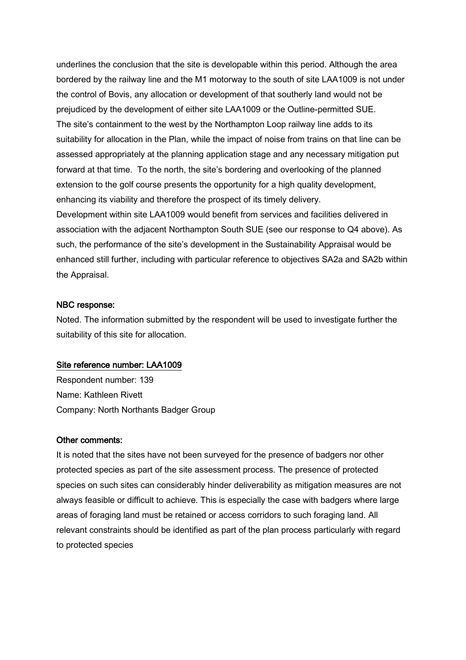underlines the conclusion that the site is developable within this period. Although the area bordered by the railway line and the M1 motorway to the south of site LAA1009 is not under the control of Bovis, any allocation or development of that southerly land would not be prejudiced by the development of either site LAA1009 or the Outline-permitted SUE. The site's containment to the west by the Northampton Loop railway line adds to its suitability for allocation in the Plan, while the impact of noise from trains on that line can be assessed appropriately at the planning application stage and any necessary mitigation put forward at that time. To the north, the site's bordering and overlooking of the planned extension to the golf course presents the opportunity for a high quality development, enhancing its viability and therefore the prospect of its timely delivery. Development within site LAA1009 would benefit from services and facilities delivered in association with the adjacent Northampton South SUE (see our response to Q4 above). As such, the performance of the site's development in the Sustainability Appraisal would be enhanced still further, including with particular reference to objectives SA2a and SA2b within the Appraisal.

#### NBC response:

Noted. The information submitted by the respondent will be used to investigate further the suitability of this site for allocation.

#### Site reference number: LAA1009

Respondent number: 139 Name: Kathleen Rivett Company: North Northants Badger Group

#### Other comments:

It is noted that the sites have not been surveyed for the presence of badgers nor other protected species as part of the site assessment process. The presence of protected species on such sites can considerably hinder deliverability as mitigation measures are not always feasible or difficult to achieve. This is especially the case with badgers where large areas of foraging land must be retained or access corridors to such foraging land. All relevant constraints should be identified as part of the plan process particularly with regard to protected species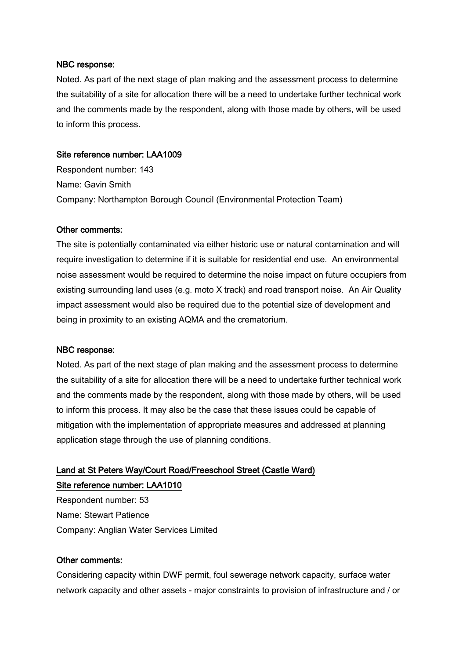Noted. As part of the next stage of plan making and the assessment process to determine the suitability of a site for allocation there will be a need to undertake further technical work and the comments made by the respondent, along with those made by others, will be used to inform this process.

## Site reference number: LAA1009

Respondent number: 143 Name: Gavin Smith Company: Northampton Borough Council (Environmental Protection Team)

## Other comments:

The site is potentially contaminated via either historic use or natural contamination and will require investigation to determine if it is suitable for residential end use. An environmental noise assessment would be required to determine the noise impact on future occupiers from existing surrounding land uses (e.g. moto X track) and road transport noise. An Air Quality impact assessment would also be required due to the potential size of development and being in proximity to an existing AQMA and the crematorium.

#### NBC response:

Noted. As part of the next stage of plan making and the assessment process to determine the suitability of a site for allocation there will be a need to undertake further technical work and the comments made by the respondent, along with those made by others, will be used to inform this process. It may also be the case that these issues could be capable of mitigation with the implementation of appropriate measures and addressed at planning application stage through the use of planning conditions.

# Land at St Peters Way/Court Road/Freeschool Street (Castle Ward) Site reference number: LAA1010

Respondent number: 53 Name: Stewart Patience Company: Anglian Water Services Limited

#### Other comments:

Considering capacity within DWF permit, foul sewerage network capacity, surface water network capacity and other assets - major constraints to provision of infrastructure and / or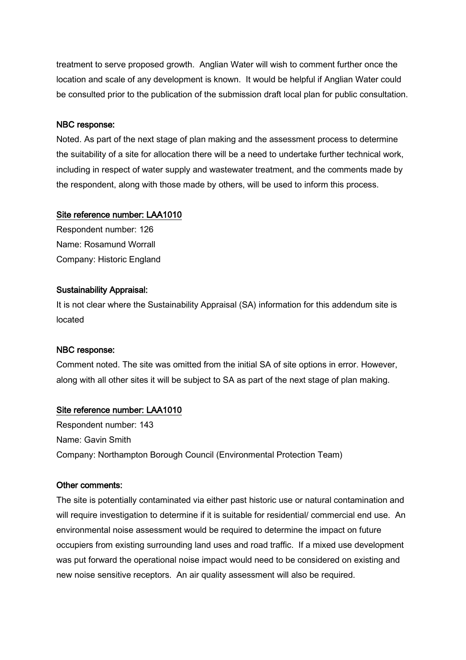treatment to serve proposed growth. Anglian Water will wish to comment further once the location and scale of any development is known. It would be helpful if Anglian Water could be consulted prior to the publication of the submission draft local plan for public consultation.

#### NBC response:

Noted. As part of the next stage of plan making and the assessment process to determine the suitability of a site for allocation there will be a need to undertake further technical work, including in respect of water supply and wastewater treatment, and the comments made by the respondent, along with those made by others, will be used to inform this process.

#### Site reference number: LAA1010

Respondent number: 126 Name: Rosamund Worrall Company: Historic England

## Sustainability Appraisal:

It is not clear where the Sustainability Appraisal (SA) information for this addendum site is located

#### NBC response:

Comment noted. The site was omitted from the initial SA of site options in error. However, along with all other sites it will be subject to SA as part of the next stage of plan making.

## Site reference number: LAA1010

Respondent number: 143 Name: Gavin Smith Company: Northampton Borough Council (Environmental Protection Team)

#### Other comments:

The site is potentially contaminated via either past historic use or natural contamination and will require investigation to determine if it is suitable for residential/ commercial end use. An environmental noise assessment would be required to determine the impact on future occupiers from existing surrounding land uses and road traffic. If a mixed use development was put forward the operational noise impact would need to be considered on existing and new noise sensitive receptors. An air quality assessment will also be required.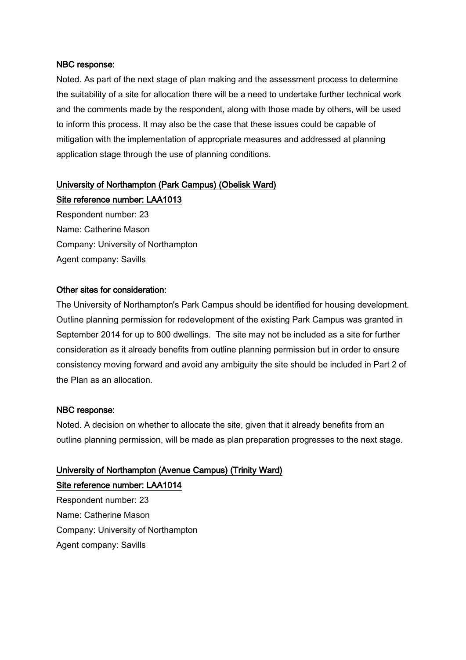Noted. As part of the next stage of plan making and the assessment process to determine the suitability of a site for allocation there will be a need to undertake further technical work and the comments made by the respondent, along with those made by others, will be used to inform this process. It may also be the case that these issues could be capable of mitigation with the implementation of appropriate measures and addressed at planning application stage through the use of planning conditions.

# University of Northampton (Park Campus) (Obelisk Ward)

Site reference number: LAA1013

Respondent number: 23 Name: Catherine Mason Company: University of Northampton Agent company: Savills

#### Other sites for consideration:

The University of Northampton's Park Campus should be identified for housing development. Outline planning permission for redevelopment of the existing Park Campus was granted in September 2014 for up to 800 dwellings. The site may not be included as a site for further consideration as it already benefits from outline planning permission but in order to ensure consistency moving forward and avoid any ambiguity the site should be included in Part 2 of the Plan as an allocation.

#### NBC response:

Noted. A decision on whether to allocate the site, given that it already benefits from an outline planning permission, will be made as plan preparation progresses to the next stage.

# University of Northampton (Avenue Campus) (Trinity Ward)

Site reference number: LAA1014 Respondent number: 23

Name: Catherine Mason Company: University of Northampton

Agent company: Savills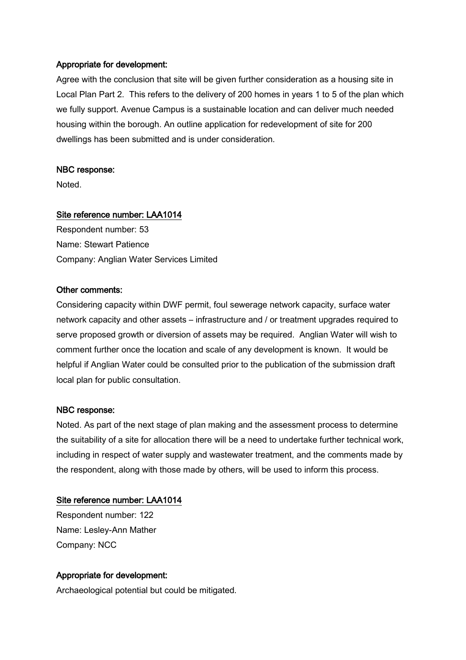#### Appropriate for development:

Agree with the conclusion that site will be given further consideration as a housing site in Local Plan Part 2. This refers to the delivery of 200 homes in years 1 to 5 of the plan which we fully support. Avenue Campus is a sustainable location and can deliver much needed housing within the borough. An outline application for redevelopment of site for 200 dwellings has been submitted and is under consideration.

#### NBC response:

Noted.

#### Site reference number: LAA1014

Respondent number: 53 Name: Stewart Patience Company: Anglian Water Services Limited

#### Other comments:

Considering capacity within DWF permit, foul sewerage network capacity, surface water network capacity and other assets – infrastructure and / or treatment upgrades required to serve proposed growth or diversion of assets may be required. Anglian Water will wish to comment further once the location and scale of any development is known. It would be helpful if Anglian Water could be consulted prior to the publication of the submission draft local plan for public consultation.

#### NBC response:

Noted. As part of the next stage of plan making and the assessment process to determine the suitability of a site for allocation there will be a need to undertake further technical work, including in respect of water supply and wastewater treatment, and the comments made by the respondent, along with those made by others, will be used to inform this process.

#### Site reference number: LAA1014

Respondent number: 122 Name: Lesley-Ann Mather Company: NCC

#### Appropriate for development:

Archaeological potential but could be mitigated.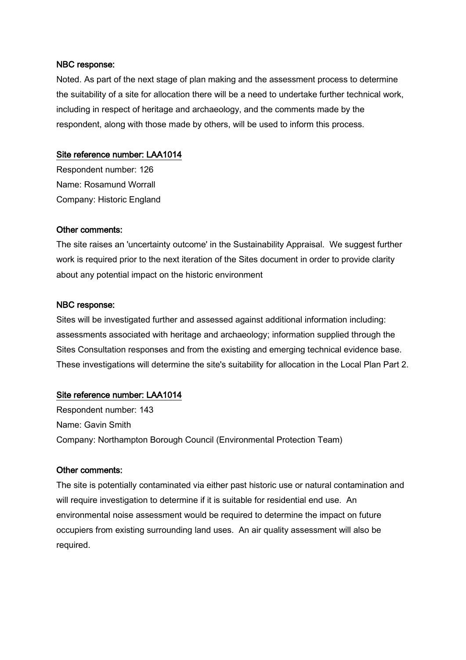Noted. As part of the next stage of plan making and the assessment process to determine the suitability of a site for allocation there will be a need to undertake further technical work, including in respect of heritage and archaeology, and the comments made by the respondent, along with those made by others, will be used to inform this process.

#### Site reference number: LAA1014

Respondent number: 126 Name: Rosamund Worrall Company: Historic England

#### Other comments:

The site raises an 'uncertainty outcome' in the Sustainability Appraisal. We suggest further work is required prior to the next iteration of the Sites document in order to provide clarity about any potential impact on the historic environment

#### NBC response:

Sites will be investigated further and assessed against additional information including: assessments associated with heritage and archaeology; information supplied through the Sites Consultation responses and from the existing and emerging technical evidence base. These investigations will determine the site's suitability for allocation in the Local Plan Part 2.

## Site reference number: LAA1014

Respondent number: 143 Name: Gavin Smith Company: Northampton Borough Council (Environmental Protection Team)

#### Other comments:

The site is potentially contaminated via either past historic use or natural contamination and will require investigation to determine if it is suitable for residential end use. An environmental noise assessment would be required to determine the impact on future occupiers from existing surrounding land uses. An air quality assessment will also be required.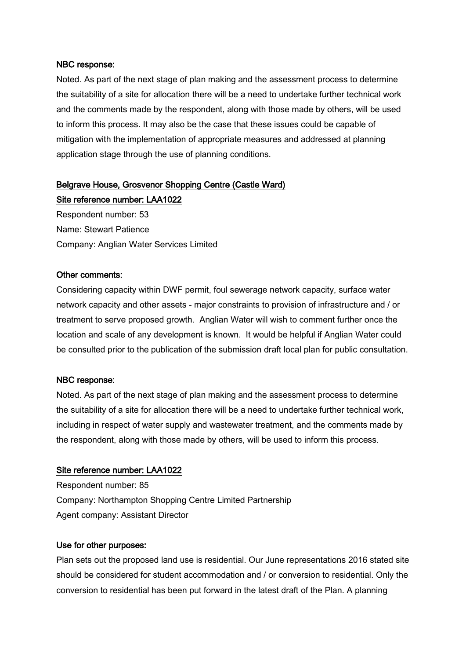Noted. As part of the next stage of plan making and the assessment process to determine the suitability of a site for allocation there will be a need to undertake further technical work and the comments made by the respondent, along with those made by others, will be used to inform this process. It may also be the case that these issues could be capable of mitigation with the implementation of appropriate measures and addressed at planning application stage through the use of planning conditions.

# Belgrave House, Grosvenor Shopping Centre (Castle Ward) Site reference number: LAA1022

Respondent number: 53 Name: Stewart Patience Company: Anglian Water Services Limited

#### Other comments:

Considering capacity within DWF permit, foul sewerage network capacity, surface water network capacity and other assets - major constraints to provision of infrastructure and / or treatment to serve proposed growth. Anglian Water will wish to comment further once the location and scale of any development is known. It would be helpful if Anglian Water could be consulted prior to the publication of the submission draft local plan for public consultation.

#### NBC response:

Noted. As part of the next stage of plan making and the assessment process to determine the suitability of a site for allocation there will be a need to undertake further technical work, including in respect of water supply and wastewater treatment, and the comments made by the respondent, along with those made by others, will be used to inform this process.

#### Site reference number: LAA1022

Respondent number: 85 Company: Northampton Shopping Centre Limited Partnership Agent company: Assistant Director

#### Use for other purposes:

Plan sets out the proposed land use is residential. Our June representations 2016 stated site should be considered for student accommodation and / or conversion to residential. Only the conversion to residential has been put forward in the latest draft of the Plan. A planning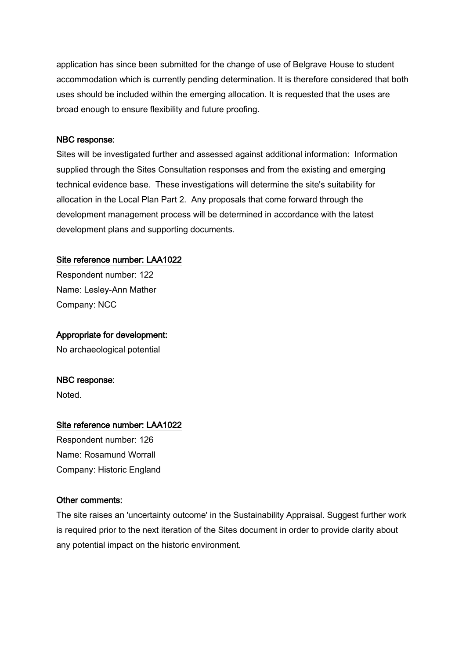application has since been submitted for the change of use of Belgrave House to student accommodation which is currently pending determination. It is therefore considered that both uses should be included within the emerging allocation. It is requested that the uses are broad enough to ensure flexibility and future proofing.

#### NBC response:

Sites will be investigated further and assessed against additional information: Information supplied through the Sites Consultation responses and from the existing and emerging technical evidence base. These investigations will determine the site's suitability for allocation in the Local Plan Part 2. Any proposals that come forward through the development management process will be determined in accordance with the latest development plans and supporting documents.

## Site reference number: LAA1022

Respondent number: 122 Name: Lesley-Ann Mather Company: NCC

## Appropriate for development:

No archaeological potential

## NBC response:

Noted.

## Site reference number: LAA1022

Respondent number: 126 Name: Rosamund Worrall Company: Historic England

## Other comments:

The site raises an 'uncertainty outcome' in the Sustainability Appraisal. Suggest further work is required prior to the next iteration of the Sites document in order to provide clarity about any potential impact on the historic environment.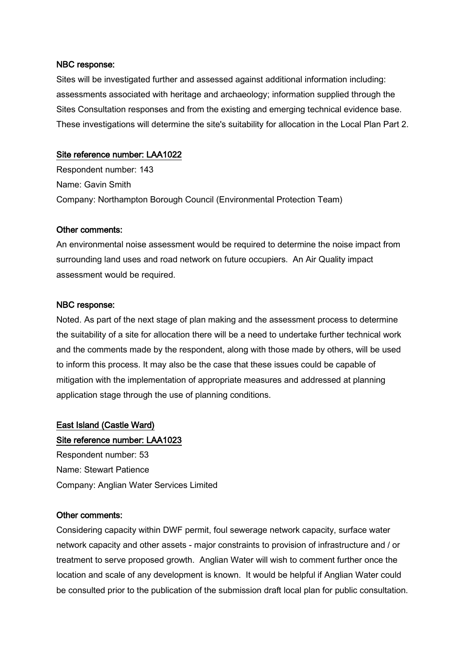#### NBC response:

Sites will be investigated further and assessed against additional information including: assessments associated with heritage and archaeology; information supplied through the Sites Consultation responses and from the existing and emerging technical evidence base. These investigations will determine the site's suitability for allocation in the Local Plan Part 2.

## Site reference number: LAA1022

Respondent number: 143 Name: Gavin Smith Company: Northampton Borough Council (Environmental Protection Team)

## Other comments:

An environmental noise assessment would be required to determine the noise impact from surrounding land uses and road network on future occupiers. An Air Quality impact assessment would be required.

## NBC response:

Noted. As part of the next stage of plan making and the assessment process to determine the suitability of a site for allocation there will be a need to undertake further technical work and the comments made by the respondent, along with those made by others, will be used to inform this process. It may also be the case that these issues could be capable of mitigation with the implementation of appropriate measures and addressed at planning application stage through the use of planning conditions.

## East Island (Castle Ward)

## Site reference number: LAA1023

Respondent number: 53 Name: Stewart Patience Company: Anglian Water Services Limited

## Other comments:

Considering capacity within DWF permit, foul sewerage network capacity, surface water network capacity and other assets - major constraints to provision of infrastructure and / or treatment to serve proposed growth. Anglian Water will wish to comment further once the location and scale of any development is known. It would be helpful if Anglian Water could be consulted prior to the publication of the submission draft local plan for public consultation.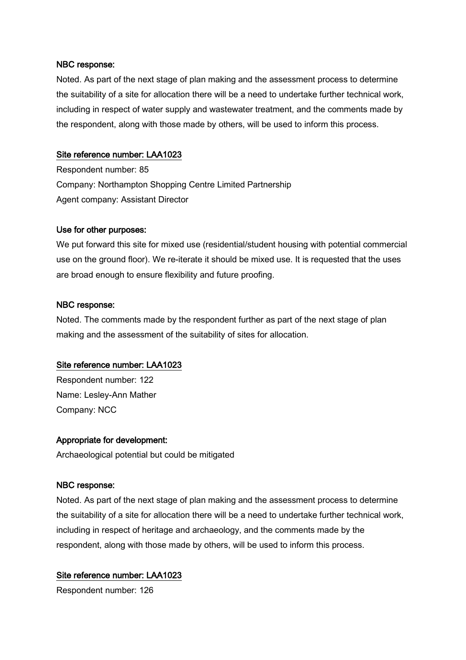#### NBC response:

Noted. As part of the next stage of plan making and the assessment process to determine the suitability of a site for allocation there will be a need to undertake further technical work, including in respect of water supply and wastewater treatment, and the comments made by the respondent, along with those made by others, will be used to inform this process.

## Site reference number: LAA1023

Respondent number: 85 Company: Northampton Shopping Centre Limited Partnership Agent company: Assistant Director

## Use for other purposes:

We put forward this site for mixed use (residential/student housing with potential commercial use on the ground floor). We re-iterate it should be mixed use. It is requested that the uses are broad enough to ensure flexibility and future proofing.

## NBC response:

Noted. The comments made by the respondent further as part of the next stage of plan making and the assessment of the suitability of sites for allocation.

## Site reference number: LAA1023

Respondent number: 122 Name: Lesley-Ann Mather Company: NCC

## Appropriate for development:

Archaeological potential but could be mitigated

## NBC response:

Noted. As part of the next stage of plan making and the assessment process to determine the suitability of a site for allocation there will be a need to undertake further technical work, including in respect of heritage and archaeology, and the comments made by the respondent, along with those made by others, will be used to inform this process.

## Site reference number: LAA1023

Respondent number: 126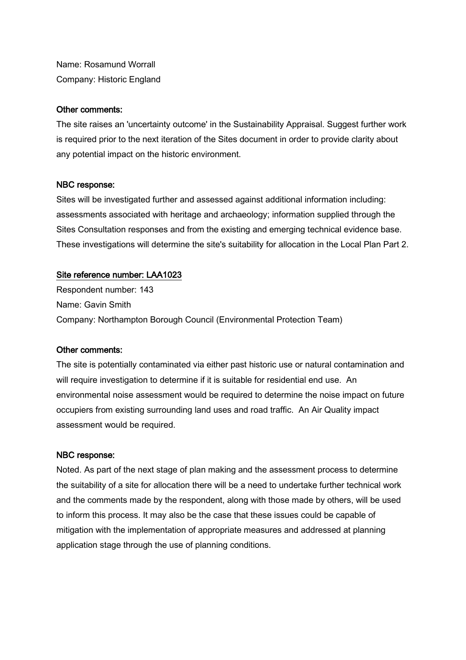Name: Rosamund Worrall Company: Historic England

## Other comments:

The site raises an 'uncertainty outcome' in the Sustainability Appraisal. Suggest further work is required prior to the next iteration of the Sites document in order to provide clarity about any potential impact on the historic environment.

#### NBC response:

Sites will be investigated further and assessed against additional information including: assessments associated with heritage and archaeology; information supplied through the Sites Consultation responses and from the existing and emerging technical evidence base. These investigations will determine the site's suitability for allocation in the Local Plan Part 2.

## Site reference number: LAA1023

Respondent number: 143 Name: Gavin Smith Company: Northampton Borough Council (Environmental Protection Team)

#### Other comments:

The site is potentially contaminated via either past historic use or natural contamination and will require investigation to determine if it is suitable for residential end use. An environmental noise assessment would be required to determine the noise impact on future occupiers from existing surrounding land uses and road traffic. An Air Quality impact assessment would be required.

#### NBC response:

Noted. As part of the next stage of plan making and the assessment process to determine the suitability of a site for allocation there will be a need to undertake further technical work and the comments made by the respondent, along with those made by others, will be used to inform this process. It may also be the case that these issues could be capable of mitigation with the implementation of appropriate measures and addressed at planning application stage through the use of planning conditions.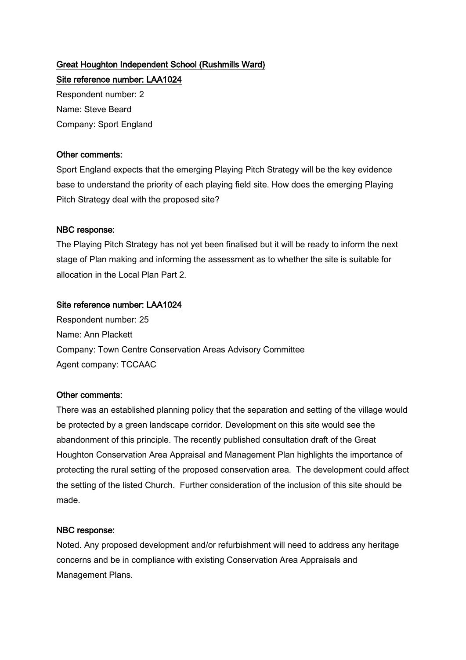# Great Houghton Independent School (Rushmills Ward)

Site reference number: LAA1024 Respondent number: 2 Name: Steve Beard Company: Sport England

## Other comments:

Sport England expects that the emerging Playing Pitch Strategy will be the key evidence base to understand the priority of each playing field site. How does the emerging Playing Pitch Strategy deal with the proposed site?

## NBC response:

The Playing Pitch Strategy has not yet been finalised but it will be ready to inform the next stage of Plan making and informing the assessment as to whether the site is suitable for allocation in the Local Plan Part 2.

## Site reference number: LAA1024

Respondent number: 25 Name: Ann Plackett Company: Town Centre Conservation Areas Advisory Committee Agent company: TCCAAC

## Other comments:

There was an established planning policy that the separation and setting of the village would be protected by a green landscape corridor. Development on this site would see the abandonment of this principle. The recently published consultation draft of the Great Houghton Conservation Area Appraisal and Management Plan highlights the importance of protecting the rural setting of the proposed conservation area. The development could affect the setting of the listed Church. Further consideration of the inclusion of this site should be made.

## NBC response:

Noted. Any proposed development and/or refurbishment will need to address any heritage concerns and be in compliance with existing Conservation Area Appraisals and Management Plans.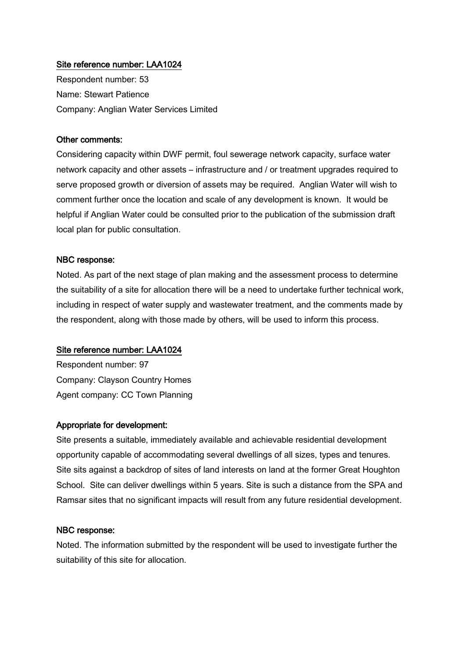Respondent number: 53 Name: Stewart Patience Company: Anglian Water Services Limited

#### Other comments:

Considering capacity within DWF permit, foul sewerage network capacity, surface water network capacity and other assets – infrastructure and / or treatment upgrades required to serve proposed growth or diversion of assets may be required. Anglian Water will wish to comment further once the location and scale of any development is known. It would be helpful if Anglian Water could be consulted prior to the publication of the submission draft local plan for public consultation.

#### NBC response:

Noted. As part of the next stage of plan making and the assessment process to determine the suitability of a site for allocation there will be a need to undertake further technical work, including in respect of water supply and wastewater treatment, and the comments made by the respondent, along with those made by others, will be used to inform this process.

#### Site reference number: LAA1024

Respondent number: 97 Company: Clayson Country Homes Agent company: CC Town Planning

## Appropriate for development:

Site presents a suitable, immediately available and achievable residential development opportunity capable of accommodating several dwellings of all sizes, types and tenures. Site sits against a backdrop of sites of land interests on land at the former Great Houghton School. Site can deliver dwellings within 5 years. Site is such a distance from the SPA and Ramsar sites that no significant impacts will result from any future residential development.

#### NBC response:

Noted. The information submitted by the respondent will be used to investigate further the suitability of this site for allocation.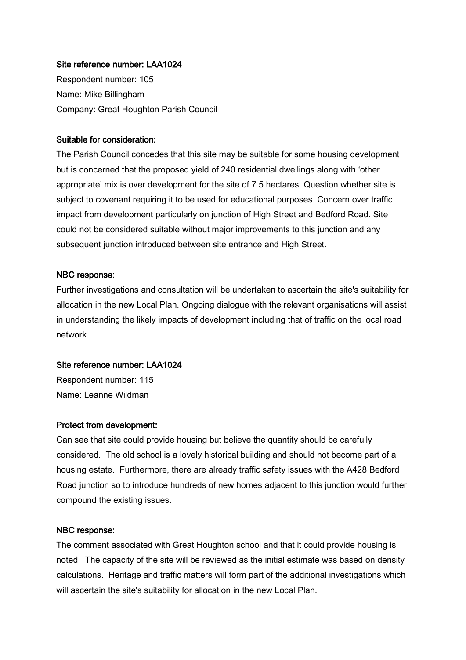Respondent number: 105 Name: Mike Billingham Company: Great Houghton Parish Council

#### Suitable for consideration:

The Parish Council concedes that this site may be suitable for some housing development but is concerned that the proposed yield of 240 residential dwellings along with 'other appropriate' mix is over development for the site of 7.5 hectares. Question whether site is subject to covenant requiring it to be used for educational purposes. Concern over traffic impact from development particularly on junction of High Street and Bedford Road. Site could not be considered suitable without major improvements to this junction and any subsequent junction introduced between site entrance and High Street.

#### NBC response:

Further investigations and consultation will be undertaken to ascertain the site's suitability for allocation in the new Local Plan. Ongoing dialogue with the relevant organisations will assist in understanding the likely impacts of development including that of traffic on the local road network.

#### Site reference number: LAA1024

Respondent number: 115 Name: Leanne Wildman

#### Protect from development:

Can see that site could provide housing but believe the quantity should be carefully considered. The old school is a lovely historical building and should not become part of a housing estate. Furthermore, there are already traffic safety issues with the A428 Bedford Road junction so to introduce hundreds of new homes adjacent to this junction would further compound the existing issues.

#### NBC response:

The comment associated with Great Houghton school and that it could provide housing is noted. The capacity of the site will be reviewed as the initial estimate was based on density calculations. Heritage and traffic matters will form part of the additional investigations which will ascertain the site's suitability for allocation in the new Local Plan.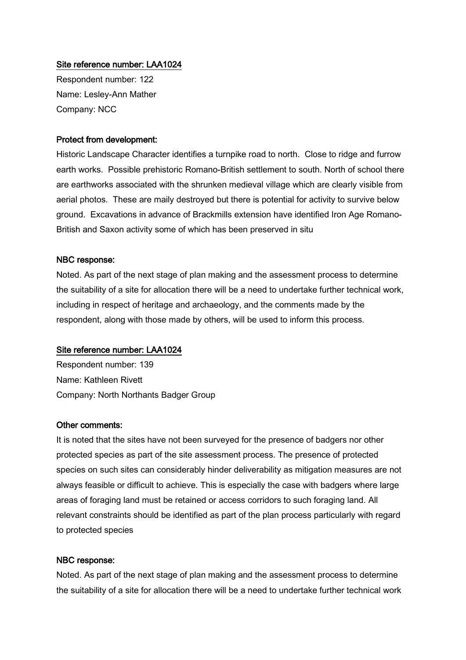Respondent number: 122 Name: Lesley-Ann Mather Company: NCC

## Protect from development:

Historic Landscape Character identifies a turnpike road to north. Close to ridge and furrow earth works. Possible prehistoric Romano-British settlement to south. North of school there are earthworks associated with the shrunken medieval village which are clearly visible from aerial photos. These are maily destroyed but there is potential for activity to survive below ground. Excavations in advance of Brackmills extension have identified Iron Age Romano-British and Saxon activity some of which has been preserved in situ

#### NBC response:

Noted. As part of the next stage of plan making and the assessment process to determine the suitability of a site for allocation there will be a need to undertake further technical work, including in respect of heritage and archaeology, and the comments made by the respondent, along with those made by others, will be used to inform this process.

#### Site reference number: LAA1024

Respondent number: 139 Name: Kathleen Rivett Company: North Northants Badger Group

#### Other comments:

It is noted that the sites have not been surveyed for the presence of badgers nor other protected species as part of the site assessment process. The presence of protected species on such sites can considerably hinder deliverability as mitigation measures are not always feasible or difficult to achieve. This is especially the case with badgers where large areas of foraging land must be retained or access corridors to such foraging land. All relevant constraints should be identified as part of the plan process particularly with regard to protected species

#### NBC response:

Noted. As part of the next stage of plan making and the assessment process to determine the suitability of a site for allocation there will be a need to undertake further technical work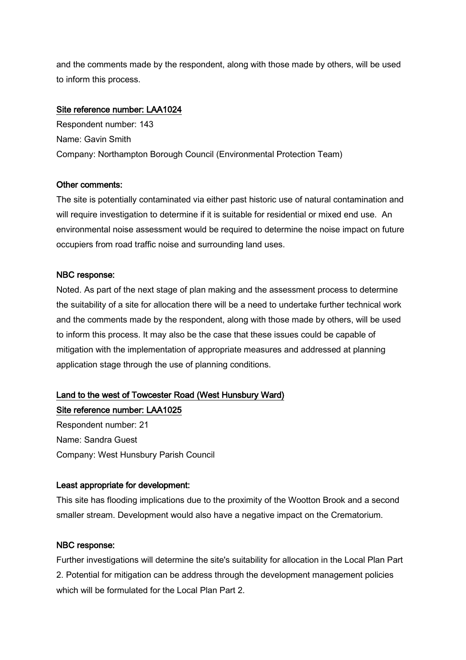and the comments made by the respondent, along with those made by others, will be used to inform this process.

## Site reference number: LAA1024

Respondent number: 143 Name: Gavin Smith Company: Northampton Borough Council (Environmental Protection Team)

## Other comments:

The site is potentially contaminated via either past historic use of natural contamination and will require investigation to determine if it is suitable for residential or mixed end use. An environmental noise assessment would be required to determine the noise impact on future occupiers from road traffic noise and surrounding land uses.

## NBC response:

Noted. As part of the next stage of plan making and the assessment process to determine the suitability of a site for allocation there will be a need to undertake further technical work and the comments made by the respondent, along with those made by others, will be used to inform this process. It may also be the case that these issues could be capable of mitigation with the implementation of appropriate measures and addressed at planning application stage through the use of planning conditions.

# Land to the west of Towcester Road (West Hunsbury Ward)

Site reference number: LAA1025 Respondent number: 21 Name: Sandra Guest Company: West Hunsbury Parish Council

## Least appropriate for development:

This site has flooding implications due to the proximity of the Wootton Brook and a second smaller stream. Development would also have a negative impact on the Crematorium.

## NBC response:

Further investigations will determine the site's suitability for allocation in the Local Plan Part 2. Potential for mitigation can be address through the development management policies which will be formulated for the Local Plan Part 2.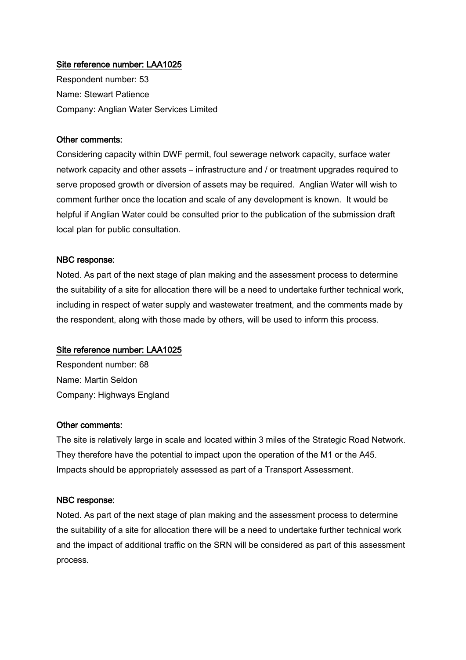Respondent number: 53 Name: Stewart Patience Company: Anglian Water Services Limited

#### Other comments:

Considering capacity within DWF permit, foul sewerage network capacity, surface water network capacity and other assets – infrastructure and / or treatment upgrades required to serve proposed growth or diversion of assets may be required. Anglian Water will wish to comment further once the location and scale of any development is known. It would be helpful if Anglian Water could be consulted prior to the publication of the submission draft local plan for public consultation.

#### NBC response:

Noted. As part of the next stage of plan making and the assessment process to determine the suitability of a site for allocation there will be a need to undertake further technical work, including in respect of water supply and wastewater treatment, and the comments made by the respondent, along with those made by others, will be used to inform this process.

#### Site reference number: LAA1025

Respondent number: 68 Name: Martin Seldon Company: Highways England

#### Other comments:

The site is relatively large in scale and located within 3 miles of the Strategic Road Network. They therefore have the potential to impact upon the operation of the M1 or the A45. Impacts should be appropriately assessed as part of a Transport Assessment.

#### NBC response:

Noted. As part of the next stage of plan making and the assessment process to determine the suitability of a site for allocation there will be a need to undertake further technical work and the impact of additional traffic on the SRN will be considered as part of this assessment process.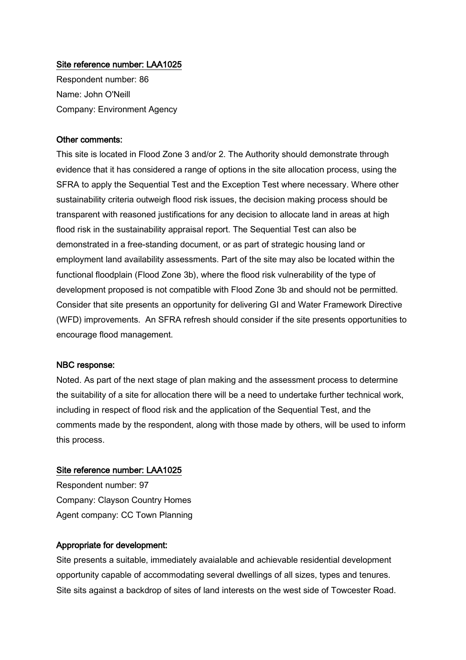Respondent number: 86 Name: John O'Neill Company: Environment Agency

#### Other comments:

This site is located in Flood Zone 3 and/or 2. The Authority should demonstrate through evidence that it has considered a range of options in the site allocation process, using the SFRA to apply the Sequential Test and the Exception Test where necessary. Where other sustainability criteria outweigh flood risk issues, the decision making process should be transparent with reasoned justifications for any decision to allocate land in areas at high flood risk in the sustainability appraisal report. The Sequential Test can also be demonstrated in a free-standing document, or as part of strategic housing land or employment land availability assessments. Part of the site may also be located within the functional floodplain (Flood Zone 3b), where the flood risk vulnerability of the type of development proposed is not compatible with Flood Zone 3b and should not be permitted. Consider that site presents an opportunity for delivering GI and Water Framework Directive (WFD) improvements. An SFRA refresh should consider if the site presents opportunities to encourage flood management.

#### NBC response:

Noted. As part of the next stage of plan making and the assessment process to determine the suitability of a site for allocation there will be a need to undertake further technical work, including in respect of flood risk and the application of the Sequential Test, and the comments made by the respondent, along with those made by others, will be used to inform this process.

#### Site reference number: LAA1025

Respondent number: 97 Company: Clayson Country Homes Agent company: CC Town Planning

## Appropriate for development:

Site presents a suitable, immediately avaialable and achievable residential development opportunity capable of accommodating several dwellings of all sizes, types and tenures. Site sits against a backdrop of sites of land interests on the west side of Towcester Road.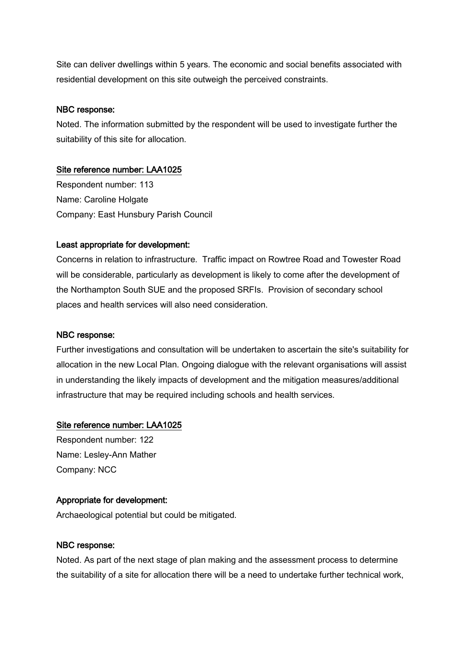Site can deliver dwellings within 5 years. The economic and social benefits associated with residential development on this site outweigh the perceived constraints.

## NBC response:

Noted. The information submitted by the respondent will be used to investigate further the suitability of this site for allocation.

## Site reference number: LAA1025

Respondent number: 113 Name: Caroline Holgate Company: East Hunsbury Parish Council

## Least appropriate for development:

Concerns in relation to infrastructure. Traffic impact on Rowtree Road and Towester Road will be considerable, particularly as development is likely to come after the development of the Northampton South SUE and the proposed SRFIs. Provision of secondary school places and health services will also need consideration.

## NBC response:

Further investigations and consultation will be undertaken to ascertain the site's suitability for allocation in the new Local Plan. Ongoing dialogue with the relevant organisations will assist in understanding the likely impacts of development and the mitigation measures/additional infrastructure that may be required including schools and health services.

## Site reference number: LAA1025

Respondent number: 122 Name: Lesley-Ann Mather Company: NCC

## Appropriate for development:

Archaeological potential but could be mitigated.

## NBC response:

Noted. As part of the next stage of plan making and the assessment process to determine the suitability of a site for allocation there will be a need to undertake further technical work,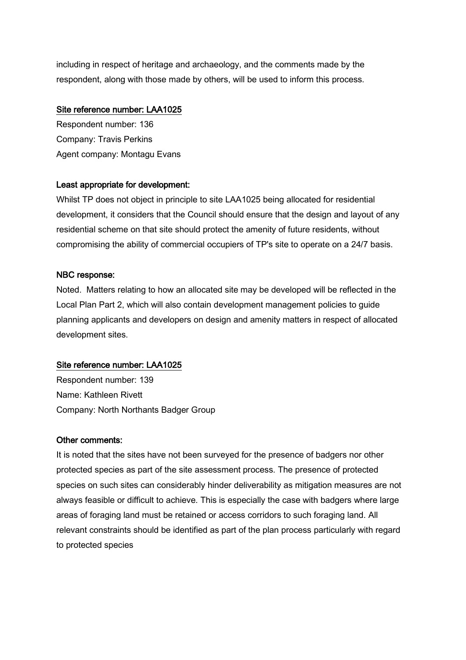including in respect of heritage and archaeology, and the comments made by the respondent, along with those made by others, will be used to inform this process.

## Site reference number: LAA1025

Respondent number: 136 Company: Travis Perkins Agent company: Montagu Evans

## Least appropriate for development:

Whilst TP does not object in principle to site LAA1025 being allocated for residential development, it considers that the Council should ensure that the design and layout of any residential scheme on that site should protect the amenity of future residents, without compromising the ability of commercial occupiers of TP's site to operate on a 24/7 basis.

## NBC response:

Noted. Matters relating to how an allocated site may be developed will be reflected in the Local Plan Part 2, which will also contain development management policies to guide planning applicants and developers on design and amenity matters in respect of allocated development sites.

## Site reference number: LAA1025

Respondent number: 139 Name: Kathleen Rivett Company: North Northants Badger Group

## Other comments:

It is noted that the sites have not been surveyed for the presence of badgers nor other protected species as part of the site assessment process. The presence of protected species on such sites can considerably hinder deliverability as mitigation measures are not always feasible or difficult to achieve. This is especially the case with badgers where large areas of foraging land must be retained or access corridors to such foraging land. All relevant constraints should be identified as part of the plan process particularly with regard to protected species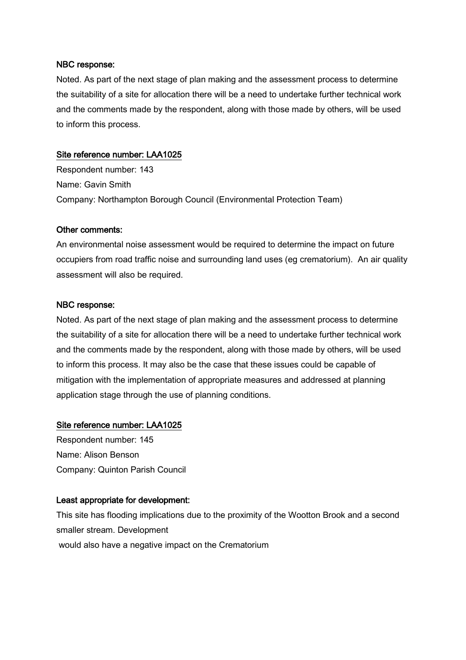#### NBC response:

Noted. As part of the next stage of plan making and the assessment process to determine the suitability of a site for allocation there will be a need to undertake further technical work and the comments made by the respondent, along with those made by others, will be used to inform this process.

## Site reference number: LAA1025

Respondent number: 143 Name: Gavin Smith Company: Northampton Borough Council (Environmental Protection Team)

## Other comments:

An environmental noise assessment would be required to determine the impact on future occupiers from road traffic noise and surrounding land uses (eg crematorium). An air quality assessment will also be required.

## NBC response:

Noted. As part of the next stage of plan making and the assessment process to determine the suitability of a site for allocation there will be a need to undertake further technical work and the comments made by the respondent, along with those made by others, will be used to inform this process. It may also be the case that these issues could be capable of mitigation with the implementation of appropriate measures and addressed at planning application stage through the use of planning conditions.

## Site reference number: LAA1025

Respondent number: 145 Name: Alison Benson Company: Quinton Parish Council

## Least appropriate for development:

This site has flooding implications due to the proximity of the Wootton Brook and a second smaller stream. Development would also have a negative impact on the Crematorium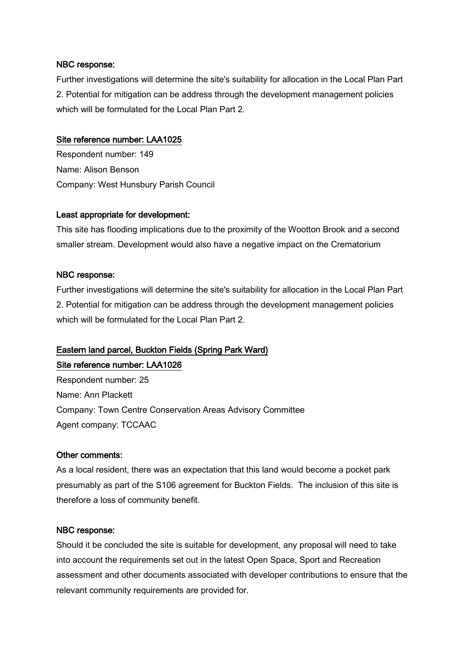## NBC response:

Further investigations will determine the site's suitability for allocation in the Local Plan Part 2. Potential for mitigation can be address through the development management policies which will be formulated for the Local Plan Part 2.

## Site reference number: LAA1025

Respondent number: 149 Name: Alison Benson Company: West Hunsbury Parish Council

## Least appropriate for development:

This site has flooding implications due to the proximity of the Wootton Brook and a second smaller stream. Development would also have a negative impact on the Crematorium

## NBC response:

Further investigations will determine the site's suitability for allocation in the Local Plan Part 2. Potential for mitigation can be address through the development management policies which will be formulated for the Local Plan Part 2.

## Eastern land parcel, Buckton Fields (Spring Park Ward)

Site reference number: LAA1026 Respondent number: 25 Name: Ann Plackett Company: Town Centre Conservation Areas Advisory Committee Agent company: TCCAAC

## Other comments:

As a local resident, there was an expectation that this land would become a pocket park presumably as part of the S106 agreement for Buckton Fields. The inclusion of this site is therefore a loss of community benefit.

## NBC response:

Should it be concluded the site is suitable for development, any proposal will need to take into account the requirements set out in the latest Open Space, Sport and Recreation assessment and other documents associated with developer contributions to ensure that the relevant community requirements are provided for.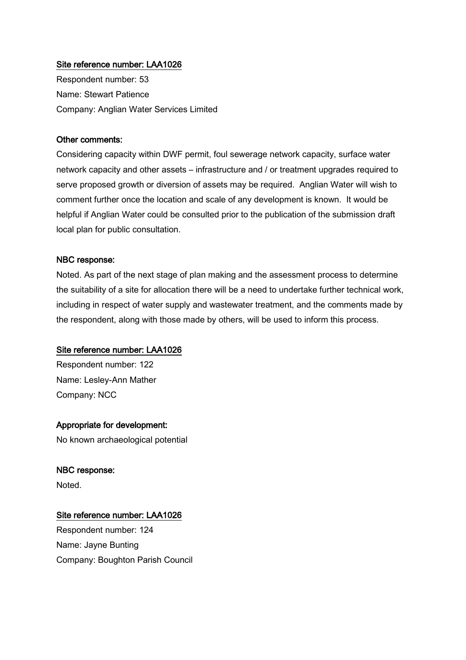Respondent number: 53 Name: Stewart Patience Company: Anglian Water Services Limited

#### Other comments:

Considering capacity within DWF permit, foul sewerage network capacity, surface water network capacity and other assets – infrastructure and / or treatment upgrades required to serve proposed growth or diversion of assets may be required. Anglian Water will wish to comment further once the location and scale of any development is known. It would be helpful if Anglian Water could be consulted prior to the publication of the submission draft local plan for public consultation.

#### NBC response:

Noted. As part of the next stage of plan making and the assessment process to determine the suitability of a site for allocation there will be a need to undertake further technical work, including in respect of water supply and wastewater treatment, and the comments made by the respondent, along with those made by others, will be used to inform this process.

## Site reference number: LAA1026

Respondent number: 122 Name: Lesley-Ann Mather Company: NCC

#### Appropriate for development:

No known archaeological potential

#### NBC response:

Noted.

## Site reference number: LAA1026

Respondent number: 124 Name: Jayne Bunting Company: Boughton Parish Council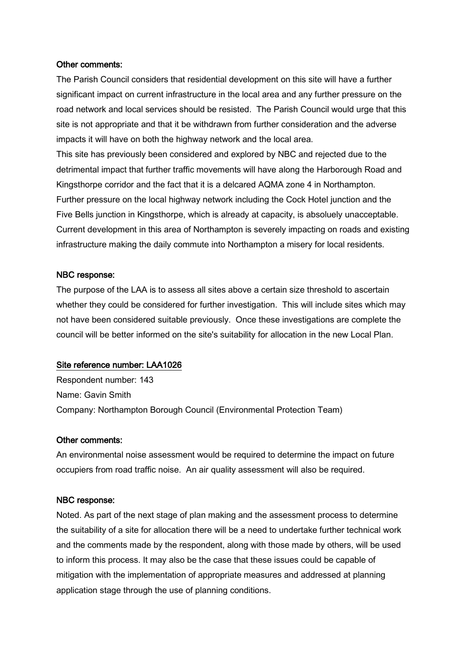#### Other comments:

The Parish Council considers that residential development on this site will have a further significant impact on current infrastructure in the local area and any further pressure on the road network and local services should be resisted. The Parish Council would urge that this site is not appropriate and that it be withdrawn from further consideration and the adverse impacts it will have on both the highway network and the local area.

This site has previously been considered and explored by NBC and rejected due to the detrimental impact that further traffic movements will have along the Harborough Road and Kingsthorpe corridor and the fact that it is a delcared AQMA zone 4 in Northampton. Further pressure on the local highway network including the Cock Hotel junction and the Five Bells junction in Kingsthorpe, which is already at capacity, is absoluely unacceptable. Current development in this area of Northampton is severely impacting on roads and existing infrastructure making the daily commute into Northampton a misery for local residents.

#### NBC response:

The purpose of the LAA is to assess all sites above a certain size threshold to ascertain whether they could be considered for further investigation. This will include sites which may not have been considered suitable previously. Once these investigations are complete the council will be better informed on the site's suitability for allocation in the new Local Plan.

#### Site reference number: LAA1026

Respondent number: 143 Name: Gavin Smith Company: Northampton Borough Council (Environmental Protection Team)

#### Other comments:

An environmental noise assessment would be required to determine the impact on future occupiers from road traffic noise. An air quality assessment will also be required.

#### NBC response:

Noted. As part of the next stage of plan making and the assessment process to determine the suitability of a site for allocation there will be a need to undertake further technical work and the comments made by the respondent, along with those made by others, will be used to inform this process. It may also be the case that these issues could be capable of mitigation with the implementation of appropriate measures and addressed at planning application stage through the use of planning conditions.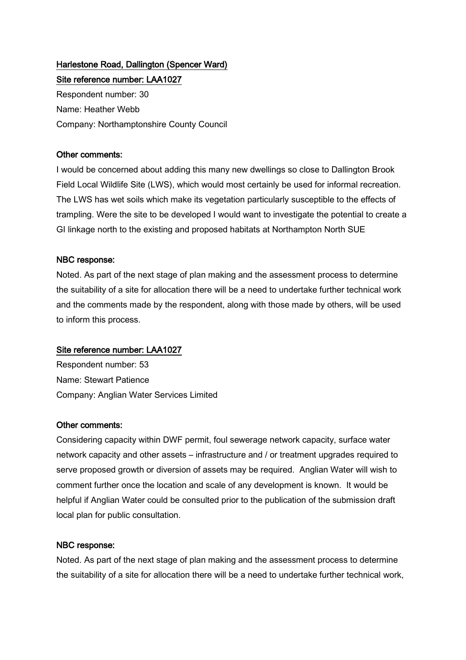# Harlestone Road, Dallington (Spencer Ward) Site reference number: LAA1027

Respondent number: 30 Name: Heather Webb Company: Northamptonshire County Council

## Other comments:

I would be concerned about adding this many new dwellings so close to Dallington Brook Field Local Wildlife Site (LWS), which would most certainly be used for informal recreation. The LWS has wet soils which make its vegetation particularly susceptible to the effects of trampling. Were the site to be developed I would want to investigate the potential to create a GI linkage north to the existing and proposed habitats at Northampton North SUE

## NBC response:

Noted. As part of the next stage of plan making and the assessment process to determine the suitability of a site for allocation there will be a need to undertake further technical work and the comments made by the respondent, along with those made by others, will be used to inform this process.

## Site reference number: LAA1027

Respondent number: 53 Name: Stewart Patience Company: Anglian Water Services Limited

## Other comments:

Considering capacity within DWF permit, foul sewerage network capacity, surface water network capacity and other assets – infrastructure and / or treatment upgrades required to serve proposed growth or diversion of assets may be required. Anglian Water will wish to comment further once the location and scale of any development is known. It would be helpful if Anglian Water could be consulted prior to the publication of the submission draft local plan for public consultation.

## NBC response:

Noted. As part of the next stage of plan making and the assessment process to determine the suitability of a site for allocation there will be a need to undertake further technical work,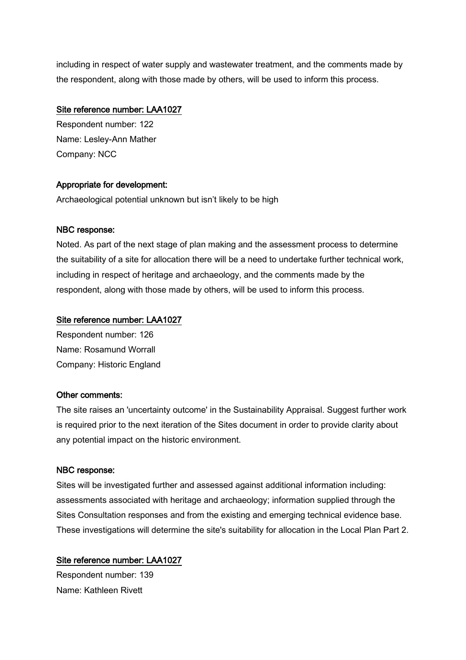including in respect of water supply and wastewater treatment, and the comments made by the respondent, along with those made by others, will be used to inform this process.

## Site reference number: LAA1027

Respondent number: 122 Name: Lesley-Ann Mather Company: NCC

## Appropriate for development:

Archaeological potential unknown but isn't likely to be high

## NBC response:

Noted. As part of the next stage of plan making and the assessment process to determine the suitability of a site for allocation there will be a need to undertake further technical work, including in respect of heritage and archaeology, and the comments made by the respondent, along with those made by others, will be used to inform this process.

## Site reference number: LAA1027

Respondent number: 126 Name: Rosamund Worrall Company: Historic England

## Other comments:

The site raises an 'uncertainty outcome' in the Sustainability Appraisal. Suggest further work is required prior to the next iteration of the Sites document in order to provide clarity about any potential impact on the historic environment.

## NBC response:

Sites will be investigated further and assessed against additional information including: assessments associated with heritage and archaeology; information supplied through the Sites Consultation responses and from the existing and emerging technical evidence base. These investigations will determine the site's suitability for allocation in the Local Plan Part 2.

## Site reference number: LAA1027

Respondent number: 139 Name: Kathleen Rivett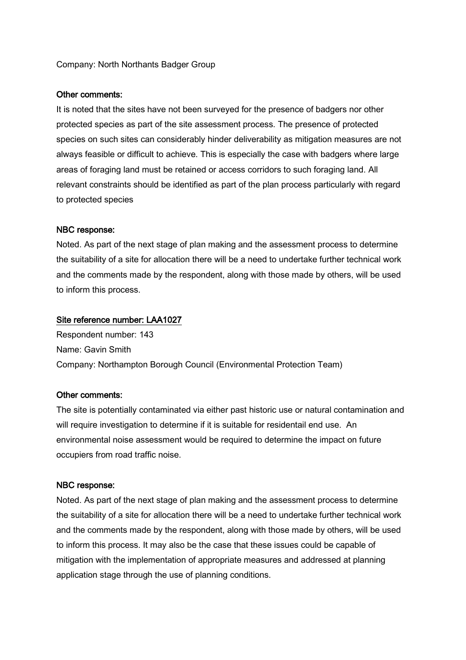## Company: North Northants Badger Group

#### Other comments:

It is noted that the sites have not been surveyed for the presence of badgers nor other protected species as part of the site assessment process. The presence of protected species on such sites can considerably hinder deliverability as mitigation measures are not always feasible or difficult to achieve. This is especially the case with badgers where large areas of foraging land must be retained or access corridors to such foraging land. All relevant constraints should be identified as part of the plan process particularly with regard to protected species

#### NBC response:

Noted. As part of the next stage of plan making and the assessment process to determine the suitability of a site for allocation there will be a need to undertake further technical work and the comments made by the respondent, along with those made by others, will be used to inform this process.

#### Site reference number: LAA1027

Respondent number: 143 Name: Gavin Smith Company: Northampton Borough Council (Environmental Protection Team)

#### Other comments:

The site is potentially contaminated via either past historic use or natural contamination and will require investigation to determine if it is suitable for residentail end use. An environmental noise assessment would be required to determine the impact on future occupiers from road traffic noise.

#### NBC response:

Noted. As part of the next stage of plan making and the assessment process to determine the suitability of a site for allocation there will be a need to undertake further technical work and the comments made by the respondent, along with those made by others, will be used to inform this process. It may also be the case that these issues could be capable of mitigation with the implementation of appropriate measures and addressed at planning application stage through the use of planning conditions.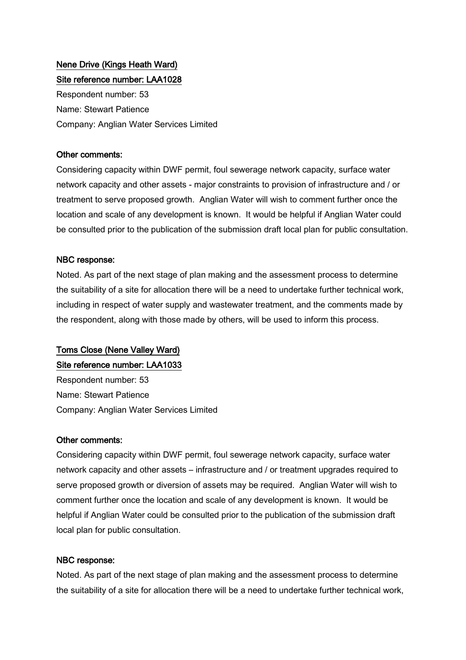## Nene Drive (Kings Heath Ward) Site reference number: LAA1028

Respondent number: 53 Name: Stewart Patience Company: Anglian Water Services Limited

## Other comments:

Considering capacity within DWF permit, foul sewerage network capacity, surface water network capacity and other assets - major constraints to provision of infrastructure and / or treatment to serve proposed growth. Anglian Water will wish to comment further once the location and scale of any development is known. It would be helpful if Anglian Water could be consulted prior to the publication of the submission draft local plan for public consultation.

## NBC response:

Noted. As part of the next stage of plan making and the assessment process to determine the suitability of a site for allocation there will be a need to undertake further technical work, including in respect of water supply and wastewater treatment, and the comments made by the respondent, along with those made by others, will be used to inform this process.

# Toms Close (Nene Valley Ward)

## Site reference number: LAA1033

Respondent number: 53 Name: Stewart Patience Company: Anglian Water Services Limited

## Other comments:

Considering capacity within DWF permit, foul sewerage network capacity, surface water network capacity and other assets – infrastructure and / or treatment upgrades required to serve proposed growth or diversion of assets may be required. Anglian Water will wish to comment further once the location and scale of any development is known. It would be helpful if Anglian Water could be consulted prior to the publication of the submission draft local plan for public consultation.

## NBC response:

Noted. As part of the next stage of plan making and the assessment process to determine the suitability of a site for allocation there will be a need to undertake further technical work,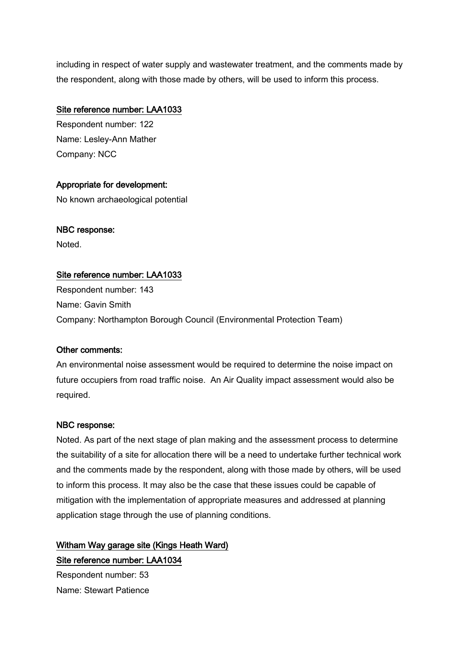including in respect of water supply and wastewater treatment, and the comments made by the respondent, along with those made by others, will be used to inform this process.

## Site reference number: LAA1033

Respondent number: 122 Name: Lesley-Ann Mather Company: NCC

## Appropriate for development:

No known archaeological potential

# NBC response:

Noted.

## Site reference number: LAA1033

Respondent number: 143 Name: Gavin Smith Company: Northampton Borough Council (Environmental Protection Team)

## Other comments:

An environmental noise assessment would be required to determine the noise impact on future occupiers from road traffic noise. An Air Quality impact assessment would also be required.

## NBC response:

Noted. As part of the next stage of plan making and the assessment process to determine the suitability of a site for allocation there will be a need to undertake further technical work and the comments made by the respondent, along with those made by others, will be used to inform this process. It may also be the case that these issues could be capable of mitigation with the implementation of appropriate measures and addressed at planning application stage through the use of planning conditions.

# Witham Way garage site (Kings Heath Ward) Site reference number: LAA1034

Respondent number: 53 Name: Stewart Patience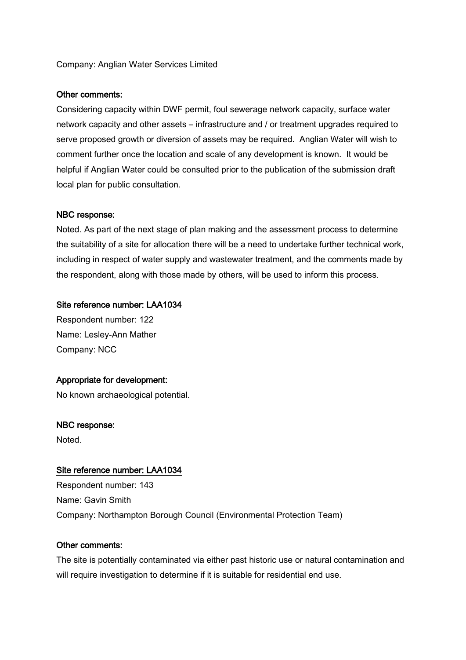## Company: Anglian Water Services Limited

## Other comments:

Considering capacity within DWF permit, foul sewerage network capacity, surface water network capacity and other assets – infrastructure and / or treatment upgrades required to serve proposed growth or diversion of assets may be required. Anglian Water will wish to comment further once the location and scale of any development is known. It would be helpful if Anglian Water could be consulted prior to the publication of the submission draft local plan for public consultation.

## NBC response:

Noted. As part of the next stage of plan making and the assessment process to determine the suitability of a site for allocation there will be a need to undertake further technical work, including in respect of water supply and wastewater treatment, and the comments made by the respondent, along with those made by others, will be used to inform this process.

## Site reference number: LAA1034

Respondent number: 122 Name: Lesley-Ann Mather Company: NCC

## Appropriate for development:

No known archaeological potential.

## NBC response:

Noted.

## Site reference number: LAA1034

Respondent number: 143 Name: Gavin Smith Company: Northampton Borough Council (Environmental Protection Team)

## Other comments:

The site is potentially contaminated via either past historic use or natural contamination and will require investigation to determine if it is suitable for residential end use.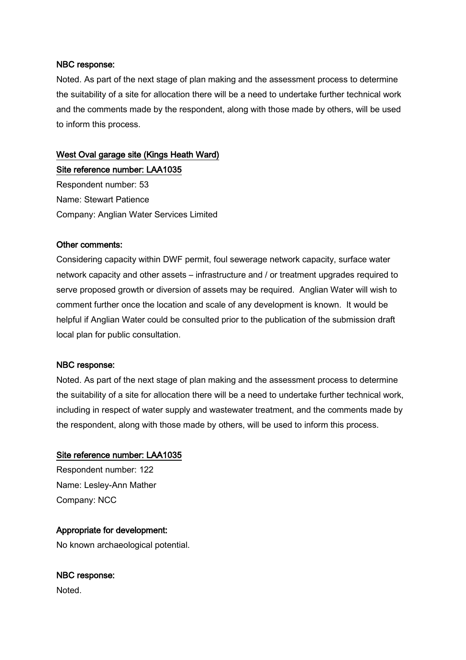#### NBC response:

Noted. As part of the next stage of plan making and the assessment process to determine the suitability of a site for allocation there will be a need to undertake further technical work and the comments made by the respondent, along with those made by others, will be used to inform this process.

# West Oval garage site (Kings Heath Ward)

Site reference number: LAA1035 Respondent number: 53 Name: Stewart Patience Company: Anglian Water Services Limited

## Other comments:

Considering capacity within DWF permit, foul sewerage network capacity, surface water network capacity and other assets – infrastructure and / or treatment upgrades required to serve proposed growth or diversion of assets may be required. Anglian Water will wish to comment further once the location and scale of any development is known. It would be helpful if Anglian Water could be consulted prior to the publication of the submission draft local plan for public consultation.

## NBC response:

Noted. As part of the next stage of plan making and the assessment process to determine the suitability of a site for allocation there will be a need to undertake further technical work, including in respect of water supply and wastewater treatment, and the comments made by the respondent, along with those made by others, will be used to inform this process.

## Site reference number: LAA1035

Respondent number: 122 Name: Lesley-Ann Mather Company: NCC

## Appropriate for development:

No known archaeological potential.

# NBC response:

Noted.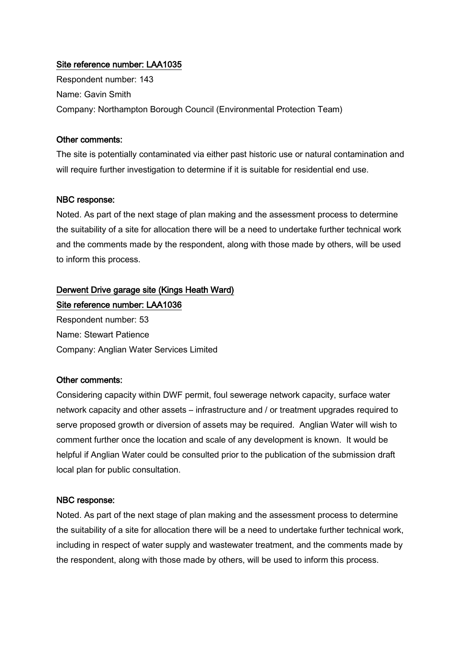Respondent number: 143 Name: Gavin Smith Company: Northampton Borough Council (Environmental Protection Team)

## Other comments:

The site is potentially contaminated via either past historic use or natural contamination and will require further investigation to determine if it is suitable for residential end use.

## NBC response:

Noted. As part of the next stage of plan making and the assessment process to determine the suitability of a site for allocation there will be a need to undertake further technical work and the comments made by the respondent, along with those made by others, will be used to inform this process.

## Derwent Drive garage site (Kings Heath Ward) Site reference number: LAA1036

Respondent number: 53 Name: Stewart Patience Company: Anglian Water Services Limited

## Other comments:

Considering capacity within DWF permit, foul sewerage network capacity, surface water network capacity and other assets – infrastructure and / or treatment upgrades required to serve proposed growth or diversion of assets may be required. Anglian Water will wish to comment further once the location and scale of any development is known. It would be helpful if Anglian Water could be consulted prior to the publication of the submission draft local plan for public consultation.

## NBC response:

Noted. As part of the next stage of plan making and the assessment process to determine the suitability of a site for allocation there will be a need to undertake further technical work, including in respect of water supply and wastewater treatment, and the comments made by the respondent, along with those made by others, will be used to inform this process.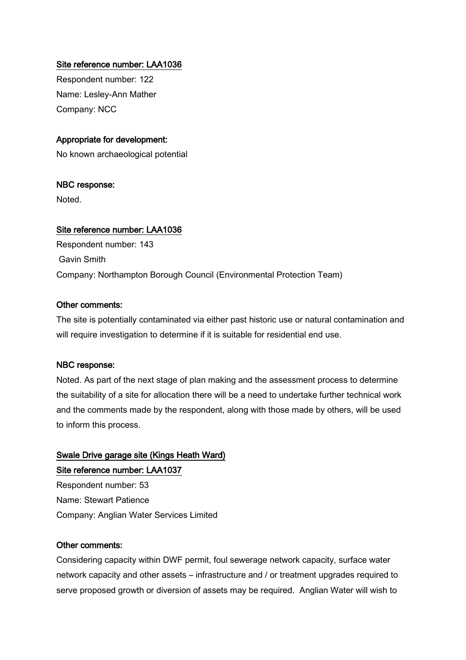Respondent number: 122 Name: Lesley-Ann Mather Company: NCC

## Appropriate for development:

No known archaeological potential

## NBC response:

Noted.

## Site reference number: LAA1036

Respondent number: 143 Gavin Smith Company: Northampton Borough Council (Environmental Protection Team)

## Other comments:

The site is potentially contaminated via either past historic use or natural contamination and will require investigation to determine if it is suitable for residential end use.

#### NBC response:

Noted. As part of the next stage of plan making and the assessment process to determine the suitability of a site for allocation there will be a need to undertake further technical work and the comments made by the respondent, along with those made by others, will be used to inform this process.

## Swale Drive garage site (Kings Heath Ward) Site reference number: LAA1037

Respondent number: 53 Name: Stewart Patience Company: Anglian Water Services Limited

#### Other comments:

Considering capacity within DWF permit, foul sewerage network capacity, surface water network capacity and other assets – infrastructure and / or treatment upgrades required to serve proposed growth or diversion of assets may be required. Anglian Water will wish to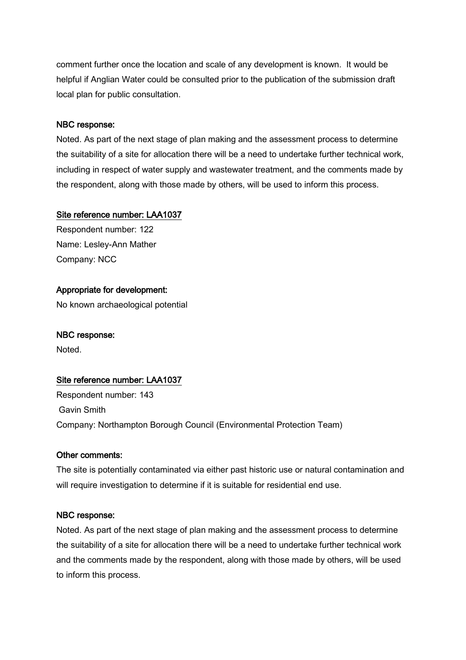comment further once the location and scale of any development is known. It would be helpful if Anglian Water could be consulted prior to the publication of the submission draft local plan for public consultation.

## NBC response:

Noted. As part of the next stage of plan making and the assessment process to determine the suitability of a site for allocation there will be a need to undertake further technical work, including in respect of water supply and wastewater treatment, and the comments made by the respondent, along with those made by others, will be used to inform this process.

## Site reference number: LAA1037

Respondent number: 122 Name: Lesley-Ann Mather Company: NCC

## Appropriate for development:

No known archaeological potential

## NBC response:

Noted.

## Site reference number: LAA1037

Respondent number: 143 Gavin Smith Company: Northampton Borough Council (Environmental Protection Team)

## Other comments:

The site is potentially contaminated via either past historic use or natural contamination and will require investigation to determine if it is suitable for residential end use.

## NBC response:

Noted. As part of the next stage of plan making and the assessment process to determine the suitability of a site for allocation there will be a need to undertake further technical work and the comments made by the respondent, along with those made by others, will be used to inform this process.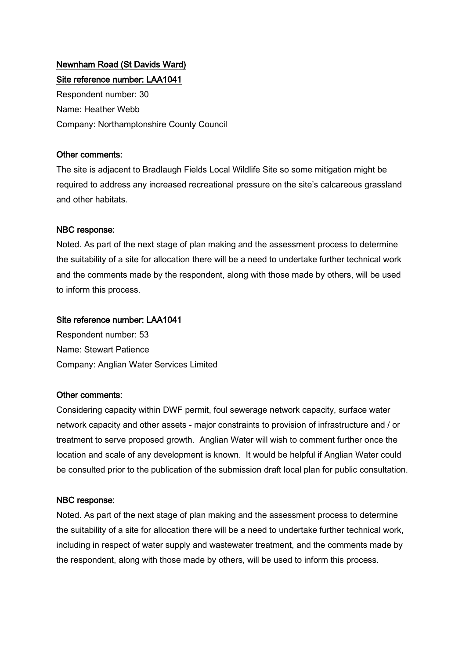## Newnham Road (St Davids Ward) Site reference number: LAA1041

Respondent number: 30 Name: Heather Webb Company: Northamptonshire County Council

## Other comments:

The site is adjacent to Bradlaugh Fields Local Wildlife Site so some mitigation might be required to address any increased recreational pressure on the site's calcareous grassland and other habitats.

## NBC response:

Noted. As part of the next stage of plan making and the assessment process to determine the suitability of a site for allocation there will be a need to undertake further technical work and the comments made by the respondent, along with those made by others, will be used to inform this process.

## Site reference number: LAA1041

Respondent number: 53 Name: Stewart Patience Company: Anglian Water Services Limited

## Other comments:

Considering capacity within DWF permit, foul sewerage network capacity, surface water network capacity and other assets - major constraints to provision of infrastructure and / or treatment to serve proposed growth. Anglian Water will wish to comment further once the location and scale of any development is known. It would be helpful if Anglian Water could be consulted prior to the publication of the submission draft local plan for public consultation.

## NBC response:

Noted. As part of the next stage of plan making and the assessment process to determine the suitability of a site for allocation there will be a need to undertake further technical work, including in respect of water supply and wastewater treatment, and the comments made by the respondent, along with those made by others, will be used to inform this process.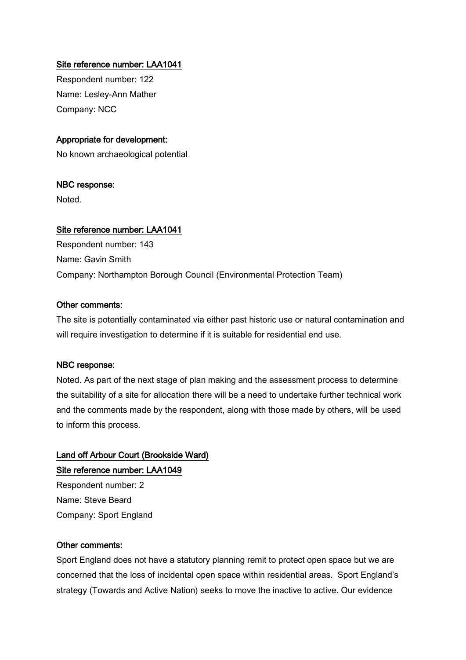Respondent number: 122 Name: Lesley-Ann Mather Company: NCC

## Appropriate for development:

No known archaeological potential

## NBC response:

Noted.

## Site reference number: LAA1041

Respondent number: 143 Name: Gavin Smith Company: Northampton Borough Council (Environmental Protection Team)

## Other comments:

The site is potentially contaminated via either past historic use or natural contamination and will require investigation to determine if it is suitable for residential end use.

## NBC response:

Noted. As part of the next stage of plan making and the assessment process to determine the suitability of a site for allocation there will be a need to undertake further technical work and the comments made by the respondent, along with those made by others, will be used to inform this process.

# Land off Arbour Court (Brookside Ward) Site reference number: LAA1049

Respondent number: 2 Name: Steve Beard Company: Sport England

## Other comments:

Sport England does not have a statutory planning remit to protect open space but we are concerned that the loss of incidental open space within residential areas. Sport England's strategy (Towards and Active Nation) seeks to move the inactive to active. Our evidence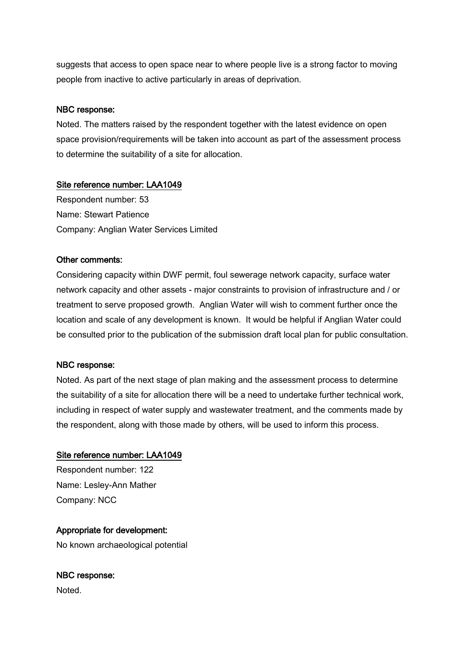suggests that access to open space near to where people live is a strong factor to moving people from inactive to active particularly in areas of deprivation.

## NBC response:

Noted. The matters raised by the respondent together with the latest evidence on open space provision/requirements will be taken into account as part of the assessment process to determine the suitability of a site for allocation.

## Site reference number: LAA1049

Respondent number: 53 Name: Stewart Patience Company: Anglian Water Services Limited

## Other comments:

Considering capacity within DWF permit, foul sewerage network capacity, surface water network capacity and other assets - major constraints to provision of infrastructure and / or treatment to serve proposed growth. Anglian Water will wish to comment further once the location and scale of any development is known. It would be helpful if Anglian Water could be consulted prior to the publication of the submission draft local plan for public consultation.

## NBC response:

Noted. As part of the next stage of plan making and the assessment process to determine the suitability of a site for allocation there will be a need to undertake further technical work, including in respect of water supply and wastewater treatment, and the comments made by the respondent, along with those made by others, will be used to inform this process.

## Site reference number: LAA1049

Respondent number: 122 Name: Lesley-Ann Mather Company: NCC

## Appropriate for development:

No known archaeological potential

# NBC response:

Noted.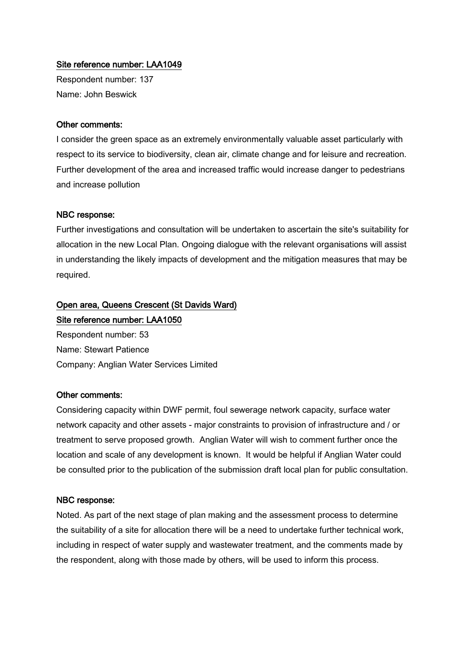Respondent number: 137 Name: John Beswick

#### Other comments:

I consider the green space as an extremely environmentally valuable asset particularly with respect to its service to biodiversity, clean air, climate change and for leisure and recreation. Further development of the area and increased traffic would increase danger to pedestrians and increase pollution

#### NBC response:

Further investigations and consultation will be undertaken to ascertain the site's suitability for allocation in the new Local Plan. Ongoing dialogue with the relevant organisations will assist in understanding the likely impacts of development and the mitigation measures that may be required.

# Open area, Queens Crescent (St Davids Ward)

Site reference number: LAA1050 Respondent number: 53 Name: Stewart Patience Company: Anglian Water Services Limited

## Other comments:

Considering capacity within DWF permit, foul sewerage network capacity, surface water network capacity and other assets - major constraints to provision of infrastructure and / or treatment to serve proposed growth. Anglian Water will wish to comment further once the location and scale of any development is known. It would be helpful if Anglian Water could be consulted prior to the publication of the submission draft local plan for public consultation.

#### NBC response:

Noted. As part of the next stage of plan making and the assessment process to determine the suitability of a site for allocation there will be a need to undertake further technical work, including in respect of water supply and wastewater treatment, and the comments made by the respondent, along with those made by others, will be used to inform this process.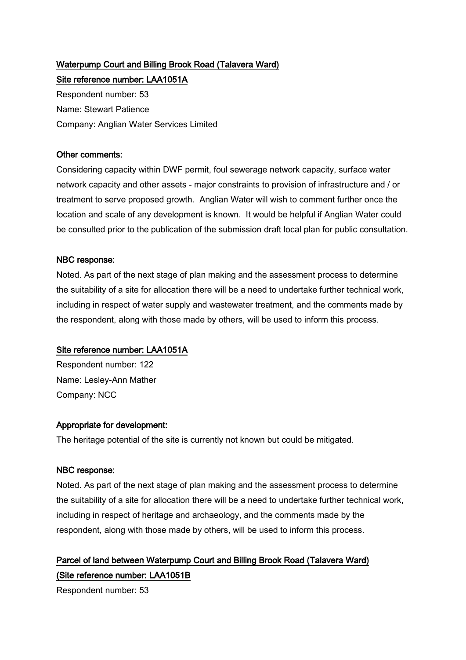# Waterpump Court and Billing Brook Road (Talavera Ward) Site reference number: LAA1051A

Respondent number: 53 Name: Stewart Patience Company: Anglian Water Services Limited

## Other comments:

Considering capacity within DWF permit, foul sewerage network capacity, surface water network capacity and other assets - major constraints to provision of infrastructure and / or treatment to serve proposed growth. Anglian Water will wish to comment further once the location and scale of any development is known. It would be helpful if Anglian Water could be consulted prior to the publication of the submission draft local plan for public consultation.

## NBC response:

Noted. As part of the next stage of plan making and the assessment process to determine the suitability of a site for allocation there will be a need to undertake further technical work, including in respect of water supply and wastewater treatment, and the comments made by the respondent, along with those made by others, will be used to inform this process.

## Site reference number: LAA1051A

Respondent number: 122 Name: Lesley-Ann Mather Company: NCC

## Appropriate for development:

The heritage potential of the site is currently not known but could be mitigated.

## NBC response:

Noted. As part of the next stage of plan making and the assessment process to determine the suitability of a site for allocation there will be a need to undertake further technical work, including in respect of heritage and archaeology, and the comments made by the respondent, along with those made by others, will be used to inform this process.

# Parcel of land between Waterpump Court and Billing Brook Road (Talavera Ward) (Site reference number: LAA1051B

Respondent number: 53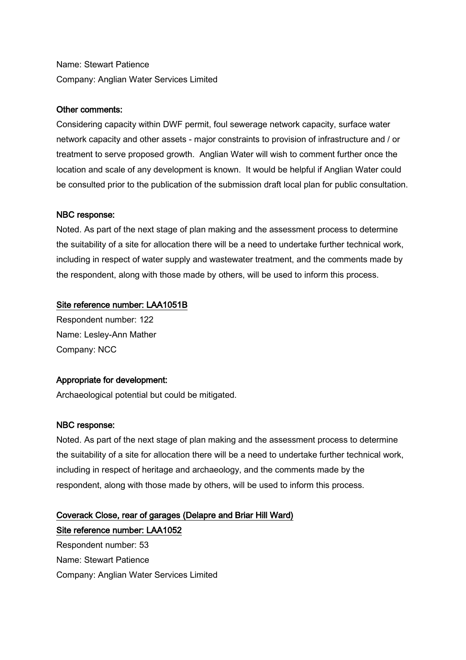Name: Stewart Patience Company: Anglian Water Services Limited

## Other comments:

Considering capacity within DWF permit, foul sewerage network capacity, surface water network capacity and other assets - major constraints to provision of infrastructure and / or treatment to serve proposed growth. Anglian Water will wish to comment further once the location and scale of any development is known. It would be helpful if Anglian Water could be consulted prior to the publication of the submission draft local plan for public consultation.

## NBC response:

Noted. As part of the next stage of plan making and the assessment process to determine the suitability of a site for allocation there will be a need to undertake further technical work, including in respect of water supply and wastewater treatment, and the comments made by the respondent, along with those made by others, will be used to inform this process.

## Site reference number: LAA1051B

Respondent number: 122 Name: Lesley-Ann Mather Company: NCC

## Appropriate for development:

Archaeological potential but could be mitigated.

## NBC response:

Noted. As part of the next stage of plan making and the assessment process to determine the suitability of a site for allocation there will be a need to undertake further technical work, including in respect of heritage and archaeology, and the comments made by the respondent, along with those made by others, will be used to inform this process.

## Coverack Close, rear of garages (Delapre and Briar Hill Ward)

Site reference number: LAA1052 Respondent number: 53 Name: Stewart Patience Company: Anglian Water Services Limited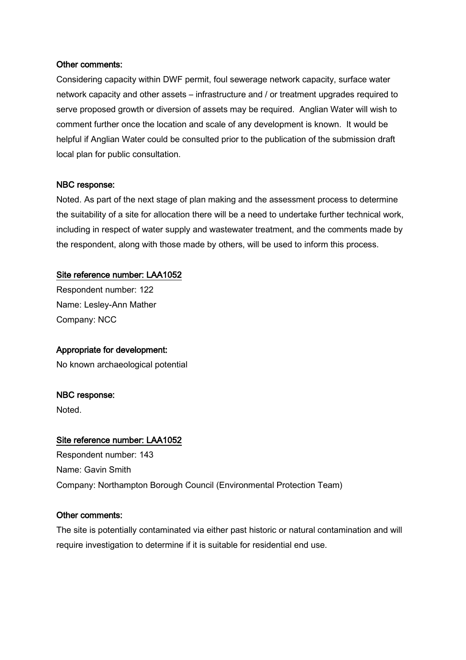## Other comments:

Considering capacity within DWF permit, foul sewerage network capacity, surface water network capacity and other assets – infrastructure and / or treatment upgrades required to serve proposed growth or diversion of assets may be required. Anglian Water will wish to comment further once the location and scale of any development is known. It would be helpful if Anglian Water could be consulted prior to the publication of the submission draft local plan for public consultation.

#### NBC response:

Noted. As part of the next stage of plan making and the assessment process to determine the suitability of a site for allocation there will be a need to undertake further technical work, including in respect of water supply and wastewater treatment, and the comments made by the respondent, along with those made by others, will be used to inform this process.

#### Site reference number: LAA1052

Respondent number: 122 Name: Lesley-Ann Mather Company: NCC

## Appropriate for development:

No known archaeological potential

#### NBC response:

Noted.

#### Site reference number: LAA1052

Respondent number: 143 Name: Gavin Smith Company: Northampton Borough Council (Environmental Protection Team)

#### Other comments:

The site is potentially contaminated via either past historic or natural contamination and will require investigation to determine if it is suitable for residential end use.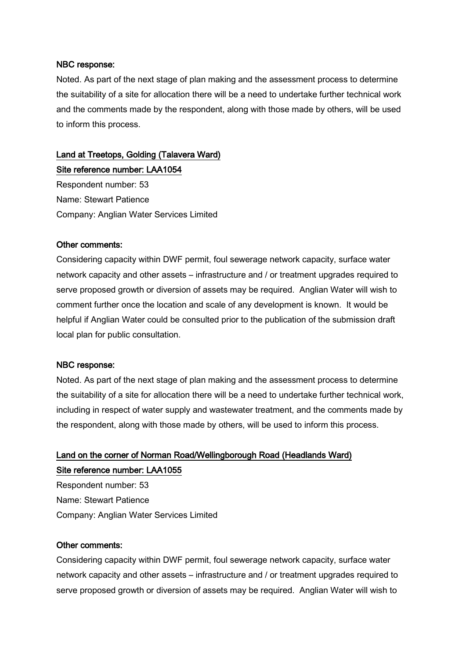#### NBC response:

Noted. As part of the next stage of plan making and the assessment process to determine the suitability of a site for allocation there will be a need to undertake further technical work and the comments made by the respondent, along with those made by others, will be used to inform this process.

# Land at Treetops, Golding (Talavera Ward)

Site reference number: LAA1054 Respondent number: 53 Name: Stewart Patience Company: Anglian Water Services Limited

## Other comments:

Considering capacity within DWF permit, foul sewerage network capacity, surface water network capacity and other assets – infrastructure and / or treatment upgrades required to serve proposed growth or diversion of assets may be required. Anglian Water will wish to comment further once the location and scale of any development is known. It would be helpful if Anglian Water could be consulted prior to the publication of the submission draft local plan for public consultation.

## NBC response:

Noted. As part of the next stage of plan making and the assessment process to determine the suitability of a site for allocation there will be a need to undertake further technical work, including in respect of water supply and wastewater treatment, and the comments made by the respondent, along with those made by others, will be used to inform this process.

# Land on the corner of Norman Road/Wellingborough Road (Headlands Ward) Site reference number: LAA1055

Respondent number: 53 Name: Stewart Patience Company: Anglian Water Services Limited

#### Other comments:

Considering capacity within DWF permit, foul sewerage network capacity, surface water network capacity and other assets – infrastructure and / or treatment upgrades required to serve proposed growth or diversion of assets may be required. Anglian Water will wish to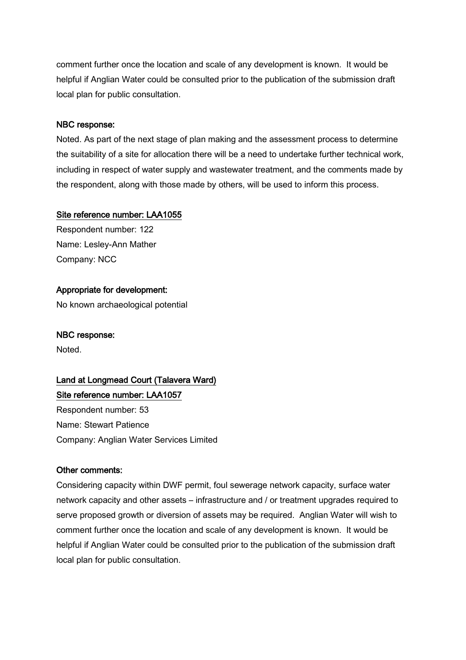comment further once the location and scale of any development is known. It would be helpful if Anglian Water could be consulted prior to the publication of the submission draft local plan for public consultation.

## NBC response:

Noted. As part of the next stage of plan making and the assessment process to determine the suitability of a site for allocation there will be a need to undertake further technical work, including in respect of water supply and wastewater treatment, and the comments made by the respondent, along with those made by others, will be used to inform this process.

## Site reference number: LAA1055

Respondent number: 122 Name: Lesley-Ann Mather Company: NCC

## Appropriate for development:

No known archaeological potential

## NBC response:

Noted.

# Land at Longmead Court (Talavera Ward) Site reference number: LAA1057

Respondent number: 53 Name: Stewart Patience Company: Anglian Water Services Limited

## Other comments:

Considering capacity within DWF permit, foul sewerage network capacity, surface water network capacity and other assets – infrastructure and / or treatment upgrades required to serve proposed growth or diversion of assets may be required. Anglian Water will wish to comment further once the location and scale of any development is known. It would be helpful if Anglian Water could be consulted prior to the publication of the submission draft local plan for public consultation.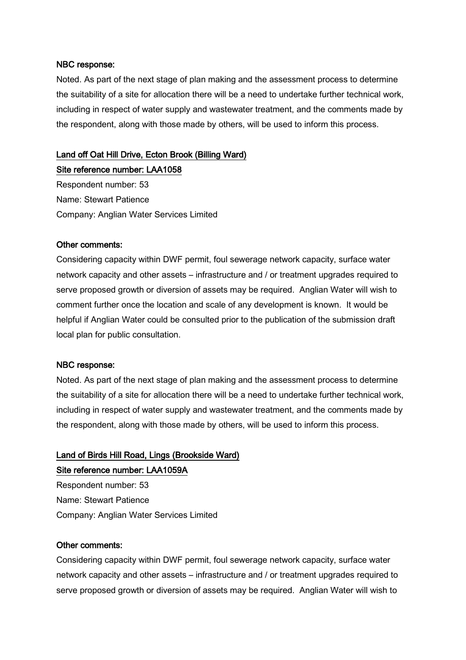#### NBC response:

Noted. As part of the next stage of plan making and the assessment process to determine the suitability of a site for allocation there will be a need to undertake further technical work, including in respect of water supply and wastewater treatment, and the comments made by the respondent, along with those made by others, will be used to inform this process.

## Land off Oat Hill Drive, Ecton Brook (Billing Ward)

Site reference number: LAA1058 Respondent number: 53 Name: Stewart Patience Company: Anglian Water Services Limited

#### Other comments:

Considering capacity within DWF permit, foul sewerage network capacity, surface water network capacity and other assets – infrastructure and / or treatment upgrades required to serve proposed growth or diversion of assets may be required. Anglian Water will wish to comment further once the location and scale of any development is known. It would be helpful if Anglian Water could be consulted prior to the publication of the submission draft local plan for public consultation.

#### NBC response:

Noted. As part of the next stage of plan making and the assessment process to determine the suitability of a site for allocation there will be a need to undertake further technical work, including in respect of water supply and wastewater treatment, and the comments made by the respondent, along with those made by others, will be used to inform this process.

## Land of Birds Hill Road, Lings (Brookside Ward) Site reference number: LAA1059A

Respondent number: 53 Name: Stewart Patience Company: Anglian Water Services Limited

#### Other comments:

Considering capacity within DWF permit, foul sewerage network capacity, surface water network capacity and other assets – infrastructure and / or treatment upgrades required to serve proposed growth or diversion of assets may be required. Anglian Water will wish to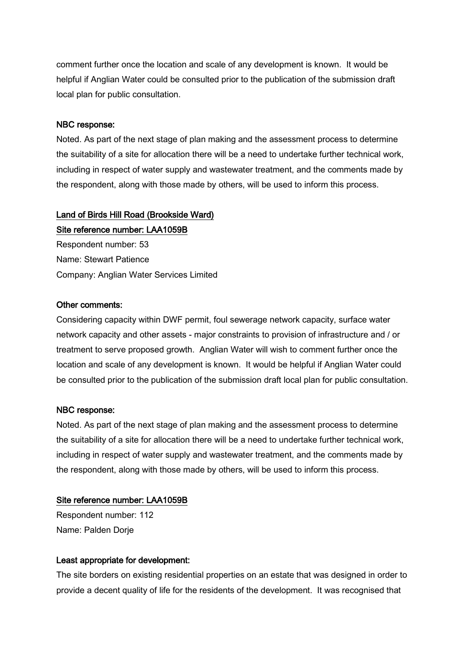comment further once the location and scale of any development is known. It would be helpful if Anglian Water could be consulted prior to the publication of the submission draft local plan for public consultation.

#### NBC response:

Noted. As part of the next stage of plan making and the assessment process to determine the suitability of a site for allocation there will be a need to undertake further technical work, including in respect of water supply and wastewater treatment, and the comments made by the respondent, along with those made by others, will be used to inform this process.

# Land of Birds Hill Road (Brookside Ward)

Site reference number: LAA1059B Respondent number: 53 Name: Stewart Patience Company: Anglian Water Services Limited

#### Other comments:

Considering capacity within DWF permit, foul sewerage network capacity, surface water network capacity and other assets - major constraints to provision of infrastructure and / or treatment to serve proposed growth. Anglian Water will wish to comment further once the location and scale of any development is known. It would be helpful if Anglian Water could be consulted prior to the publication of the submission draft local plan for public consultation.

#### NBC response:

Noted. As part of the next stage of plan making and the assessment process to determine the suitability of a site for allocation there will be a need to undertake further technical work, including in respect of water supply and wastewater treatment, and the comments made by the respondent, along with those made by others, will be used to inform this process.

## Site reference number: LAA1059B

Respondent number: 112 Name: Palden Dorje

## Least appropriate for development:

The site borders on existing residential properties on an estate that was designed in order to provide a decent quality of life for the residents of the development. It was recognised that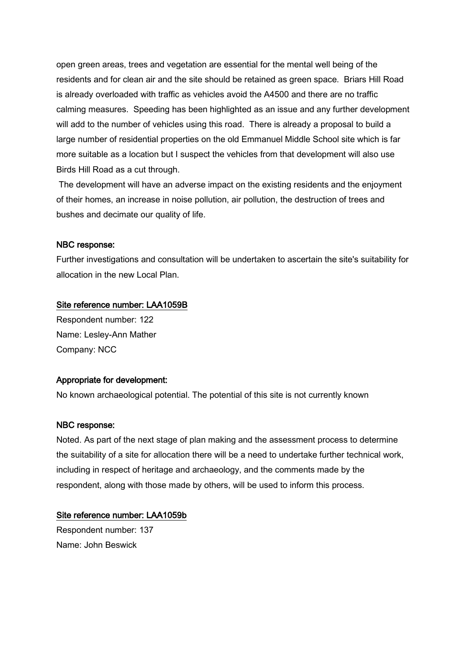open green areas, trees and vegetation are essential for the mental well being of the residents and for clean air and the site should be retained as green space. Briars Hill Road is already overloaded with traffic as vehicles avoid the A4500 and there are no traffic calming measures. Speeding has been highlighted as an issue and any further development will add to the number of vehicles using this road. There is already a proposal to build a large number of residential properties on the old Emmanuel Middle School site which is far more suitable as a location but I suspect the vehicles from that development will also use Birds Hill Road as a cut through.

The development will have an adverse impact on the existing residents and the enjoyment of their homes, an increase in noise pollution, air pollution, the destruction of trees and bushes and decimate our quality of life.

## NBC response:

Further investigations and consultation will be undertaken to ascertain the site's suitability for allocation in the new Local Plan.

## Site reference number: LAA1059B

Respondent number: 122 Name: Lesley-Ann Mather Company: NCC

## Appropriate for development:

No known archaeological potential. The potential of this site is not currently known

#### NBC response:

Noted. As part of the next stage of plan making and the assessment process to determine the suitability of a site for allocation there will be a need to undertake further technical work, including in respect of heritage and archaeology, and the comments made by the respondent, along with those made by others, will be used to inform this process.

#### Site reference number: LAA1059b

Respondent number: 137 Name: John Beswick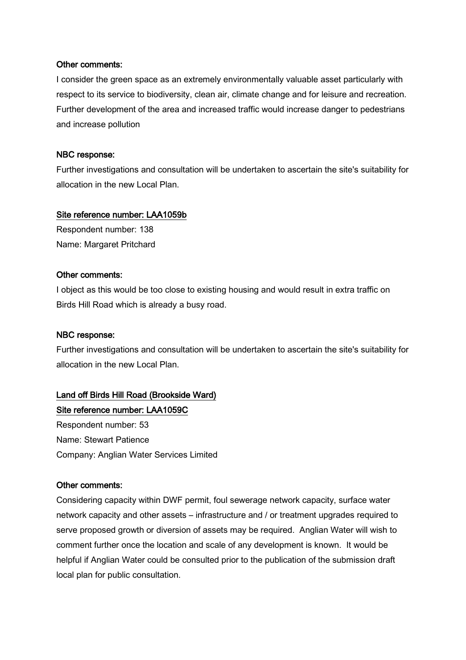#### Other comments:

I consider the green space as an extremely environmentally valuable asset particularly with respect to its service to biodiversity, clean air, climate change and for leisure and recreation. Further development of the area and increased traffic would increase danger to pedestrians and increase pollution

#### NBC response:

Further investigations and consultation will be undertaken to ascertain the site's suitability for allocation in the new Local Plan.

## Site reference number: LAA1059b

Respondent number: 138 Name: Margaret Pritchard

#### Other comments:

I object as this would be too close to existing housing and would result in extra traffic on Birds Hill Road which is already a busy road.

## NBC response:

Further investigations and consultation will be undertaken to ascertain the site's suitability for allocation in the new Local Plan.

# Land off Birds Hill Road (Brookside Ward)

Site reference number: LAA1059C Respondent number: 53 Name: Stewart Patience Company: Anglian Water Services Limited

## Other comments:

Considering capacity within DWF permit, foul sewerage network capacity, surface water network capacity and other assets – infrastructure and / or treatment upgrades required to serve proposed growth or diversion of assets may be required. Anglian Water will wish to comment further once the location and scale of any development is known. It would be helpful if Anglian Water could be consulted prior to the publication of the submission draft local plan for public consultation.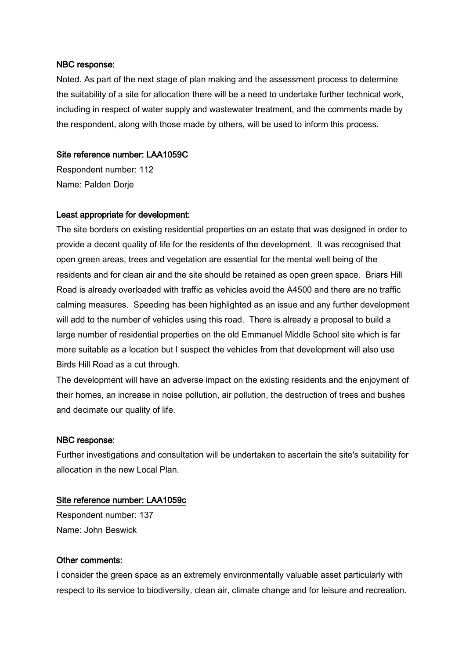Noted. As part of the next stage of plan making and the assessment process to determine the suitability of a site for allocation there will be a need to undertake further technical work, including in respect of water supply and wastewater treatment, and the comments made by the respondent, along with those made by others, will be used to inform this process.

## Site reference number: LAA1059C

Respondent number: 112 Name: Palden Dorje

# Least appropriate for development:

The site borders on existing residential properties on an estate that was designed in order to provide a decent quality of life for the residents of the development. It was recognised that open green areas, trees and vegetation are essential for the mental well being of the residents and for clean air and the site should be retained as open green space. Briars Hill Road is already overloaded with traffic as vehicles avoid the A4500 and there are no traffic calming measures. Speeding has been highlighted as an issue and any further development will add to the number of vehicles using this road. There is already a proposal to build a large number of residential properties on the old Emmanuel Middle School site which is far more suitable as a location but I suspect the vehicles from that development will also use Birds Hill Road as a cut through.

The development will have an adverse impact on the existing residents and the enjoyment of their homes, an increase in noise pollution, air pollution, the destruction of trees and bushes and decimate our quality of life.

## NBC response:

Further investigations and consultation will be undertaken to ascertain the site's suitability for allocation in the new Local Plan.

# Site reference number: LAA1059c

Respondent number: 137 Name: John Beswick

## Other comments:

I consider the green space as an extremely environmentally valuable asset particularly with respect to its service to biodiversity, clean air, climate change and for leisure and recreation.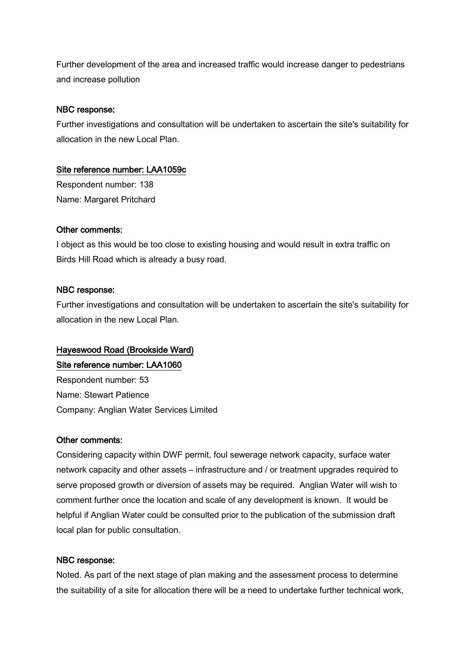Further development of the area and increased traffic would increase danger to pedestrians and increase pollution

# NBC response:

Further investigations and consultation will be undertaken to ascertain the site's suitability for allocation in the new Local Plan.

# Site reference number: LAA1059c

Respondent number: 138 Name: Margaret Pritchard

# Other comments:

I object as this would be too close to existing housing and would result in extra traffic on Birds Hill Road which is already a busy road.

# NBC response:

Further investigations and consultation will be undertaken to ascertain the site's suitability for allocation in the new Local Plan.

# Hayeswood Road (Brookside Ward)

Site reference number: LAA1060

Respondent number: 53 Name: Stewart Patience Company: Anglian Water Services Limited

## Other comments:

Considering capacity within DWF permit, foul sewerage network capacity, surface water network capacity and other assets – infrastructure and / or treatment upgrades required to serve proposed growth or diversion of assets may be required. Anglian Water will wish to comment further once the location and scale of any development is known. It would be helpful if Anglian Water could be consulted prior to the publication of the submission draft local plan for public consultation.

# NBC response:

Noted. As part of the next stage of plan making and the assessment process to determine the suitability of a site for allocation there will be a need to undertake further technical work,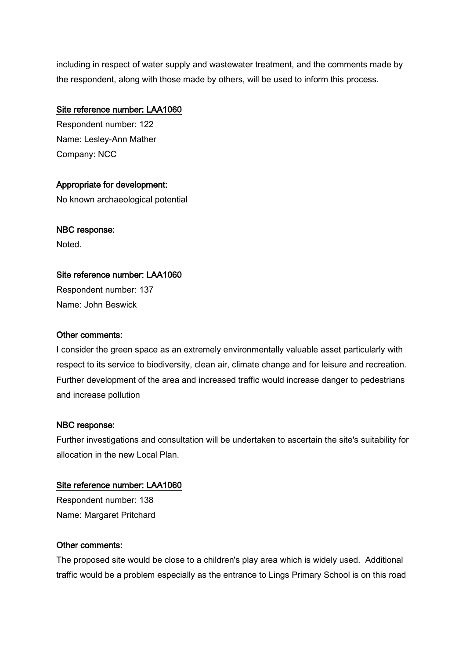including in respect of water supply and wastewater treatment, and the comments made by the respondent, along with those made by others, will be used to inform this process.

# Site reference number: LAA1060

Respondent number: 122 Name: Lesley-Ann Mather Company: NCC

# Appropriate for development:

No known archaeological potential

# NBC response:

Noted.

# Site reference number: LAA1060

Respondent number: 137 Name: John Beswick

# Other comments:

I consider the green space as an extremely environmentally valuable asset particularly with respect to its service to biodiversity, clean air, climate change and for leisure and recreation. Further development of the area and increased traffic would increase danger to pedestrians and increase pollution

# NBC response:

Further investigations and consultation will be undertaken to ascertain the site's suitability for allocation in the new Local Plan.

# Site reference number: LAA1060

Respondent number: 138 Name: Margaret Pritchard

# Other comments:

The proposed site would be close to a children's play area which is widely used. Additional traffic would be a problem especially as the entrance to Lings Primary School is on this road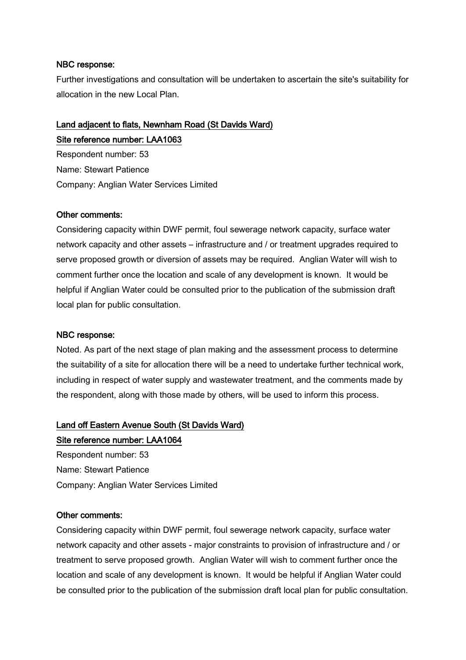Further investigations and consultation will be undertaken to ascertain the site's suitability for allocation in the new Local Plan.

# Land adjacent to flats, Newnham Road (St Davids Ward) Site reference number: LAA1063

Respondent number: 53 Name: Stewart Patience Company: Anglian Water Services Limited

#### Other comments:

Considering capacity within DWF permit, foul sewerage network capacity, surface water network capacity and other assets – infrastructure and / or treatment upgrades required to serve proposed growth or diversion of assets may be required. Anglian Water will wish to comment further once the location and scale of any development is known. It would be helpful if Anglian Water could be consulted prior to the publication of the submission draft local plan for public consultation.

#### NBC response:

Noted. As part of the next stage of plan making and the assessment process to determine the suitability of a site for allocation there will be a need to undertake further technical work, including in respect of water supply and wastewater treatment, and the comments made by the respondent, along with those made by others, will be used to inform this process.

#### Land off Eastern Avenue South (St Davids Ward)

# Site reference number: LAA1064

Respondent number: 53 Name: Stewart Patience Company: Anglian Water Services Limited

#### Other comments:

Considering capacity within DWF permit, foul sewerage network capacity, surface water network capacity and other assets - major constraints to provision of infrastructure and / or treatment to serve proposed growth. Anglian Water will wish to comment further once the location and scale of any development is known. It would be helpful if Anglian Water could be consulted prior to the publication of the submission draft local plan for public consultation.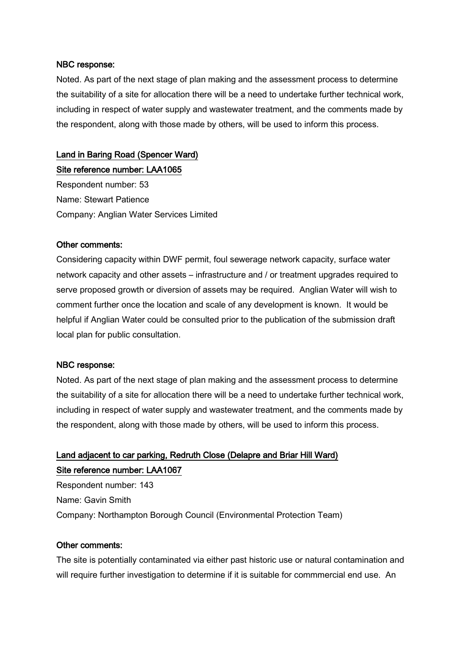Noted. As part of the next stage of plan making and the assessment process to determine the suitability of a site for allocation there will be a need to undertake further technical work, including in respect of water supply and wastewater treatment, and the comments made by the respondent, along with those made by others, will be used to inform this process.

# Land in Baring Road (Spencer Ward)

Site reference number: LAA1065 Respondent number: 53 Name: Stewart Patience Company: Anglian Water Services Limited

## Other comments:

Considering capacity within DWF permit, foul sewerage network capacity, surface water network capacity and other assets – infrastructure and / or treatment upgrades required to serve proposed growth or diversion of assets may be required. Anglian Water will wish to comment further once the location and scale of any development is known. It would be helpful if Anglian Water could be consulted prior to the publication of the submission draft local plan for public consultation.

#### NBC response:

Noted. As part of the next stage of plan making and the assessment process to determine the suitability of a site for allocation there will be a need to undertake further technical work, including in respect of water supply and wastewater treatment, and the comments made by the respondent, along with those made by others, will be used to inform this process.

# Land adjacent to car parking, Redruth Close (Delapre and Briar Hill Ward) Site reference number: LAA1067

Respondent number: 143 Name: Gavin Smith Company: Northampton Borough Council (Environmental Protection Team)

## Other comments:

The site is potentially contaminated via either past historic use or natural contamination and will require further investigation to determine if it is suitable for commmercial end use. An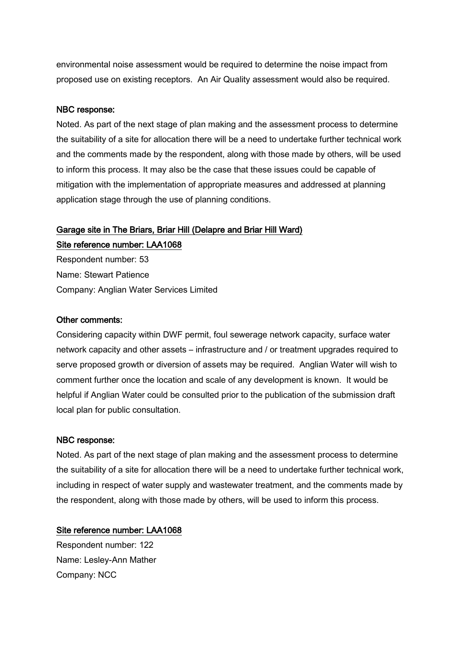environmental noise assessment would be required to determine the noise impact from proposed use on existing receptors. An Air Quality assessment would also be required.

# NBC response:

Noted. As part of the next stage of plan making and the assessment process to determine the suitability of a site for allocation there will be a need to undertake further technical work and the comments made by the respondent, along with those made by others, will be used to inform this process. It may also be the case that these issues could be capable of mitigation with the implementation of appropriate measures and addressed at planning application stage through the use of planning conditions.

# Garage site in The Briars, Briar Hill (Delapre and Briar Hill Ward)

Site reference number: LAA1068 Respondent number: 53 Name: Stewart Patience Company: Anglian Water Services Limited

## Other comments:

Considering capacity within DWF permit, foul sewerage network capacity, surface water network capacity and other assets – infrastructure and / or treatment upgrades required to serve proposed growth or diversion of assets may be required. Anglian Water will wish to comment further once the location and scale of any development is known. It would be helpful if Anglian Water could be consulted prior to the publication of the submission draft local plan for public consultation.

## NBC response:

Noted. As part of the next stage of plan making and the assessment process to determine the suitability of a site for allocation there will be a need to undertake further technical work, including in respect of water supply and wastewater treatment, and the comments made by the respondent, along with those made by others, will be used to inform this process.

## Site reference number: LAA1068

Respondent number: 122 Name: Lesley-Ann Mather Company: NCC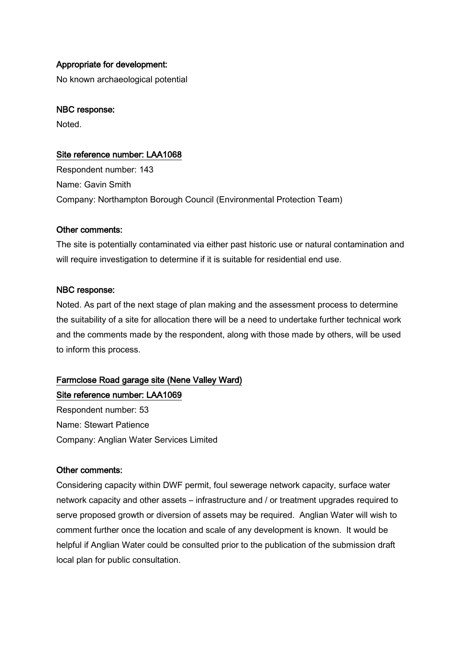# Appropriate for development:

No known archaeological potential

#### NBC response:

Noted.

## Site reference number: LAA1068

Respondent number: 143 Name: Gavin Smith Company: Northampton Borough Council (Environmental Protection Team)

## Other comments:

The site is potentially contaminated via either past historic use or natural contamination and will require investigation to determine if it is suitable for residential end use.

#### NBC response:

Noted. As part of the next stage of plan making and the assessment process to determine the suitability of a site for allocation there will be a need to undertake further technical work and the comments made by the respondent, along with those made by others, will be used to inform this process.

# Farmclose Road garage site (Nene Valley Ward)

## Site reference number: LAA1069

Respondent number: 53 Name: Stewart Patience Company: Anglian Water Services Limited

## Other comments:

Considering capacity within DWF permit, foul sewerage network capacity, surface water network capacity and other assets – infrastructure and / or treatment upgrades required to serve proposed growth or diversion of assets may be required. Anglian Water will wish to comment further once the location and scale of any development is known. It would be helpful if Anglian Water could be consulted prior to the publication of the submission draft local plan for public consultation.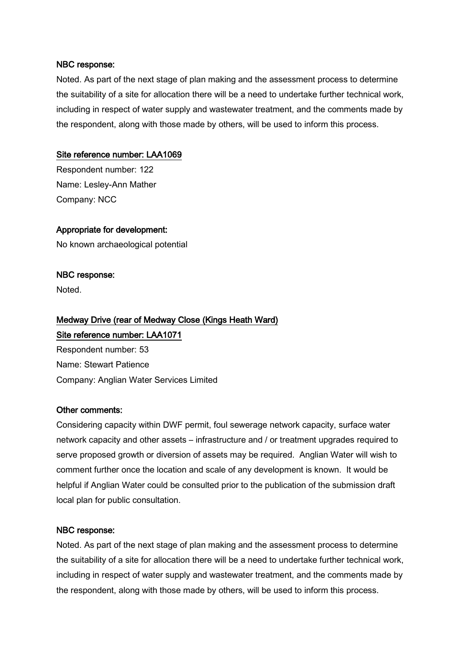Noted. As part of the next stage of plan making and the assessment process to determine the suitability of a site for allocation there will be a need to undertake further technical work, including in respect of water supply and wastewater treatment, and the comments made by the respondent, along with those made by others, will be used to inform this process.

## Site reference number: LAA1069

Respondent number: 122 Name: Lesley-Ann Mather Company: NCC

# Appropriate for development:

No known archaeological potential

## NBC response:

Noted.

# Medway Drive (rear of Medway Close (Kings Heath Ward) Site reference number: LAA1071

Respondent number: 53 Name: Stewart Patience Company: Anglian Water Services Limited

## Other comments:

Considering capacity within DWF permit, foul sewerage network capacity, surface water network capacity and other assets – infrastructure and / or treatment upgrades required to serve proposed growth or diversion of assets may be required. Anglian Water will wish to comment further once the location and scale of any development is known. It would be helpful if Anglian Water could be consulted prior to the publication of the submission draft local plan for public consultation.

## NBC response:

Noted. As part of the next stage of plan making and the assessment process to determine the suitability of a site for allocation there will be a need to undertake further technical work, including in respect of water supply and wastewater treatment, and the comments made by the respondent, along with those made by others, will be used to inform this process.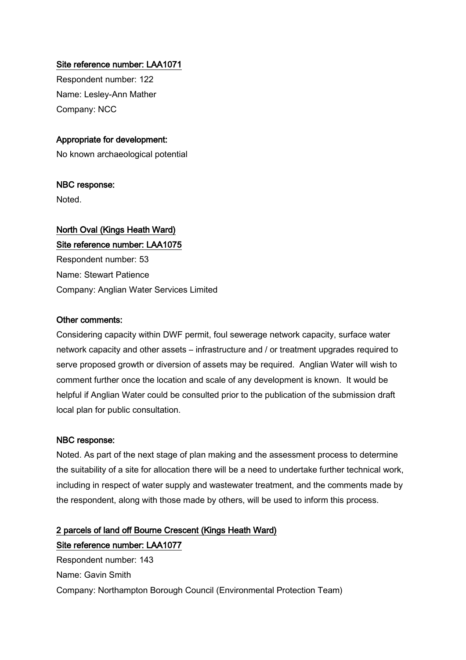# Site reference number: LAA1071

Respondent number: 122 Name: Lesley-Ann Mather Company: NCC

# Appropriate for development:

No known archaeological potential

## NBC response:

Noted.

# North Oval (Kings Heath Ward) Site reference number: LAA1075

Respondent number: 53 Name: Stewart Patience Company: Anglian Water Services Limited

#### Other comments:

Considering capacity within DWF permit, foul sewerage network capacity, surface water network capacity and other assets – infrastructure and / or treatment upgrades required to serve proposed growth or diversion of assets may be required. Anglian Water will wish to comment further once the location and scale of any development is known. It would be helpful if Anglian Water could be consulted prior to the publication of the submission draft local plan for public consultation.

## NBC response:

Noted. As part of the next stage of plan making and the assessment process to determine the suitability of a site for allocation there will be a need to undertake further technical work, including in respect of water supply and wastewater treatment, and the comments made by the respondent, along with those made by others, will be used to inform this process.

# 2 parcels of land off Bourne Crescent (Kings Heath Ward) Site reference number: LAA1077

Respondent number: 143 Name: Gavin Smith Company: Northampton Borough Council (Environmental Protection Team)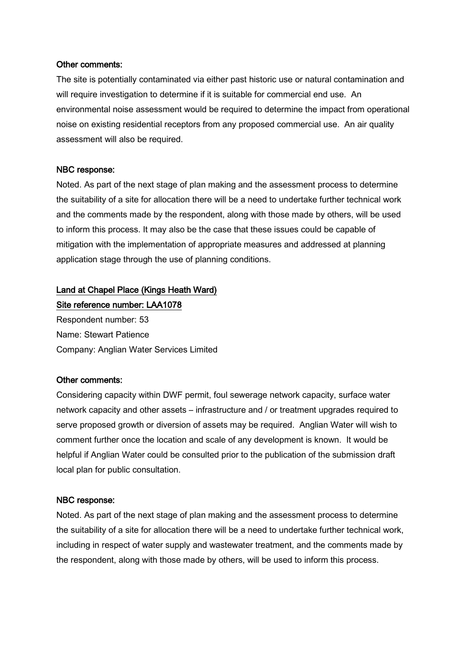#### Other comments:

The site is potentially contaminated via either past historic use or natural contamination and will require investigation to determine if it is suitable for commercial end use. An environmental noise assessment would be required to determine the impact from operational noise on existing residential receptors from any proposed commercial use. An air quality assessment will also be required.

#### NBC response:

Noted. As part of the next stage of plan making and the assessment process to determine the suitability of a site for allocation there will be a need to undertake further technical work and the comments made by the respondent, along with those made by others, will be used to inform this process. It may also be the case that these issues could be capable of mitigation with the implementation of appropriate measures and addressed at planning application stage through the use of planning conditions.

# Land at Chapel Place (Kings Heath Ward) Site reference number: LAA1078

Respondent number: 53 Name: Stewart Patience Company: Anglian Water Services Limited

## Other comments:

Considering capacity within DWF permit, foul sewerage network capacity, surface water network capacity and other assets – infrastructure and / or treatment upgrades required to serve proposed growth or diversion of assets may be required. Anglian Water will wish to comment further once the location and scale of any development is known. It would be helpful if Anglian Water could be consulted prior to the publication of the submission draft local plan for public consultation.

## NBC response:

Noted. As part of the next stage of plan making and the assessment process to determine the suitability of a site for allocation there will be a need to undertake further technical work, including in respect of water supply and wastewater treatment, and the comments made by the respondent, along with those made by others, will be used to inform this process.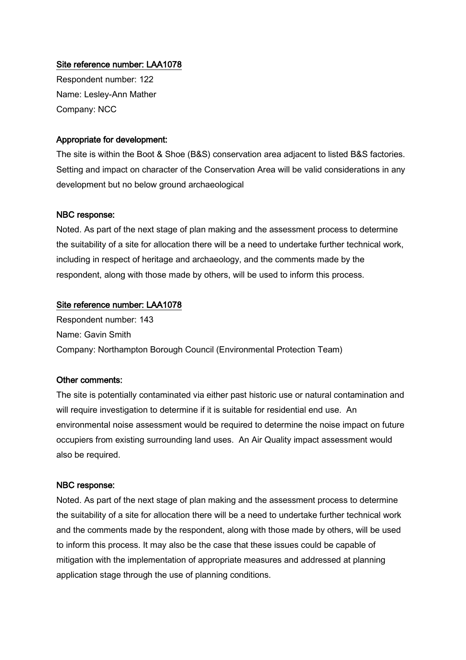# Site reference number: LAA1078

Respondent number: 122 Name: Lesley-Ann Mather Company: NCC

#### Appropriate for development:

The site is within the Boot & Shoe (B&S) conservation area adjacent to listed B&S factories. Setting and impact on character of the Conservation Area will be valid considerations in any development but no below ground archaeological

#### NBC response:

Noted. As part of the next stage of plan making and the assessment process to determine the suitability of a site for allocation there will be a need to undertake further technical work, including in respect of heritage and archaeology, and the comments made by the respondent, along with those made by others, will be used to inform this process.

## Site reference number: LAA1078

Respondent number: 143 Name: Gavin Smith Company: Northampton Borough Council (Environmental Protection Team)

#### Other comments:

The site is potentially contaminated via either past historic use or natural contamination and will require investigation to determine if it is suitable for residential end use. An environmental noise assessment would be required to determine the noise impact on future occupiers from existing surrounding land uses. An Air Quality impact assessment would also be required.

#### NBC response:

Noted. As part of the next stage of plan making and the assessment process to determine the suitability of a site for allocation there will be a need to undertake further technical work and the comments made by the respondent, along with those made by others, will be used to inform this process. It may also be the case that these issues could be capable of mitigation with the implementation of appropriate measures and addressed at planning application stage through the use of planning conditions.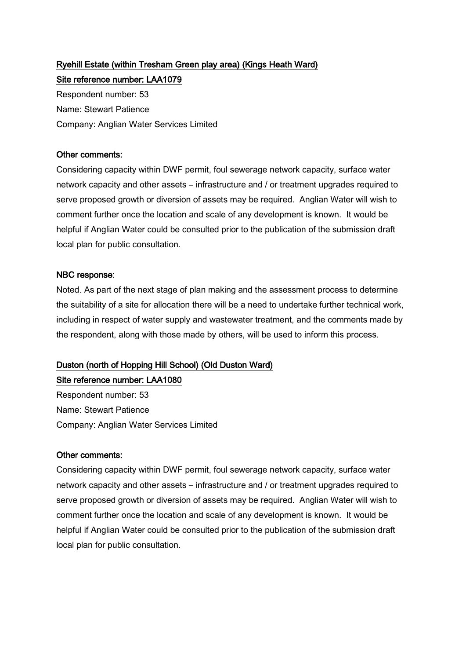# Ryehill Estate (within Tresham Green play area) (Kings Heath Ward) Site reference number: LAA1079

Respondent number: 53 Name: Stewart Patience Company: Anglian Water Services Limited

# Other comments:

Considering capacity within DWF permit, foul sewerage network capacity, surface water network capacity and other assets – infrastructure and / or treatment upgrades required to serve proposed growth or diversion of assets may be required. Anglian Water will wish to comment further once the location and scale of any development is known. It would be helpful if Anglian Water could be consulted prior to the publication of the submission draft local plan for public consultation.

# NBC response:

Noted. As part of the next stage of plan making and the assessment process to determine the suitability of a site for allocation there will be a need to undertake further technical work, including in respect of water supply and wastewater treatment, and the comments made by the respondent, along with those made by others, will be used to inform this process.

# Duston (north of Hopping Hill School) (Old Duston Ward)

# Site reference number: LAA1080

Respondent number: 53 Name: Stewart Patience Company: Anglian Water Services Limited

## Other comments:

Considering capacity within DWF permit, foul sewerage network capacity, surface water network capacity and other assets – infrastructure and / or treatment upgrades required to serve proposed growth or diversion of assets may be required. Anglian Water will wish to comment further once the location and scale of any development is known. It would be helpful if Anglian Water could be consulted prior to the publication of the submission draft local plan for public consultation.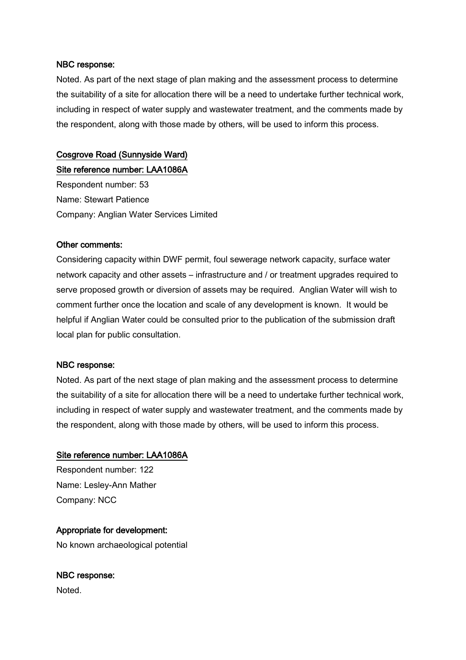Noted. As part of the next stage of plan making and the assessment process to determine the suitability of a site for allocation there will be a need to undertake further technical work, including in respect of water supply and wastewater treatment, and the comments made by the respondent, along with those made by others, will be used to inform this process.

# Cosgrove Road (Sunnyside Ward)

Site reference number: LAA1086A

Respondent number: 53 Name: Stewart Patience Company: Anglian Water Services Limited

#### Other comments:

Considering capacity within DWF permit, foul sewerage network capacity, surface water network capacity and other assets – infrastructure and / or treatment upgrades required to serve proposed growth or diversion of assets may be required. Anglian Water will wish to comment further once the location and scale of any development is known. It would be helpful if Anglian Water could be consulted prior to the publication of the submission draft local plan for public consultation.

## NBC response:

Noted. As part of the next stage of plan making and the assessment process to determine the suitability of a site for allocation there will be a need to undertake further technical work, including in respect of water supply and wastewater treatment, and the comments made by the respondent, along with those made by others, will be used to inform this process.

## Site reference number: LAA1086A

Respondent number: 122 Name: Lesley-Ann Mather Company: NCC

## Appropriate for development:

No known archaeological potential

# NBC response:

Noted.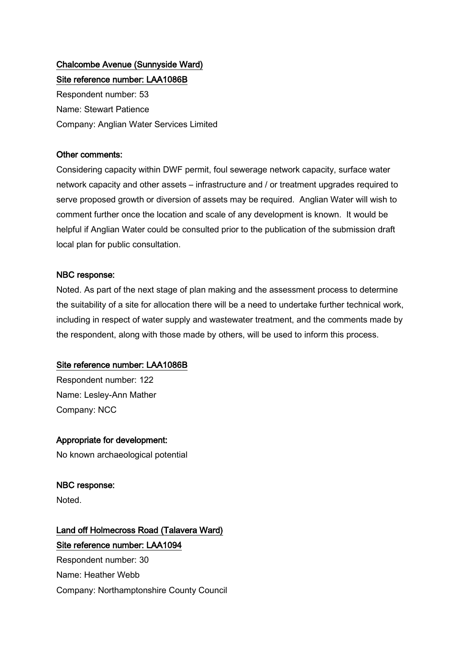# Chalcombe Avenue (Sunnyside Ward)

Site reference number: LAA1086B Respondent number: 53 Name: Stewart Patience Company: Anglian Water Services Limited

# Other comments:

Considering capacity within DWF permit, foul sewerage network capacity, surface water network capacity and other assets – infrastructure and / or treatment upgrades required to serve proposed growth or diversion of assets may be required. Anglian Water will wish to comment further once the location and scale of any development is known. It would be helpful if Anglian Water could be consulted prior to the publication of the submission draft local plan for public consultation.

# NBC response:

Noted. As part of the next stage of plan making and the assessment process to determine the suitability of a site for allocation there will be a need to undertake further technical work, including in respect of water supply and wastewater treatment, and the comments made by the respondent, along with those made by others, will be used to inform this process.

# Site reference number: LAA1086B

Respondent number: 122 Name: Lesley-Ann Mather Company: NCC

# Appropriate for development:

No known archaeological potential

# NBC response:

Noted.

# Land off Holmecross Road (Talavera Ward) Site reference number: LAA1094

Respondent number: 30 Name: Heather Webb Company: Northamptonshire County Council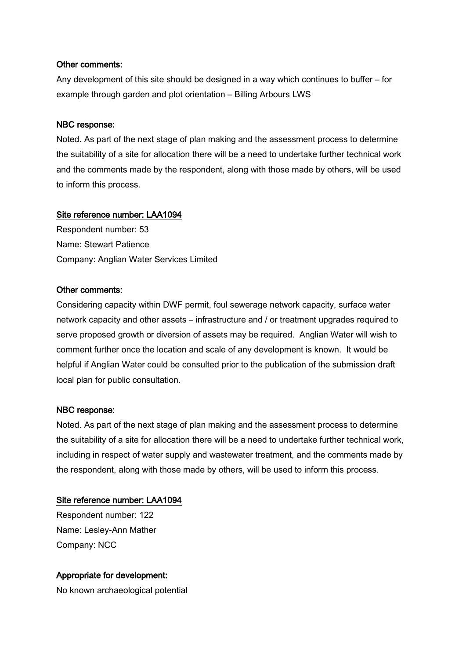#### Other comments:

Any development of this site should be designed in a way which continues to buffer – for example through garden and plot orientation – Billing Arbours LWS

#### NBC response:

Noted. As part of the next stage of plan making and the assessment process to determine the suitability of a site for allocation there will be a need to undertake further technical work and the comments made by the respondent, along with those made by others, will be used to inform this process.

## Site reference number: LAA1094

Respondent number: 53 Name: Stewart Patience Company: Anglian Water Services Limited

## Other comments:

Considering capacity within DWF permit, foul sewerage network capacity, surface water network capacity and other assets – infrastructure and / or treatment upgrades required to serve proposed growth or diversion of assets may be required. Anglian Water will wish to comment further once the location and scale of any development is known. It would be helpful if Anglian Water could be consulted prior to the publication of the submission draft local plan for public consultation.

#### NBC response:

Noted. As part of the next stage of plan making and the assessment process to determine the suitability of a site for allocation there will be a need to undertake further technical work, including in respect of water supply and wastewater treatment, and the comments made by the respondent, along with those made by others, will be used to inform this process.

## Site reference number: LAA1094

Respondent number: 122 Name: Lesley-Ann Mather Company: NCC

## Appropriate for development:

No known archaeological potential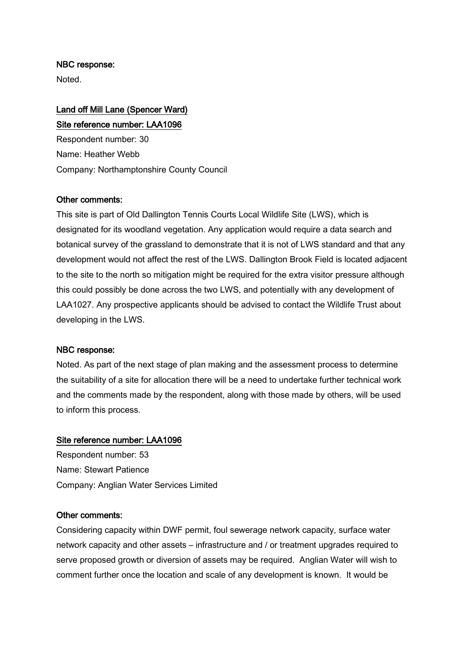Noted.

# Land off Mill Lane (Spencer Ward) Site reference number: LAA1096

Respondent number: 30 Name: Heather Webb Company: Northamptonshire County Council

## Other comments:

This site is part of Old Dallington Tennis Courts Local Wildlife Site (LWS), which is designated for its woodland vegetation. Any application would require a data search and botanical survey of the grassland to demonstrate that it is not of LWS standard and that any development would not affect the rest of the LWS. Dallington Brook Field is located adjacent to the site to the north so mitigation might be required for the extra visitor pressure although this could possibly be done across the two LWS, and potentially with any development of LAA1027. Any prospective applicants should be advised to contact the Wildlife Trust about developing in the LWS.

#### NBC response:

Noted. As part of the next stage of plan making and the assessment process to determine the suitability of a site for allocation there will be a need to undertake further technical work and the comments made by the respondent, along with those made by others, will be used to inform this process.

#### Site reference number: LAA1096

Respondent number: 53 Name: Stewart Patience Company: Anglian Water Services Limited

#### Other comments:

Considering capacity within DWF permit, foul sewerage network capacity, surface water network capacity and other assets – infrastructure and / or treatment upgrades required to serve proposed growth or diversion of assets may be required. Anglian Water will wish to comment further once the location and scale of any development is known. It would be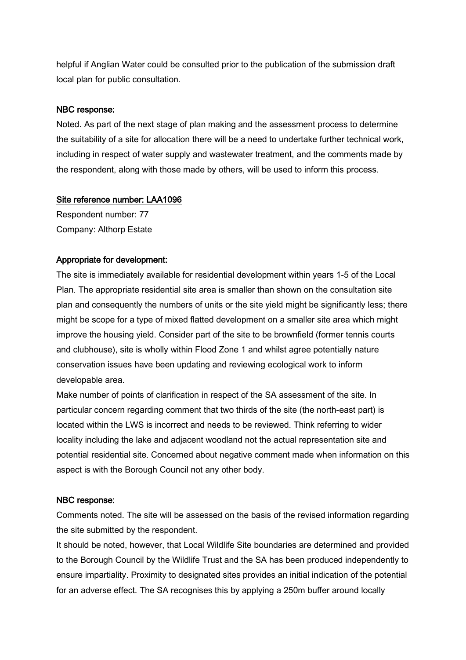helpful if Anglian Water could be consulted prior to the publication of the submission draft local plan for public consultation.

# NBC response:

Noted. As part of the next stage of plan making and the assessment process to determine the suitability of a site for allocation there will be a need to undertake further technical work, including in respect of water supply and wastewater treatment, and the comments made by the respondent, along with those made by others, will be used to inform this process.

# Site reference number: LAA1096

Respondent number: 77 Company: Althorp Estate

# Appropriate for development:

The site is immediately available for residential development within years 1-5 of the Local Plan. The appropriate residential site area is smaller than shown on the consultation site plan and consequently the numbers of units or the site yield might be significantly less; there might be scope for a type of mixed flatted development on a smaller site area which might improve the housing yield. Consider part of the site to be brownfield (former tennis courts and clubhouse), site is wholly within Flood Zone 1 and whilst agree potentially nature conservation issues have been updating and reviewing ecological work to inform developable area.

Make number of points of clarification in respect of the SA assessment of the site. In particular concern regarding comment that two thirds of the site (the north-east part) is located within the LWS is incorrect and needs to be reviewed. Think referring to wider locality including the lake and adjacent woodland not the actual representation site and potential residential site. Concerned about negative comment made when information on this aspect is with the Borough Council not any other body.

## NBC response:

Comments noted. The site will be assessed on the basis of the revised information regarding the site submitted by the respondent.

It should be noted, however, that Local Wildlife Site boundaries are determined and provided to the Borough Council by the Wildlife Trust and the SA has been produced independently to ensure impartiality. Proximity to designated sites provides an initial indication of the potential for an adverse effect. The SA recognises this by applying a 250m buffer around locally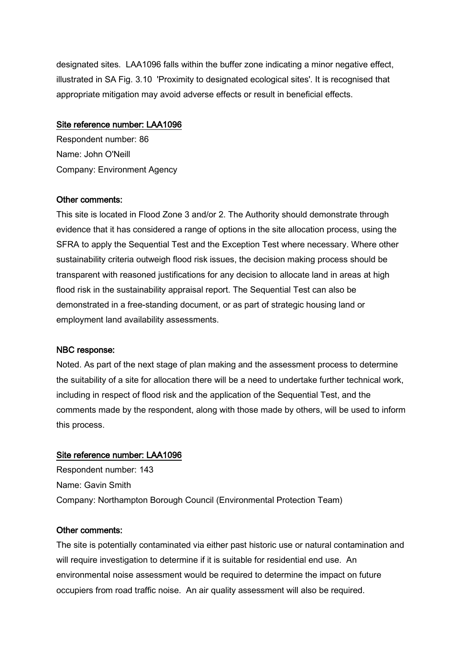designated sites. LAA1096 falls within the buffer zone indicating a minor negative effect, illustrated in SA Fig. 3.10 'Proximity to designated ecological sites'. It is recognised that appropriate mitigation may avoid adverse effects or result in beneficial effects.

#### Site reference number: LAA1096

Respondent number: 86 Name: John O'Neill Company: Environment Agency

#### Other comments:

This site is located in Flood Zone 3 and/or 2. The Authority should demonstrate through evidence that it has considered a range of options in the site allocation process, using the SFRA to apply the Sequential Test and the Exception Test where necessary. Where other sustainability criteria outweigh flood risk issues, the decision making process should be transparent with reasoned justifications for any decision to allocate land in areas at high flood risk in the sustainability appraisal report. The Sequential Test can also be demonstrated in a free-standing document, or as part of strategic housing land or employment land availability assessments.

#### NBC response:

Noted. As part of the next stage of plan making and the assessment process to determine the suitability of a site for allocation there will be a need to undertake further technical work, including in respect of flood risk and the application of the Sequential Test, and the comments made by the respondent, along with those made by others, will be used to inform this process.

#### Site reference number: LAA1096

Respondent number: 143 Name: Gavin Smith Company: Northampton Borough Council (Environmental Protection Team)

#### Other comments:

The site is potentially contaminated via either past historic use or natural contamination and will require investigation to determine if it is suitable for residential end use. An environmental noise assessment would be required to determine the impact on future occupiers from road traffic noise. An air quality assessment will also be required.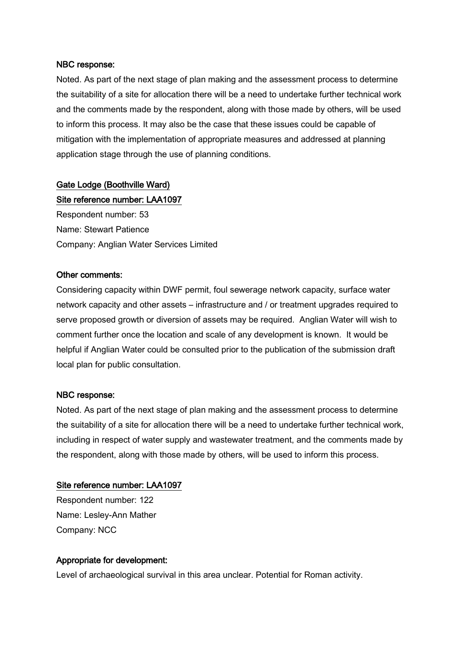Noted. As part of the next stage of plan making and the assessment process to determine the suitability of a site for allocation there will be a need to undertake further technical work and the comments made by the respondent, along with those made by others, will be used to inform this process. It may also be the case that these issues could be capable of mitigation with the implementation of appropriate measures and addressed at planning application stage through the use of planning conditions.

# Gate Lodge (Boothville Ward)

Site reference number: LAA1097

Respondent number: 53 Name: Stewart Patience Company: Anglian Water Services Limited

## Other comments:

Considering capacity within DWF permit, foul sewerage network capacity, surface water network capacity and other assets – infrastructure and / or treatment upgrades required to serve proposed growth or diversion of assets may be required. Anglian Water will wish to comment further once the location and scale of any development is known. It would be helpful if Anglian Water could be consulted prior to the publication of the submission draft local plan for public consultation.

## NBC response:

Noted. As part of the next stage of plan making and the assessment process to determine the suitability of a site for allocation there will be a need to undertake further technical work, including in respect of water supply and wastewater treatment, and the comments made by the respondent, along with those made by others, will be used to inform this process.

## Site reference number: LAA1097

Respondent number: 122 Name: Lesley-Ann Mather Company: NCC

# Appropriate for development:

Level of archaeological survival in this area unclear. Potential for Roman activity.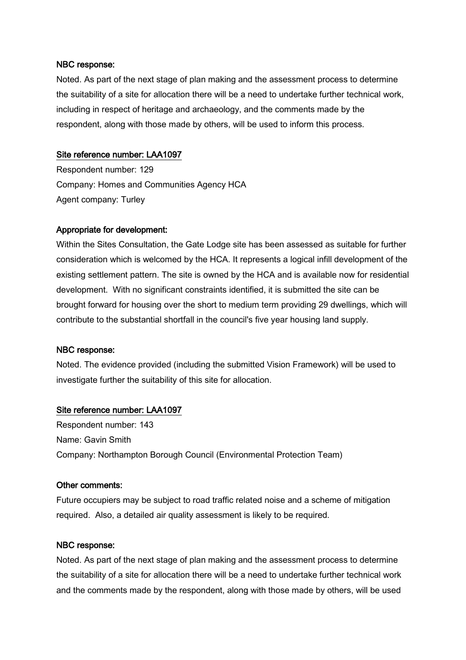Noted. As part of the next stage of plan making and the assessment process to determine the suitability of a site for allocation there will be a need to undertake further technical work, including in respect of heritage and archaeology, and the comments made by the respondent, along with those made by others, will be used to inform this process.

## Site reference number: LAA1097

Respondent number: 129 Company: Homes and Communities Agency HCA Agent company: Turley

# Appropriate for development:

Within the Sites Consultation, the Gate Lodge site has been assessed as suitable for further consideration which is welcomed by the HCA. It represents a logical infill development of the existing settlement pattern. The site is owned by the HCA and is available now for residential development. With no significant constraints identified, it is submitted the site can be brought forward for housing over the short to medium term providing 29 dwellings, which will contribute to the substantial shortfall in the council's five year housing land supply.

## NBC response:

Noted. The evidence provided (including the submitted Vision Framework) will be used to investigate further the suitability of this site for allocation.

## Site reference number: LAA1097

Respondent number: 143 Name: Gavin Smith Company: Northampton Borough Council (Environmental Protection Team)

## Other comments:

Future occupiers may be subject to road traffic related noise and a scheme of mitigation required. Also, a detailed air quality assessment is likely to be required.

## NBC response:

Noted. As part of the next stage of plan making and the assessment process to determine the suitability of a site for allocation there will be a need to undertake further technical work and the comments made by the respondent, along with those made by others, will be used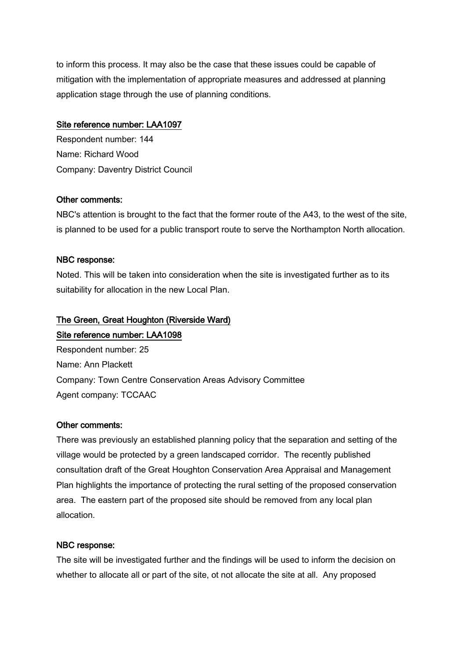to inform this process. It may also be the case that these issues could be capable of mitigation with the implementation of appropriate measures and addressed at planning application stage through the use of planning conditions.

# Site reference number: LAA1097

Respondent number: 144 Name: Richard Wood Company: Daventry District Council

# Other comments:

NBC's attention is brought to the fact that the former route of the A43, to the west of the site, is planned to be used for a public transport route to serve the Northampton North allocation.

# NBC response:

Noted. This will be taken into consideration when the site is investigated further as to its suitability for allocation in the new Local Plan.

# The Green, Great Houghton (Riverside Ward)

# Site reference number: LAA1098

Respondent number: 25 Name: Ann Plackett Company: Town Centre Conservation Areas Advisory Committee Agent company: TCCAAC

# Other comments:

There was previously an established planning policy that the separation and setting of the village would be protected by a green landscaped corridor. The recently published consultation draft of the Great Houghton Conservation Area Appraisal and Management Plan highlights the importance of protecting the rural setting of the proposed conservation area. The eastern part of the proposed site should be removed from any local plan allocation.

# NBC response:

The site will be investigated further and the findings will be used to inform the decision on whether to allocate all or part of the site, ot not allocate the site at all. Any proposed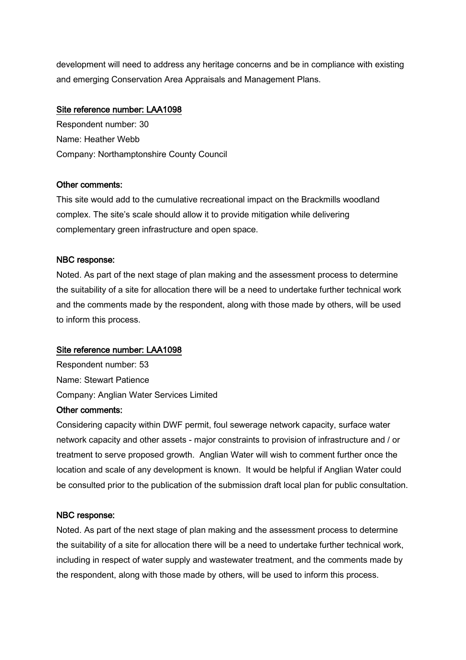development will need to address any heritage concerns and be in compliance with existing and emerging Conservation Area Appraisals and Management Plans.

# Site reference number: LAA1098

Respondent number: 30 Name: Heather Webb Company: Northamptonshire County Council

# Other comments:

This site would add to the cumulative recreational impact on the Brackmills woodland complex. The site's scale should allow it to provide mitigation while delivering complementary green infrastructure and open space.

# NBC response:

Noted. As part of the next stage of plan making and the assessment process to determine the suitability of a site for allocation there will be a need to undertake further technical work and the comments made by the respondent, along with those made by others, will be used to inform this process.

# Site reference number: LAA1098

Respondent number: 53 Name: Stewart Patience Company: Anglian Water Services Limited

# Other comments:

Considering capacity within DWF permit, foul sewerage network capacity, surface water network capacity and other assets - major constraints to provision of infrastructure and / or treatment to serve proposed growth. Anglian Water will wish to comment further once the location and scale of any development is known. It would be helpful if Anglian Water could be consulted prior to the publication of the submission draft local plan for public consultation.

## NBC response:

Noted. As part of the next stage of plan making and the assessment process to determine the suitability of a site for allocation there will be a need to undertake further technical work, including in respect of water supply and wastewater treatment, and the comments made by the respondent, along with those made by others, will be used to inform this process.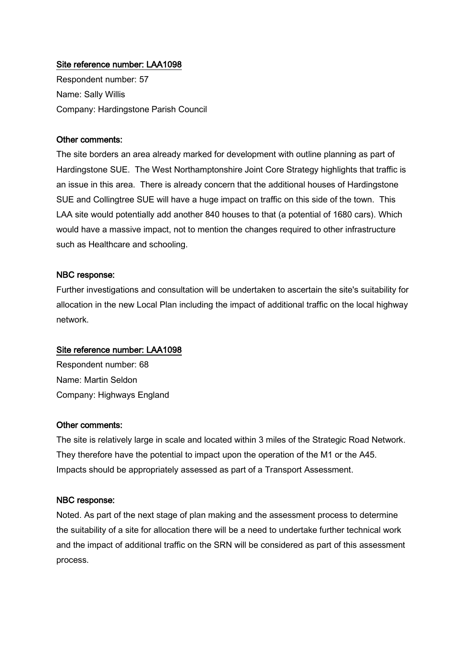# Site reference number: LAA1098

Respondent number: 57 Name: Sally Willis Company: Hardingstone Parish Council

#### Other comments:

The site borders an area already marked for development with outline planning as part of Hardingstone SUE. The West Northamptonshire Joint Core Strategy highlights that traffic is an issue in this area. There is already concern that the additional houses of Hardingstone SUE and Collingtree SUE will have a huge impact on traffic on this side of the town. This LAA site would potentially add another 840 houses to that (a potential of 1680 cars). Which would have a massive impact, not to mention the changes required to other infrastructure such as Healthcare and schooling.

#### NBC response:

Further investigations and consultation will be undertaken to ascertain the site's suitability for allocation in the new Local Plan including the impact of additional traffic on the local highway network.

#### Site reference number: LAA1098

Respondent number: 68 Name: Martin Seldon Company: Highways England

#### Other comments:

The site is relatively large in scale and located within 3 miles of the Strategic Road Network. They therefore have the potential to impact upon the operation of the M1 or the A45. Impacts should be appropriately assessed as part of a Transport Assessment.

#### NBC response:

Noted. As part of the next stage of plan making and the assessment process to determine the suitability of a site for allocation there will be a need to undertake further technical work and the impact of additional traffic on the SRN will be considered as part of this assessment process.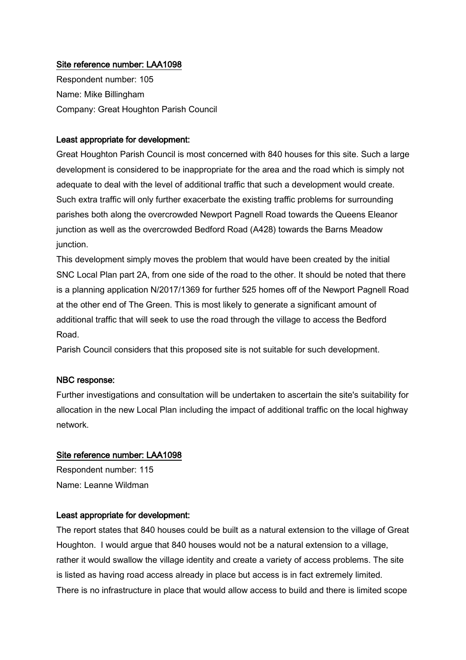# Site reference number: LAA1098

Respondent number: 105 Name: Mike Billingham Company: Great Houghton Parish Council

#### Least appropriate for development:

Great Houghton Parish Council is most concerned with 840 houses for this site. Such a large development is considered to be inappropriate for the area and the road which is simply not adequate to deal with the level of additional traffic that such a development would create. Such extra traffic will only further exacerbate the existing traffic problems for surrounding parishes both along the overcrowded Newport Pagnell Road towards the Queens Eleanor junction as well as the overcrowded Bedford Road (A428) towards the Barns Meadow junction.

This development simply moves the problem that would have been created by the initial SNC Local Plan part 2A, from one side of the road to the other. It should be noted that there is a planning application N/2017/1369 for further 525 homes off of the Newport Pagnell Road at the other end of The Green. This is most likely to generate a significant amount of additional traffic that will seek to use the road through the village to access the Bedford Road.

Parish Council considers that this proposed site is not suitable for such development.

#### NBC response:

Further investigations and consultation will be undertaken to ascertain the site's suitability for allocation in the new Local Plan including the impact of additional traffic on the local highway network.

#### Site reference number: LAA1098

Respondent number: 115 Name: Leanne Wildman

#### Least appropriate for development:

The report states that 840 houses could be built as a natural extension to the village of Great Houghton. I would argue that 840 houses would not be a natural extension to a village, rather it would swallow the village identity and create a variety of access problems. The site is listed as having road access already in place but access is in fact extremely limited. There is no infrastructure in place that would allow access to build and there is limited scope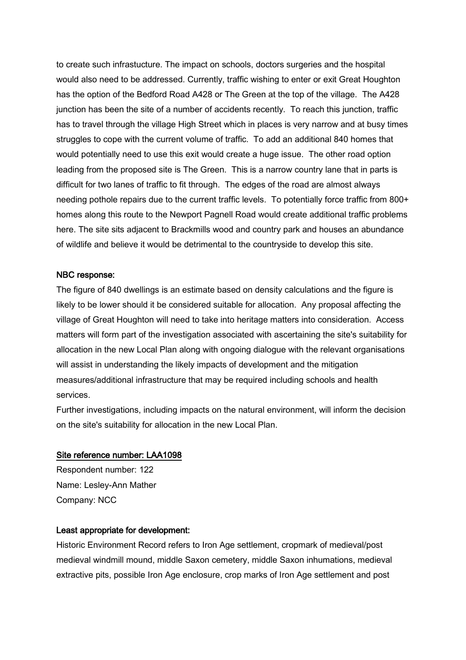to create such infrastucture. The impact on schools, doctors surgeries and the hospital would also need to be addressed. Currently, traffic wishing to enter or exit Great Houghton has the option of the Bedford Road A428 or The Green at the top of the village. The A428 junction has been the site of a number of accidents recently. To reach this junction, traffic has to travel through the village High Street which in places is very narrow and at busy times struggles to cope with the current volume of traffic. To add an additional 840 homes that would potentially need to use this exit would create a huge issue. The other road option leading from the proposed site is The Green. This is a narrow country lane that in parts is difficult for two lanes of traffic to fit through. The edges of the road are almost always needing pothole repairs due to the current traffic levels. To potentially force traffic from 800+ homes along this route to the Newport Pagnell Road would create additional traffic problems here. The site sits adjacent to Brackmills wood and country park and houses an abundance of wildlife and believe it would be detrimental to the countryside to develop this site.

## NBC response:

The figure of 840 dwellings is an estimate based on density calculations and the figure is likely to be lower should it be considered suitable for allocation. Any proposal affecting the village of Great Houghton will need to take into heritage matters into consideration. Access matters will form part of the investigation associated with ascertaining the site's suitability for allocation in the new Local Plan along with ongoing dialogue with the relevant organisations will assist in understanding the likely impacts of development and the mitigation measures/additional infrastructure that may be required including schools and health services.

Further investigations, including impacts on the natural environment, will inform the decision on the site's suitability for allocation in the new Local Plan.

#### Site reference number: LAA1098

Respondent number: 122 Name: Lesley-Ann Mather Company: NCC

#### Least appropriate for development:

Historic Environment Record refers to Iron Age settlement, cropmark of medieval/post medieval windmill mound, middle Saxon cemetery, middle Saxon inhumations, medieval extractive pits, possible Iron Age enclosure, crop marks of Iron Age settlement and post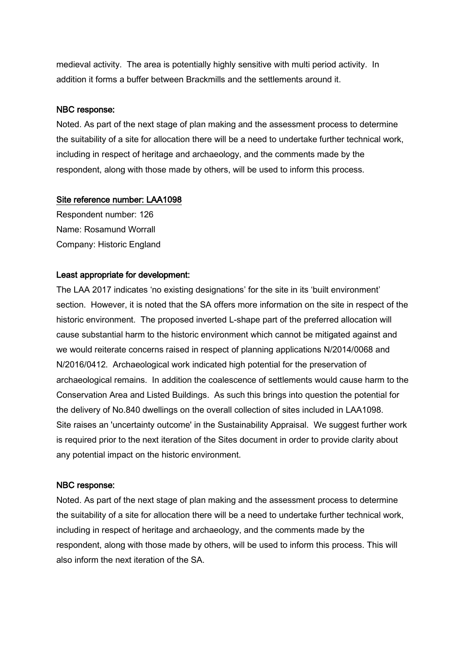medieval activity. The area is potentially highly sensitive with multi period activity. In addition it forms a buffer between Brackmills and the settlements around it.

## NBC response:

Noted. As part of the next stage of plan making and the assessment process to determine the suitability of a site for allocation there will be a need to undertake further technical work, including in respect of heritage and archaeology, and the comments made by the respondent, along with those made by others, will be used to inform this process.

# Site reference number: LAA1098

Respondent number: 126 Name: Rosamund Worrall Company: Historic England

# Least appropriate for development:

The LAA 2017 indicates 'no existing designations' for the site in its 'built environment' section. However, it is noted that the SA offers more information on the site in respect of the historic environment. The proposed inverted L-shape part of the preferred allocation will cause substantial harm to the historic environment which cannot be mitigated against and we would reiterate concerns raised in respect of planning applications N/2014/0068 and N/2016/0412. Archaeological work indicated high potential for the preservation of archaeological remains. In addition the coalescence of settlements would cause harm to the Conservation Area and Listed Buildings. As such this brings into question the potential for the delivery of No.840 dwellings on the overall collection of sites included in LAA1098. Site raises an 'uncertainty outcome' in the Sustainability Appraisal. We suggest further work is required prior to the next iteration of the Sites document in order to provide clarity about any potential impact on the historic environment.

## NBC response:

Noted. As part of the next stage of plan making and the assessment process to determine the suitability of a site for allocation there will be a need to undertake further technical work, including in respect of heritage and archaeology, and the comments made by the respondent, along with those made by others, will be used to inform this process. This will also inform the next iteration of the SA.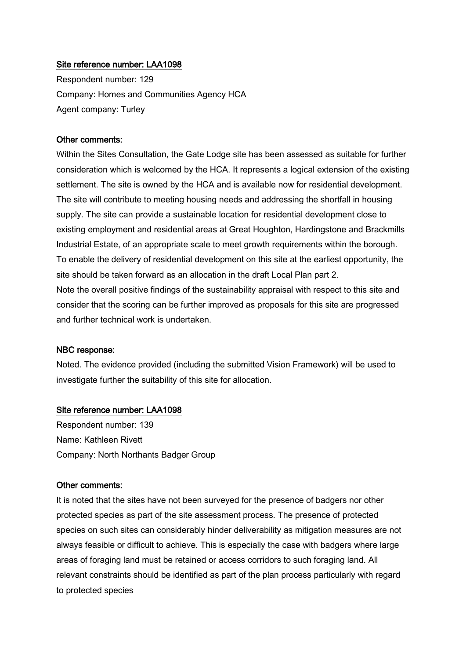# Site reference number: LAA1098

Respondent number: 129 Company: Homes and Communities Agency HCA Agent company: Turley

#### Other comments:

Within the Sites Consultation, the Gate Lodge site has been assessed as suitable for further consideration which is welcomed by the HCA. It represents a logical extension of the existing settlement. The site is owned by the HCA and is available now for residential development. The site will contribute to meeting housing needs and addressing the shortfall in housing supply. The site can provide a sustainable location for residential development close to existing employment and residential areas at Great Houghton, Hardingstone and Brackmills Industrial Estate, of an appropriate scale to meet growth requirements within the borough. To enable the delivery of residential development on this site at the earliest opportunity, the site should be taken forward as an allocation in the draft Local Plan part 2. Note the overall positive findings of the sustainability appraisal with respect to this site and consider that the scoring can be further improved as proposals for this site are progressed and further technical work is undertaken.

#### NBC response:

Noted. The evidence provided (including the submitted Vision Framework) will be used to investigate further the suitability of this site for allocation.

#### Site reference number: LAA1098

Respondent number: 139 Name: Kathleen Rivett Company: North Northants Badger Group

#### Other comments:

It is noted that the sites have not been surveyed for the presence of badgers nor other protected species as part of the site assessment process. The presence of protected species on such sites can considerably hinder deliverability as mitigation measures are not always feasible or difficult to achieve. This is especially the case with badgers where large areas of foraging land must be retained or access corridors to such foraging land. All relevant constraints should be identified as part of the plan process particularly with regard to protected species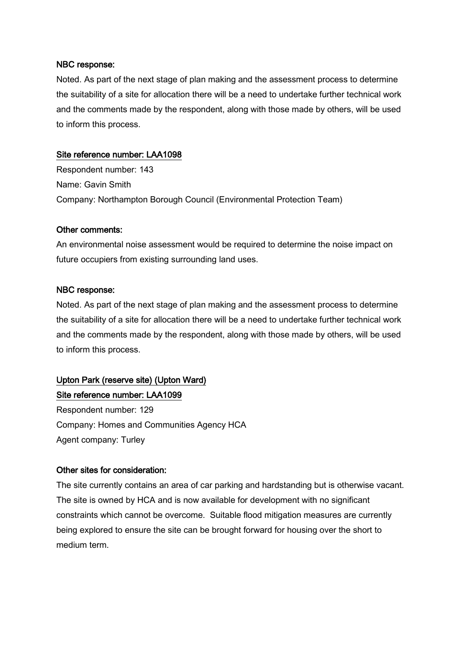Noted. As part of the next stage of plan making and the assessment process to determine the suitability of a site for allocation there will be a need to undertake further technical work and the comments made by the respondent, along with those made by others, will be used to inform this process.

# Site reference number: LAA1098

Respondent number: 143 Name: Gavin Smith Company: Northampton Borough Council (Environmental Protection Team)

# Other comments:

An environmental noise assessment would be required to determine the noise impact on future occupiers from existing surrounding land uses.

## NBC response:

Noted. As part of the next stage of plan making and the assessment process to determine the suitability of a site for allocation there will be a need to undertake further technical work and the comments made by the respondent, along with those made by others, will be used to inform this process.

# Upton Park (reserve site) (Upton Ward) Site reference number: LAA1099

Respondent number: 129 Company: Homes and Communities Agency HCA Agent company: Turley

# Other sites for consideration:

The site currently contains an area of car parking and hardstanding but is otherwise vacant. The site is owned by HCA and is now available for development with no significant constraints which cannot be overcome. Suitable flood mitigation measures are currently being explored to ensure the site can be brought forward for housing over the short to medium term.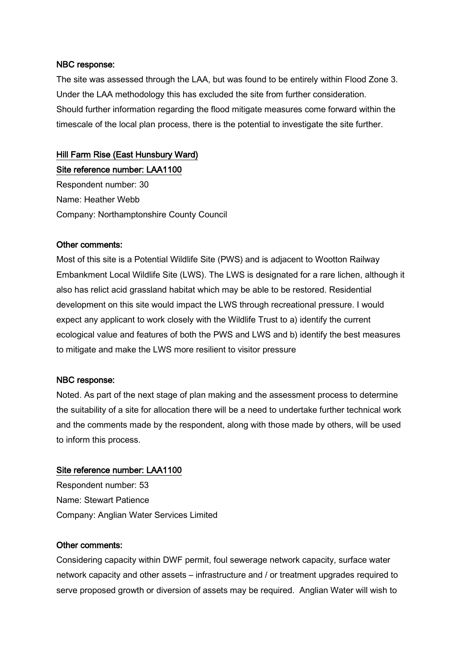The site was assessed through the LAA, but was found to be entirely within Flood Zone 3. Under the LAA methodology this has excluded the site from further consideration. Should further information regarding the flood mitigate measures come forward within the timescale of the local plan process, there is the potential to investigate the site further.

# Hill Farm Rise (East Hunsbury Ward)

Site reference number: LAA1100 Respondent number: 30 Name: Heather Webb Company: Northamptonshire County Council

## Other comments:

Most of this site is a Potential Wildlife Site (PWS) and is adjacent to Wootton Railway Embankment Local Wildlife Site (LWS). The LWS is designated for a rare lichen, although it also has relict acid grassland habitat which may be able to be restored. Residential development on this site would impact the LWS through recreational pressure. I would expect any applicant to work closely with the Wildlife Trust to a) identify the current ecological value and features of both the PWS and LWS and b) identify the best measures to mitigate and make the LWS more resilient to visitor pressure

## NBC response:

Noted. As part of the next stage of plan making and the assessment process to determine the suitability of a site for allocation there will be a need to undertake further technical work and the comments made by the respondent, along with those made by others, will be used to inform this process.

#### Site reference number: LAA1100

Respondent number: 53 Name: Stewart Patience Company: Anglian Water Services Limited

#### Other comments:

Considering capacity within DWF permit, foul sewerage network capacity, surface water network capacity and other assets – infrastructure and / or treatment upgrades required to serve proposed growth or diversion of assets may be required. Anglian Water will wish to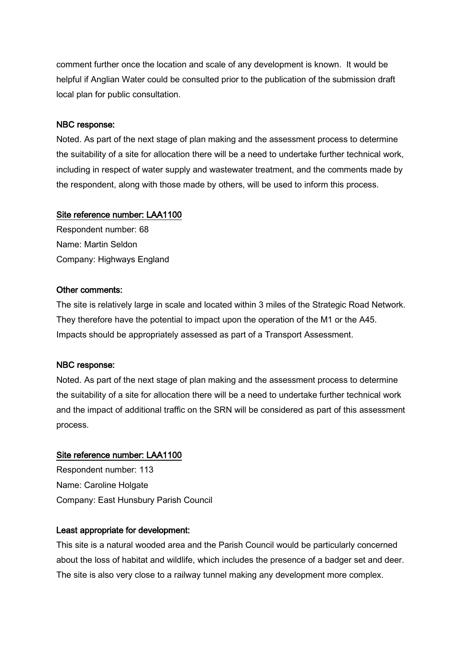comment further once the location and scale of any development is known. It would be helpful if Anglian Water could be consulted prior to the publication of the submission draft local plan for public consultation.

#### NBC response:

Noted. As part of the next stage of plan making and the assessment process to determine the suitability of a site for allocation there will be a need to undertake further technical work, including in respect of water supply and wastewater treatment, and the comments made by the respondent, along with those made by others, will be used to inform this process.

## Site reference number: LAA1100

Respondent number: 68 Name: Martin Seldon Company: Highways England

## Other comments:

The site is relatively large in scale and located within 3 miles of the Strategic Road Network. They therefore have the potential to impact upon the operation of the M1 or the A45. Impacts should be appropriately assessed as part of a Transport Assessment.

## NBC response:

Noted. As part of the next stage of plan making and the assessment process to determine the suitability of a site for allocation there will be a need to undertake further technical work and the impact of additional traffic on the SRN will be considered as part of this assessment process.

## Site reference number: LAA1100

Respondent number: 113 Name: Caroline Holgate Company: East Hunsbury Parish Council

#### Least appropriate for development:

This site is a natural wooded area and the Parish Council would be particularly concerned about the loss of habitat and wildlife, which includes the presence of a badger set and deer. The site is also very close to a railway tunnel making any development more complex.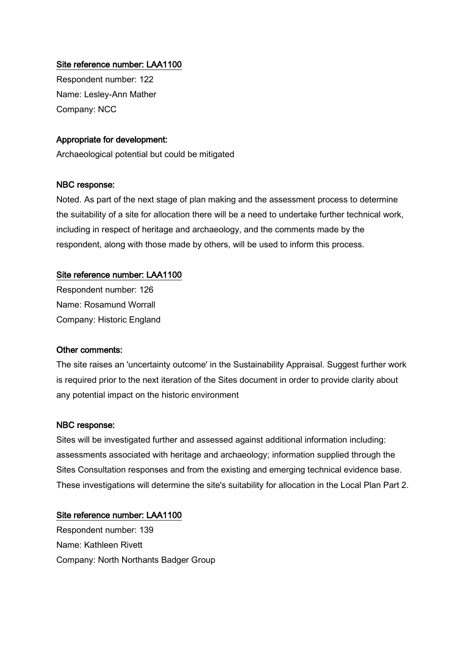# Site reference number: LAA1100

Respondent number: 122 Name: Lesley-Ann Mather Company: NCC

# Appropriate for development:

Archaeological potential but could be mitigated

## NBC response:

Noted. As part of the next stage of plan making and the assessment process to determine the suitability of a site for allocation there will be a need to undertake further technical work, including in respect of heritage and archaeology, and the comments made by the respondent, along with those made by others, will be used to inform this process.

# Site reference number: LAA1100

Respondent number: 126 Name: Rosamund Worrall Company: Historic England

## Other comments:

The site raises an 'uncertainty outcome' in the Sustainability Appraisal. Suggest further work is required prior to the next iteration of the Sites document in order to provide clarity about any potential impact on the historic environment

## NBC response:

Sites will be investigated further and assessed against additional information including: assessments associated with heritage and archaeology; information supplied through the Sites Consultation responses and from the existing and emerging technical evidence base. These investigations will determine the site's suitability for allocation in the Local Plan Part 2.

## Site reference number: LAA1100

Respondent number: 139 Name: Kathleen Rivett Company: North Northants Badger Group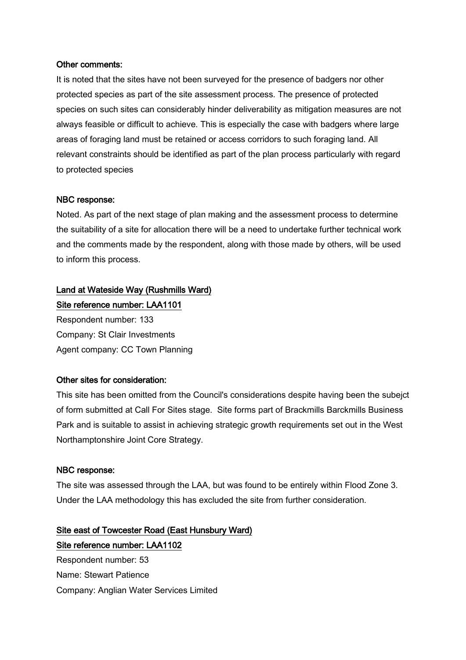## Other comments:

It is noted that the sites have not been surveyed for the presence of badgers nor other protected species as part of the site assessment process. The presence of protected species on such sites can considerably hinder deliverability as mitigation measures are not always feasible or difficult to achieve. This is especially the case with badgers where large areas of foraging land must be retained or access corridors to such foraging land. All relevant constraints should be identified as part of the plan process particularly with regard to protected species

#### NBC response:

Noted. As part of the next stage of plan making and the assessment process to determine the suitability of a site for allocation there will be a need to undertake further technical work and the comments made by the respondent, along with those made by others, will be used to inform this process.

# Land at Wateside Way (Rushmills Ward) Site reference number: LAA1101

Respondent number: 133 Company: St Clair Investments Agent company: CC Town Planning

## Other sites for consideration:

This site has been omitted from the Council's considerations despite having been the subejct of form submitted at Call For Sites stage. Site forms part of Brackmills Barckmills Business Park and is suitable to assist in achieving strategic growth requirements set out in the West Northamptonshire Joint Core Strategy.

## NBC response:

The site was assessed through the LAA, but was found to be entirely within Flood Zone 3. Under the LAA methodology this has excluded the site from further consideration.

Site east of Towcester Road (East Hunsbury Ward) Site reference number: LAA1102 Respondent number: 53 Name: Stewart Patience Company: Anglian Water Services Limited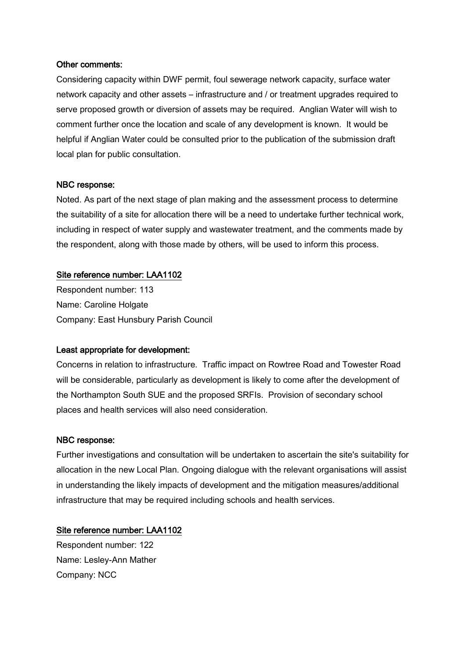## Other comments:

Considering capacity within DWF permit, foul sewerage network capacity, surface water network capacity and other assets – infrastructure and / or treatment upgrades required to serve proposed growth or diversion of assets may be required. Anglian Water will wish to comment further once the location and scale of any development is known. It would be helpful if Anglian Water could be consulted prior to the publication of the submission draft local plan for public consultation.

## NBC response:

Noted. As part of the next stage of plan making and the assessment process to determine the suitability of a site for allocation there will be a need to undertake further technical work, including in respect of water supply and wastewater treatment, and the comments made by the respondent, along with those made by others, will be used to inform this process.

## Site reference number: LAA1102

Respondent number: 113 Name: Caroline Holgate Company: East Hunsbury Parish Council

## Least appropriate for development:

Concerns in relation to infrastructure. Traffic impact on Rowtree Road and Towester Road will be considerable, particularly as development is likely to come after the development of the Northampton South SUE and the proposed SRFIs. Provision of secondary school places and health services will also need consideration.

#### NBC response:

Further investigations and consultation will be undertaken to ascertain the site's suitability for allocation in the new Local Plan. Ongoing dialogue with the relevant organisations will assist in understanding the likely impacts of development and the mitigation measures/additional infrastructure that may be required including schools and health services.

## Site reference number: LAA1102

Respondent number: 122 Name: Lesley-Ann Mather Company: NCC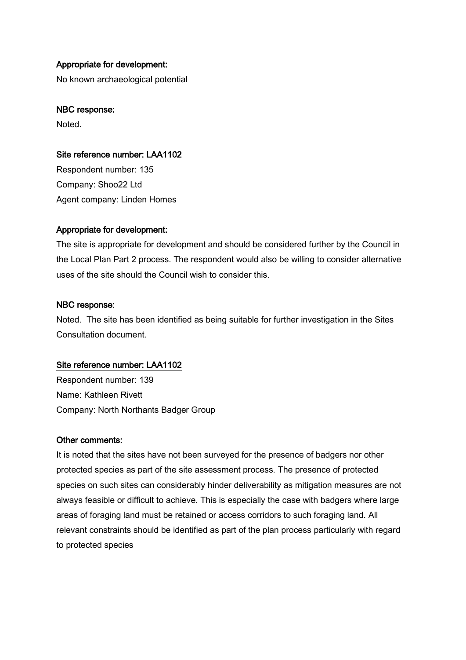#### Appropriate for development:

No known archaeological potential

#### NBC response:

Noted.

#### Site reference number: LAA1102

Respondent number: 135 Company: Shoo22 Ltd Agent company: Linden Homes

#### Appropriate for development:

The site is appropriate for development and should be considered further by the Council in the Local Plan Part 2 process. The respondent would also be willing to consider alternative uses of the site should the Council wish to consider this.

#### NBC response:

Noted. The site has been identified as being suitable for further investigation in the Sites Consultation document.

#### Site reference number: LAA1102

Respondent number: 139 Name: Kathleen Rivett Company: North Northants Badger Group

#### Other comments:

It is noted that the sites have not been surveyed for the presence of badgers nor other protected species as part of the site assessment process. The presence of protected species on such sites can considerably hinder deliverability as mitigation measures are not always feasible or difficult to achieve. This is especially the case with badgers where large areas of foraging land must be retained or access corridors to such foraging land. All relevant constraints should be identified as part of the plan process particularly with regard to protected species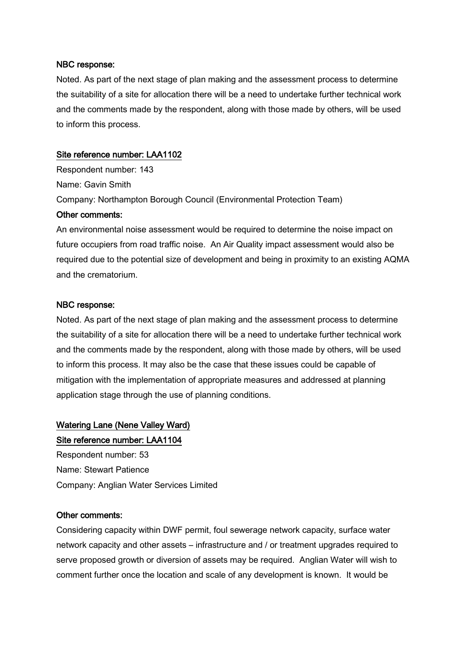Noted. As part of the next stage of plan making and the assessment process to determine the suitability of a site for allocation there will be a need to undertake further technical work and the comments made by the respondent, along with those made by others, will be used to inform this process.

#### Site reference number: LAA1102

Respondent number: 143 Name: Gavin Smith Company: Northampton Borough Council (Environmental Protection Team) Other comments:

An environmental noise assessment would be required to determine the noise impact on future occupiers from road traffic noise. An Air Quality impact assessment would also be required due to the potential size of development and being in proximity to an existing AQMA and the crematorium.

#### NBC response:

Noted. As part of the next stage of plan making and the assessment process to determine the suitability of a site for allocation there will be a need to undertake further technical work and the comments made by the respondent, along with those made by others, will be used to inform this process. It may also be the case that these issues could be capable of mitigation with the implementation of appropriate measures and addressed at planning application stage through the use of planning conditions.

#### Watering Lane (Nene Valley Ward)

#### Site reference number: LAA1104

Respondent number: 53 Name: Stewart Patience Company: Anglian Water Services Limited

#### Other comments:

Considering capacity within DWF permit, foul sewerage network capacity, surface water network capacity and other assets – infrastructure and / or treatment upgrades required to serve proposed growth or diversion of assets may be required. Anglian Water will wish to comment further once the location and scale of any development is known. It would be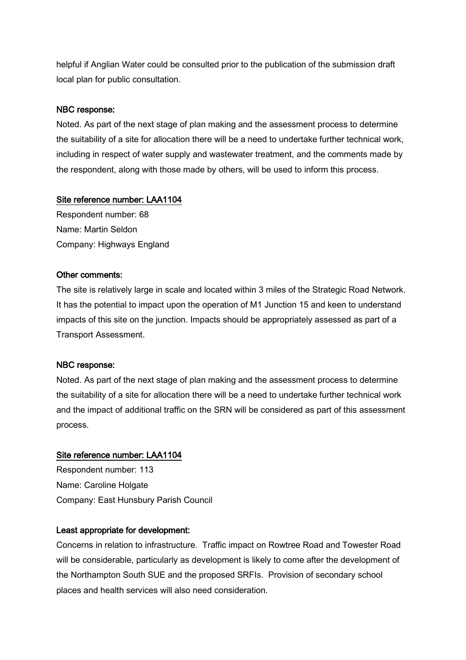helpful if Anglian Water could be consulted prior to the publication of the submission draft local plan for public consultation.

#### NBC response:

Noted. As part of the next stage of plan making and the assessment process to determine the suitability of a site for allocation there will be a need to undertake further technical work, including in respect of water supply and wastewater treatment, and the comments made by the respondent, along with those made by others, will be used to inform this process.

#### Site reference number: LAA1104

Respondent number: 68 Name: Martin Seldon Company: Highways England

#### Other comments:

The site is relatively large in scale and located within 3 miles of the Strategic Road Network. It has the potential to impact upon the operation of M1 Junction 15 and keen to understand impacts of this site on the junction. Impacts should be appropriately assessed as part of a Transport Assessment.

#### NBC response:

Noted. As part of the next stage of plan making and the assessment process to determine the suitability of a site for allocation there will be a need to undertake further technical work and the impact of additional traffic on the SRN will be considered as part of this assessment process.

#### Site reference number: LAA1104

Respondent number: 113 Name: Caroline Holgate Company: East Hunsbury Parish Council

#### Least appropriate for development:

Concerns in relation to infrastructure. Traffic impact on Rowtree Road and Towester Road will be considerable, particularly as development is likely to come after the development of the Northampton South SUE and the proposed SRFIs. Provision of secondary school places and health services will also need consideration.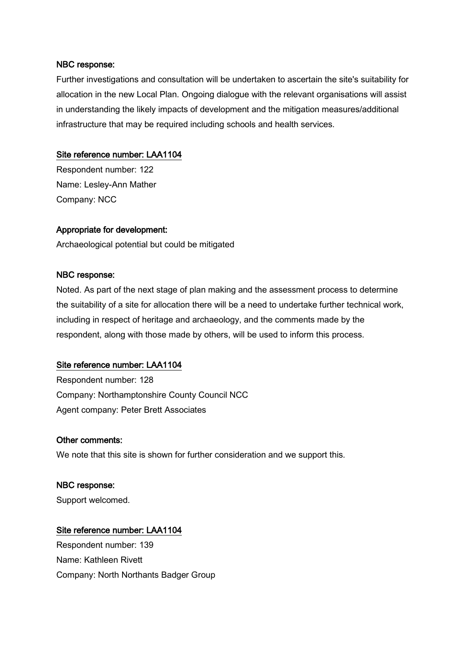Further investigations and consultation will be undertaken to ascertain the site's suitability for allocation in the new Local Plan. Ongoing dialogue with the relevant organisations will assist in understanding the likely impacts of development and the mitigation measures/additional infrastructure that may be required including schools and health services.

#### Site reference number: LAA1104

Respondent number: 122 Name: Lesley-Ann Mather Company: NCC

#### Appropriate for development:

Archaeological potential but could be mitigated

#### NBC response:

Noted. As part of the next stage of plan making and the assessment process to determine the suitability of a site for allocation there will be a need to undertake further technical work, including in respect of heritage and archaeology, and the comments made by the respondent, along with those made by others, will be used to inform this process.

#### Site reference number: LAA1104

Respondent number: 128 Company: Northamptonshire County Council NCC Agent company: Peter Brett Associates

#### Other comments:

We note that this site is shown for further consideration and we support this.

## NBC response:

Support welcomed.

#### Site reference number: LAA1104

Respondent number: 139 Name: Kathleen Rivett Company: North Northants Badger Group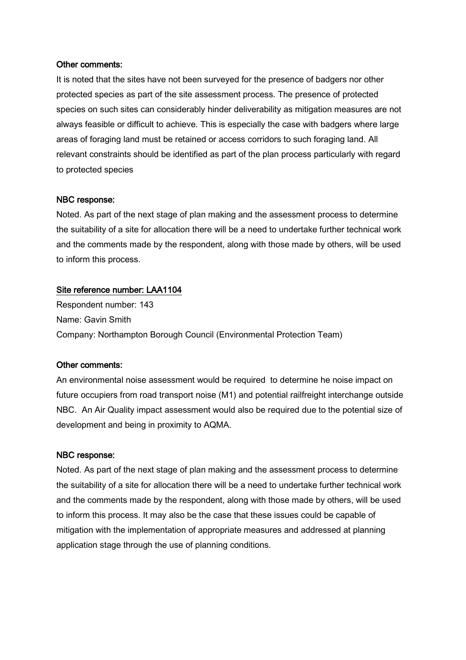#### Other comments:

It is noted that the sites have not been surveyed for the presence of badgers nor other protected species as part of the site assessment process. The presence of protected species on such sites can considerably hinder deliverability as mitigation measures are not always feasible or difficult to achieve. This is especially the case with badgers where large areas of foraging land must be retained or access corridors to such foraging land. All relevant constraints should be identified as part of the plan process particularly with regard to protected species

#### NBC response:

Noted. As part of the next stage of plan making and the assessment process to determine the suitability of a site for allocation there will be a need to undertake further technical work and the comments made by the respondent, along with those made by others, will be used to inform this process.

#### Site reference number: LAA1104

Respondent number: 143 Name: Gavin Smith Company: Northampton Borough Council (Environmental Protection Team)

#### Other comments:

An environmental noise assessment would be required to determine he noise impact on future occupiers from road transport noise (M1) and potential railfreight interchange outside NBC. An Air Quality impact assessment would also be required due to the potential size of development and being in proximity to AQMA.

#### NBC response:

Noted. As part of the next stage of plan making and the assessment process to determine the suitability of a site for allocation there will be a need to undertake further technical work and the comments made by the respondent, along with those made by others, will be used to inform this process. It may also be the case that these issues could be capable of mitigation with the implementation of appropriate measures and addressed at planning application stage through the use of planning conditions.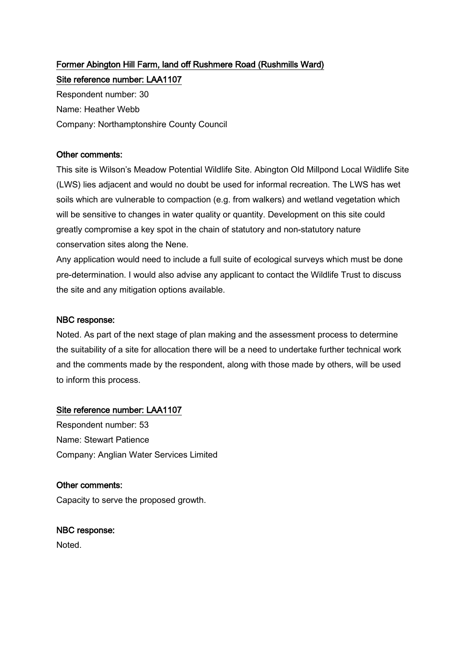## Former Abington Hill Farm, land off Rushmere Road (Rushmills Ward) Site reference number: LAA1107

Respondent number: 30 Name: Heather Webb Company: Northamptonshire County Council

## Other comments:

This site is Wilson's Meadow Potential Wildlife Site. Abington Old Millpond Local Wildlife Site (LWS) lies adjacent and would no doubt be used for informal recreation. The LWS has wet soils which are vulnerable to compaction (e.g. from walkers) and wetland vegetation which will be sensitive to changes in water quality or quantity. Development on this site could greatly compromise a key spot in the chain of statutory and non-statutory nature conservation sites along the Nene.

Any application would need to include a full suite of ecological surveys which must be done pre-determination. I would also advise any applicant to contact the Wildlife Trust to discuss the site and any mitigation options available.

#### NBC response:

Noted. As part of the next stage of plan making and the assessment process to determine the suitability of a site for allocation there will be a need to undertake further technical work and the comments made by the respondent, along with those made by others, will be used to inform this process.

## Site reference number: LAA1107

Respondent number: 53 Name: Stewart Patience Company: Anglian Water Services Limited

#### Other comments:

Capacity to serve the proposed growth.

#### NBC response:

Noted.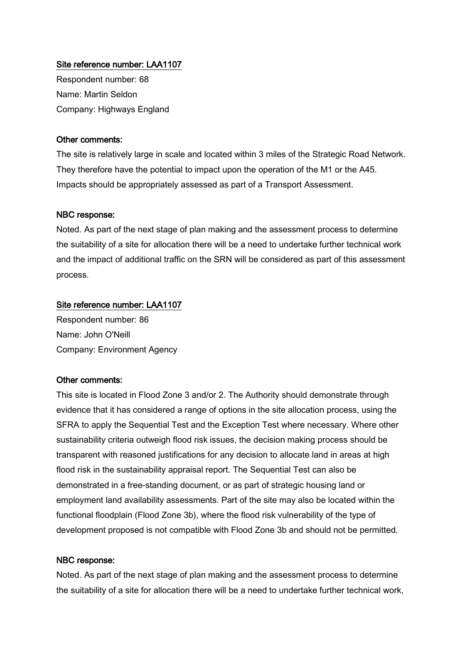Respondent number: 68 Name: Martin Seldon Company: Highways England

#### Other comments:

The site is relatively large in scale and located within 3 miles of the Strategic Road Network. They therefore have the potential to impact upon the operation of the M1 or the A45. Impacts should be appropriately assessed as part of a Transport Assessment.

#### NBC response:

Noted. As part of the next stage of plan making and the assessment process to determine the suitability of a site for allocation there will be a need to undertake further technical work and the impact of additional traffic on the SRN will be considered as part of this assessment process.

#### Site reference number: LAA1107

Respondent number: 86 Name: John O'Neill Company: Environment Agency

#### Other comments:

This site is located in Flood Zone 3 and/or 2. The Authority should demonstrate through evidence that it has considered a range of options in the site allocation process, using the SFRA to apply the Sequential Test and the Exception Test where necessary. Where other sustainability criteria outweigh flood risk issues, the decision making process should be transparent with reasoned justifications for any decision to allocate land in areas at high flood risk in the sustainability appraisal report. The Sequential Test can also be demonstrated in a free-standing document, or as part of strategic housing land or employment land availability assessments. Part of the site may also be located within the functional floodplain (Flood Zone 3b), where the flood risk vulnerability of the type of development proposed is not compatible with Flood Zone 3b and should not be permitted.

#### NBC response:

Noted. As part of the next stage of plan making and the assessment process to determine the suitability of a site for allocation there will be a need to undertake further technical work,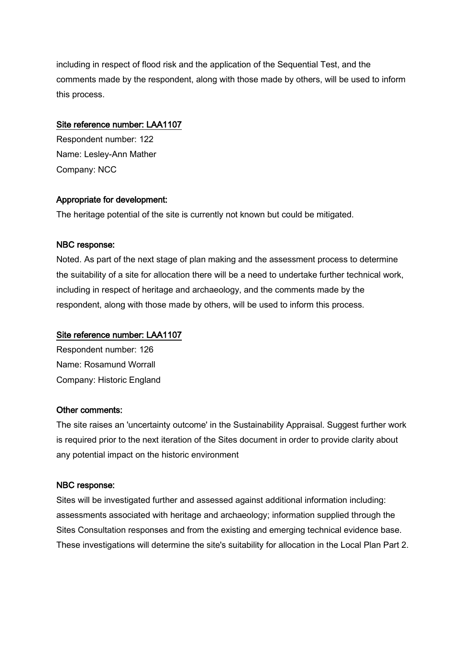including in respect of flood risk and the application of the Sequential Test, and the comments made by the respondent, along with those made by others, will be used to inform this process.

#### Site reference number: LAA1107

Respondent number: 122 Name: Lesley-Ann Mather Company: NCC

#### Appropriate for development:

The heritage potential of the site is currently not known but could be mitigated.

#### NBC response:

Noted. As part of the next stage of plan making and the assessment process to determine the suitability of a site for allocation there will be a need to undertake further technical work, including in respect of heritage and archaeology, and the comments made by the respondent, along with those made by others, will be used to inform this process.

#### Site reference number: LAA1107

Respondent number: 126 Name: Rosamund Worrall Company: Historic England

#### Other comments:

The site raises an 'uncertainty outcome' in the Sustainability Appraisal. Suggest further work is required prior to the next iteration of the Sites document in order to provide clarity about any potential impact on the historic environment

#### NBC response:

Sites will be investigated further and assessed against additional information including: assessments associated with heritage and archaeology; information supplied through the Sites Consultation responses and from the existing and emerging technical evidence base. These investigations will determine the site's suitability for allocation in the Local Plan Part 2.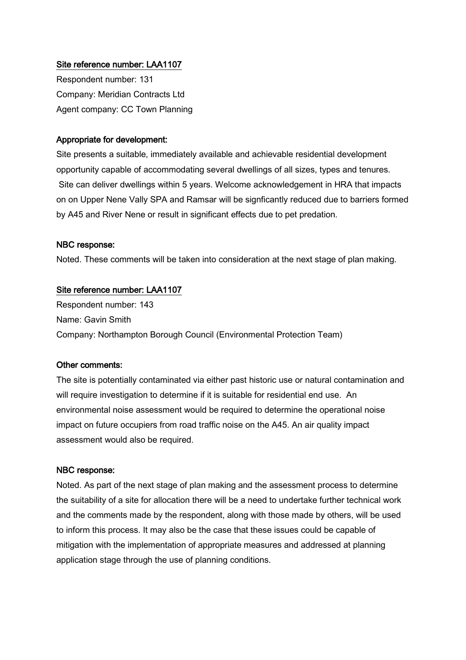Respondent number: 131 Company: Meridian Contracts Ltd Agent company: CC Town Planning

#### Appropriate for development:

Site presents a suitable, immediately available and achievable residential development opportunity capable of accommodating several dwellings of all sizes, types and tenures. Site can deliver dwellings within 5 years. Welcome acknowledgement in HRA that impacts on on Upper Nene Vally SPA and Ramsar will be signficantly reduced due to barriers formed by A45 and River Nene or result in significant effects due to pet predation.

#### NBC response:

Noted. These comments will be taken into consideration at the next stage of plan making.

#### Site reference number: LAA1107

Respondent number: 143 Name: Gavin Smith Company: Northampton Borough Council (Environmental Protection Team)

#### Other comments:

The site is potentially contaminated via either past historic use or natural contamination and will require investigation to determine if it is suitable for residential end use. An environmental noise assessment would be required to determine the operational noise impact on future occupiers from road traffic noise on the A45. An air quality impact assessment would also be required.

#### NBC response:

Noted. As part of the next stage of plan making and the assessment process to determine the suitability of a site for allocation there will be a need to undertake further technical work and the comments made by the respondent, along with those made by others, will be used to inform this process. It may also be the case that these issues could be capable of mitigation with the implementation of appropriate measures and addressed at planning application stage through the use of planning conditions.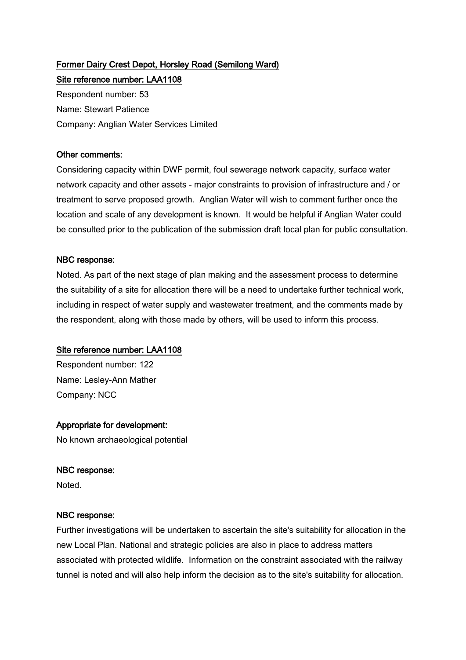# Former Dairy Crest Depot, Horsley Road (Semilong Ward)

Site reference number: LAA1108 Respondent number: 53 Name: Stewart Patience Company: Anglian Water Services Limited

#### Other comments:

Considering capacity within DWF permit, foul sewerage network capacity, surface water network capacity and other assets - major constraints to provision of infrastructure and / or treatment to serve proposed growth. Anglian Water will wish to comment further once the location and scale of any development is known. It would be helpful if Anglian Water could be consulted prior to the publication of the submission draft local plan for public consultation.

#### NBC response:

Noted. As part of the next stage of plan making and the assessment process to determine the suitability of a site for allocation there will be a need to undertake further technical work, including in respect of water supply and wastewater treatment, and the comments made by the respondent, along with those made by others, will be used to inform this process.

#### Site reference number: LAA1108

Respondent number: 122 Name: Lesley-Ann Mather Company: NCC

#### Appropriate for development:

No known archaeological potential

#### NBC response:

Noted.

#### NBC response:

Further investigations will be undertaken to ascertain the site's suitability for allocation in the new Local Plan. National and strategic policies are also in place to address matters associated with protected wildlife. Information on the constraint associated with the railway tunnel is noted and will also help inform the decision as to the site's suitability for allocation.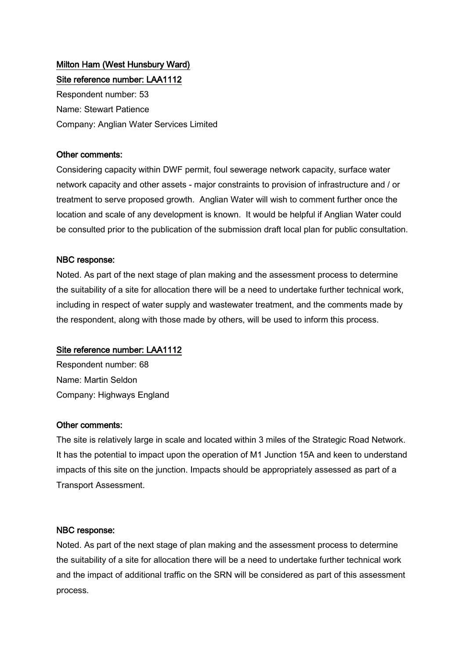## Milton Ham (West Hunsbury Ward) Site reference number: LAA1112

Respondent number: 53 Name: Stewart Patience Company: Anglian Water Services Limited

## Other comments:

Considering capacity within DWF permit, foul sewerage network capacity, surface water network capacity and other assets - major constraints to provision of infrastructure and / or treatment to serve proposed growth. Anglian Water will wish to comment further once the location and scale of any development is known. It would be helpful if Anglian Water could be consulted prior to the publication of the submission draft local plan for public consultation.

## NBC response:

Noted. As part of the next stage of plan making and the assessment process to determine the suitability of a site for allocation there will be a need to undertake further technical work, including in respect of water supply and wastewater treatment, and the comments made by the respondent, along with those made by others, will be used to inform this process.

#### Site reference number: LAA1112

Respondent number: 68 Name: Martin Seldon Company: Highways England

#### Other comments:

The site is relatively large in scale and located within 3 miles of the Strategic Road Network. It has the potential to impact upon the operation of M1 Junction 15A and keen to understand impacts of this site on the junction. Impacts should be appropriately assessed as part of a Transport Assessment.

#### NBC response:

Noted. As part of the next stage of plan making and the assessment process to determine the suitability of a site for allocation there will be a need to undertake further technical work and the impact of additional traffic on the SRN will be considered as part of this assessment process.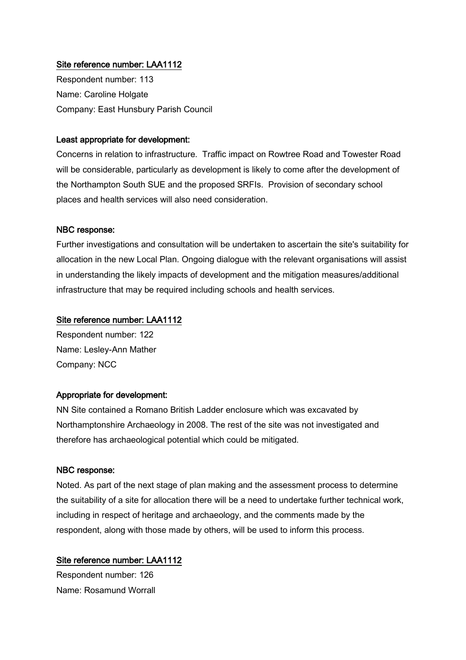Respondent number: 113 Name: Caroline Holgate Company: East Hunsbury Parish Council

#### Least appropriate for development:

Concerns in relation to infrastructure. Traffic impact on Rowtree Road and Towester Road will be considerable, particularly as development is likely to come after the development of the Northampton South SUE and the proposed SRFIs. Provision of secondary school places and health services will also need consideration.

#### NBC response:

Further investigations and consultation will be undertaken to ascertain the site's suitability for allocation in the new Local Plan. Ongoing dialogue with the relevant organisations will assist in understanding the likely impacts of development and the mitigation measures/additional infrastructure that may be required including schools and health services.

#### Site reference number: LAA1112

Respondent number: 122 Name: Lesley-Ann Mather Company: NCC

#### Appropriate for development:

NN Site contained a Romano British Ladder enclosure which was excavated by Northamptonshire Archaeology in 2008. The rest of the site was not investigated and therefore has archaeological potential which could be mitigated.

#### NBC response:

Noted. As part of the next stage of plan making and the assessment process to determine the suitability of a site for allocation there will be a need to undertake further technical work, including in respect of heritage and archaeology, and the comments made by the respondent, along with those made by others, will be used to inform this process.

#### Site reference number: LAA1112

Respondent number: 126 Name: Rosamund Worrall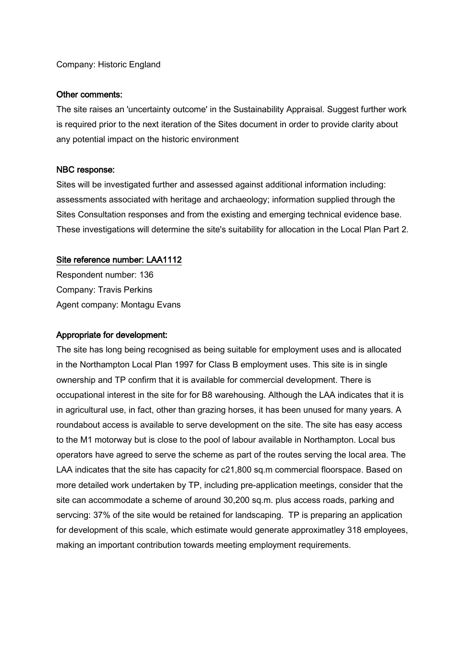#### Company: Historic England

#### Other comments:

The site raises an 'uncertainty outcome' in the Sustainability Appraisal. Suggest further work is required prior to the next iteration of the Sites document in order to provide clarity about any potential impact on the historic environment

#### NBC response:

Sites will be investigated further and assessed against additional information including: assessments associated with heritage and archaeology; information supplied through the Sites Consultation responses and from the existing and emerging technical evidence base. These investigations will determine the site's suitability for allocation in the Local Plan Part 2.

#### Site reference number: LAA1112

Respondent number: 136 Company: Travis Perkins Agent company: Montagu Evans

#### Appropriate for development:

The site has long being recognised as being suitable for employment uses and is allocated in the Northampton Local Plan 1997 for Class B employment uses. This site is in single ownership and TP confirm that it is available for commercial development. There is occupational interest in the site for for B8 warehousing. Although the LAA indicates that it is in agricultural use, in fact, other than grazing horses, it has been unused for many years. A roundabout access is available to serve development on the site. The site has easy access to the M1 motorway but is close to the pool of labour available in Northampton. Local bus operators have agreed to serve the scheme as part of the routes serving the local area. The LAA indicates that the site has capacity for c21,800 sq.m commercial floorspace. Based on more detailed work undertaken by TP, including pre-application meetings, consider that the site can accommodate a scheme of around 30,200 sq.m. plus access roads, parking and servcing: 37% of the site would be retained for landscaping. TP is preparing an application for development of this scale, which estimate would generate approximatley 318 employees, making an important contribution towards meeting employment requirements.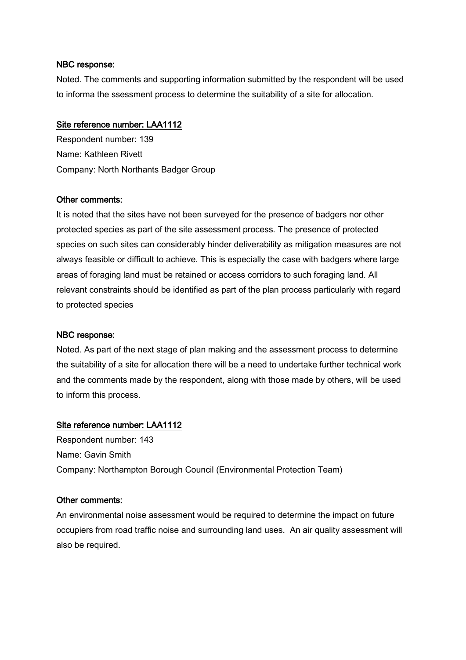Noted. The comments and supporting information submitted by the respondent will be used to informa the ssessment process to determine the suitability of a site for allocation.

#### Site reference number: LAA1112

Respondent number: 139 Name: Kathleen Rivett Company: North Northants Badger Group

#### Other comments:

It is noted that the sites have not been surveyed for the presence of badgers nor other protected species as part of the site assessment process. The presence of protected species on such sites can considerably hinder deliverability as mitigation measures are not always feasible or difficult to achieve. This is especially the case with badgers where large areas of foraging land must be retained or access corridors to such foraging land. All relevant constraints should be identified as part of the plan process particularly with regard to protected species

#### NBC response:

Noted. As part of the next stage of plan making and the assessment process to determine the suitability of a site for allocation there will be a need to undertake further technical work and the comments made by the respondent, along with those made by others, will be used to inform this process.

#### Site reference number: LAA1112

Respondent number: 143 Name: Gavin Smith Company: Northampton Borough Council (Environmental Protection Team)

#### Other comments:

An environmental noise assessment would be required to determine the impact on future occupiers from road traffic noise and surrounding land uses. An air quality assessment will also be required.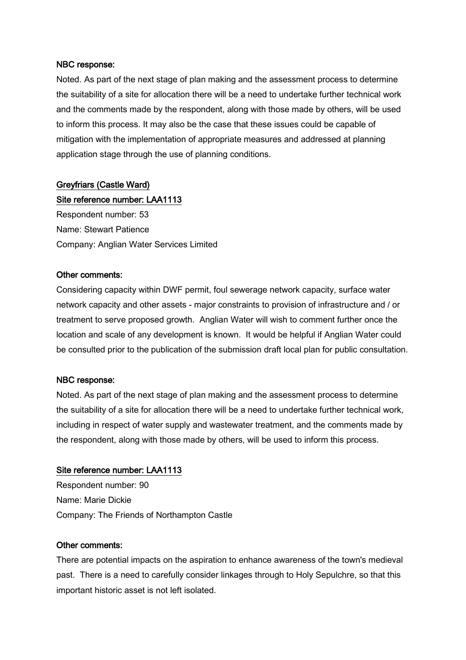Noted. As part of the next stage of plan making and the assessment process to determine the suitability of a site for allocation there will be a need to undertake further technical work and the comments made by the respondent, along with those made by others, will be used to inform this process. It may also be the case that these issues could be capable of mitigation with the implementation of appropriate measures and addressed at planning application stage through the use of planning conditions.

## Greyfriars (Castle Ward)

## Site reference number: LAA1113

Respondent number: 53 Name: Stewart Patience Company: Anglian Water Services Limited

#### Other comments:

Considering capacity within DWF permit, foul sewerage network capacity, surface water network capacity and other assets - major constraints to provision of infrastructure and / or treatment to serve proposed growth. Anglian Water will wish to comment further once the location and scale of any development is known. It would be helpful if Anglian Water could be consulted prior to the publication of the submission draft local plan for public consultation.

#### NBC response:

Noted. As part of the next stage of plan making and the assessment process to determine the suitability of a site for allocation there will be a need to undertake further technical work, including in respect of water supply and wastewater treatment, and the comments made by the respondent, along with those made by others, will be used to inform this process.

#### Site reference number: LAA1113

Respondent number: 90 Name: Marie Dickie Company: The Friends of Northampton Castle

#### Other comments:

There are potential impacts on the aspiration to enhance awareness of the town's medieval past. There is a need to carefully consider linkages through to Holy Sepulchre, so that this important historic asset is not left isolated.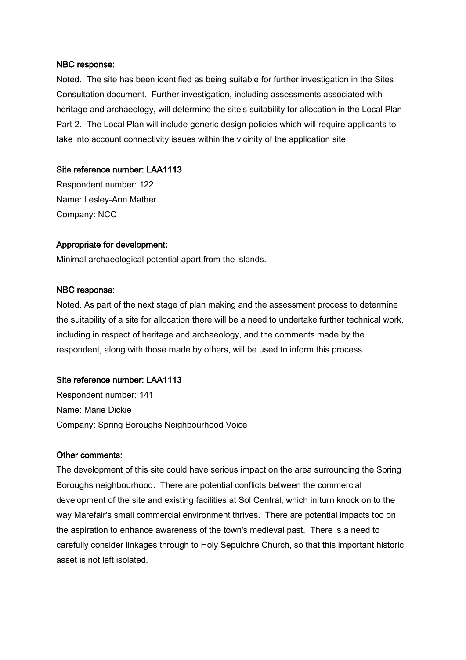Noted. The site has been identified as being suitable for further investigation in the Sites Consultation document. Further investigation, including assessments associated with heritage and archaeology, will determine the site's suitability for allocation in the Local Plan Part 2. The Local Plan will include generic design policies which will require applicants to take into account connectivity issues within the vicinity of the application site.

#### Site reference number: LAA1113

Respondent number: 122 Name: Lesley-Ann Mather Company: NCC

#### Appropriate for development:

Minimal archaeological potential apart from the islands.

#### NBC response:

Noted. As part of the next stage of plan making and the assessment process to determine the suitability of a site for allocation there will be a need to undertake further technical work, including in respect of heritage and archaeology, and the comments made by the respondent, along with those made by others, will be used to inform this process.

#### Site reference number: LAA1113

Respondent number: 141 Name: Marie Dickie Company: Spring Boroughs Neighbourhood Voice

#### Other comments:

The development of this site could have serious impact on the area surrounding the Spring Boroughs neighbourhood. There are potential conflicts between the commercial development of the site and existing facilities at Sol Central, which in turn knock on to the way Marefair's small commercial environment thrives. There are potential impacts too on the aspiration to enhance awareness of the town's medieval past. There is a need to carefully consider linkages through to Holy Sepulchre Church, so that this important historic asset is not left isolated.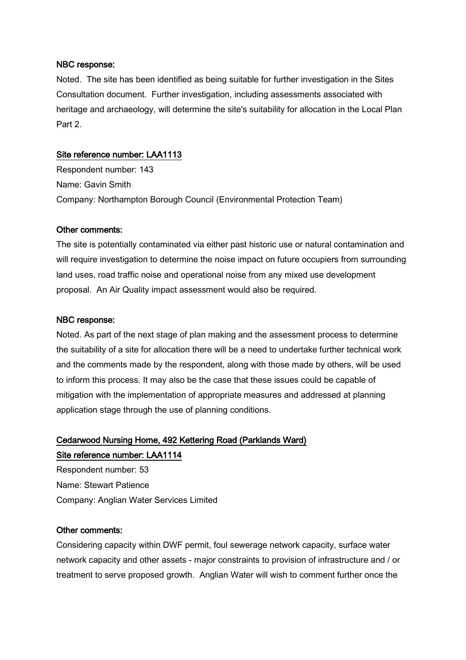Noted. The site has been identified as being suitable for further investigation in the Sites Consultation document. Further investigation, including assessments associated with heritage and archaeology, will determine the site's suitability for allocation in the Local Plan Part 2.

#### Site reference number: LAA1113

Respondent number: 143 Name: Gavin Smith Company: Northampton Borough Council (Environmental Protection Team)

#### Other comments:

The site is potentially contaminated via either past historic use or natural contamination and will require investigation to determine the noise impact on future occupiers from surrounding land uses, road traffic noise and operational noise from any mixed use development proposal. An Air Quality impact assessment would also be required.

#### NBC response:

Noted. As part of the next stage of plan making and the assessment process to determine the suitability of a site for allocation there will be a need to undertake further technical work and the comments made by the respondent, along with those made by others, will be used to inform this process. It may also be the case that these issues could be capable of mitigation with the implementation of appropriate measures and addressed at planning application stage through the use of planning conditions.

## Cedarwood Nursing Home, 492 Kettering Road (Parklands Ward) Site reference number: LAA1114

Respondent number: 53 Name: Stewart Patience Company: Anglian Water Services Limited

#### Other comments:

Considering capacity within DWF permit, foul sewerage network capacity, surface water network capacity and other assets - major constraints to provision of infrastructure and / or treatment to serve proposed growth. Anglian Water will wish to comment further once the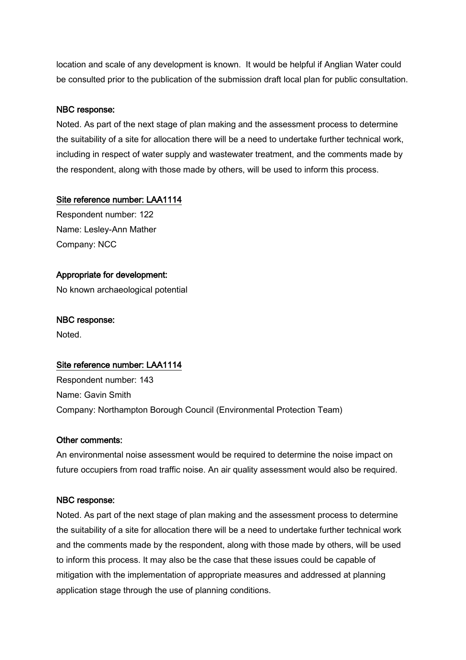location and scale of any development is known. It would be helpful if Anglian Water could be consulted prior to the publication of the submission draft local plan for public consultation.

#### NBC response:

Noted. As part of the next stage of plan making and the assessment process to determine the suitability of a site for allocation there will be a need to undertake further technical work, including in respect of water supply and wastewater treatment, and the comments made by the respondent, along with those made by others, will be used to inform this process.

#### Site reference number: LAA1114

Respondent number: 122 Name: Lesley-Ann Mather Company: NCC

#### Appropriate for development:

No known archaeological potential

#### NBC response:

Noted.

#### Site reference number: LAA1114

Respondent number: 143 Name: Gavin Smith Company: Northampton Borough Council (Environmental Protection Team)

#### Other comments:

An environmental noise assessment would be required to determine the noise impact on future occupiers from road traffic noise. An air quality assessment would also be required.

#### NBC response:

Noted. As part of the next stage of plan making and the assessment process to determine the suitability of a site for allocation there will be a need to undertake further technical work and the comments made by the respondent, along with those made by others, will be used to inform this process. It may also be the case that these issues could be capable of mitigation with the implementation of appropriate measures and addressed at planning application stage through the use of planning conditions.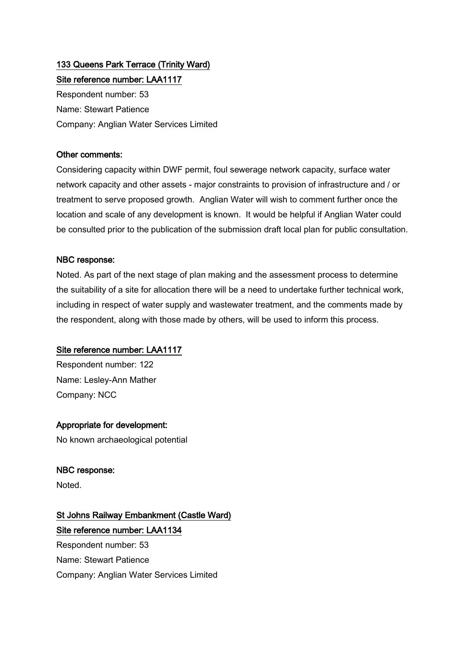# 133 Queens Park Terrace (Trinity Ward)

Site reference number: LAA1117 Respondent number: 53 Name: Stewart Patience Company: Anglian Water Services Limited

## Other comments:

Considering capacity within DWF permit, foul sewerage network capacity, surface water network capacity and other assets - major constraints to provision of infrastructure and / or treatment to serve proposed growth. Anglian Water will wish to comment further once the location and scale of any development is known. It would be helpful if Anglian Water could be consulted prior to the publication of the submission draft local plan for public consultation.

## NBC response:

Noted. As part of the next stage of plan making and the assessment process to determine the suitability of a site for allocation there will be a need to undertake further technical work, including in respect of water supply and wastewater treatment, and the comments made by the respondent, along with those made by others, will be used to inform this process.

## Site reference number: LAA1117

Respondent number: 122 Name: Lesley-Ann Mather Company: NCC

## Appropriate for development:

No known archaeological potential

#### NBC response:

Noted.

## St Johns Railway Embankment (Castle Ward) Site reference number: LAA1134

Respondent number: 53 Name: Stewart Patience Company: Anglian Water Services Limited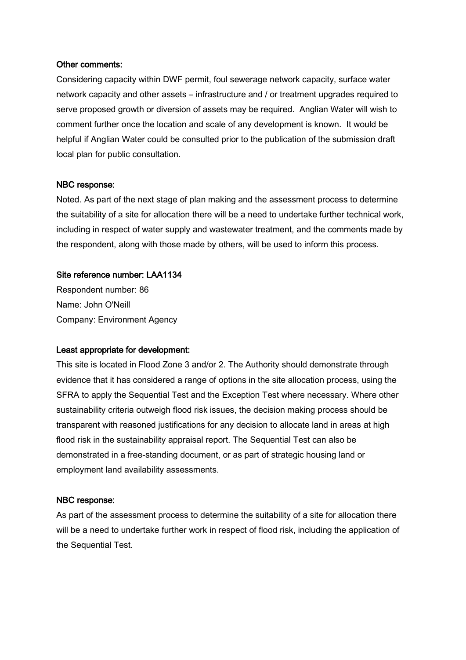#### Other comments:

Considering capacity within DWF permit, foul sewerage network capacity, surface water network capacity and other assets – infrastructure and / or treatment upgrades required to serve proposed growth or diversion of assets may be required. Anglian Water will wish to comment further once the location and scale of any development is known. It would be helpful if Anglian Water could be consulted prior to the publication of the submission draft local plan for public consultation.

#### NBC response:

Noted. As part of the next stage of plan making and the assessment process to determine the suitability of a site for allocation there will be a need to undertake further technical work, including in respect of water supply and wastewater treatment, and the comments made by the respondent, along with those made by others, will be used to inform this process.

#### Site reference number: LAA1134

Respondent number: 86 Name: John O'Neill Company: Environment Agency

#### Least appropriate for development:

This site is located in Flood Zone 3 and/or 2. The Authority should demonstrate through evidence that it has considered a range of options in the site allocation process, using the SFRA to apply the Sequential Test and the Exception Test where necessary. Where other sustainability criteria outweigh flood risk issues, the decision making process should be transparent with reasoned justifications for any decision to allocate land in areas at high flood risk in the sustainability appraisal report. The Sequential Test can also be demonstrated in a free-standing document, or as part of strategic housing land or employment land availability assessments.

#### NBC response:

As part of the assessment process to determine the suitability of a site for allocation there will be a need to undertake further work in respect of flood risk, including the application of the Sequential Test.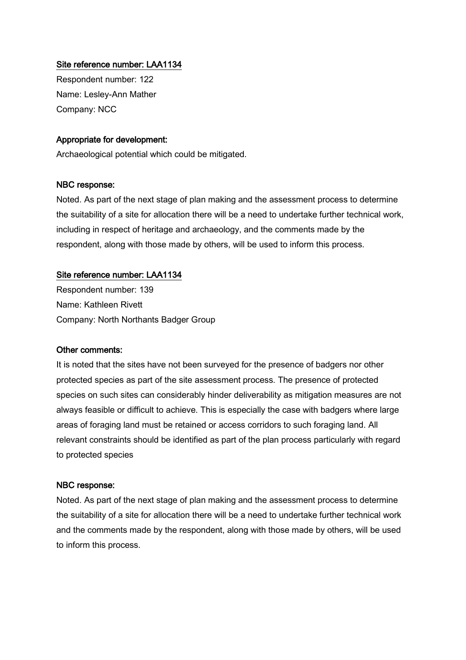Respondent number: 122 Name: Lesley-Ann Mather Company: NCC

#### Appropriate for development:

Archaeological potential which could be mitigated.

#### NBC response:

Noted. As part of the next stage of plan making and the assessment process to determine the suitability of a site for allocation there will be a need to undertake further technical work, including in respect of heritage and archaeology, and the comments made by the respondent, along with those made by others, will be used to inform this process.

#### Site reference number: LAA1134

Respondent number: 139 Name: Kathleen Rivett Company: North Northants Badger Group

#### Other comments:

It is noted that the sites have not been surveyed for the presence of badgers nor other protected species as part of the site assessment process. The presence of protected species on such sites can considerably hinder deliverability as mitigation measures are not always feasible or difficult to achieve. This is especially the case with badgers where large areas of foraging land must be retained or access corridors to such foraging land. All relevant constraints should be identified as part of the plan process particularly with regard to protected species

#### NBC response:

Noted. As part of the next stage of plan making and the assessment process to determine the suitability of a site for allocation there will be a need to undertake further technical work and the comments made by the respondent, along with those made by others, will be used to inform this process.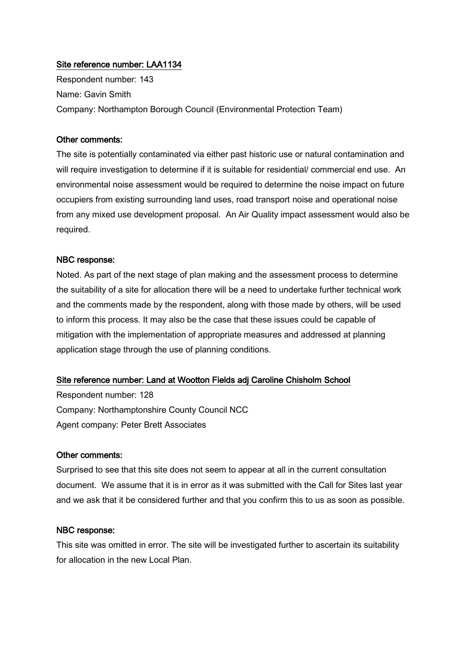Respondent number: 143 Name: Gavin Smith Company: Northampton Borough Council (Environmental Protection Team)

#### Other comments:

The site is potentially contaminated via either past historic use or natural contamination and will require investigation to determine if it is suitable for residential/ commercial end use. An environmental noise assessment would be required to determine the noise impact on future occupiers from existing surrounding land uses, road transport noise and operational noise from any mixed use development proposal. An Air Quality impact assessment would also be required.

#### NBC response:

Noted. As part of the next stage of plan making and the assessment process to determine the suitability of a site for allocation there will be a need to undertake further technical work and the comments made by the respondent, along with those made by others, will be used to inform this process. It may also be the case that these issues could be capable of mitigation with the implementation of appropriate measures and addressed at planning application stage through the use of planning conditions.

#### Site reference number: Land at Wootton Fields adj Caroline Chisholm School

Respondent number: 128 Company: Northamptonshire County Council NCC Agent company: Peter Brett Associates

#### Other comments:

Surprised to see that this site does not seem to appear at all in the current consultation document. We assume that it is in error as it was submitted with the Call for Sites last year and we ask that it be considered further and that you confirm this to us as soon as possible.

#### NBC response:

This site was omitted in error. The site will be investigated further to ascertain its suitability for allocation in the new Local Plan.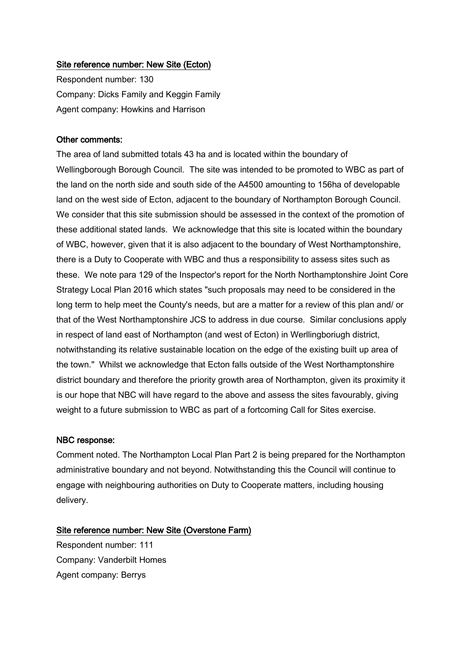#### Site reference number: New Site (Ecton)

Respondent number: 130 Company: Dicks Family and Keggin Family Agent company: Howkins and Harrison

#### Other comments:

The area of land submitted totals 43 ha and is located within the boundary of Wellingborough Borough Council. The site was intended to be promoted to WBC as part of the land on the north side and south side of the A4500 amounting to 156ha of developable land on the west side of Ecton, adjacent to the boundary of Northampton Borough Council. We consider that this site submission should be assessed in the context of the promotion of these additional stated lands. We acknowledge that this site is located within the boundary of WBC, however, given that it is also adjacent to the boundary of West Northamptonshire, there is a Duty to Cooperate with WBC and thus a responsibility to assess sites such as these. We note para 129 of the Inspector's report for the North Northamptonshire Joint Core Strategy Local Plan 2016 which states "such proposals may need to be considered in the long term to help meet the County's needs, but are a matter for a review of this plan and/ or that of the West Northamptonshire JCS to address in due course. Similar conclusions apply in respect of land east of Northampton (and west of Ecton) in Werllingboriugh district, notwithstanding its relative sustainable location on the edge of the existing built up area of the town." Whilst we acknowledge that Ecton falls outside of the West Northamptonshire district boundary and therefore the priority growth area of Northampton, given its proximity it is our hope that NBC will have regard to the above and assess the sites favourably, giving weight to a future submission to WBC as part of a fortcoming Call for Sites exercise.

#### NBC response:

Comment noted. The Northampton Local Plan Part 2 is being prepared for the Northampton administrative boundary and not beyond. Notwithstanding this the Council will continue to engage with neighbouring authorities on Duty to Cooperate matters, including housing delivery.

#### Site reference number: New Site (Overstone Farm)

Respondent number: 111 Company: Vanderbilt Homes Agent company: Berrys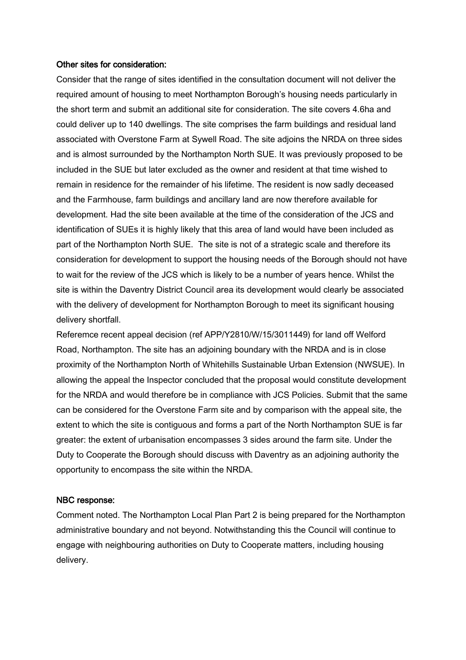#### Other sites for consideration:

Consider that the range of sites identified in the consultation document will not deliver the required amount of housing to meet Northampton Borough's housing needs particularly in the short term and submit an additional site for consideration. The site covers 4.6ha and could deliver up to 140 dwellings. The site comprises the farm buildings and residual land associated with Overstone Farm at Sywell Road. The site adjoins the NRDA on three sides and is almost surrounded by the Northampton North SUE. It was previously proposed to be included in the SUE but later excluded as the owner and resident at that time wished to remain in residence for the remainder of his lifetime. The resident is now sadly deceased and the Farmhouse, farm buildings and ancillary land are now therefore available for development. Had the site been available at the time of the consideration of the JCS and identification of SUEs it is highly likely that this area of land would have been included as part of the Northampton North SUE. The site is not of a strategic scale and therefore its consideration for development to support the housing needs of the Borough should not have to wait for the review of the JCS which is likely to be a number of years hence. Whilst the site is within the Daventry District Council area its development would clearly be associated with the delivery of development for Northampton Borough to meet its significant housing delivery shortfall.

Referemce recent appeal decision (ref APP/Y2810/W/15/3011449) for land off Welford Road, Northampton. The site has an adjoining boundary with the NRDA and is in close proximity of the Northampton North of Whitehills Sustainable Urban Extension (NWSUE). In allowing the appeal the Inspector concluded that the proposal would constitute development for the NRDA and would therefore be in compliance with JCS Policies. Submit that the same can be considered for the Overstone Farm site and by comparison with the appeal site, the extent to which the site is contiguous and forms a part of the North Northampton SUE is far greater: the extent of urbanisation encompasses 3 sides around the farm site. Under the Duty to Cooperate the Borough should discuss with Daventry as an adjoining authority the opportunity to encompass the site within the NRDA.

#### NBC response:

Comment noted. The Northampton Local Plan Part 2 is being prepared for the Northampton administrative boundary and not beyond. Notwithstanding this the Council will continue to engage with neighbouring authorities on Duty to Cooperate matters, including housing delivery.